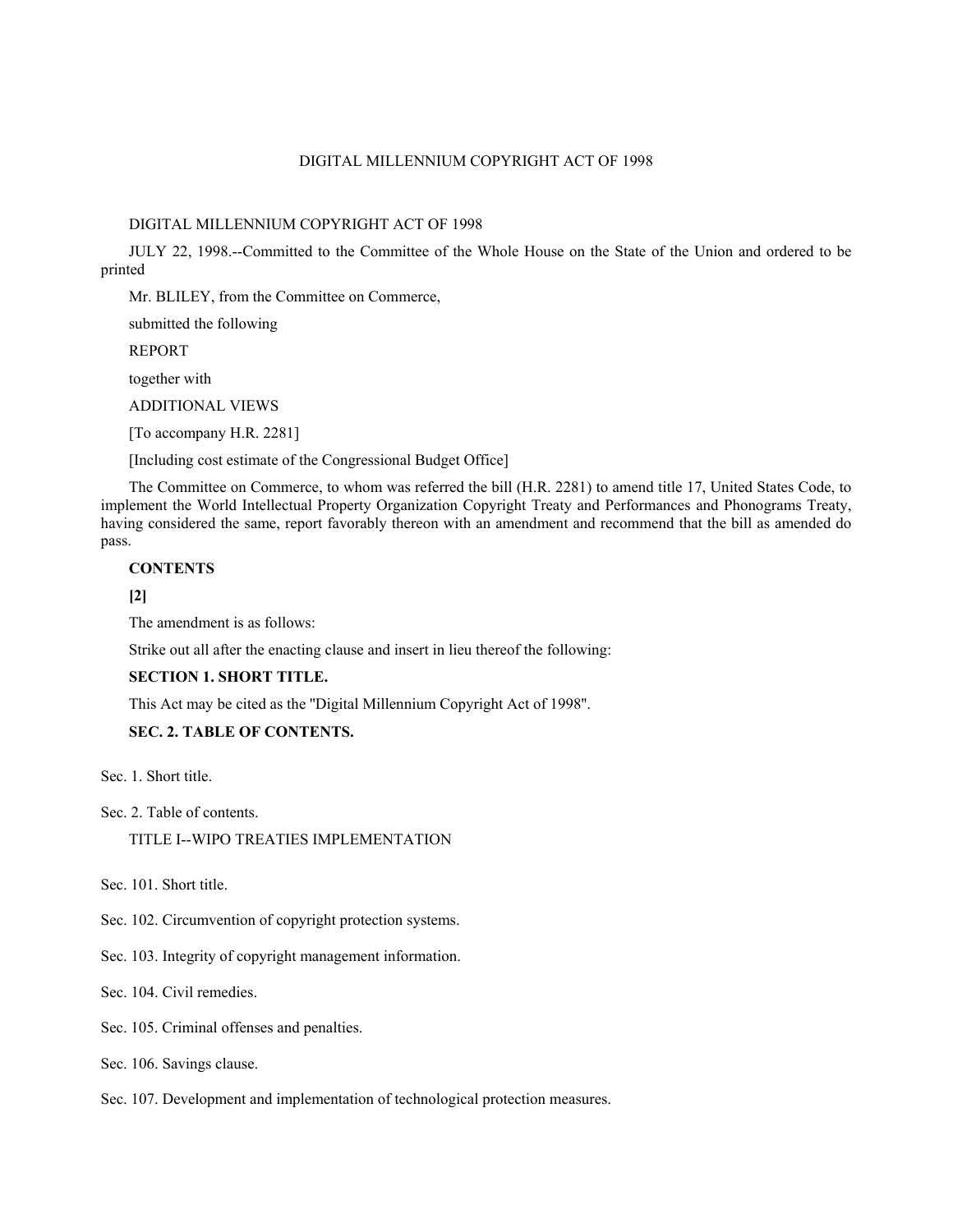# DIGITAL MILLENNIUM COPYRIGHT ACT OF 1998

# DIGITAL MILLENNIUM COPYRIGHT ACT OF 1998

JULY 22, 1998.--Committed to the Committee of the Whole House on the State of the Union and ordered to be printed

Mr. BLILEY, from the Committee on Commerce,

submitted the following

REPORT

together with

ADDITIONAL VIEWS

[To accompany H.R. 2281]

[Including cost estimate of the Congressional Budget Office]

The Committee on Commerce, to whom was referred the bill (H.R. 2281) to amend title 17, United States Code, to implement the World Intellectual Property Organization Copyright Treaty and Performances and Phonograms Treaty, having considered the same, report favorably thereon with an amendment and recommend that the bill as amended do pass.

# **CONTENTS**

**[2]**

The amendment is as follows:

Strike out all after the enacting clause and insert in lieu thereof the following:

# **SECTION 1. SHORT TITLE.**

This Act may be cited as the ''Digital Millennium Copyright Act of 1998''.

# **SEC. 2. TABLE OF CONTENTS.**

Sec. 1. Short title.

Sec. 2. Table of contents.

TITLE I--WIPO TREATIES IMPLEMENTATION

Sec. 101. Short title.

Sec. 102. Circumvention of copyright protection systems.

Sec. 103. Integrity of copyright management information.

Sec. 104. Civil remedies.

Sec. 105. Criminal offenses and penalties.

Sec. 106. Savings clause.

Sec. 107. Development and implementation of technological protection measures.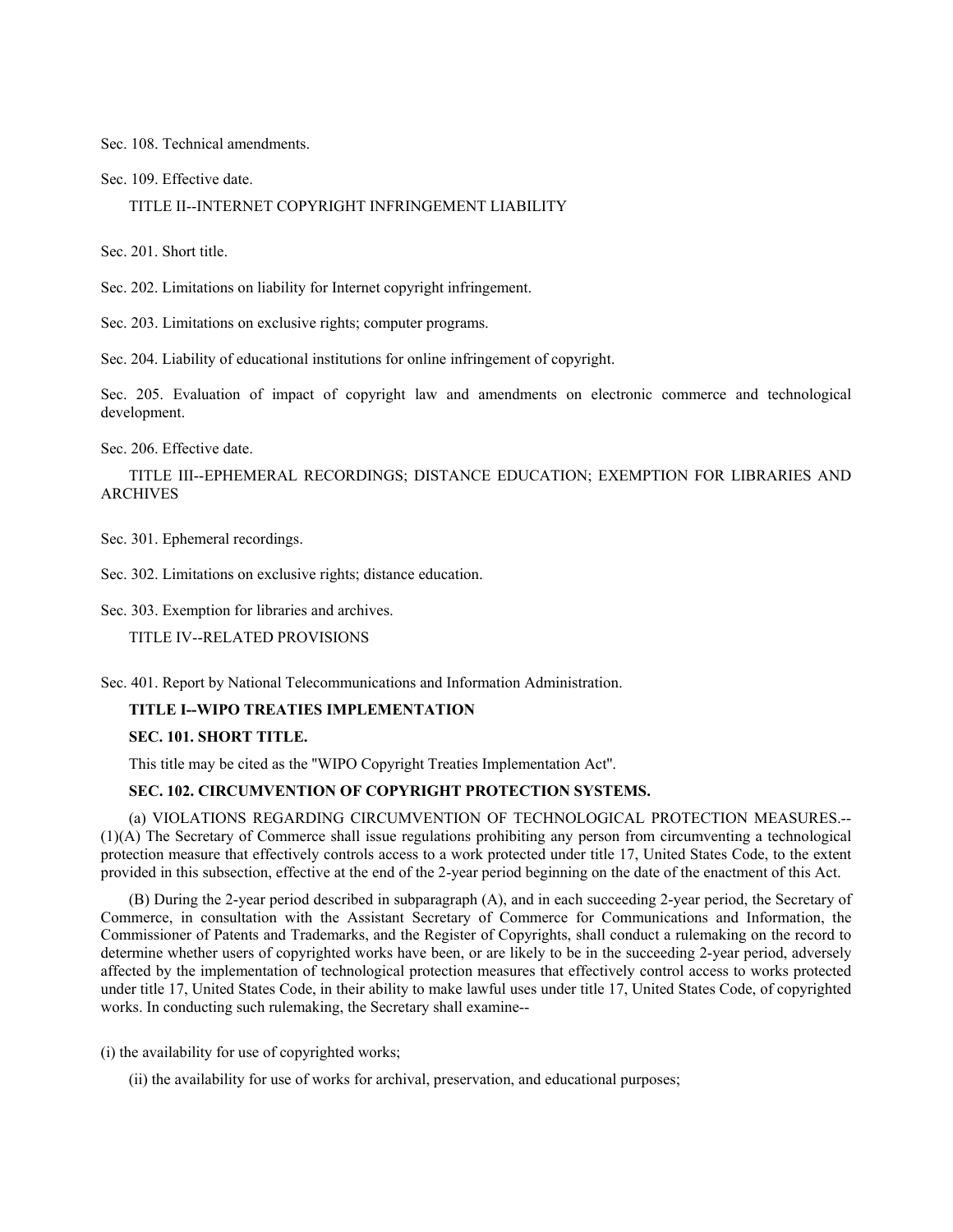Sec. 108. Technical amendments.

Sec. 109. Effective date.

### TITLE II--INTERNET COPYRIGHT INFRINGEMENT LIABILITY

Sec. 201. Short title.

Sec. 202. Limitations on liability for Internet copyright infringement.

Sec. 203. Limitations on exclusive rights; computer programs.

Sec. 204. Liability of educational institutions for online infringement of copyright.

Sec. 205. Evaluation of impact of copyright law and amendments on electronic commerce and technological development.

Sec. 206. Effective date.

TITLE III--EPHEMERAL RECORDINGS; DISTANCE EDUCATION; EXEMPTION FOR LIBRARIES AND ARCHIVES

Sec. 301. Ephemeral recordings.

Sec. 302. Limitations on exclusive rights; distance education.

Sec. 303. Exemption for libraries and archives.

TITLE IV--RELATED PROVISIONS

Sec. 401. Report by National Telecommunications and Information Administration.

# **TITLE I--WIPO TREATIES IMPLEMENTATION**

### **SEC. 101. SHORT TITLE.**

This title may be cited as the ''WIPO Copyright Treaties Implementation Act''.

#### **SEC. 102. CIRCUMVENTION OF COPYRIGHT PROTECTION SYSTEMS.**

(a) VIOLATIONS REGARDING CIRCUMVENTION OF TECHNOLOGICAL PROTECTION MEASURES.-- (1)(A) The Secretary of Commerce shall issue regulations prohibiting any person from circumventing a technological protection measure that effectively controls access to a work protected under title 17, United States Code, to the extent provided in this subsection, effective at the end of the 2-year period beginning on the date of the enactment of this Act.

(B) During the 2-year period described in subparagraph (A), and in each succeeding 2-year period, the Secretary of Commerce, in consultation with the Assistant Secretary of Commerce for Communications and Information, the Commissioner of Patents and Trademarks, and the Register of Copyrights, shall conduct a rulemaking on the record to determine whether users of copyrighted works have been, or are likely to be in the succeeding 2-year period, adversely affected by the implementation of technological protection measures that effectively control access to works protected under title 17, United States Code, in their ability to make lawful uses under title 17, United States Code, of copyrighted works. In conducting such rulemaking, the Secretary shall examine--

(i) the availability for use of copyrighted works;

(ii) the availability for use of works for archival, preservation, and educational purposes;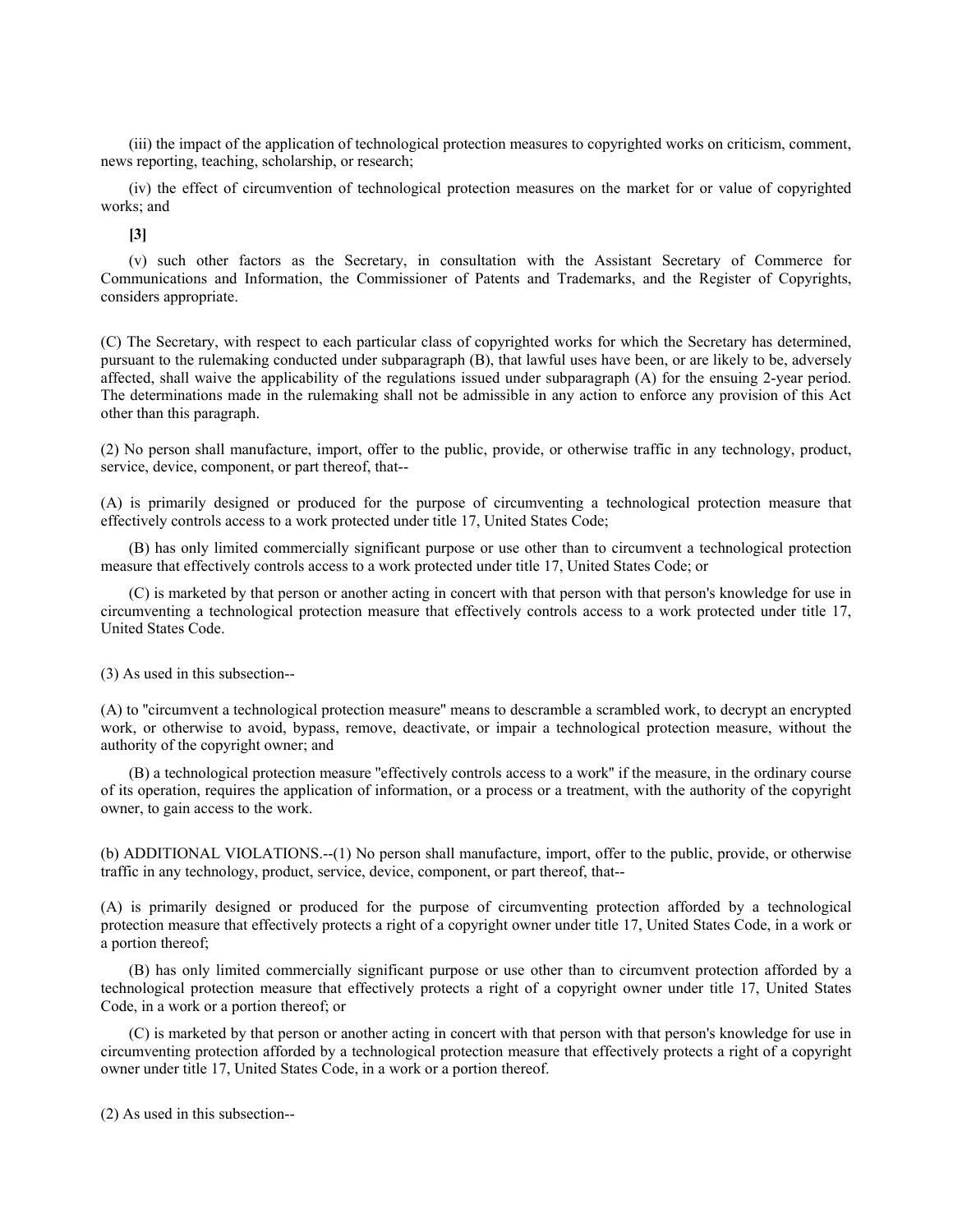(iii) the impact of the application of technological protection measures to copyrighted works on criticism, comment, news reporting, teaching, scholarship, or research;

(iv) the effect of circumvention of technological protection measures on the market for or value of copyrighted works; and

**[3]**

(v) such other factors as the Secretary, in consultation with the Assistant Secretary of Commerce for Communications and Information, the Commissioner of Patents and Trademarks, and the Register of Copyrights, considers appropriate.

(C) The Secretary, with respect to each particular class of copyrighted works for which the Secretary has determined, pursuant to the rulemaking conducted under subparagraph (B), that lawful uses have been, or are likely to be, adversely affected, shall waive the applicability of the regulations issued under subparagraph (A) for the ensuing 2-year period. The determinations made in the rulemaking shall not be admissible in any action to enforce any provision of this Act other than this paragraph.

(2) No person shall manufacture, import, offer to the public, provide, or otherwise traffic in any technology, product, service, device, component, or part thereof, that--

(A) is primarily designed or produced for the purpose of circumventing a technological protection measure that effectively controls access to a work protected under title 17, United States Code;

(B) has only limited commercially significant purpose or use other than to circumvent a technological protection measure that effectively controls access to a work protected under title 17, United States Code; or

(C) is marketed by that person or another acting in concert with that person with that person's knowledge for use in circumventing a technological protection measure that effectively controls access to a work protected under title 17, United States Code.

(3) As used in this subsection--

(A) to ''circumvent a technological protection measure'' means to descramble a scrambled work, to decrypt an encrypted work, or otherwise to avoid, bypass, remove, deactivate, or impair a technological protection measure, without the authority of the copyright owner; and

(B) a technological protection measure ''effectively controls access to a work'' if the measure, in the ordinary course of its operation, requires the application of information, or a process or a treatment, with the authority of the copyright owner, to gain access to the work.

(b) ADDITIONAL VIOLATIONS.--(1) No person shall manufacture, import, offer to the public, provide, or otherwise traffic in any technology, product, service, device, component, or part thereof, that--

(A) is primarily designed or produced for the purpose of circumventing protection afforded by a technological protection measure that effectively protects a right of a copyright owner under title 17, United States Code, in a work or a portion thereof;

(B) has only limited commercially significant purpose or use other than to circumvent protection afforded by a technological protection measure that effectively protects a right of a copyright owner under title 17, United States Code, in a work or a portion thereof; or

(C) is marketed by that person or another acting in concert with that person with that person's knowledge for use in circumventing protection afforded by a technological protection measure that effectively protects a right of a copyright owner under title 17, United States Code, in a work or a portion thereof.

(2) As used in this subsection--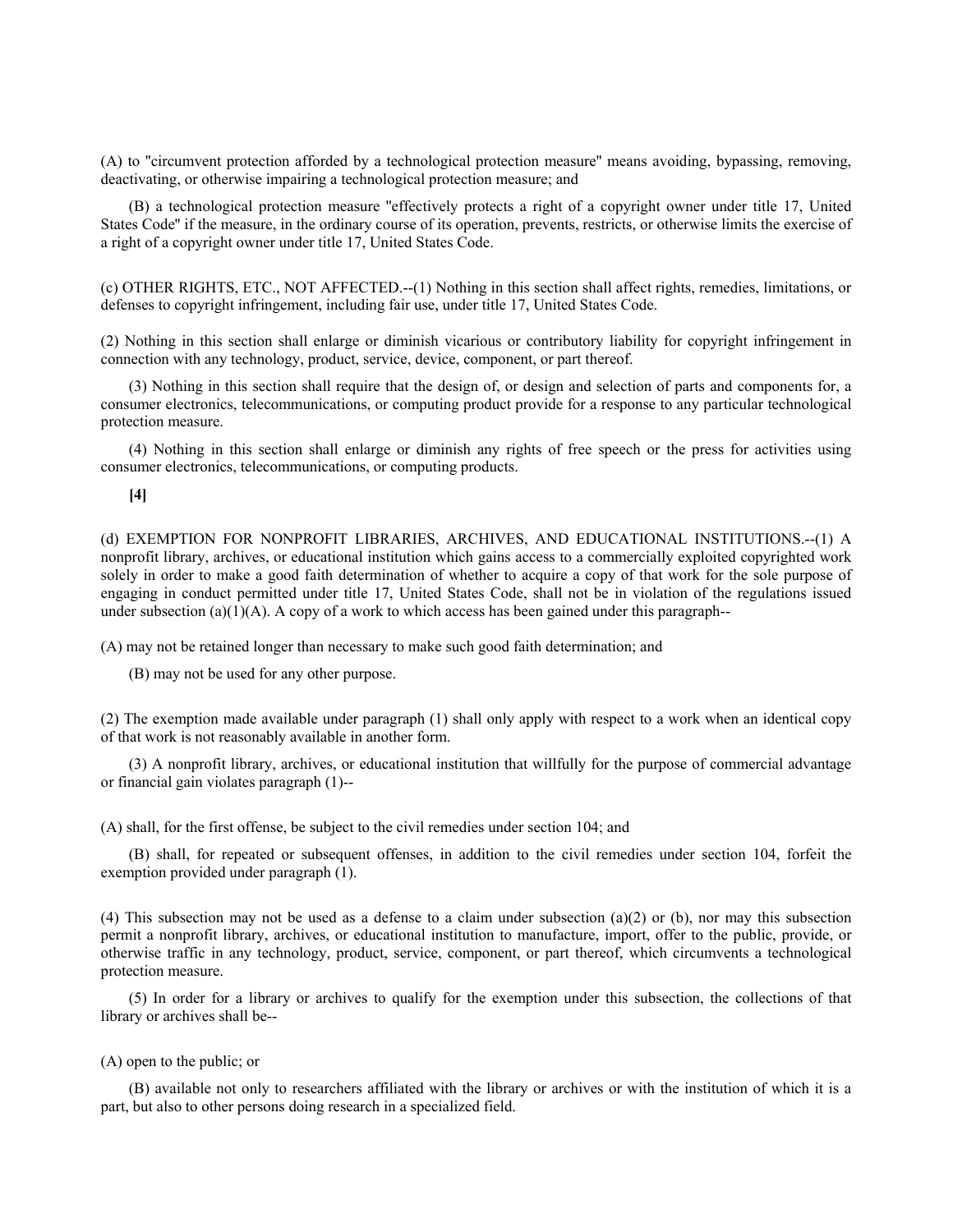(A) to ''circumvent protection afforded by a technological protection measure'' means avoiding, bypassing, removing, deactivating, or otherwise impairing a technological protection measure; and

(B) a technological protection measure ''effectively protects a right of a copyright owner under title 17, United States Code'' if the measure, in the ordinary course of its operation, prevents, restricts, or otherwise limits the exercise of a right of a copyright owner under title 17, United States Code.

(c) OTHER RIGHTS, ETC., NOT AFFECTED.--(1) Nothing in this section shall affect rights, remedies, limitations, or defenses to copyright infringement, including fair use, under title 17, United States Code.

(2) Nothing in this section shall enlarge or diminish vicarious or contributory liability for copyright infringement in connection with any technology, product, service, device, component, or part thereof.

(3) Nothing in this section shall require that the design of, or design and selection of parts and components for, a consumer electronics, telecommunications, or computing product provide for a response to any particular technological protection measure.

(4) Nothing in this section shall enlarge or diminish any rights of free speech or the press for activities using consumer electronics, telecommunications, or computing products.

# **[4]**

(d) EXEMPTION FOR NONPROFIT LIBRARIES, ARCHIVES, AND EDUCATIONAL INSTITUTIONS.--(1) A nonprofit library, archives, or educational institution which gains access to a commercially exploited copyrighted work solely in order to make a good faith determination of whether to acquire a copy of that work for the sole purpose of engaging in conduct permitted under title 17, United States Code, shall not be in violation of the regulations issued under subsection (a)(1)(A). A copy of a work to which access has been gained under this paragraph--

(A) may not be retained longer than necessary to make such good faith determination; and

(B) may not be used for any other purpose.

(2) The exemption made available under paragraph (1) shall only apply with respect to a work when an identical copy of that work is not reasonably available in another form.

(3) A nonprofit library, archives, or educational institution that willfully for the purpose of commercial advantage or financial gain violates paragraph (1)--

(A) shall, for the first offense, be subject to the civil remedies under section 104; and

(B) shall, for repeated or subsequent offenses, in addition to the civil remedies under section 104, forfeit the exemption provided under paragraph (1).

(4) This subsection may not be used as a defense to a claim under subsection (a)(2) or (b), nor may this subsection permit a nonprofit library, archives, or educational institution to manufacture, import, offer to the public, provide, or otherwise traffic in any technology, product, service, component, or part thereof, which circumvents a technological protection measure.

(5) In order for a library or archives to qualify for the exemption under this subsection, the collections of that library or archives shall be--

# (A) open to the public; or

(B) available not only to researchers affiliated with the library or archives or with the institution of which it is a part, but also to other persons doing research in a specialized field.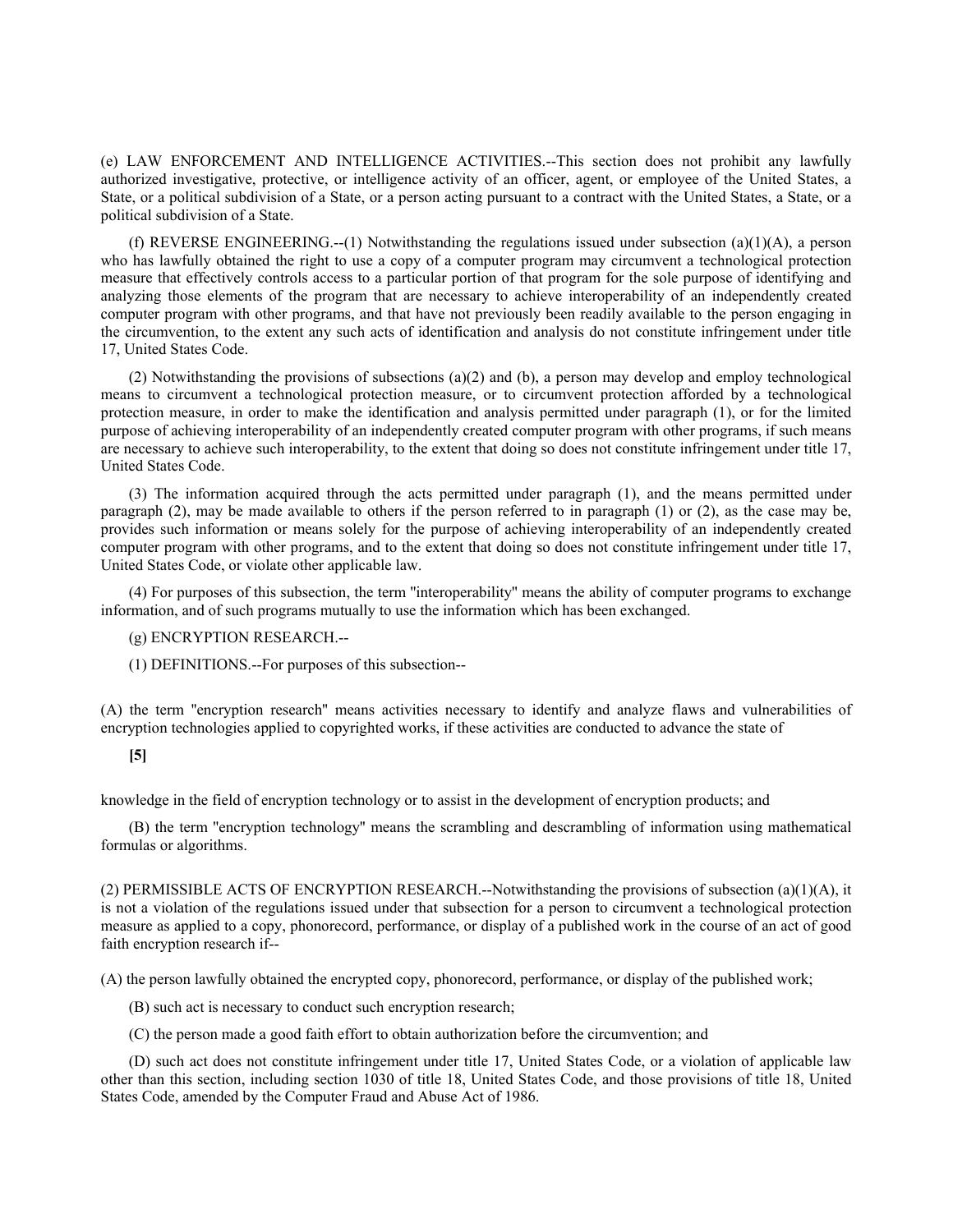(e) LAW ENFORCEMENT AND INTELLIGENCE ACTIVITIES.--This section does not prohibit any lawfully authorized investigative, protective, or intelligence activity of an officer, agent, or employee of the United States, a State, or a political subdivision of a State, or a person acting pursuant to a contract with the United States, a State, or a political subdivision of a State.

(f) REVERSE ENGINEERING.--(1) Notwithstanding the regulations issued under subsection (a)(1)(A), a person who has lawfully obtained the right to use a copy of a computer program may circumvent a technological protection measure that effectively controls access to a particular portion of that program for the sole purpose of identifying and analyzing those elements of the program that are necessary to achieve interoperability of an independently created computer program with other programs, and that have not previously been readily available to the person engaging in the circumvention, to the extent any such acts of identification and analysis do not constitute infringement under title 17, United States Code.

(2) Notwithstanding the provisions of subsections (a)(2) and (b), a person may develop and employ technological means to circumvent a technological protection measure, or to circumvent protection afforded by a technological protection measure, in order to make the identification and analysis permitted under paragraph (1), or for the limited purpose of achieving interoperability of an independently created computer program with other programs, if such means are necessary to achieve such interoperability, to the extent that doing so does not constitute infringement under title 17, United States Code.

(3) The information acquired through the acts permitted under paragraph (1), and the means permitted under paragraph (2), may be made available to others if the person referred to in paragraph (1) or (2), as the case may be, provides such information or means solely for the purpose of achieving interoperability of an independently created computer program with other programs, and to the extent that doing so does not constitute infringement under title 17, United States Code, or violate other applicable law.

(4) For purposes of this subsection, the term ''interoperability'' means the ability of computer programs to exchange information, and of such programs mutually to use the information which has been exchanged.

### (g) ENCRYPTION RESEARCH.--

(1) DEFINITIONS.--For purposes of this subsection--

(A) the term ''encryption research'' means activities necessary to identify and analyze flaws and vulnerabilities of encryption technologies applied to copyrighted works, if these activities are conducted to advance the state of

### **[5]**

knowledge in the field of encryption technology or to assist in the development of encryption products; and

(B) the term ''encryption technology'' means the scrambling and descrambling of information using mathematical formulas or algorithms.

(2) PERMISSIBLE ACTS OF ENCRYPTION RESEARCH.--Notwithstanding the provisions of subsection (a)(1)(A), it is not a violation of the regulations issued under that subsection for a person to circumvent a technological protection measure as applied to a copy, phonorecord, performance, or display of a published work in the course of an act of good faith encryption research if--

(A) the person lawfully obtained the encrypted copy, phonorecord, performance, or display of the published work;

(B) such act is necessary to conduct such encryption research;

(C) the person made a good faith effort to obtain authorization before the circumvention; and

(D) such act does not constitute infringement under title 17, United States Code, or a violation of applicable law other than this section, including section 1030 of title 18, United States Code, and those provisions of title 18, United States Code, amended by the Computer Fraud and Abuse Act of 1986.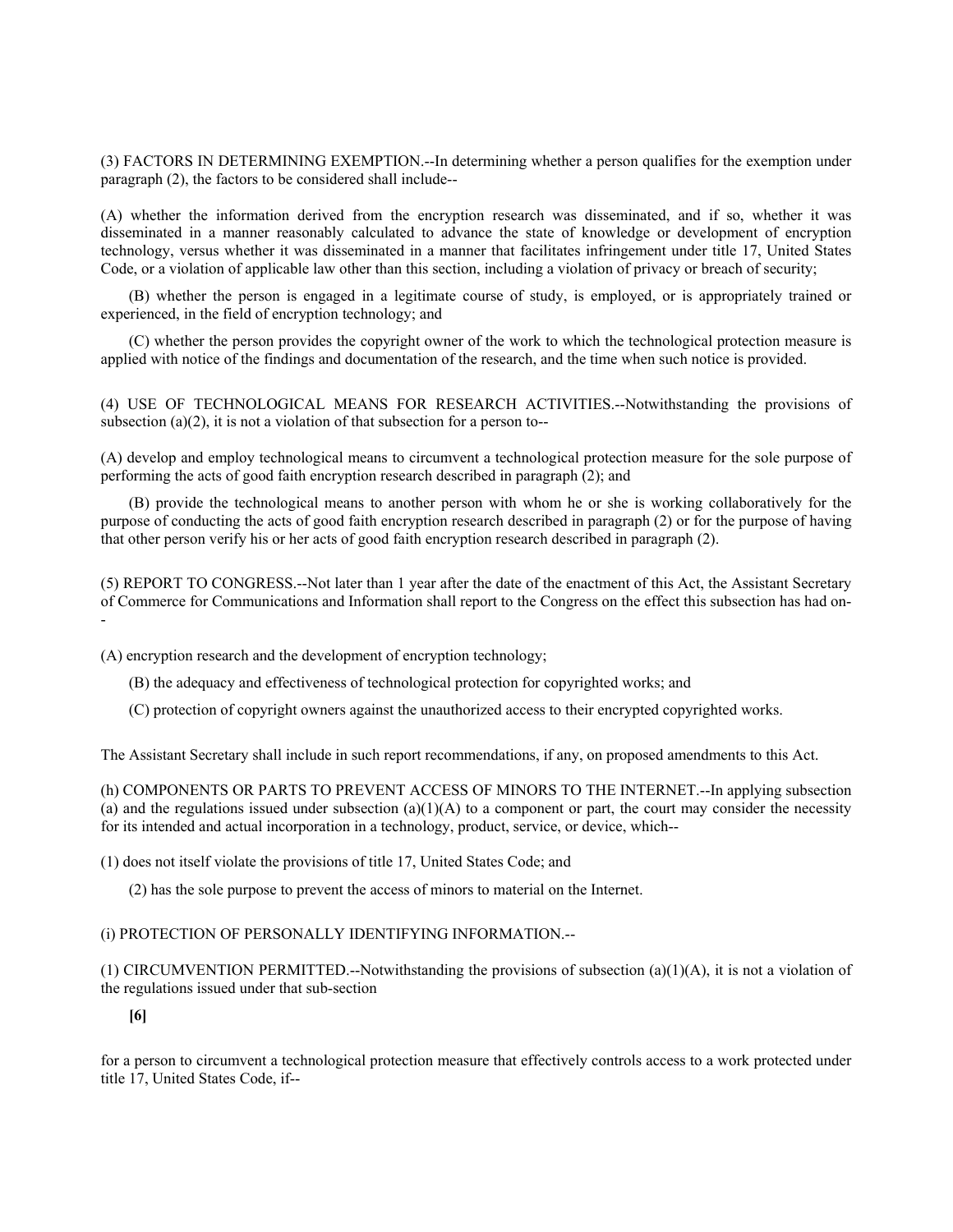(3) FACTORS IN DETERMINING EXEMPTION.--In determining whether a person qualifies for the exemption under paragraph (2), the factors to be considered shall include--

(A) whether the information derived from the encryption research was disseminated, and if so, whether it was disseminated in a manner reasonably calculated to advance the state of knowledge or development of encryption technology, versus whether it was disseminated in a manner that facilitates infringement under title 17, United States Code, or a violation of applicable law other than this section, including a violation of privacy or breach of security;

(B) whether the person is engaged in a legitimate course of study, is employed, or is appropriately trained or experienced, in the field of encryption technology; and

(C) whether the person provides the copyright owner of the work to which the technological protection measure is applied with notice of the findings and documentation of the research, and the time when such notice is provided.

(4) USE OF TECHNOLOGICAL MEANS FOR RESEARCH ACTIVITIES.--Notwithstanding the provisions of subsection (a) $(2)$ , it is not a violation of that subsection for a person to--

(A) develop and employ technological means to circumvent a technological protection measure for the sole purpose of performing the acts of good faith encryption research described in paragraph (2); and

(B) provide the technological means to another person with whom he or she is working collaboratively for the purpose of conducting the acts of good faith encryption research described in paragraph (2) or for the purpose of having that other person verify his or her acts of good faith encryption research described in paragraph (2).

(5) REPORT TO CONGRESS.--Not later than 1 year after the date of the enactment of this Act, the Assistant Secretary of Commerce for Communications and Information shall report to the Congress on the effect this subsection has had on- -

(A) encryption research and the development of encryption technology;

(B) the adequacy and effectiveness of technological protection for copyrighted works; and

(C) protection of copyright owners against the unauthorized access to their encrypted copyrighted works.

The Assistant Secretary shall include in such report recommendations, if any, on proposed amendments to this Act.

(h) COMPONENTS OR PARTS TO PREVENT ACCESS OF MINORS TO THE INTERNET.--In applying subsection (a) and the regulations issued under subsection (a)(1)(A) to a component or part, the court may consider the necessity for its intended and actual incorporation in a technology, product, service, or device, which--

(1) does not itself violate the provisions of title 17, United States Code; and

(2) has the sole purpose to prevent the access of minors to material on the Internet.

### (i) PROTECTION OF PERSONALLY IDENTIFYING INFORMATION.--

(1) CIRCUMVENTION PERMITTED.--Notwithstanding the provisions of subsection (a)(1)(A), it is not a violation of the regulations issued under that sub-section

**[6]**

for a person to circumvent a technological protection measure that effectively controls access to a work protected under title 17, United States Code, if--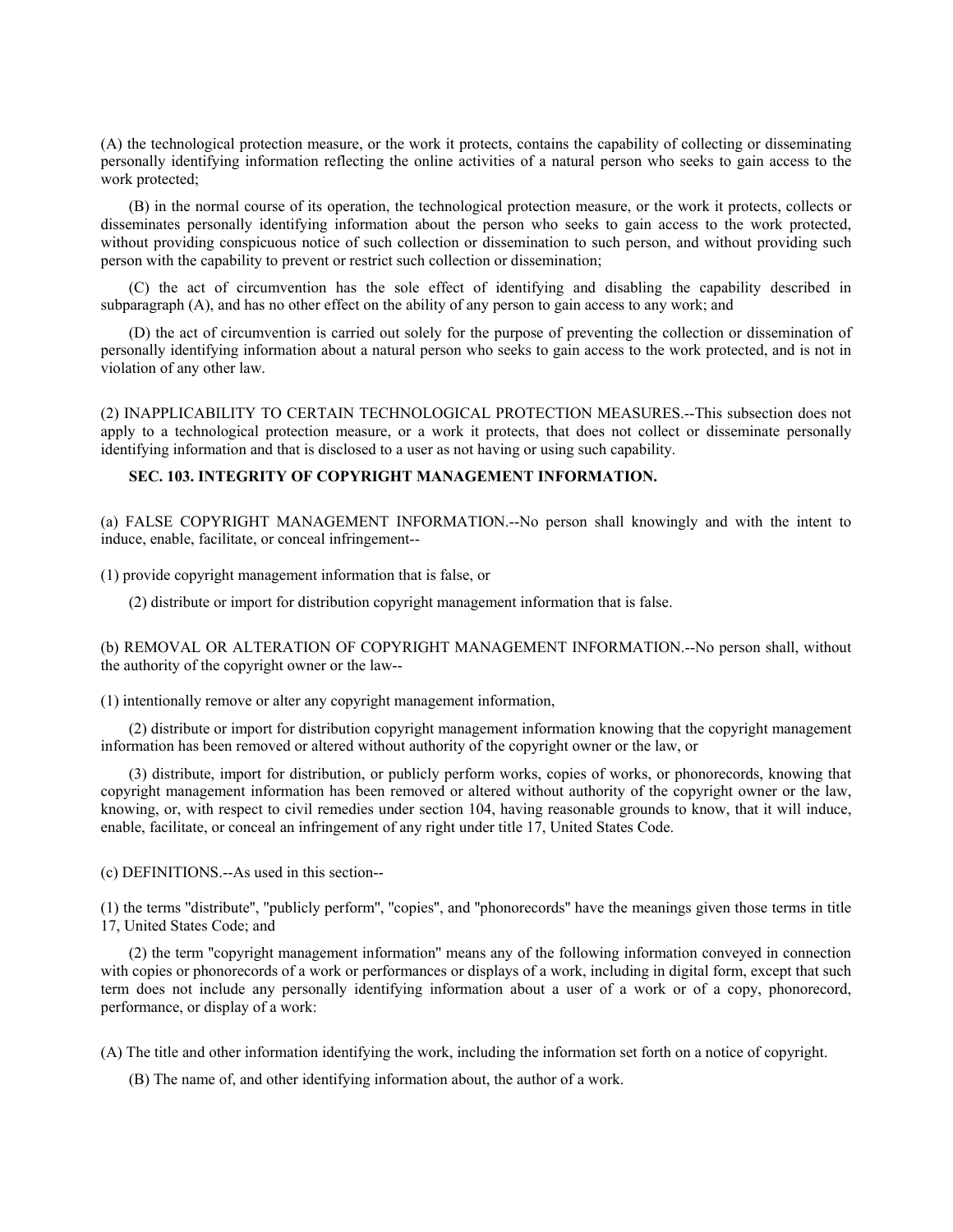(A) the technological protection measure, or the work it protects, contains the capability of collecting or disseminating personally identifying information reflecting the online activities of a natural person who seeks to gain access to the work protected;

(B) in the normal course of its operation, the technological protection measure, or the work it protects, collects or disseminates personally identifying information about the person who seeks to gain access to the work protected, without providing conspicuous notice of such collection or dissemination to such person, and without providing such person with the capability to prevent or restrict such collection or dissemination;

(C) the act of circumvention has the sole effect of identifying and disabling the capability described in subparagraph (A), and has no other effect on the ability of any person to gain access to any work; and

(D) the act of circumvention is carried out solely for the purpose of preventing the collection or dissemination of personally identifying information about a natural person who seeks to gain access to the work protected, and is not in violation of any other law.

(2) INAPPLICABILITY TO CERTAIN TECHNOLOGICAL PROTECTION MEASURES.--This subsection does not apply to a technological protection measure, or a work it protects, that does not collect or disseminate personally identifying information and that is disclosed to a user as not having or using such capability.

## **SEC. 103. INTEGRITY OF COPYRIGHT MANAGEMENT INFORMATION.**

(a) FALSE COPYRIGHT MANAGEMENT INFORMATION.--No person shall knowingly and with the intent to induce, enable, facilitate, or conceal infringement--

(1) provide copyright management information that is false, or

(2) distribute or import for distribution copyright management information that is false.

(b) REMOVAL OR ALTERATION OF COPYRIGHT MANAGEMENT INFORMATION.--No person shall, without the authority of the copyright owner or the law--

(1) intentionally remove or alter any copyright management information,

(2) distribute or import for distribution copyright management information knowing that the copyright management information has been removed or altered without authority of the copyright owner or the law, or

(3) distribute, import for distribution, or publicly perform works, copies of works, or phonorecords, knowing that copyright management information has been removed or altered without authority of the copyright owner or the law, knowing, or, with respect to civil remedies under section 104, having reasonable grounds to know, that it will induce, enable, facilitate, or conceal an infringement of any right under title 17, United States Code.

(c) DEFINITIONS.--As used in this section--

(1) the terms ''distribute'', ''publicly perform'', ''copies'', and ''phonorecords'' have the meanings given those terms in title 17, United States Code; and

(2) the term ''copyright management information'' means any of the following information conveyed in connection with copies or phonorecords of a work or performances or displays of a work, including in digital form, except that such term does not include any personally identifying information about a user of a work or of a copy, phonorecord, performance, or display of a work:

(A) The title and other information identifying the work, including the information set forth on a notice of copyright.

(B) The name of, and other identifying information about, the author of a work.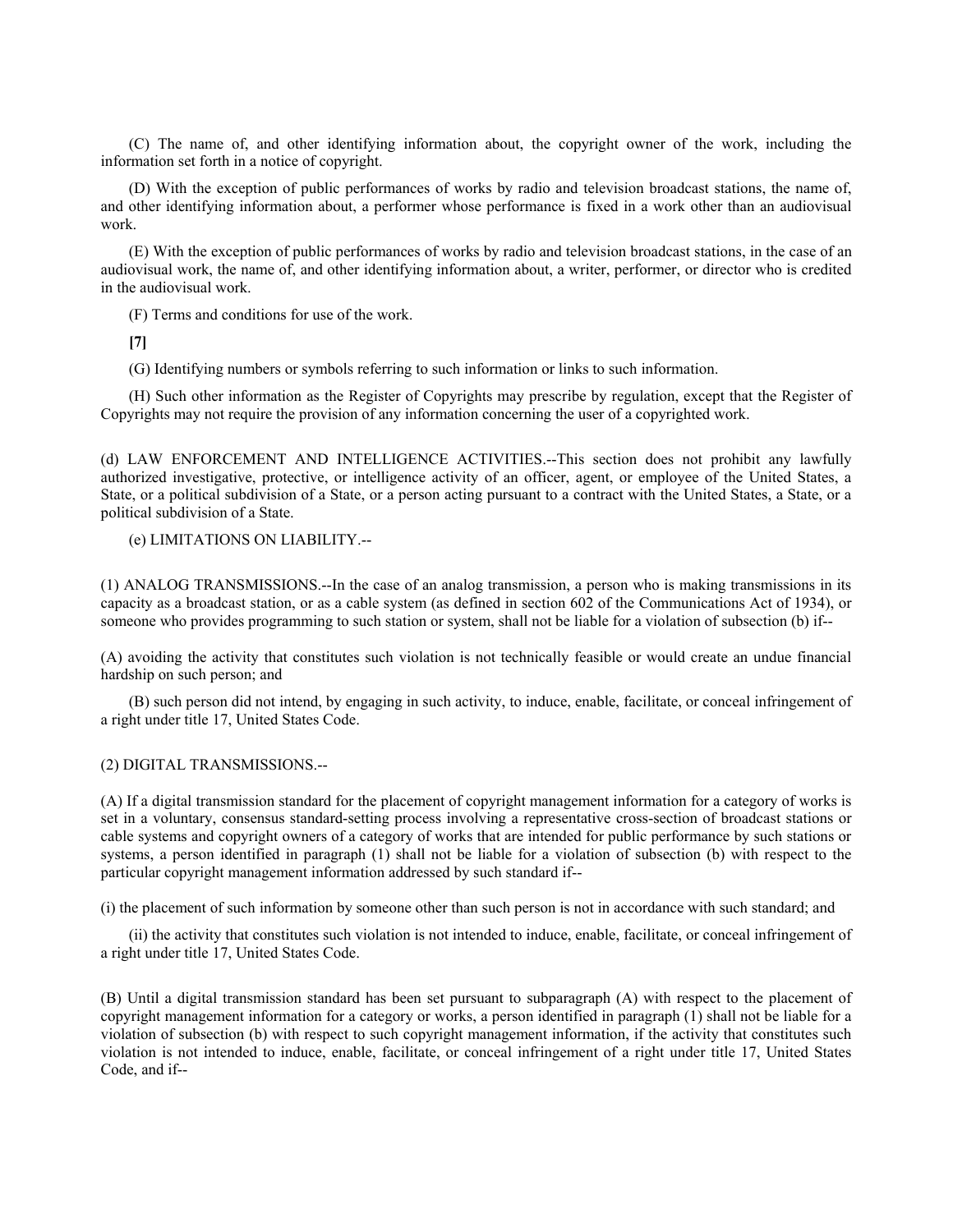(C) The name of, and other identifying information about, the copyright owner of the work, including the information set forth in a notice of copyright.

(D) With the exception of public performances of works by radio and television broadcast stations, the name of, and other identifying information about, a performer whose performance is fixed in a work other than an audiovisual work.

(E) With the exception of public performances of works by radio and television broadcast stations, in the case of an audiovisual work, the name of, and other identifying information about, a writer, performer, or director who is credited in the audiovisual work.

(F) Terms and conditions for use of the work.

**[7]**

(G) Identifying numbers or symbols referring to such information or links to such information.

(H) Such other information as the Register of Copyrights may prescribe by regulation, except that the Register of Copyrights may not require the provision of any information concerning the user of a copyrighted work.

(d) LAW ENFORCEMENT AND INTELLIGENCE ACTIVITIES.--This section does not prohibit any lawfully authorized investigative, protective, or intelligence activity of an officer, agent, or employee of the United States, a State, or a political subdivision of a State, or a person acting pursuant to a contract with the United States, a State, or a political subdivision of a State.

(e) LIMITATIONS ON LIABILITY.--

(1) ANALOG TRANSMISSIONS.--In the case of an analog transmission, a person who is making transmissions in its capacity as a broadcast station, or as a cable system (as defined in section 602 of the Communications Act of 1934), or someone who provides programming to such station or system, shall not be liable for a violation of subsection (b) if--

(A) avoiding the activity that constitutes such violation is not technically feasible or would create an undue financial hardship on such person; and

(B) such person did not intend, by engaging in such activity, to induce, enable, facilitate, or conceal infringement of a right under title 17, United States Code.

(2) DIGITAL TRANSMISSIONS.--

(A) If a digital transmission standard for the placement of copyright management information for a category of works is set in a voluntary, consensus standard-setting process involving a representative cross-section of broadcast stations or cable systems and copyright owners of a category of works that are intended for public performance by such stations or systems, a person identified in paragraph (1) shall not be liable for a violation of subsection (b) with respect to the particular copyright management information addressed by such standard if--

(i) the placement of such information by someone other than such person is not in accordance with such standard; and

(ii) the activity that constitutes such violation is not intended to induce, enable, facilitate, or conceal infringement of a right under title 17, United States Code.

(B) Until a digital transmission standard has been set pursuant to subparagraph (A) with respect to the placement of copyright management information for a category or works, a person identified in paragraph (1) shall not be liable for a violation of subsection (b) with respect to such copyright management information, if the activity that constitutes such violation is not intended to induce, enable, facilitate, or conceal infringement of a right under title 17, United States Code, and if--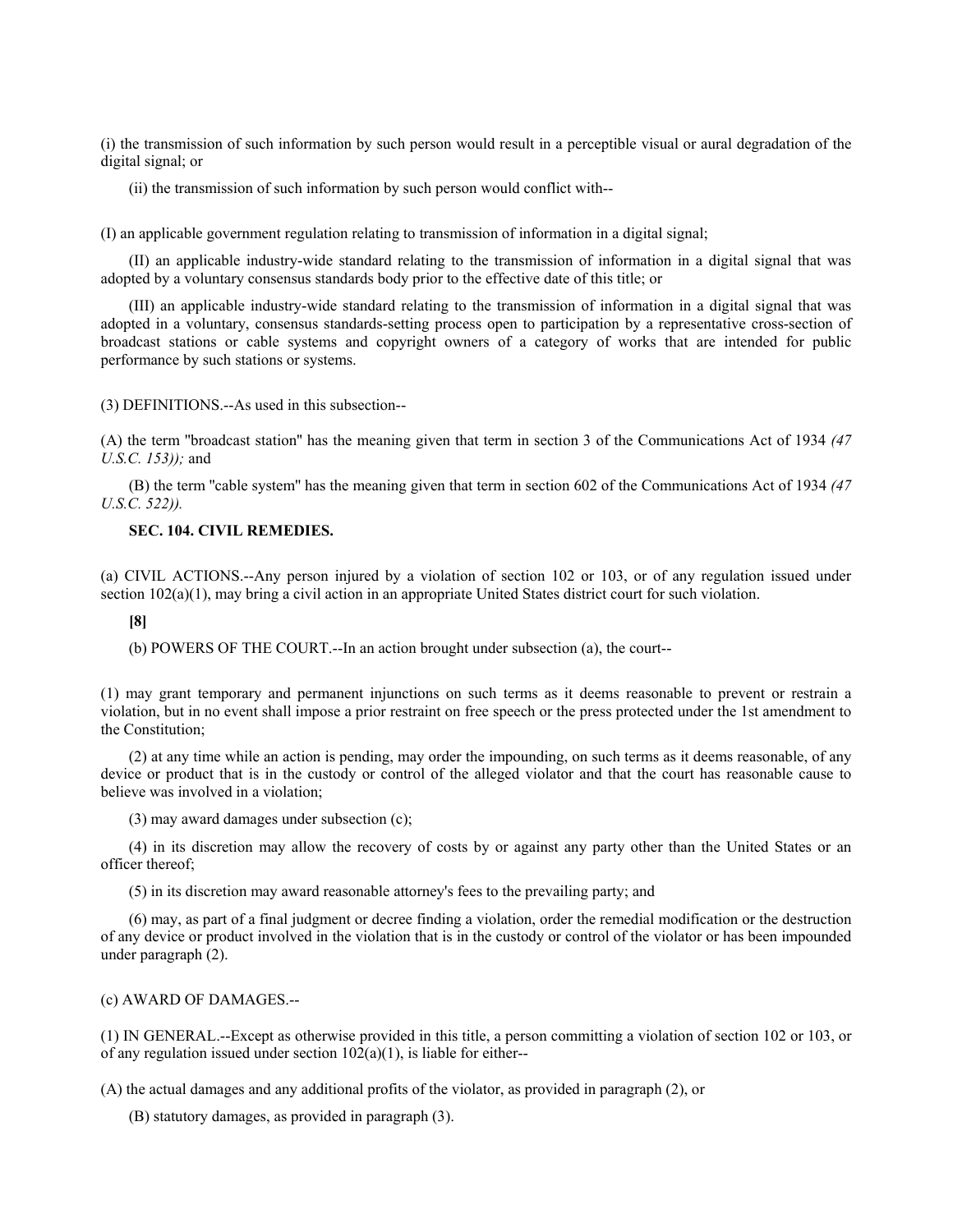(i) the transmission of such information by such person would result in a perceptible visual or aural degradation of the digital signal; or

(ii) the transmission of such information by such person would conflict with--

(I) an applicable government regulation relating to transmission of information in a digital signal;

(II) an applicable industry-wide standard relating to the transmission of information in a digital signal that was adopted by a voluntary consensus standards body prior to the effective date of this title; or

(III) an applicable industry-wide standard relating to the transmission of information in a digital signal that was adopted in a voluntary, consensus standards-setting process open to participation by a representative cross-section of broadcast stations or cable systems and copyright owners of a category of works that are intended for public performance by such stations or systems.

(3) DEFINITIONS.--As used in this subsection--

(A) the term ''broadcast station'' has the meaning given that term in section 3 of the Communications Act of 1934 *(47 U.S.C. 153));* and

(B) the term ''cable system'' has the meaning given that term in section 602 of the Communications Act of 1934 *(47 U.S.C. 522)).*

# **SEC. 104. CIVIL REMEDIES.**

(a) CIVIL ACTIONS.--Any person injured by a violation of section 102 or 103, or of any regulation issued under section  $102(a)(1)$ , may bring a civil action in an appropriate United States district court for such violation.

**[8]**

(b) POWERS OF THE COURT.--In an action brought under subsection (a), the court--

(1) may grant temporary and permanent injunctions on such terms as it deems reasonable to prevent or restrain a violation, but in no event shall impose a prior restraint on free speech or the press protected under the 1st amendment to the Constitution;

(2) at any time while an action is pending, may order the impounding, on such terms as it deems reasonable, of any device or product that is in the custody or control of the alleged violator and that the court has reasonable cause to believe was involved in a violation;

(3) may award damages under subsection (c);

(4) in its discretion may allow the recovery of costs by or against any party other than the United States or an officer thereof;

(5) in its discretion may award reasonable attorney's fees to the prevailing party; and

(6) may, as part of a final judgment or decree finding a violation, order the remedial modification or the destruction of any device or product involved in the violation that is in the custody or control of the violator or has been impounded under paragraph (2).

(c) AWARD OF DAMAGES.--

(1) IN GENERAL.--Except as otherwise provided in this title, a person committing a violation of section 102 or 103, or of any regulation issued under section  $102(a)(1)$ , is liable for either--

(A) the actual damages and any additional profits of the violator, as provided in paragraph (2), or

(B) statutory damages, as provided in paragraph (3).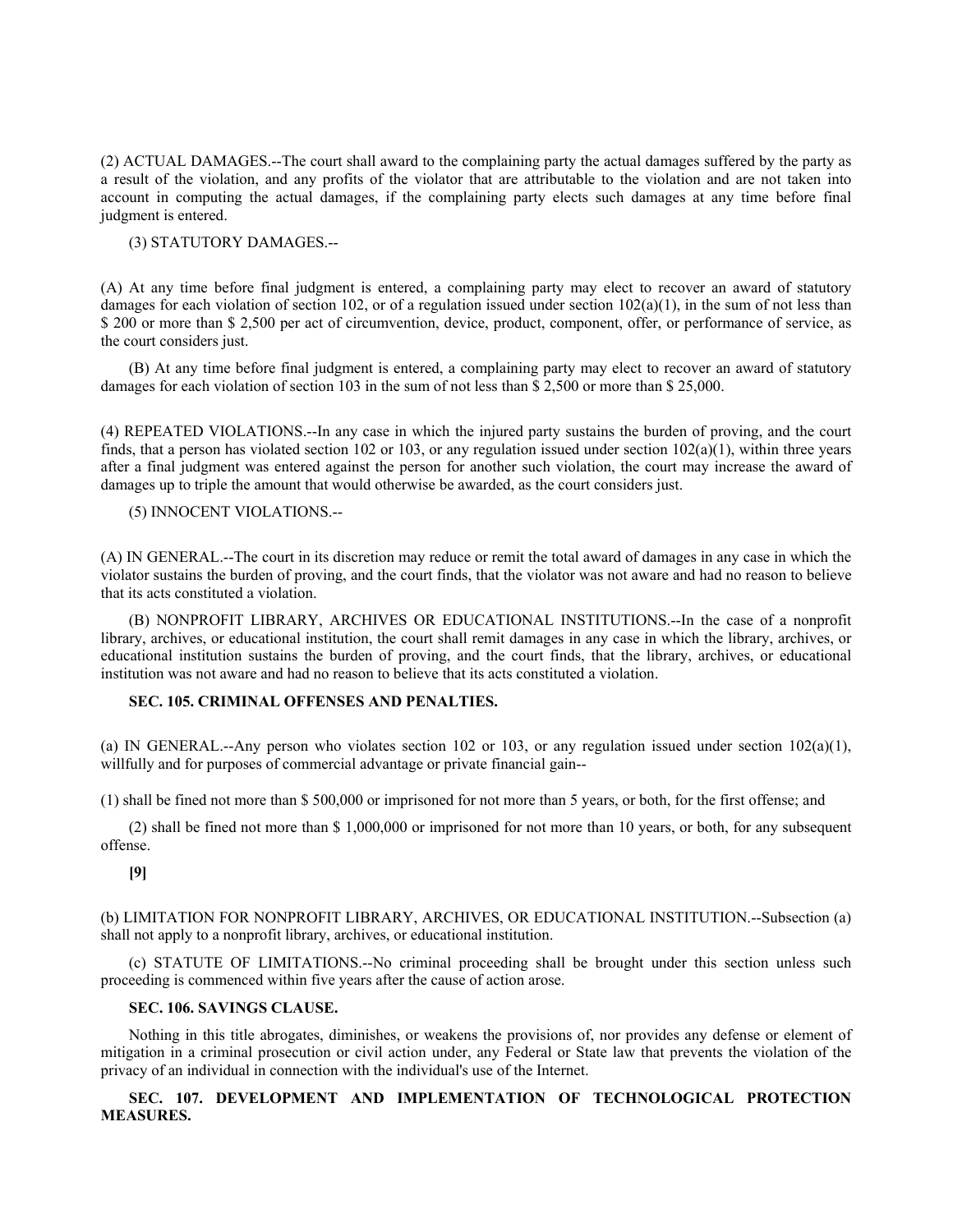(2) ACTUAL DAMAGES.--The court shall award to the complaining party the actual damages suffered by the party as a result of the violation, and any profits of the violator that are attributable to the violation and are not taken into account in computing the actual damages, if the complaining party elects such damages at any time before final judgment is entered.

(3) STATUTORY DAMAGES.--

(A) At any time before final judgment is entered, a complaining party may elect to recover an award of statutory damages for each violation of section 102, or of a regulation issued under section  $102(a)(1)$ , in the sum of not less than \$ 200 or more than \$ 2,500 per act of circumvention, device, product, component, offer, or performance of service, as the court considers just.

(B) At any time before final judgment is entered, a complaining party may elect to recover an award of statutory damages for each violation of section 103 in the sum of not less than \$ 2,500 or more than \$ 25,000.

(4) REPEATED VIOLATIONS.--In any case in which the injured party sustains the burden of proving, and the court finds, that a person has violated section 102 or 103, or any regulation issued under section  $102(a)(1)$ , within three years after a final judgment was entered against the person for another such violation, the court may increase the award of damages up to triple the amount that would otherwise be awarded, as the court considers just.

(5) INNOCENT VIOLATIONS.--

(A) IN GENERAL.--The court in its discretion may reduce or remit the total award of damages in any case in which the violator sustains the burden of proving, and the court finds, that the violator was not aware and had no reason to believe that its acts constituted a violation.

(B) NONPROFIT LIBRARY, ARCHIVES OR EDUCATIONAL INSTITUTIONS.--In the case of a nonprofit library, archives, or educational institution, the court shall remit damages in any case in which the library, archives, or educational institution sustains the burden of proving, and the court finds, that the library, archives, or educational institution was not aware and had no reason to believe that its acts constituted a violation.

### **SEC. 105. CRIMINAL OFFENSES AND PENALTIES.**

(a) IN GENERAL.--Any person who violates section 102 or 103, or any regulation issued under section  $102(a)(1)$ , willfully and for purposes of commercial advantage or private financial gain--

(1) shall be fined not more than \$ 500,000 or imprisoned for not more than 5 years, or both, for the first offense; and

(2) shall be fined not more than \$ 1,000,000 or imprisoned for not more than 10 years, or both, for any subsequent offense.

**[9]**

(b) LIMITATION FOR NONPROFIT LIBRARY, ARCHIVES, OR EDUCATIONAL INSTITUTION.--Subsection (a) shall not apply to a nonprofit library, archives, or educational institution.

(c) STATUTE OF LIMITATIONS.--No criminal proceeding shall be brought under this section unless such proceeding is commenced within five years after the cause of action arose.

### **SEC. 106. SAVINGS CLAUSE.**

Nothing in this title abrogates, diminishes, or weakens the provisions of, nor provides any defense or element of mitigation in a criminal prosecution or civil action under, any Federal or State law that prevents the violation of the privacy of an individual in connection with the individual's use of the Internet.

# **SEC. 107. DEVELOPMENT AND IMPLEMENTATION OF TECHNOLOGICAL PROTECTION MEASURES.**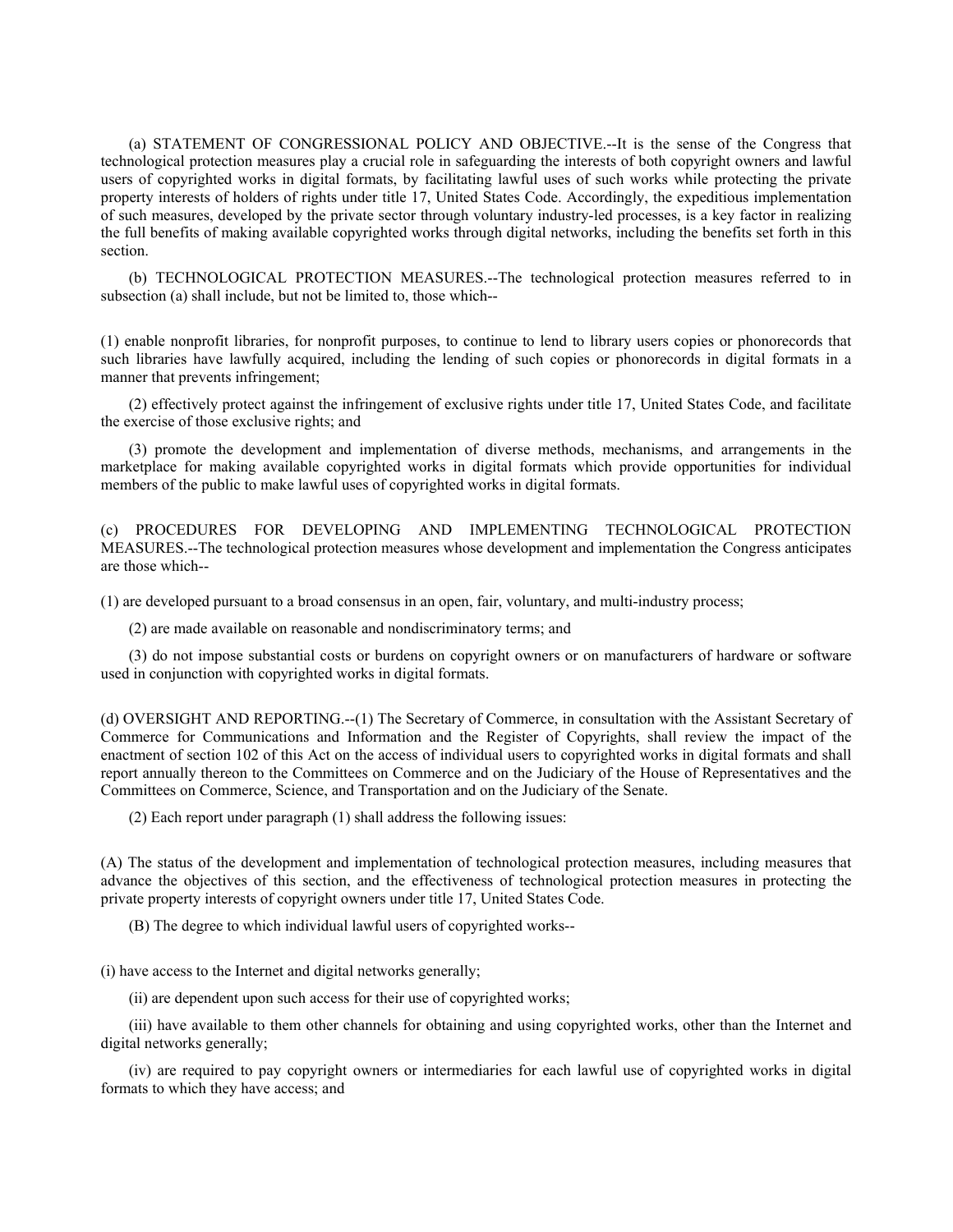(a) STATEMENT OF CONGRESSIONAL POLICY AND OBJECTIVE.--It is the sense of the Congress that technological protection measures play a crucial role in safeguarding the interests of both copyright owners and lawful users of copyrighted works in digital formats, by facilitating lawful uses of such works while protecting the private property interests of holders of rights under title 17, United States Code. Accordingly, the expeditious implementation of such measures, developed by the private sector through voluntary industry-led processes, is a key factor in realizing the full benefits of making available copyrighted works through digital networks, including the benefits set forth in this section.

(b) TECHNOLOGICAL PROTECTION MEASURES.--The technological protection measures referred to in subsection (a) shall include, but not be limited to, those which--

(1) enable nonprofit libraries, for nonprofit purposes, to continue to lend to library users copies or phonorecords that such libraries have lawfully acquired, including the lending of such copies or phonorecords in digital formats in a manner that prevents infringement;

(2) effectively protect against the infringement of exclusive rights under title 17, United States Code, and facilitate the exercise of those exclusive rights; and

(3) promote the development and implementation of diverse methods, mechanisms, and arrangements in the marketplace for making available copyrighted works in digital formats which provide opportunities for individual members of the public to make lawful uses of copyrighted works in digital formats.

(c) PROCEDURES FOR DEVELOPING AND IMPLEMENTING TECHNOLOGICAL PROTECTION MEASURES.--The technological protection measures whose development and implementation the Congress anticipates are those which--

(1) are developed pursuant to a broad consensus in an open, fair, voluntary, and multi-industry process;

(2) are made available on reasonable and nondiscriminatory terms; and

(3) do not impose substantial costs or burdens on copyright owners or on manufacturers of hardware or software used in conjunction with copyrighted works in digital formats.

(d) OVERSIGHT AND REPORTING.--(1) The Secretary of Commerce, in consultation with the Assistant Secretary of Commerce for Communications and Information and the Register of Copyrights, shall review the impact of the enactment of section 102 of this Act on the access of individual users to copyrighted works in digital formats and shall report annually thereon to the Committees on Commerce and on the Judiciary of the House of Representatives and the Committees on Commerce, Science, and Transportation and on the Judiciary of the Senate.

(2) Each report under paragraph (1) shall address the following issues:

(A) The status of the development and implementation of technological protection measures, including measures that advance the objectives of this section, and the effectiveness of technological protection measures in protecting the private property interests of copyright owners under title 17, United States Code.

(B) The degree to which individual lawful users of copyrighted works--

(i) have access to the Internet and digital networks generally;

(ii) are dependent upon such access for their use of copyrighted works;

(iii) have available to them other channels for obtaining and using copyrighted works, other than the Internet and digital networks generally;

(iv) are required to pay copyright owners or intermediaries for each lawful use of copyrighted works in digital formats to which they have access; and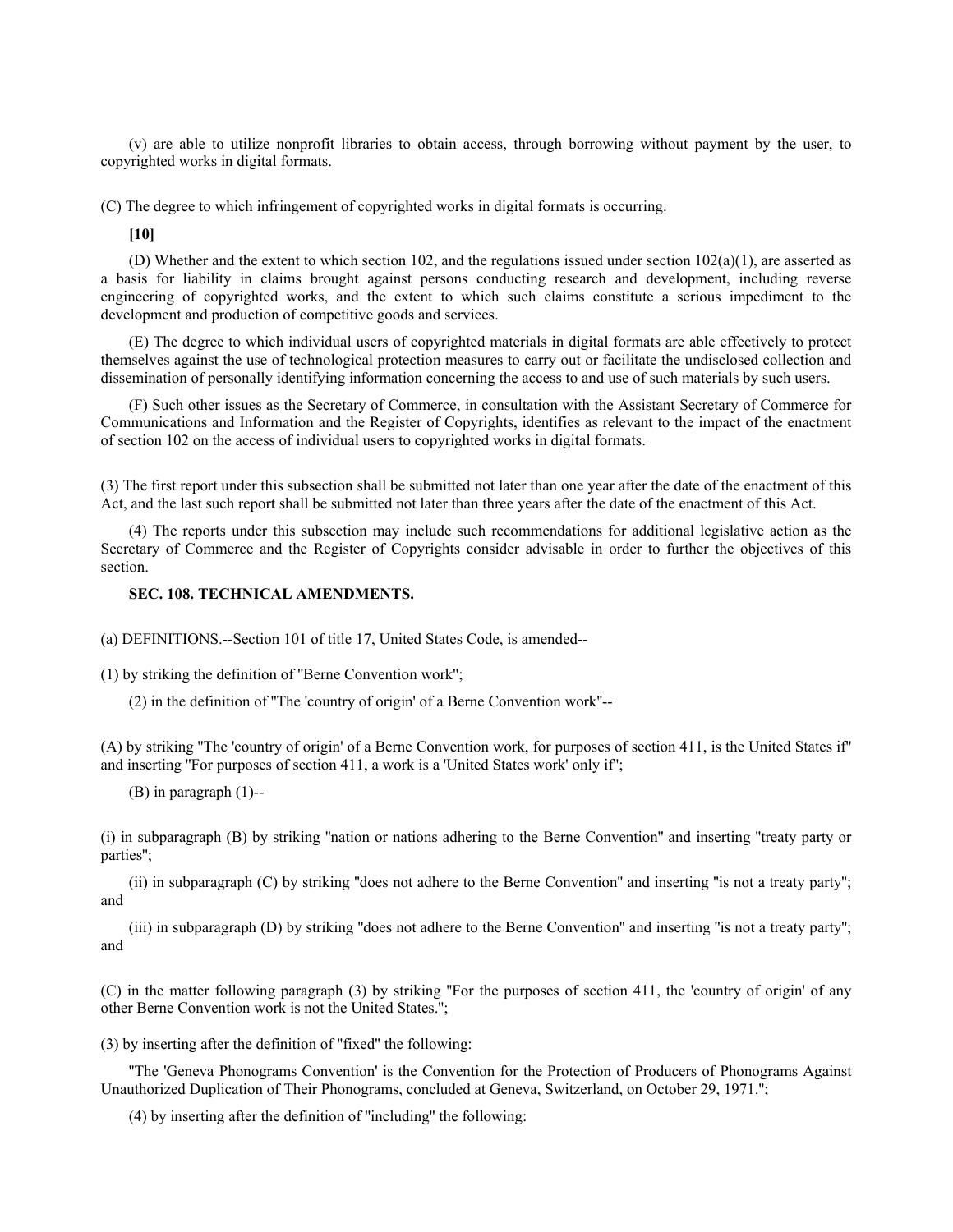(v) are able to utilize nonprofit libraries to obtain access, through borrowing without payment by the user, to copyrighted works in digital formats.

(C) The degree to which infringement of copyrighted works in digital formats is occurring.

**[10]**

(D) Whether and the extent to which section 102, and the regulations issued under section  $102(a)(1)$ , are asserted as a basis for liability in claims brought against persons conducting research and development, including reverse engineering of copyrighted works, and the extent to which such claims constitute a serious impediment to the development and production of competitive goods and services.

(E) The degree to which individual users of copyrighted materials in digital formats are able effectively to protect themselves against the use of technological protection measures to carry out or facilitate the undisclosed collection and dissemination of personally identifying information concerning the access to and use of such materials by such users.

(F) Such other issues as the Secretary of Commerce, in consultation with the Assistant Secretary of Commerce for Communications and Information and the Register of Copyrights, identifies as relevant to the impact of the enactment of section 102 on the access of individual users to copyrighted works in digital formats.

(3) The first report under this subsection shall be submitted not later than one year after the date of the enactment of this Act, and the last such report shall be submitted not later than three years after the date of the enactment of this Act.

(4) The reports under this subsection may include such recommendations for additional legislative action as the Secretary of Commerce and the Register of Copyrights consider advisable in order to further the objectives of this section.

### **SEC. 108. TECHNICAL AMENDMENTS.**

(a) DEFINITIONS.--Section 101 of title 17, United States Code, is amended--

(1) by striking the definition of ''Berne Convention work'';

(2) in the definition of ''The 'country of origin' of a Berne Convention work''--

(A) by striking ''The 'country of origin' of a Berne Convention work, for purposes of section 411, is the United States if'' and inserting ''For purposes of section 411, a work is a 'United States work' only if'';

(B) in paragraph (1)--

(i) in subparagraph (B) by striking ''nation or nations adhering to the Berne Convention'' and inserting ''treaty party or parties'';

(ii) in subparagraph (C) by striking ''does not adhere to the Berne Convention'' and inserting ''is not a treaty party''; and

(iii) in subparagraph (D) by striking ''does not adhere to the Berne Convention'' and inserting ''is not a treaty party''; and

(C) in the matter following paragraph (3) by striking ''For the purposes of section 411, the 'country of origin' of any other Berne Convention work is not the United States.'';

(3) by inserting after the definition of ''fixed'' the following:

''The 'Geneva Phonograms Convention' is the Convention for the Protection of Producers of Phonograms Against Unauthorized Duplication of Their Phonograms, concluded at Geneva, Switzerland, on October 29, 1971.'';

(4) by inserting after the definition of ''including'' the following: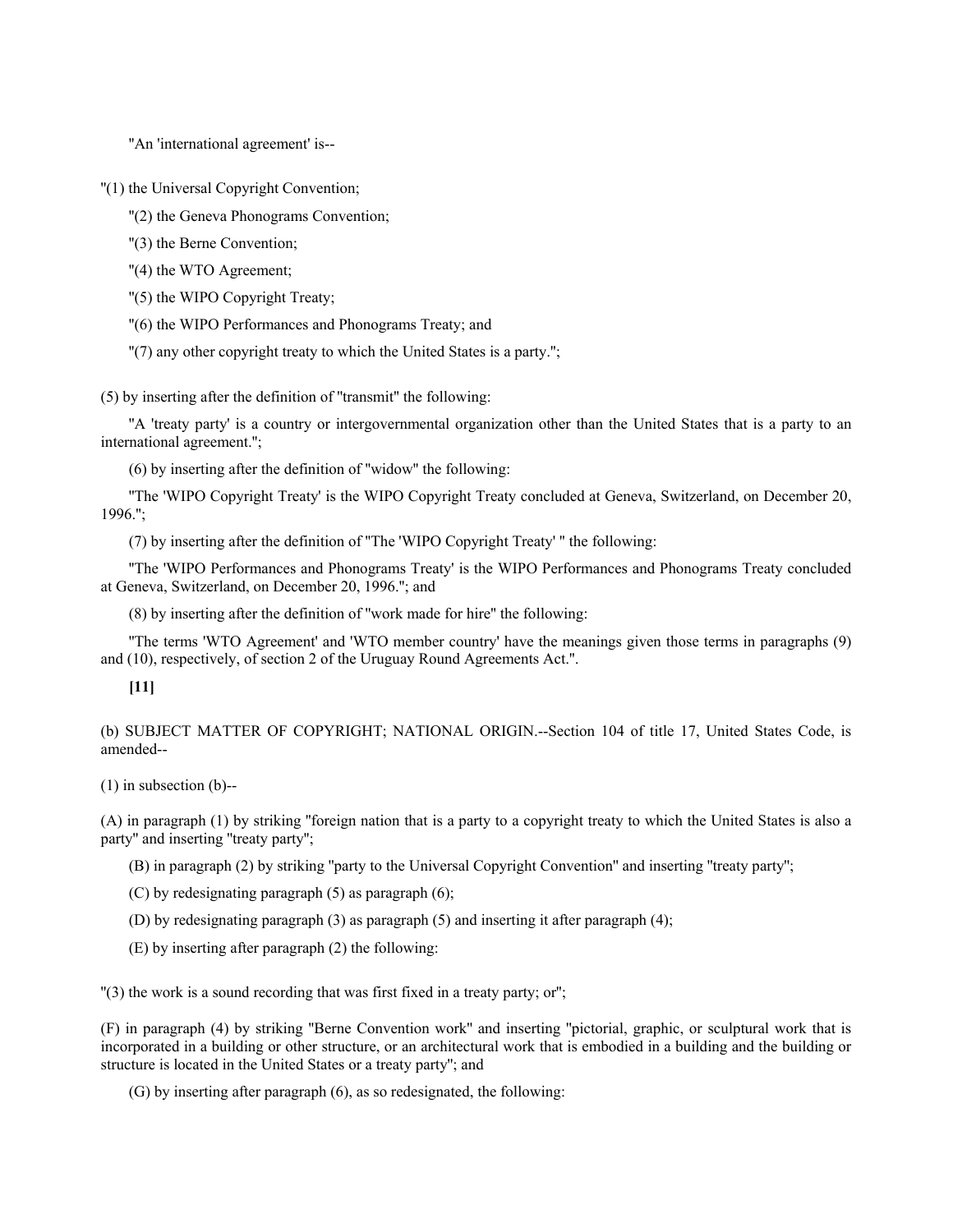''An 'international agreement' is--

''(1) the Universal Copyright Convention;

''(2) the Geneva Phonograms Convention;

''(3) the Berne Convention;

''(4) the WTO Agreement;

''(5) the WIPO Copyright Treaty;

''(6) the WIPO Performances and Phonograms Treaty; and

''(7) any other copyright treaty to which the United States is a party.'';

(5) by inserting after the definition of ''transmit'' the following:

''A 'treaty party' is a country or intergovernmental organization other than the United States that is a party to an international agreement.'';

(6) by inserting after the definition of ''widow'' the following:

''The 'WIPO Copyright Treaty' is the WIPO Copyright Treaty concluded at Geneva, Switzerland, on December 20, 1996.'';

(7) by inserting after the definition of ''The 'WIPO Copyright Treaty' '' the following:

''The 'WIPO Performances and Phonograms Treaty' is the WIPO Performances and Phonograms Treaty concluded at Geneva, Switzerland, on December 20, 1996.''; and

(8) by inserting after the definition of ''work made for hire'' the following:

''The terms 'WTO Agreement' and 'WTO member country' have the meanings given those terms in paragraphs (9) and (10), respectively, of section 2 of the Uruguay Round Agreements Act.''.

**[11]**

(b) SUBJECT MATTER OF COPYRIGHT; NATIONAL ORIGIN.--Section 104 of title 17, United States Code, is amended--

(1) in subsection (b)--

(A) in paragraph (1) by striking ''foreign nation that is a party to a copyright treaty to which the United States is also a party'' and inserting ''treaty party'';

(B) in paragraph (2) by striking ''party to the Universal Copyright Convention'' and inserting ''treaty party'';

(C) by redesignating paragraph (5) as paragraph (6);

(D) by redesignating paragraph (3) as paragraph (5) and inserting it after paragraph (4);

(E) by inserting after paragraph (2) the following:

''(3) the work is a sound recording that was first fixed in a treaty party; or'';

(F) in paragraph (4) by striking ''Berne Convention work'' and inserting ''pictorial, graphic, or sculptural work that is incorporated in a building or other structure, or an architectural work that is embodied in a building and the building or structure is located in the United States or a treaty party''; and

(G) by inserting after paragraph (6), as so redesignated, the following: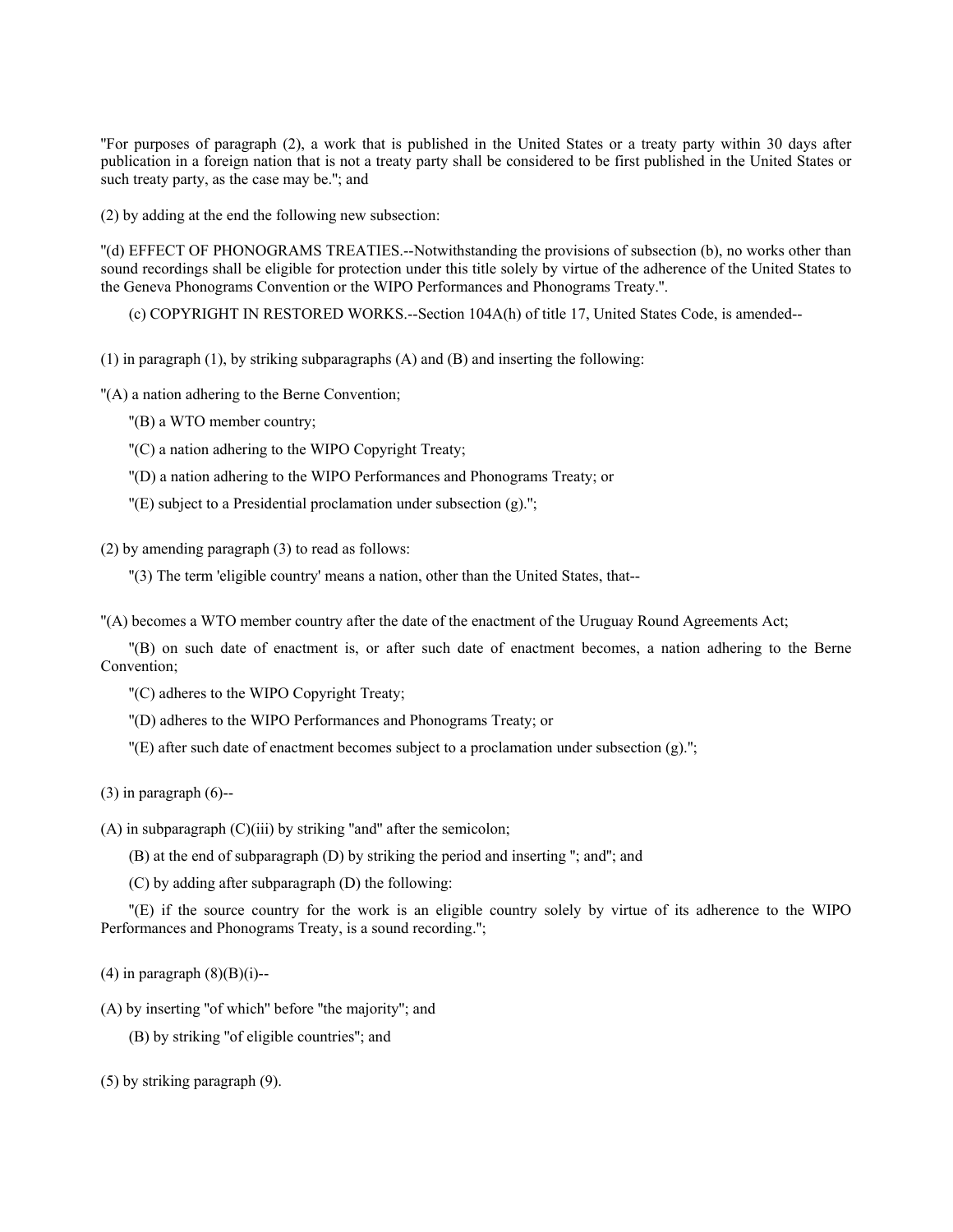''For purposes of paragraph (2), a work that is published in the United States or a treaty party within 30 days after publication in a foreign nation that is not a treaty party shall be considered to be first published in the United States or such treaty party, as the case may be.''; and

(2) by adding at the end the following new subsection:

''(d) EFFECT OF PHONOGRAMS TREATIES.--Notwithstanding the provisions of subsection (b), no works other than sound recordings shall be eligible for protection under this title solely by virtue of the adherence of the United States to the Geneva Phonograms Convention or the WIPO Performances and Phonograms Treaty.''.

(c) COPYRIGHT IN RESTORED WORKS.--Section 104A(h) of title 17, United States Code, is amended--

(1) in paragraph (1), by striking subparagraphs (A) and (B) and inserting the following:

''(A) a nation adhering to the Berne Convention;

- ''(B) a WTO member country;
- ''(C) a nation adhering to the WIPO Copyright Treaty;
- ''(D) a nation adhering to the WIPO Performances and Phonograms Treaty; or
- ''(E) subject to a Presidential proclamation under subsection (g).'';

(2) by amending paragraph (3) to read as follows:

''(3) The term 'eligible country' means a nation, other than the United States, that--

''(A) becomes a WTO member country after the date of the enactment of the Uruguay Round Agreements Act;

''(B) on such date of enactment is, or after such date of enactment becomes, a nation adhering to the Berne Convention;

- ''(C) adheres to the WIPO Copyright Treaty;
- ''(D) adheres to the WIPO Performances and Phonograms Treaty; or
- ''(E) after such date of enactment becomes subject to a proclamation under subsection (g).'';

 $(3)$  in paragraph  $(6)$ --

 $(A)$  in subparagraph  $(C)(iii)$  by striking "and" after the semicolon;

(B) at the end of subparagraph (D) by striking the period and inserting ''; and''; and

(C) by adding after subparagraph (D) the following:

''(E) if the source country for the work is an eligible country solely by virtue of its adherence to the WIPO Performances and Phonograms Treaty, is a sound recording.'';

(4) in paragraph  $(8)(B)(i)$ --

- (A) by inserting ''of which'' before ''the majority''; and
	- (B) by striking ''of eligible countries''; and

(5) by striking paragraph (9).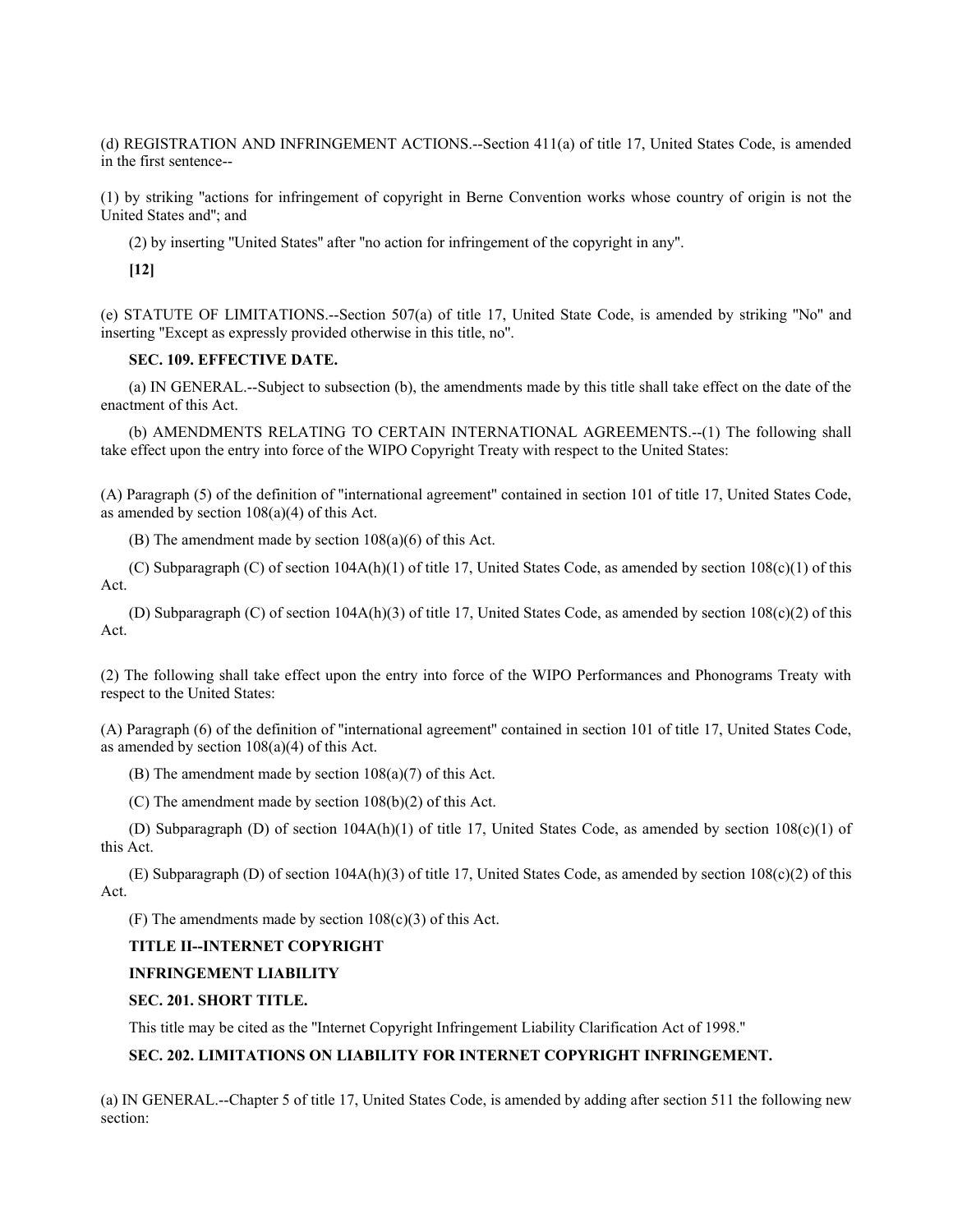(d) REGISTRATION AND INFRINGEMENT ACTIONS.--Section 411(a) of title 17, United States Code, is amended in the first sentence--

(1) by striking ''actions for infringement of copyright in Berne Convention works whose country of origin is not the United States and''; and

(2) by inserting ''United States'' after ''no action for infringement of the copyright in any''.

**[12]**

(e) STATUTE OF LIMITATIONS.--Section 507(a) of title 17, United State Code, is amended by striking ''No'' and inserting ''Except as expressly provided otherwise in this title, no''.

# **SEC. 109. EFFECTIVE DATE.**

(a) IN GENERAL.--Subject to subsection (b), the amendments made by this title shall take effect on the date of the enactment of this Act.

(b) AMENDMENTS RELATING TO CERTAIN INTERNATIONAL AGREEMENTS.--(1) The following shall take effect upon the entry into force of the WIPO Copyright Treaty with respect to the United States:

(A) Paragraph (5) of the definition of ''international agreement'' contained in section 101 of title 17, United States Code, as amended by section  $108(a)(4)$  of this Act.

(B) The amendment made by section 108(a)(6) of this Act.

(C) Subparagraph (C) of section  $104A(h)(1)$  of title 17, United States Code, as amended by section  $108(c)(1)$  of this Act.

(D) Subparagraph (C) of section 104A(h)(3) of title 17, United States Code, as amended by section 108(c)(2) of this Act.

(2) The following shall take effect upon the entry into force of the WIPO Performances and Phonograms Treaty with respect to the United States:

(A) Paragraph (6) of the definition of ''international agreement'' contained in section 101 of title 17, United States Code, as amended by section  $108(a)(4)$  of this Act.

(B) The amendment made by section  $108(a)(7)$  of this Act.

(C) The amendment made by section 108(b)(2) of this Act.

(D) Subparagraph (D) of section 104A(h)(1) of title 17, United States Code, as amended by section 108(c)(1) of this Act.

(E) Subparagraph (D) of section 104A(h)(3) of title 17, United States Code, as amended by section 108(c)(2) of this Act.

(F) The amendments made by section  $108(c)(3)$  of this Act.

#### **TITLE II--INTERNET COPYRIGHT**

### **INFRINGEMENT LIABILITY**

# **SEC. 201. SHORT TITLE.**

This title may be cited as the ''Internet Copyright Infringement Liability Clarification Act of 1998.''

# **SEC. 202. LIMITATIONS ON LIABILITY FOR INTERNET COPYRIGHT INFRINGEMENT.**

(a) IN GENERAL.--Chapter 5 of title 17, United States Code, is amended by adding after section 511 the following new section: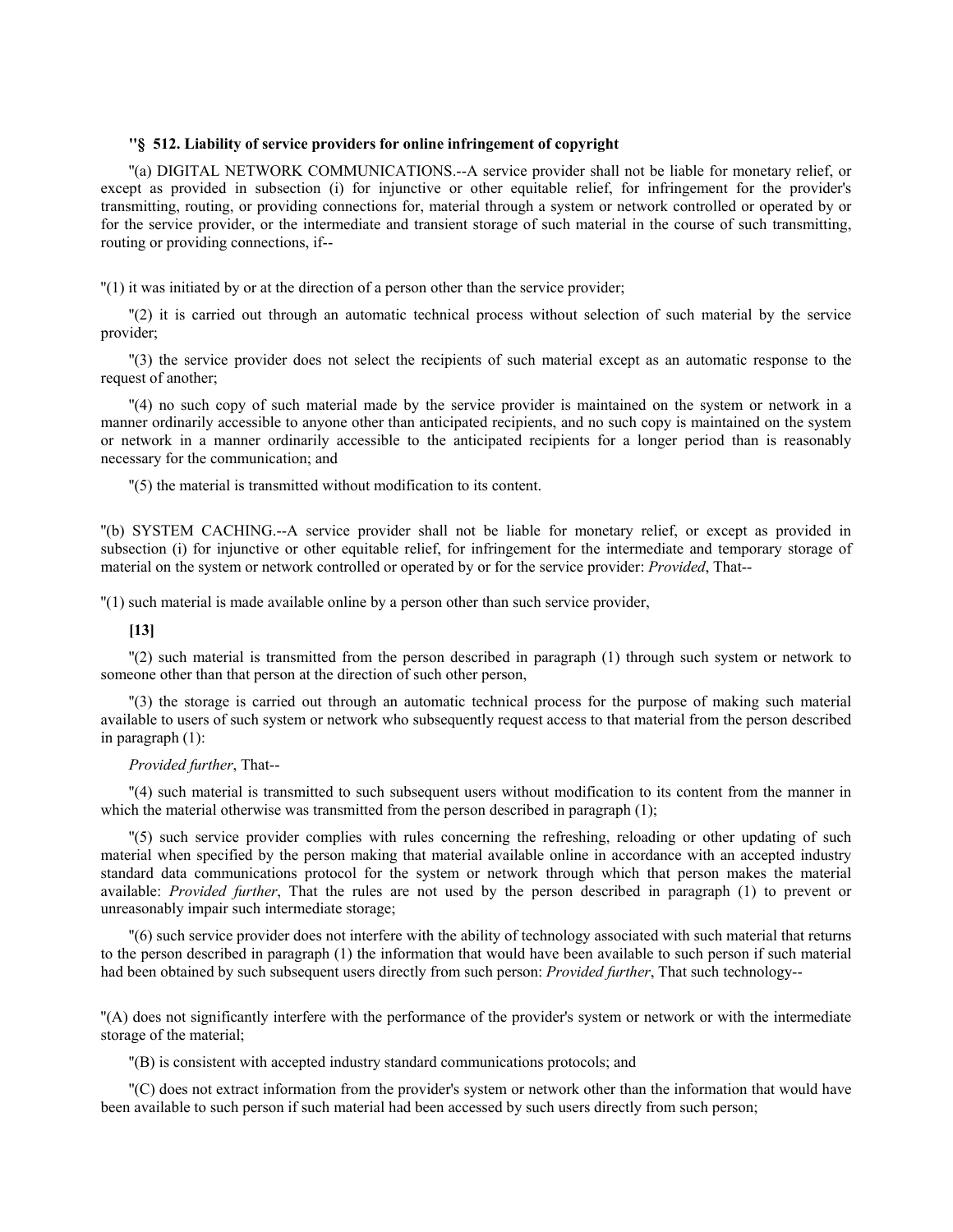# **''§ 512. Liability of service providers for online infringement of copyright**

''(a) DIGITAL NETWORK COMMUNICATIONS.--A service provider shall not be liable for monetary relief, or except as provided in subsection (i) for injunctive or other equitable relief, for infringement for the provider's transmitting, routing, or providing connections for, material through a system or network controlled or operated by or for the service provider, or the intermediate and transient storage of such material in the course of such transmitting, routing or providing connections, if--

''(1) it was initiated by or at the direction of a person other than the service provider;

''(2) it is carried out through an automatic technical process without selection of such material by the service provider;

''(3) the service provider does not select the recipients of such material except as an automatic response to the request of another;

''(4) no such copy of such material made by the service provider is maintained on the system or network in a manner ordinarily accessible to anyone other than anticipated recipients, and no such copy is maintained on the system or network in a manner ordinarily accessible to the anticipated recipients for a longer period than is reasonably necessary for the communication; and

''(5) the material is transmitted without modification to its content.

''(b) SYSTEM CACHING.--A service provider shall not be liable for monetary relief, or except as provided in subsection (i) for injunctive or other equitable relief, for infringement for the intermediate and temporary storage of material on the system or network controlled or operated by or for the service provider: *Provided*, That--

''(1) such material is made available online by a person other than such service provider,

**[13]**

''(2) such material is transmitted from the person described in paragraph (1) through such system or network to someone other than that person at the direction of such other person,

''(3) the storage is carried out through an automatic technical process for the purpose of making such material available to users of such system or network who subsequently request access to that material from the person described in paragraph (1):

### *Provided further*, That--

''(4) such material is transmitted to such subsequent users without modification to its content from the manner in which the material otherwise was transmitted from the person described in paragraph (1);

''(5) such service provider complies with rules concerning the refreshing, reloading or other updating of such material when specified by the person making that material available online in accordance with an accepted industry standard data communications protocol for the system or network through which that person makes the material available: *Provided further*, That the rules are not used by the person described in paragraph (1) to prevent or unreasonably impair such intermediate storage;

''(6) such service provider does not interfere with the ability of technology associated with such material that returns to the person described in paragraph (1) the information that would have been available to such person if such material had been obtained by such subsequent users directly from such person: *Provided further*, That such technology--

''(A) does not significantly interfere with the performance of the provider's system or network or with the intermediate storage of the material;

''(B) is consistent with accepted industry standard communications protocols; and

''(C) does not extract information from the provider's system or network other than the information that would have been available to such person if such material had been accessed by such users directly from such person;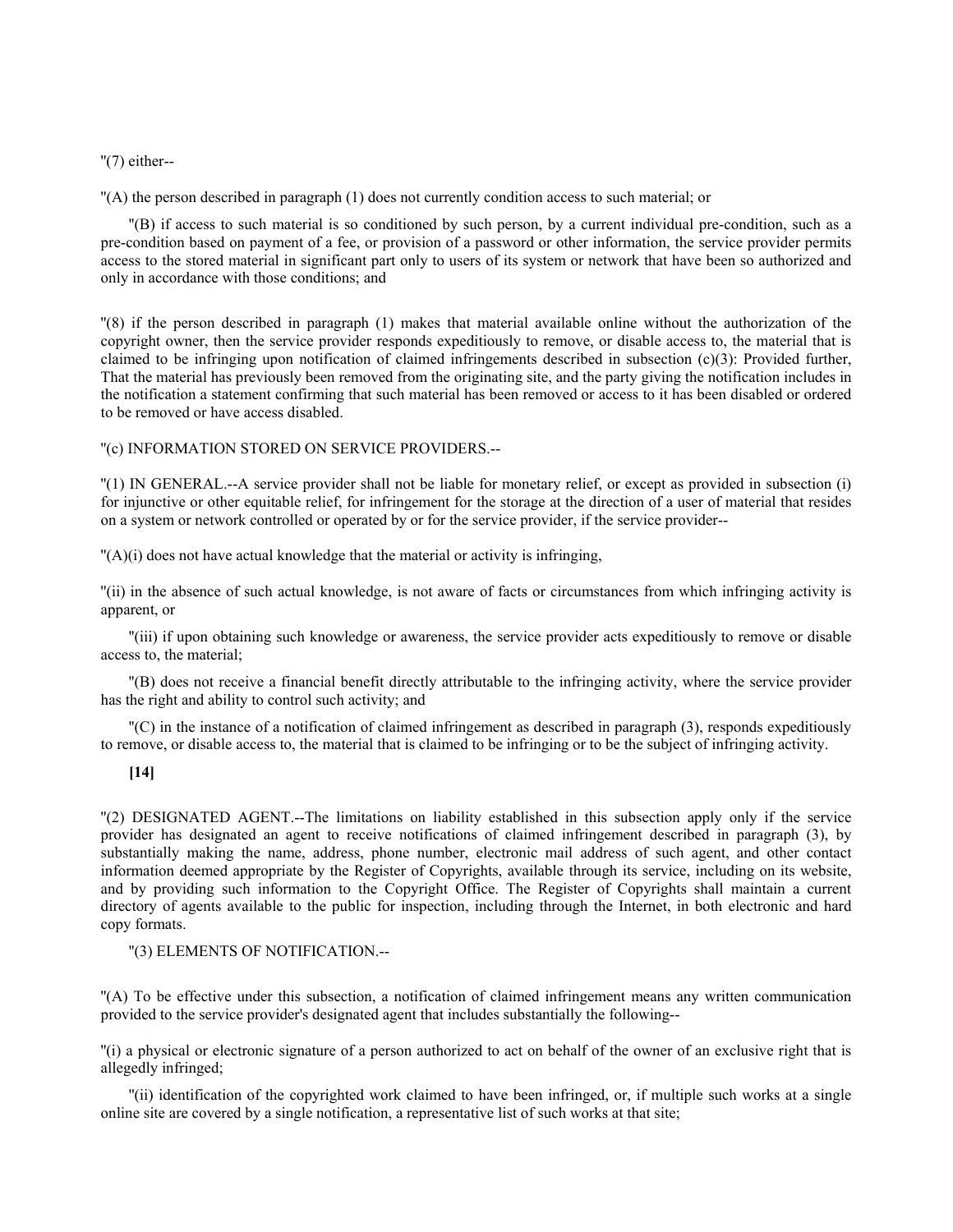''(7) either--

''(A) the person described in paragraph (1) does not currently condition access to such material; or

''(B) if access to such material is so conditioned by such person, by a current individual pre-condition, such as a pre-condition based on payment of a fee, or provision of a password or other information, the service provider permits access to the stored material in significant part only to users of its system or network that have been so authorized and only in accordance with those conditions; and

''(8) if the person described in paragraph (1) makes that material available online without the authorization of the copyright owner, then the service provider responds expeditiously to remove, or disable access to, the material that is claimed to be infringing upon notification of claimed infringements described in subsection (c)(3): Provided further, That the material has previously been removed from the originating site, and the party giving the notification includes in the notification a statement confirming that such material has been removed or access to it has been disabled or ordered to be removed or have access disabled.

''(c) INFORMATION STORED ON SERVICE PROVIDERS.--

''(1) IN GENERAL.--A service provider shall not be liable for monetary relief, or except as provided in subsection (i) for injunctive or other equitable relief, for infringement for the storage at the direction of a user of material that resides on a system or network controlled or operated by or for the service provider, if the service provider--

 $''(A)(i)$  does not have actual knowledge that the material or activity is infringing,

''(ii) in the absence of such actual knowledge, is not aware of facts or circumstances from which infringing activity is apparent, or

''(iii) if upon obtaining such knowledge or awareness, the service provider acts expeditiously to remove or disable access to, the material;

''(B) does not receive a financial benefit directly attributable to the infringing activity, where the service provider has the right and ability to control such activity; and

''(C) in the instance of a notification of claimed infringement as described in paragraph (3), responds expeditiously to remove, or disable access to, the material that is claimed to be infringing or to be the subject of infringing activity.

# **[14]**

''(2) DESIGNATED AGENT.--The limitations on liability established in this subsection apply only if the service provider has designated an agent to receive notifications of claimed infringement described in paragraph (3), by substantially making the name, address, phone number, electronic mail address of such agent, and other contact information deemed appropriate by the Register of Copyrights, available through its service, including on its website, and by providing such information to the Copyright Office. The Register of Copyrights shall maintain a current directory of agents available to the public for inspection, including through the Internet, in both electronic and hard copy formats.

''(3) ELEMENTS OF NOTIFICATION.--

''(A) To be effective under this subsection, a notification of claimed infringement means any written communication provided to the service provider's designated agent that includes substantially the following--

''(i) a physical or electronic signature of a person authorized to act on behalf of the owner of an exclusive right that is allegedly infringed;

''(ii) identification of the copyrighted work claimed to have been infringed, or, if multiple such works at a single online site are covered by a single notification, a representative list of such works at that site;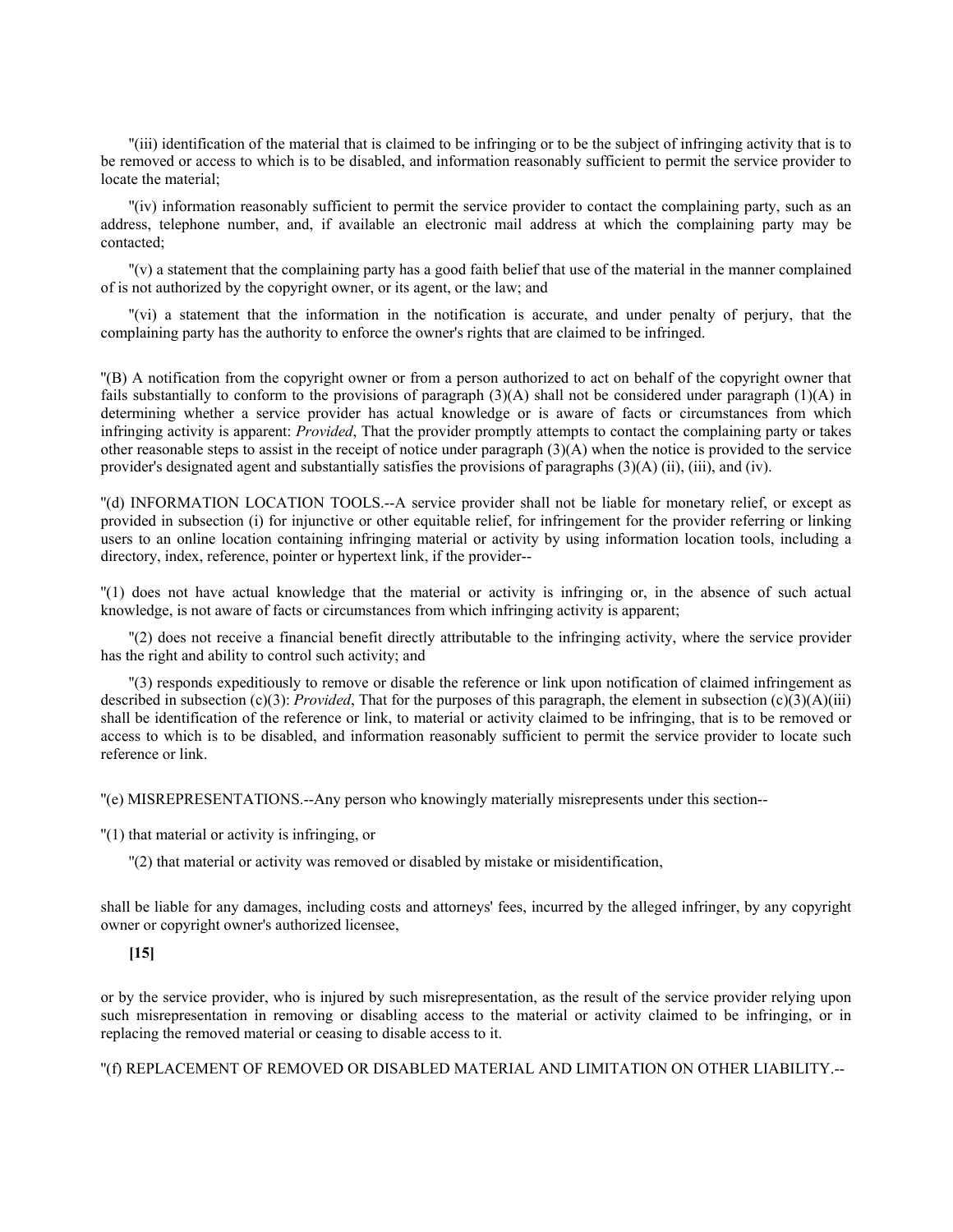''(iii) identification of the material that is claimed to be infringing or to be the subject of infringing activity that is to be removed or access to which is to be disabled, and information reasonably sufficient to permit the service provider to locate the material;

''(iv) information reasonably sufficient to permit the service provider to contact the complaining party, such as an address, telephone number, and, if available an electronic mail address at which the complaining party may be contacted;

''(v) a statement that the complaining party has a good faith belief that use of the material in the manner complained of is not authorized by the copyright owner, or its agent, or the law; and

''(vi) a statement that the information in the notification is accurate, and under penalty of perjury, that the complaining party has the authority to enforce the owner's rights that are claimed to be infringed.

''(B) A notification from the copyright owner or from a person authorized to act on behalf of the copyright owner that fails substantially to conform to the provisions of paragraph  $(3)(A)$  shall not be considered under paragraph  $(1)(A)$  in determining whether a service provider has actual knowledge or is aware of facts or circumstances from which infringing activity is apparent: *Provided*, That the provider promptly attempts to contact the complaining party or takes other reasonable steps to assist in the receipt of notice under paragraph  $(3)(A)$  when the notice is provided to the service provider's designated agent and substantially satisfies the provisions of paragraphs (3)(A) (ii), (iii), and (iv).

''(d) INFORMATION LOCATION TOOLS.--A service provider shall not be liable for monetary relief, or except as provided in subsection (i) for injunctive or other equitable relief, for infringement for the provider referring or linking users to an online location containing infringing material or activity by using information location tools, including a directory, index, reference, pointer or hypertext link, if the provider--

''(1) does not have actual knowledge that the material or activity is infringing or, in the absence of such actual knowledge, is not aware of facts or circumstances from which infringing activity is apparent;

''(2) does not receive a financial benefit directly attributable to the infringing activity, where the service provider has the right and ability to control such activity; and

''(3) responds expeditiously to remove or disable the reference or link upon notification of claimed infringement as described in subsection (c)(3): *Provided*, That for the purposes of this paragraph, the element in subsection (c)(3)(A)(iii) shall be identification of the reference or link, to material or activity claimed to be infringing, that is to be removed or access to which is to be disabled, and information reasonably sufficient to permit the service provider to locate such reference or link.

''(e) MISREPRESENTATIONS.--Any person who knowingly materially misrepresents under this section--

''(1) that material or activity is infringing, or

''(2) that material or activity was removed or disabled by mistake or misidentification,

shall be liable for any damages, including costs and attorneys' fees, incurred by the alleged infringer, by any copyright owner or copyright owner's authorized licensee,

# **[15]**

or by the service provider, who is injured by such misrepresentation, as the result of the service provider relying upon such misrepresentation in removing or disabling access to the material or activity claimed to be infringing, or in replacing the removed material or ceasing to disable access to it.

''(f) REPLACEMENT OF REMOVED OR DISABLED MATERIAL AND LIMITATION ON OTHER LIABILITY.--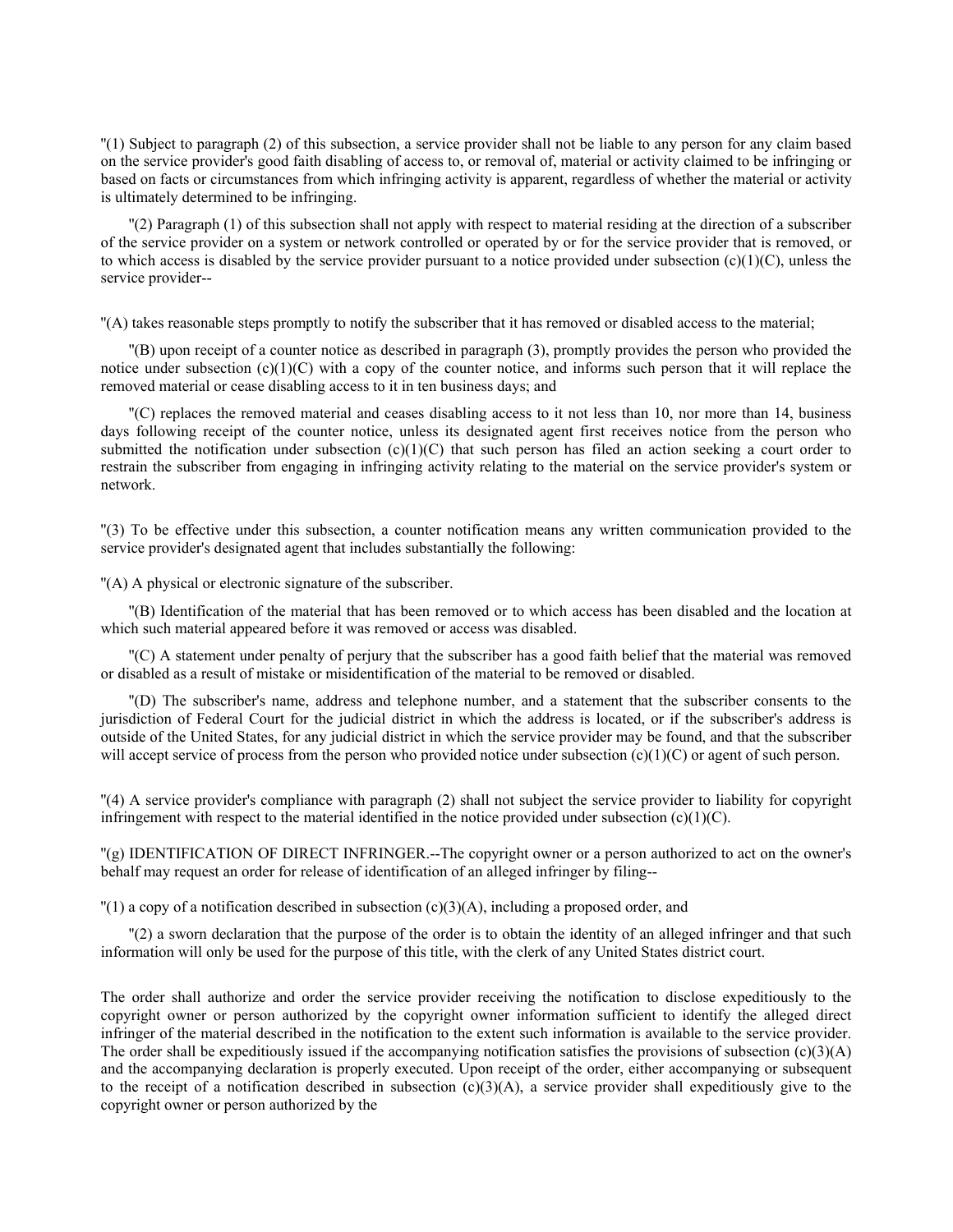''(1) Subject to paragraph (2) of this subsection, a service provider shall not be liable to any person for any claim based on the service provider's good faith disabling of access to, or removal of, material or activity claimed to be infringing or based on facts or circumstances from which infringing activity is apparent, regardless of whether the material or activity is ultimately determined to be infringing.

''(2) Paragraph (1) of this subsection shall not apply with respect to material residing at the direction of a subscriber of the service provider on a system or network controlled or operated by or for the service provider that is removed, or to which access is disabled by the service provider pursuant to a notice provided under subsection  $(c)(1)(C)$ , unless the service provider--

''(A) takes reasonable steps promptly to notify the subscriber that it has removed or disabled access to the material;

''(B) upon receipt of a counter notice as described in paragraph (3), promptly provides the person who provided the notice under subsection  $(c)(1)(C)$  with a copy of the counter notice, and informs such person that it will replace the removed material or cease disabling access to it in ten business days; and

''(C) replaces the removed material and ceases disabling access to it not less than 10, nor more than 14, business days following receipt of the counter notice, unless its designated agent first receives notice from the person who submitted the notification under subsection  $(c)(1)(C)$  that such person has filed an action seeking a court order to restrain the subscriber from engaging in infringing activity relating to the material on the service provider's system or network.

''(3) To be effective under this subsection, a counter notification means any written communication provided to the service provider's designated agent that includes substantially the following:

''(A) A physical or electronic signature of the subscriber.

''(B) Identification of the material that has been removed or to which access has been disabled and the location at which such material appeared before it was removed or access was disabled.

''(C) A statement under penalty of perjury that the subscriber has a good faith belief that the material was removed or disabled as a result of mistake or misidentification of the material to be removed or disabled.

''(D) The subscriber's name, address and telephone number, and a statement that the subscriber consents to the jurisdiction of Federal Court for the judicial district in which the address is located, or if the subscriber's address is outside of the United States, for any judicial district in which the service provider may be found, and that the subscriber will accept service of process from the person who provided notice under subsection  $(c)(1)(C)$  or agent of such person.

''(4) A service provider's compliance with paragraph (2) shall not subject the service provider to liability for copyright infringement with respect to the material identified in the notice provided under subsection  $(c)(1)(C)$ .

''(g) IDENTIFICATION OF DIRECT INFRINGER.--The copyright owner or a person authorized to act on the owner's behalf may request an order for release of identification of an alleged infringer by filing--

 $\Gamma(1)$  a copy of a notification described in subsection (c)(3)(A), including a proposed order, and

''(2) a sworn declaration that the purpose of the order is to obtain the identity of an alleged infringer and that such information will only be used for the purpose of this title, with the clerk of any United States district court.

The order shall authorize and order the service provider receiving the notification to disclose expeditiously to the copyright owner or person authorized by the copyright owner information sufficient to identify the alleged direct infringer of the material described in the notification to the extent such information is available to the service provider. The order shall be expeditiously issued if the accompanying notification satisfies the provisions of subsection  $(c)(3)(A)$ and the accompanying declaration is properly executed. Upon receipt of the order, either accompanying or subsequent to the receipt of a notification described in subsection  $(c)(3)(A)$ , a service provider shall expeditiously give to the copyright owner or person authorized by the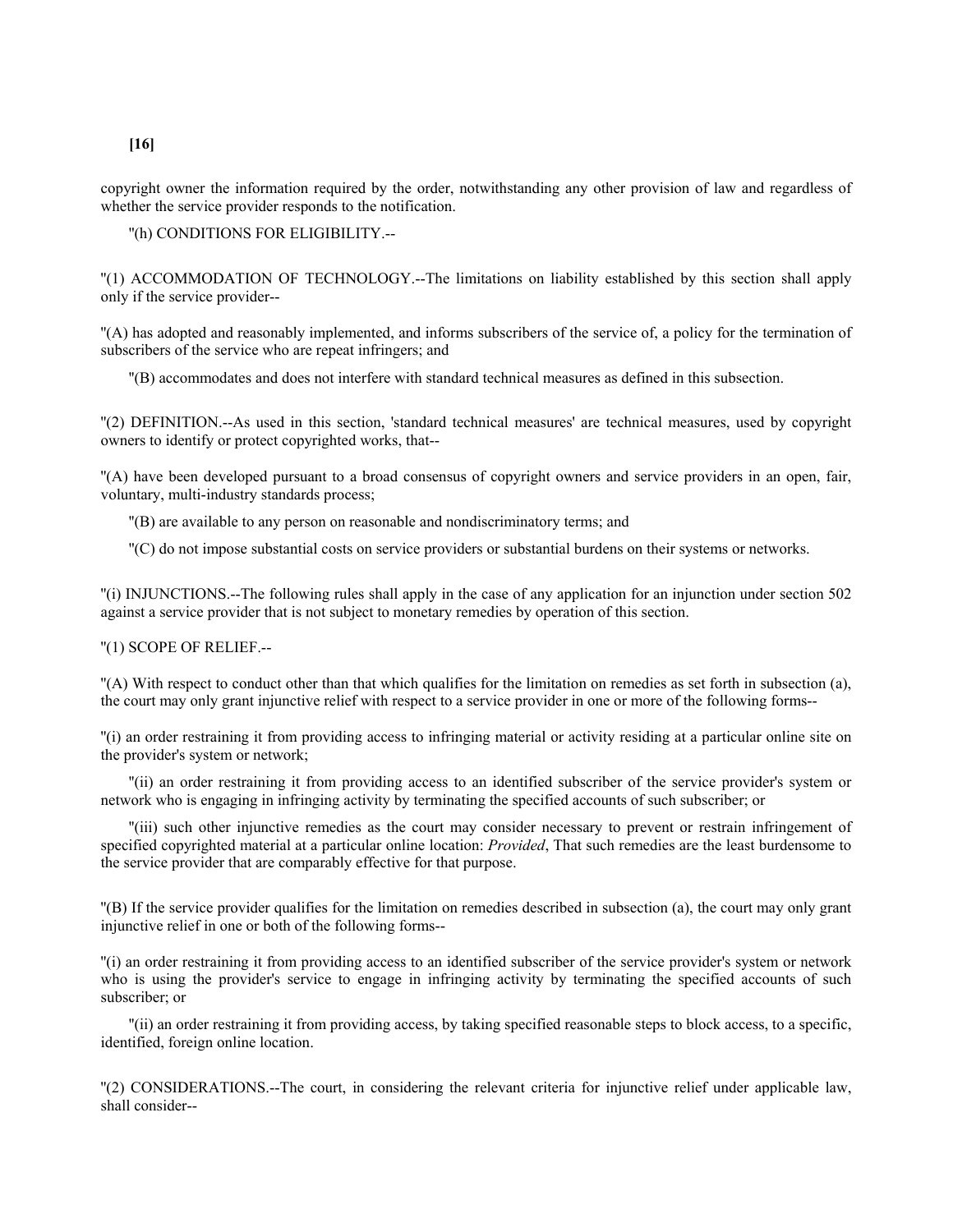copyright owner the information required by the order, notwithstanding any other provision of law and regardless of whether the service provider responds to the notification.

''(h) CONDITIONS FOR ELIGIBILITY.--

''(1) ACCOMMODATION OF TECHNOLOGY.--The limitations on liability established by this section shall apply only if the service provider--

''(A) has adopted and reasonably implemented, and informs subscribers of the service of, a policy for the termination of subscribers of the service who are repeat infringers; and

''(B) accommodates and does not interfere with standard technical measures as defined in this subsection.

''(2) DEFINITION.--As used in this section, 'standard technical measures' are technical measures, used by copyright owners to identify or protect copyrighted works, that--

''(A) have been developed pursuant to a broad consensus of copyright owners and service providers in an open, fair, voluntary, multi-industry standards process;

''(B) are available to any person on reasonable and nondiscriminatory terms; and

''(C) do not impose substantial costs on service providers or substantial burdens on their systems or networks.

''(i) INJUNCTIONS.--The following rules shall apply in the case of any application for an injunction under section 502 against a service provider that is not subject to monetary remedies by operation of this section.

''(1) SCOPE OF RELIEF.--

''(A) With respect to conduct other than that which qualifies for the limitation on remedies as set forth in subsection (a), the court may only grant injunctive relief with respect to a service provider in one or more of the following forms--

''(i) an order restraining it from providing access to infringing material or activity residing at a particular online site on the provider's system or network;

''(ii) an order restraining it from providing access to an identified subscriber of the service provider's system or network who is engaging in infringing activity by terminating the specified accounts of such subscriber; or

''(iii) such other injunctive remedies as the court may consider necessary to prevent or restrain infringement of specified copyrighted material at a particular online location: *Provided*, That such remedies are the least burdensome to the service provider that are comparably effective for that purpose.

''(B) If the service provider qualifies for the limitation on remedies described in subsection (a), the court may only grant injunctive relief in one or both of the following forms--

''(i) an order restraining it from providing access to an identified subscriber of the service provider's system or network who is using the provider's service to engage in infringing activity by terminating the specified accounts of such subscriber; or

''(ii) an order restraining it from providing access, by taking specified reasonable steps to block access, to a specific, identified, foreign online location.

''(2) CONSIDERATIONS.--The court, in considering the relevant criteria for injunctive relief under applicable law, shall consider--

**[16]**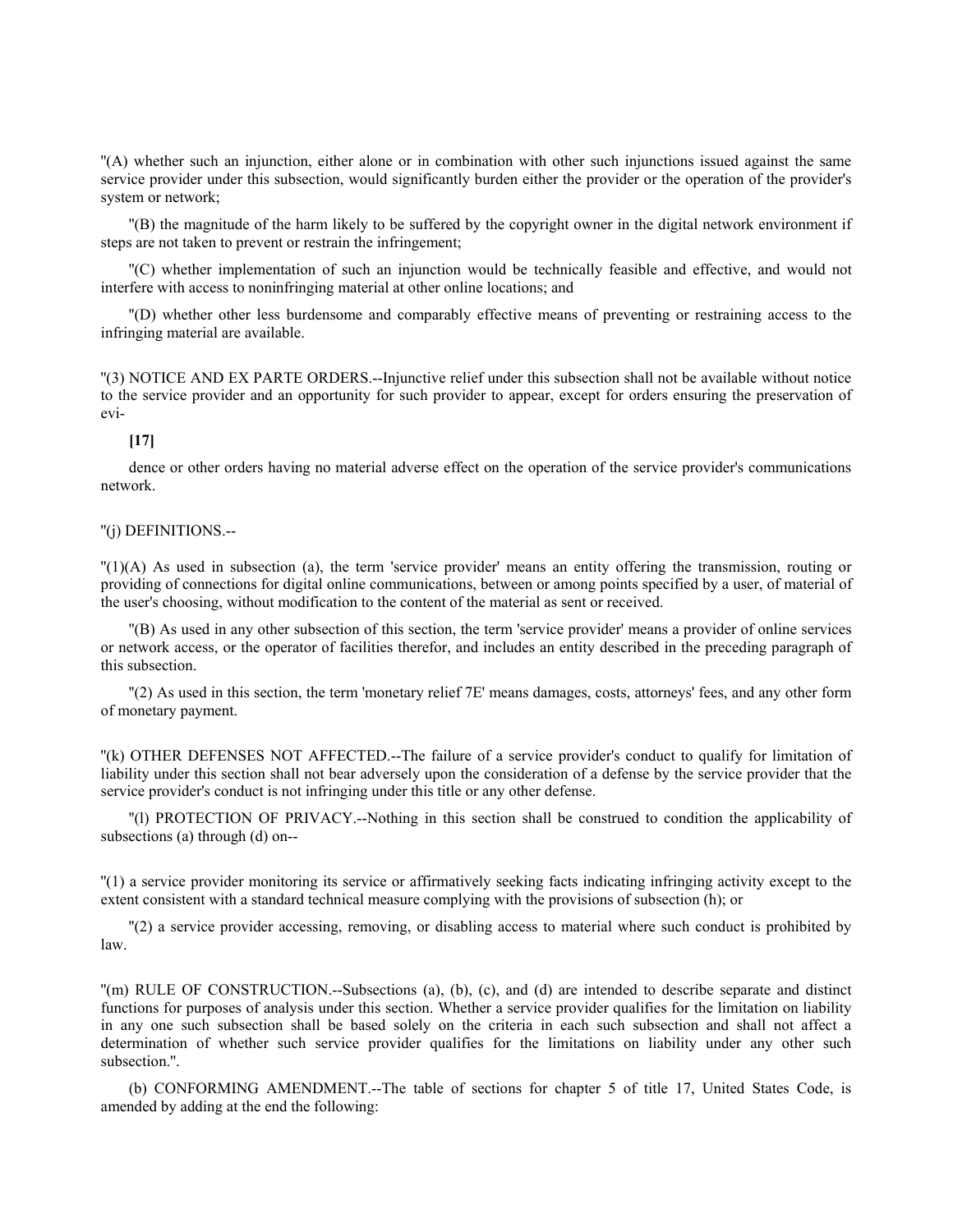''(A) whether such an injunction, either alone or in combination with other such injunctions issued against the same service provider under this subsection, would significantly burden either the provider or the operation of the provider's system or network;

''(B) the magnitude of the harm likely to be suffered by the copyright owner in the digital network environment if steps are not taken to prevent or restrain the infringement;

''(C) whether implementation of such an injunction would be technically feasible and effective, and would not interfere with access to noninfringing material at other online locations; and

''(D) whether other less burdensome and comparably effective means of preventing or restraining access to the infringing material are available.

''(3) NOTICE AND EX PARTE ORDERS.--Injunctive relief under this subsection shall not be available without notice to the service provider and an opportunity for such provider to appear, except for orders ensuring the preservation of evi-

### **[17]**

dence or other orders having no material adverse effect on the operation of the service provider's communications network.

### ''(j) DEFINITIONS.--

 $\binom{n}{k}$  As used in subsection (a), the term 'service provider' means an entity offering the transmission, routing or providing of connections for digital online communications, between or among points specified by a user, of material of the user's choosing, without modification to the content of the material as sent or received.

''(B) As used in any other subsection of this section, the term 'service provider' means a provider of online services or network access, or the operator of facilities therefor, and includes an entity described in the preceding paragraph of this subsection.

''(2) As used in this section, the term 'monetary relief 7E' means damages, costs, attorneys' fees, and any other form of monetary payment.

''(k) OTHER DEFENSES NOT AFFECTED.--The failure of a service provider's conduct to qualify for limitation of liability under this section shall not bear adversely upon the consideration of a defense by the service provider that the service provider's conduct is not infringing under this title or any other defense.

''(l) PROTECTION OF PRIVACY.--Nothing in this section shall be construed to condition the applicability of subsections (a) through (d) on--

''(1) a service provider monitoring its service or affirmatively seeking facts indicating infringing activity except to the extent consistent with a standard technical measure complying with the provisions of subsection (h); or

''(2) a service provider accessing, removing, or disabling access to material where such conduct is prohibited by law.

''(m) RULE OF CONSTRUCTION.--Subsections (a), (b), (c), and (d) are intended to describe separate and distinct functions for purposes of analysis under this section. Whether a service provider qualifies for the limitation on liability in any one such subsection shall be based solely on the criteria in each such subsection and shall not affect a determination of whether such service provider qualifies for the limitations on liability under any other such subsection.''.

(b) CONFORMING AMENDMENT.--The table of sections for chapter 5 of title 17, United States Code, is amended by adding at the end the following: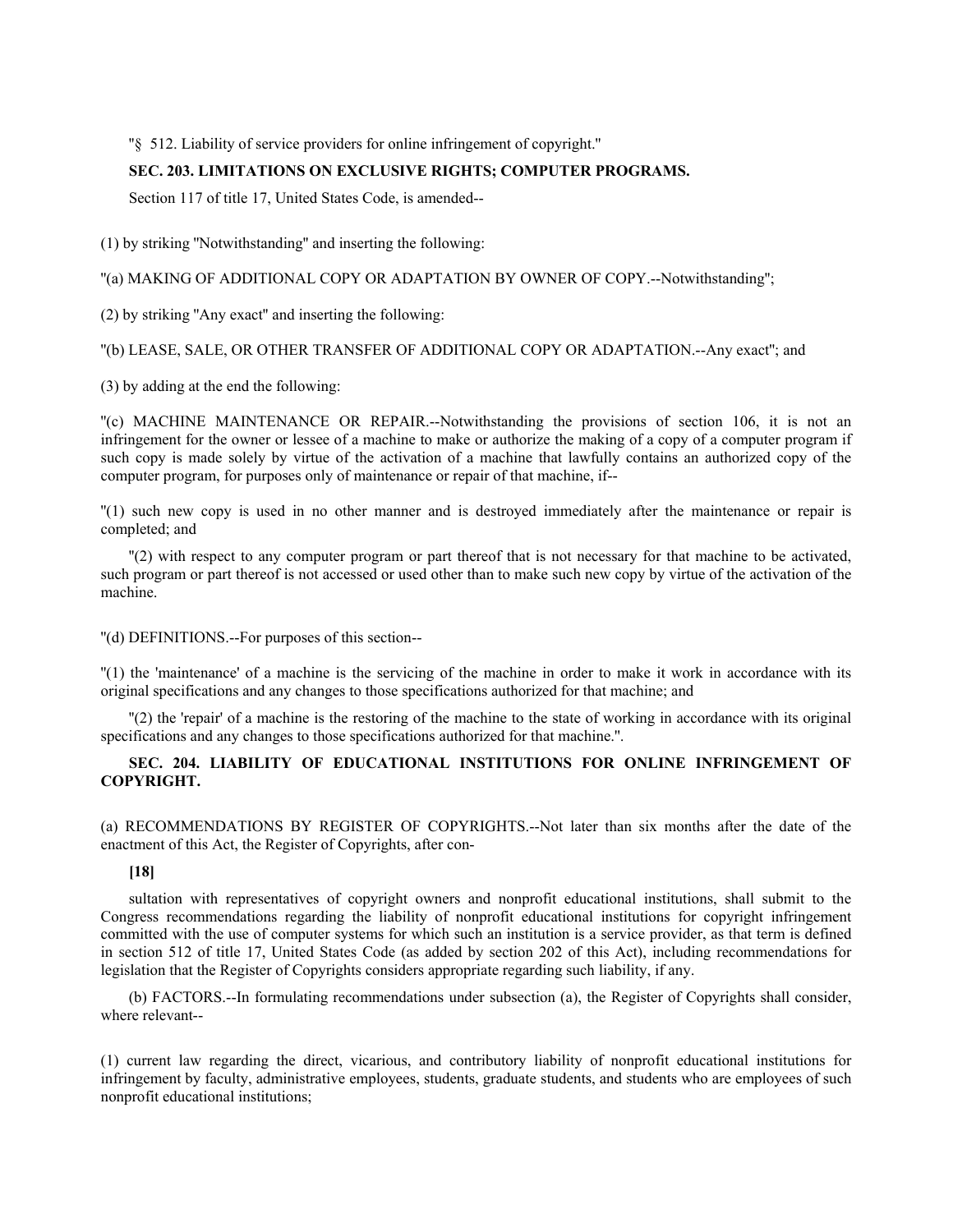''§ 512. Liability of service providers for online infringement of copyright.''

# **SEC. 203. LIMITATIONS ON EXCLUSIVE RIGHTS; COMPUTER PROGRAMS.**

Section 117 of title 17, United States Code, is amended--

(1) by striking ''Notwithstanding'' and inserting the following:

# ''(a) MAKING OF ADDITIONAL COPY OR ADAPTATION BY OWNER OF COPY.--Notwithstanding'';

(2) by striking ''Any exact'' and inserting the following:

# ''(b) LEASE, SALE, OR OTHER TRANSFER OF ADDITIONAL COPY OR ADAPTATION.--Any exact''; and

(3) by adding at the end the following:

''(c) MACHINE MAINTENANCE OR REPAIR.--Notwithstanding the provisions of section 106, it is not an infringement for the owner or lessee of a machine to make or authorize the making of a copy of a computer program if such copy is made solely by virtue of the activation of a machine that lawfully contains an authorized copy of the computer program, for purposes only of maintenance or repair of that machine, if--

''(1) such new copy is used in no other manner and is destroyed immediately after the maintenance or repair is completed; and

''(2) with respect to any computer program or part thereof that is not necessary for that machine to be activated, such program or part thereof is not accessed or used other than to make such new copy by virtue of the activation of the machine.

''(d) DEFINITIONS.--For purposes of this section--

''(1) the 'maintenance' of a machine is the servicing of the machine in order to make it work in accordance with its original specifications and any changes to those specifications authorized for that machine; and

''(2) the 'repair' of a machine is the restoring of the machine to the state of working in accordance with its original specifications and any changes to those specifications authorized for that machine.''.

# **SEC. 204. LIABILITY OF EDUCATIONAL INSTITUTIONS FOR ONLINE INFRINGEMENT OF COPYRIGHT.**

(a) RECOMMENDATIONS BY REGISTER OF COPYRIGHTS.--Not later than six months after the date of the enactment of this Act, the Register of Copyrights, after con-

# **[18]**

sultation with representatives of copyright owners and nonprofit educational institutions, shall submit to the Congress recommendations regarding the liability of nonprofit educational institutions for copyright infringement committed with the use of computer systems for which such an institution is a service provider, as that term is defined in section 512 of title 17, United States Code (as added by section 202 of this Act), including recommendations for legislation that the Register of Copyrights considers appropriate regarding such liability, if any.

(b) FACTORS.--In formulating recommendations under subsection (a), the Register of Copyrights shall consider, where relevant--

(1) current law regarding the direct, vicarious, and contributory liability of nonprofit educational institutions for infringement by faculty, administrative employees, students, graduate students, and students who are employees of such nonprofit educational institutions;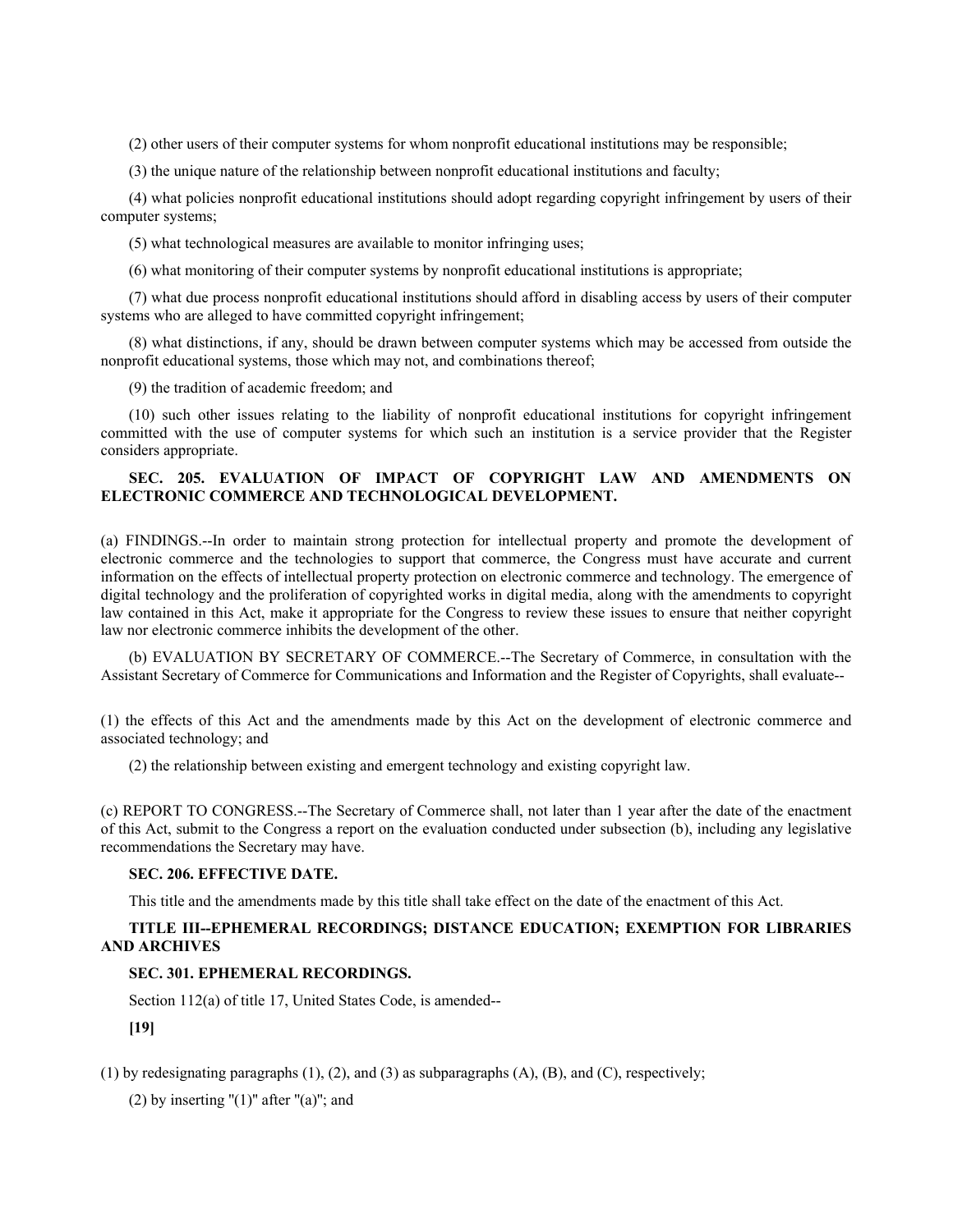(2) other users of their computer systems for whom nonprofit educational institutions may be responsible;

(3) the unique nature of the relationship between nonprofit educational institutions and faculty;

(4) what policies nonprofit educational institutions should adopt regarding copyright infringement by users of their computer systems;

(5) what technological measures are available to monitor infringing uses;

(6) what monitoring of their computer systems by nonprofit educational institutions is appropriate;

(7) what due process nonprofit educational institutions should afford in disabling access by users of their computer systems who are alleged to have committed copyright infringement;

(8) what distinctions, if any, should be drawn between computer systems which may be accessed from outside the nonprofit educational systems, those which may not, and combinations thereof;

(9) the tradition of academic freedom; and

(10) such other issues relating to the liability of nonprofit educational institutions for copyright infringement committed with the use of computer systems for which such an institution is a service provider that the Register considers appropriate.

# **SEC. 205. EVALUATION OF IMPACT OF COPYRIGHT LAW AND AMENDMENTS ON ELECTRONIC COMMERCE AND TECHNOLOGICAL DEVELOPMENT.**

(a) FINDINGS.--In order to maintain strong protection for intellectual property and promote the development of electronic commerce and the technologies to support that commerce, the Congress must have accurate and current information on the effects of intellectual property protection on electronic commerce and technology. The emergence of digital technology and the proliferation of copyrighted works in digital media, along with the amendments to copyright law contained in this Act, make it appropriate for the Congress to review these issues to ensure that neither copyright law nor electronic commerce inhibits the development of the other.

(b) EVALUATION BY SECRETARY OF COMMERCE.--The Secretary of Commerce, in consultation with the Assistant Secretary of Commerce for Communications and Information and the Register of Copyrights, shall evaluate--

(1) the effects of this Act and the amendments made by this Act on the development of electronic commerce and associated technology; and

(2) the relationship between existing and emergent technology and existing copyright law.

(c) REPORT TO CONGRESS.--The Secretary of Commerce shall, not later than 1 year after the date of the enactment of this Act, submit to the Congress a report on the evaluation conducted under subsection (b), including any legislative recommendations the Secretary may have.

# **SEC. 206. EFFECTIVE DATE.**

This title and the amendments made by this title shall take effect on the date of the enactment of this Act.

# **TITLE III--EPHEMERAL RECORDINGS; DISTANCE EDUCATION; EXEMPTION FOR LIBRARIES AND ARCHIVES**

# **SEC. 301. EPHEMERAL RECORDINGS.**

Section 112(a) of title 17, United States Code, is amended--

**[19]**

(1) by redesignating paragraphs (1), (2), and (3) as subparagraphs (A), (B), and (C), respectively;

(2) by inserting  $''(1)''$  after  $''(a)''$ ; and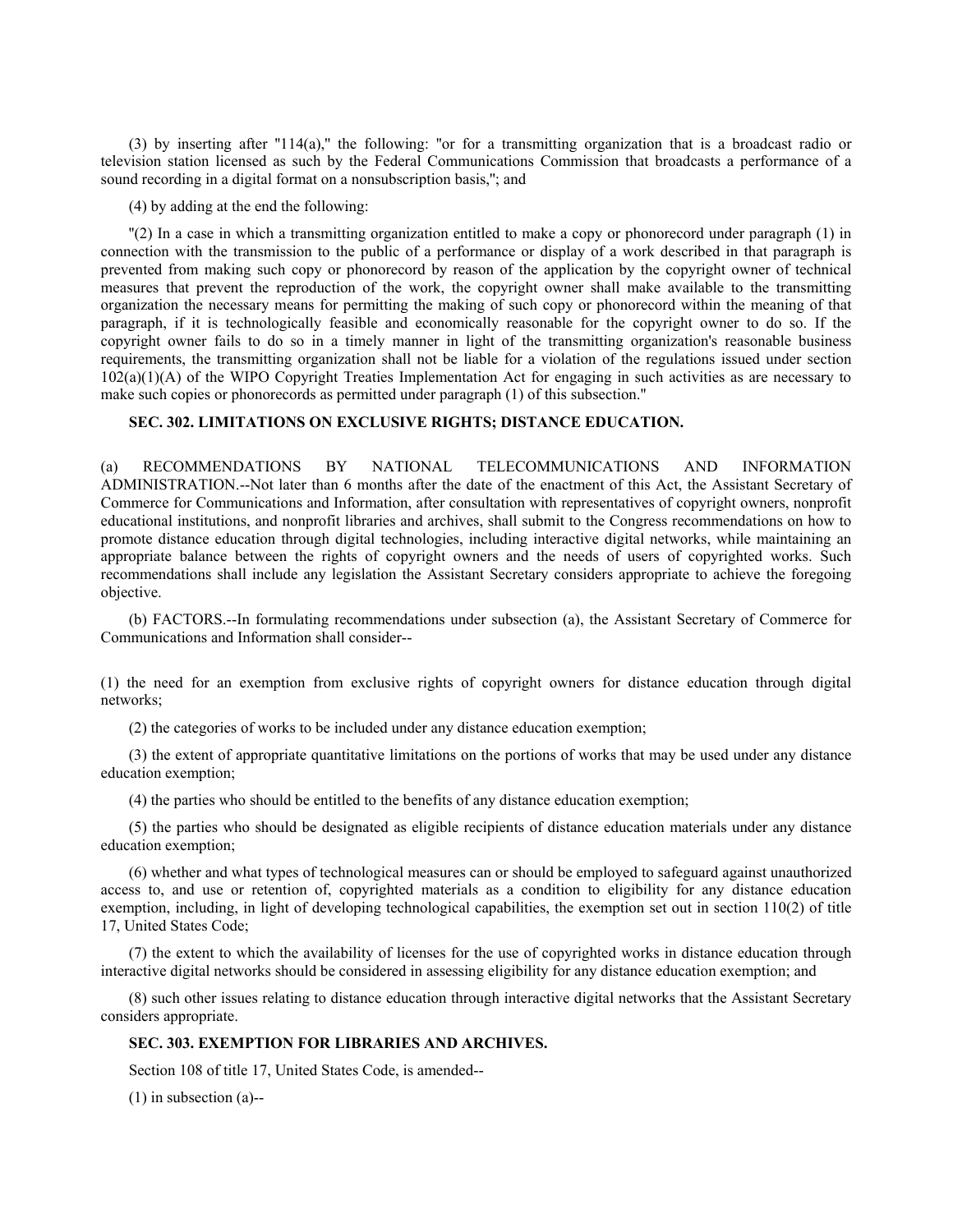(3) by inserting after "114(a)," the following: "or for a transmitting organization that is a broadcast radio or television station licensed as such by the Federal Communications Commission that broadcasts a performance of a sound recording in a digital format on a nonsubscription basis,''; and

(4) by adding at the end the following:

''(2) In a case in which a transmitting organization entitled to make a copy or phonorecord under paragraph (1) in connection with the transmission to the public of a performance or display of a work described in that paragraph is prevented from making such copy or phonorecord by reason of the application by the copyright owner of technical measures that prevent the reproduction of the work, the copyright owner shall make available to the transmitting organization the necessary means for permitting the making of such copy or phonorecord within the meaning of that paragraph, if it is technologically feasible and economically reasonable for the copyright owner to do so. If the copyright owner fails to do so in a timely manner in light of the transmitting organization's reasonable business requirements, the transmitting organization shall not be liable for a violation of the regulations issued under section 102(a)(1)(A) of the WIPO Copyright Treaties Implementation Act for engaging in such activities as are necessary to make such copies or phonorecords as permitted under paragraph (1) of this subsection.''

# **SEC. 302. LIMITATIONS ON EXCLUSIVE RIGHTS; DISTANCE EDUCATION.**

(a) RECOMMENDATIONS BY NATIONAL TELECOMMUNICATIONS AND INFORMATION ADMINISTRATION.--Not later than 6 months after the date of the enactment of this Act, the Assistant Secretary of Commerce for Communications and Information, after consultation with representatives of copyright owners, nonprofit educational institutions, and nonprofit libraries and archives, shall submit to the Congress recommendations on how to promote distance education through digital technologies, including interactive digital networks, while maintaining an appropriate balance between the rights of copyright owners and the needs of users of copyrighted works. Such recommendations shall include any legislation the Assistant Secretary considers appropriate to achieve the foregoing objective.

(b) FACTORS.--In formulating recommendations under subsection (a), the Assistant Secretary of Commerce for Communications and Information shall consider--

(1) the need for an exemption from exclusive rights of copyright owners for distance education through digital networks;

(2) the categories of works to be included under any distance education exemption;

(3) the extent of appropriate quantitative limitations on the portions of works that may be used under any distance education exemption;

(4) the parties who should be entitled to the benefits of any distance education exemption;

(5) the parties who should be designated as eligible recipients of distance education materials under any distance education exemption;

(6) whether and what types of technological measures can or should be employed to safeguard against unauthorized access to, and use or retention of, copyrighted materials as a condition to eligibility for any distance education exemption, including, in light of developing technological capabilities, the exemption set out in section 110(2) of title 17, United States Code;

(7) the extent to which the availability of licenses for the use of copyrighted works in distance education through interactive digital networks should be considered in assessing eligibility for any distance education exemption; and

(8) such other issues relating to distance education through interactive digital networks that the Assistant Secretary considers appropriate.

### **SEC. 303. EXEMPTION FOR LIBRARIES AND ARCHIVES.**

Section 108 of title 17, United States Code, is amended--

(1) in subsection (a)--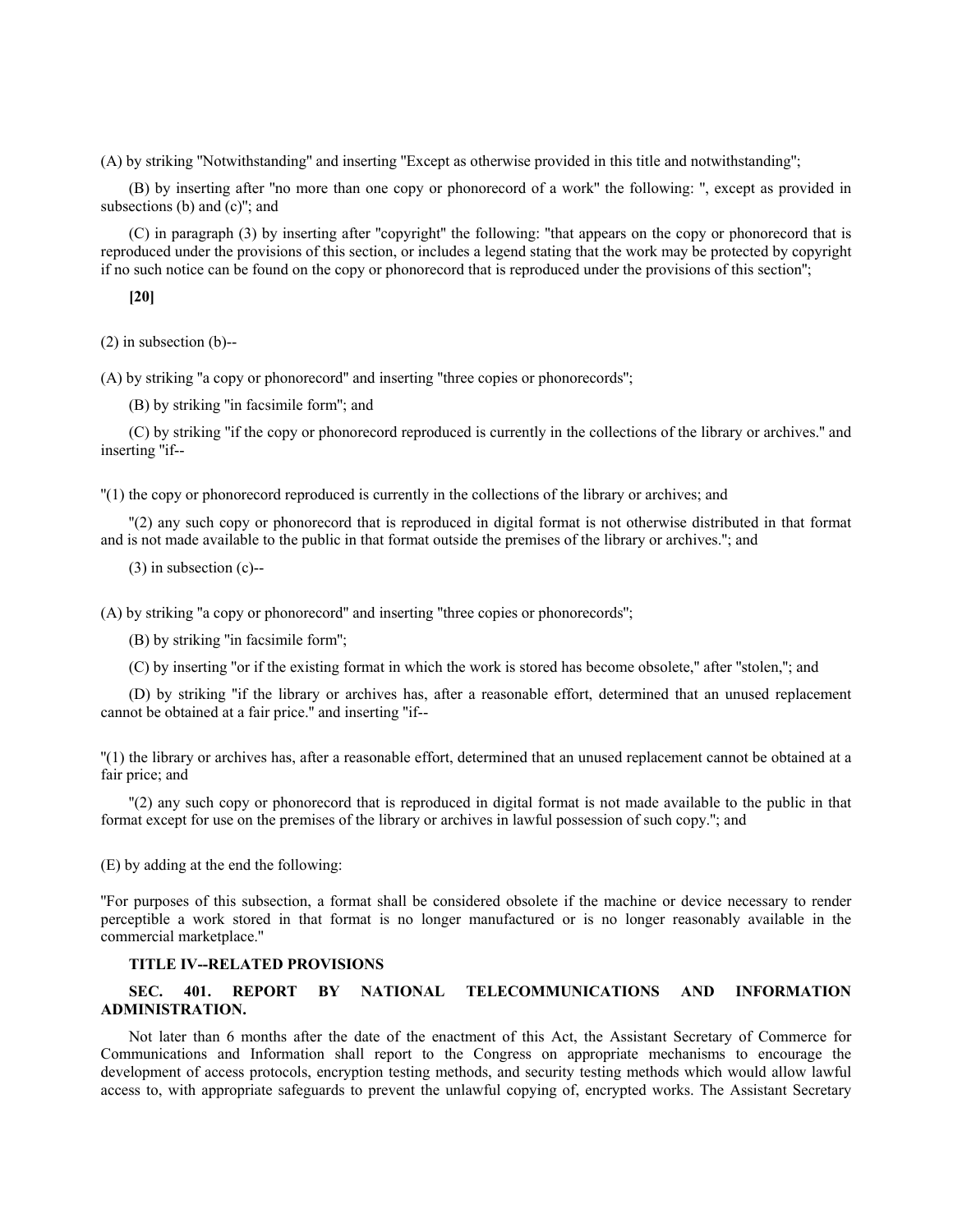(A) by striking ''Notwithstanding'' and inserting ''Except as otherwise provided in this title and notwithstanding'';

(B) by inserting after ''no more than one copy or phonorecord of a work'' the following: '', except as provided in subsections (b) and (c)"; and

(C) in paragraph (3) by inserting after ''copyright'' the following: ''that appears on the copy or phonorecord that is reproduced under the provisions of this section, or includes a legend stating that the work may be protected by copyright if no such notice can be found on the copy or phonorecord that is reproduced under the provisions of this section'';

# **[20]**

(2) in subsection (b)--

(A) by striking ''a copy or phonorecord'' and inserting ''three copies or phonorecords'';

(B) by striking ''in facsimile form''; and

(C) by striking ''if the copy or phonorecord reproduced is currently in the collections of the library or archives.'' and inserting ''if--

''(1) the copy or phonorecord reproduced is currently in the collections of the library or archives; and

''(2) any such copy or phonorecord that is reproduced in digital format is not otherwise distributed in that format and is not made available to the public in that format outside the premises of the library or archives.''; and

(3) in subsection (c)--

(A) by striking ''a copy or phonorecord'' and inserting ''three copies or phonorecords'';

(B) by striking ''in facsimile form'';

(C) by inserting ''or if the existing format in which the work is stored has become obsolete,'' after ''stolen,''; and

(D) by striking ''if the library or archives has, after a reasonable effort, determined that an unused replacement cannot be obtained at a fair price.'' and inserting ''if--

''(1) the library or archives has, after a reasonable effort, determined that an unused replacement cannot be obtained at a fair price; and

''(2) any such copy or phonorecord that is reproduced in digital format is not made available to the public in that format except for use on the premises of the library or archives in lawful possession of such copy.''; and

(E) by adding at the end the following:

''For purposes of this subsection, a format shall be considered obsolete if the machine or device necessary to render perceptible a work stored in that format is no longer manufactured or is no longer reasonably available in the commercial marketplace.''

#### **TITLE IV--RELATED PROVISIONS**

# **SEC. 401. REPORT BY NATIONAL TELECOMMUNICATIONS AND INFORMATION ADMINISTRATION.**

Not later than 6 months after the date of the enactment of this Act, the Assistant Secretary of Commerce for Communications and Information shall report to the Congress on appropriate mechanisms to encourage the development of access protocols, encryption testing methods, and security testing methods which would allow lawful access to, with appropriate safeguards to prevent the unlawful copying of, encrypted works. The Assistant Secretary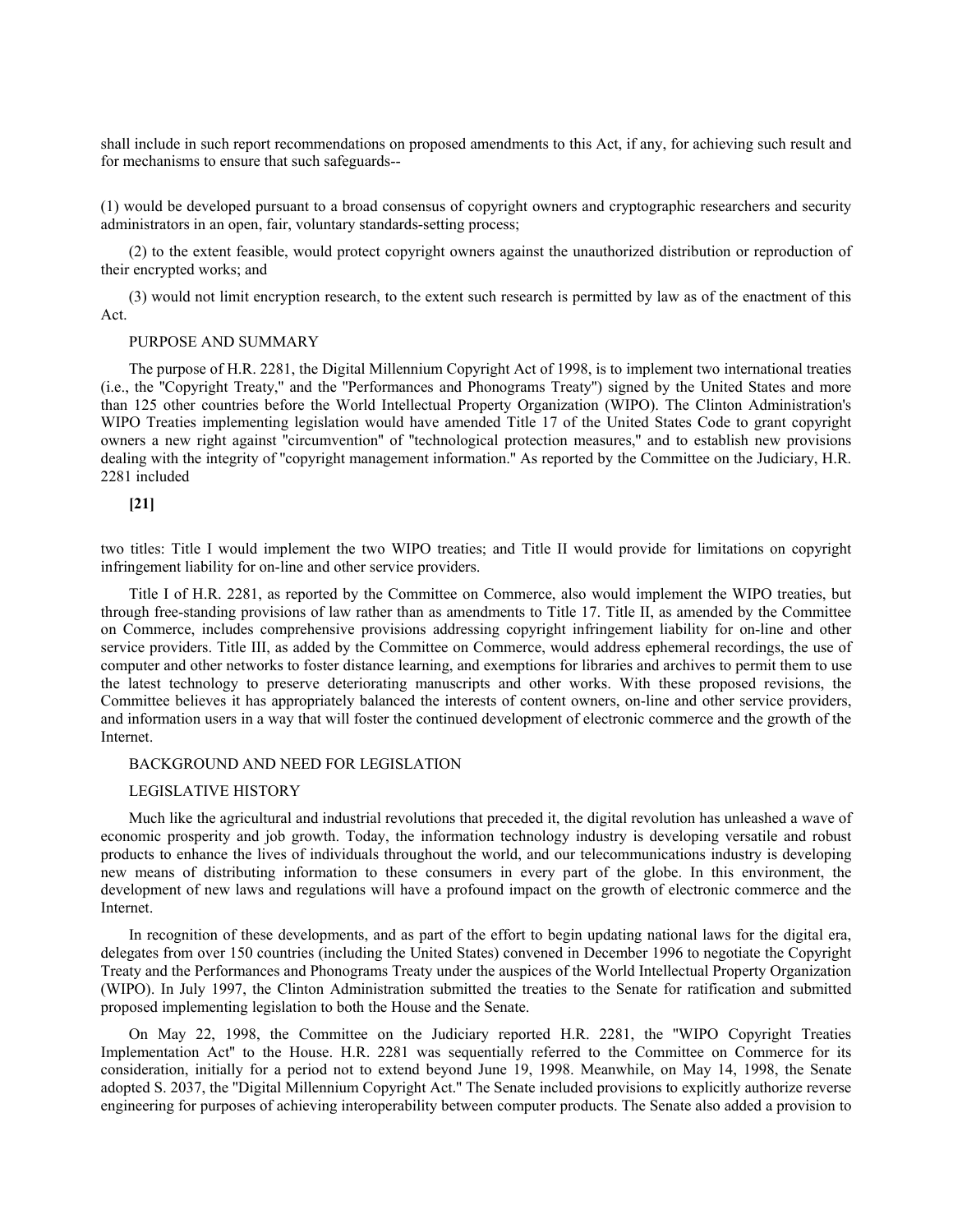shall include in such report recommendations on proposed amendments to this Act, if any, for achieving such result and for mechanisms to ensure that such safeguards--

(1) would be developed pursuant to a broad consensus of copyright owners and cryptographic researchers and security administrators in an open, fair, voluntary standards-setting process;

(2) to the extent feasible, would protect copyright owners against the unauthorized distribution or reproduction of their encrypted works; and

(3) would not limit encryption research, to the extent such research is permitted by law as of the enactment of this Act.

### PURPOSE AND SUMMARY

The purpose of H.R. 2281, the Digital Millennium Copyright Act of 1998, is to implement two international treaties (i.e., the ''Copyright Treaty,'' and the ''Performances and Phonograms Treaty'') signed by the United States and more than 125 other countries before the World Intellectual Property Organization (WIPO). The Clinton Administration's WIPO Treaties implementing legislation would have amended Title 17 of the United States Code to grant copyright owners a new right against ''circumvention'' of ''technological protection measures,'' and to establish new provisions dealing with the integrity of ''copyright management information.'' As reported by the Committee on the Judiciary, H.R. 2281 included

## **[21]**

two titles: Title I would implement the two WIPO treaties; and Title II would provide for limitations on copyright infringement liability for on-line and other service providers.

Title I of H.R. 2281, as reported by the Committee on Commerce, also would implement the WIPO treaties, but through free-standing provisions of law rather than as amendments to Title 17. Title II, as amended by the Committee on Commerce, includes comprehensive provisions addressing copyright infringement liability for on-line and other service providers. Title III, as added by the Committee on Commerce, would address ephemeral recordings, the use of computer and other networks to foster distance learning, and exemptions for libraries and archives to permit them to use the latest technology to preserve deteriorating manuscripts and other works. With these proposed revisions, the Committee believes it has appropriately balanced the interests of content owners, on-line and other service providers, and information users in a way that will foster the continued development of electronic commerce and the growth of the Internet.

#### BACKGROUND AND NEED FOR LEGISLATION

#### LEGISLATIVE HISTORY

Much like the agricultural and industrial revolutions that preceded it, the digital revolution has unleashed a wave of economic prosperity and job growth. Today, the information technology industry is developing versatile and robust products to enhance the lives of individuals throughout the world, and our telecommunications industry is developing new means of distributing information to these consumers in every part of the globe. In this environment, the development of new laws and regulations will have a profound impact on the growth of electronic commerce and the Internet.

In recognition of these developments, and as part of the effort to begin updating national laws for the digital era, delegates from over 150 countries (including the United States) convened in December 1996 to negotiate the Copyright Treaty and the Performances and Phonograms Treaty under the auspices of the World Intellectual Property Organization (WIPO). In July 1997, the Clinton Administration submitted the treaties to the Senate for ratification and submitted proposed implementing legislation to both the House and the Senate.

On May 22, 1998, the Committee on the Judiciary reported H.R. 2281, the ''WIPO Copyright Treaties Implementation Act'' to the House. H.R. 2281 was sequentially referred to the Committee on Commerce for its consideration, initially for a period not to extend beyond June 19, 1998. Meanwhile, on May 14, 1998, the Senate adopted S. 2037, the ''Digital Millennium Copyright Act.'' The Senate included provisions to explicitly authorize reverse engineering for purposes of achieving interoperability between computer products. The Senate also added a provision to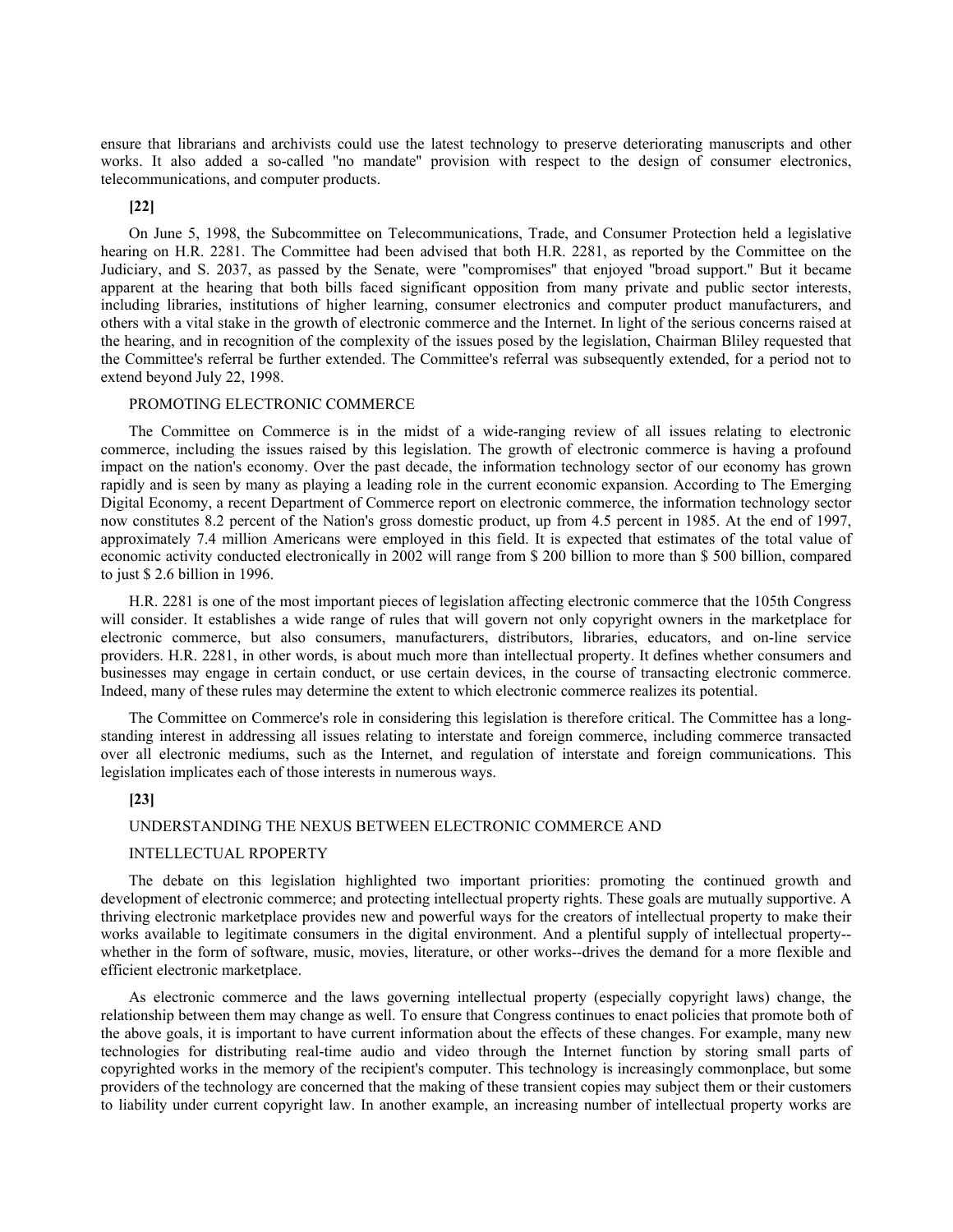ensure that librarians and archivists could use the latest technology to preserve deteriorating manuscripts and other works. It also added a so-called ''no mandate'' provision with respect to the design of consumer electronics, telecommunications, and computer products.

# **[22]**

On June 5, 1998, the Subcommittee on Telecommunications, Trade, and Consumer Protection held a legislative hearing on H.R. 2281. The Committee had been advised that both H.R. 2281, as reported by the Committee on the Judiciary, and S. 2037, as passed by the Senate, were ''compromises'' that enjoyed ''broad support.'' But it became apparent at the hearing that both bills faced significant opposition from many private and public sector interests, including libraries, institutions of higher learning, consumer electronics and computer product manufacturers, and others with a vital stake in the growth of electronic commerce and the Internet. In light of the serious concerns raised at the hearing, and in recognition of the complexity of the issues posed by the legislation, Chairman Bliley requested that the Committee's referral be further extended. The Committee's referral was subsequently extended, for a period not to extend beyond July 22, 1998.

### PROMOTING ELECTRONIC COMMERCE

The Committee on Commerce is in the midst of a wide-ranging review of all issues relating to electronic commerce, including the issues raised by this legislation. The growth of electronic commerce is having a profound impact on the nation's economy. Over the past decade, the information technology sector of our economy has grown rapidly and is seen by many as playing a leading role in the current economic expansion. According to The Emerging Digital Economy, a recent Department of Commerce report on electronic commerce, the information technology sector now constitutes 8.2 percent of the Nation's gross domestic product, up from 4.5 percent in 1985. At the end of 1997, approximately 7.4 million Americans were employed in this field. It is expected that estimates of the total value of economic activity conducted electronically in 2002 will range from \$ 200 billion to more than \$ 500 billion, compared to just \$ 2.6 billion in 1996.

H.R. 2281 is one of the most important pieces of legislation affecting electronic commerce that the 105th Congress will consider. It establishes a wide range of rules that will govern not only copyright owners in the marketplace for electronic commerce, but also consumers, manufacturers, distributors, libraries, educators, and on-line service providers. H.R. 2281, in other words, is about much more than intellectual property. It defines whether consumers and businesses may engage in certain conduct, or use certain devices, in the course of transacting electronic commerce. Indeed, many of these rules may determine the extent to which electronic commerce realizes its potential.

The Committee on Commerce's role in considering this legislation is therefore critical. The Committee has a longstanding interest in addressing all issues relating to interstate and foreign commerce, including commerce transacted over all electronic mediums, such as the Internet, and regulation of interstate and foreign communications. This legislation implicates each of those interests in numerous ways.

#### **[23]**

#### UNDERSTANDING THE NEXUS BETWEEN ELECTRONIC COMMERCE AND

#### INTELLECTUAL RPOPERTY

The debate on this legislation highlighted two important priorities: promoting the continued growth and development of electronic commerce; and protecting intellectual property rights. These goals are mutually supportive. A thriving electronic marketplace provides new and powerful ways for the creators of intellectual property to make their works available to legitimate consumers in the digital environment. And a plentiful supply of intellectual property- whether in the form of software, music, movies, literature, or other works--drives the demand for a more flexible and efficient electronic marketplace.

As electronic commerce and the laws governing intellectual property (especially copyright laws) change, the relationship between them may change as well. To ensure that Congress continues to enact policies that promote both of the above goals, it is important to have current information about the effects of these changes. For example, many new technologies for distributing real-time audio and video through the Internet function by storing small parts of copyrighted works in the memory of the recipient's computer. This technology is increasingly commonplace, but some providers of the technology are concerned that the making of these transient copies may subject them or their customers to liability under current copyright law. In another example, an increasing number of intellectual property works are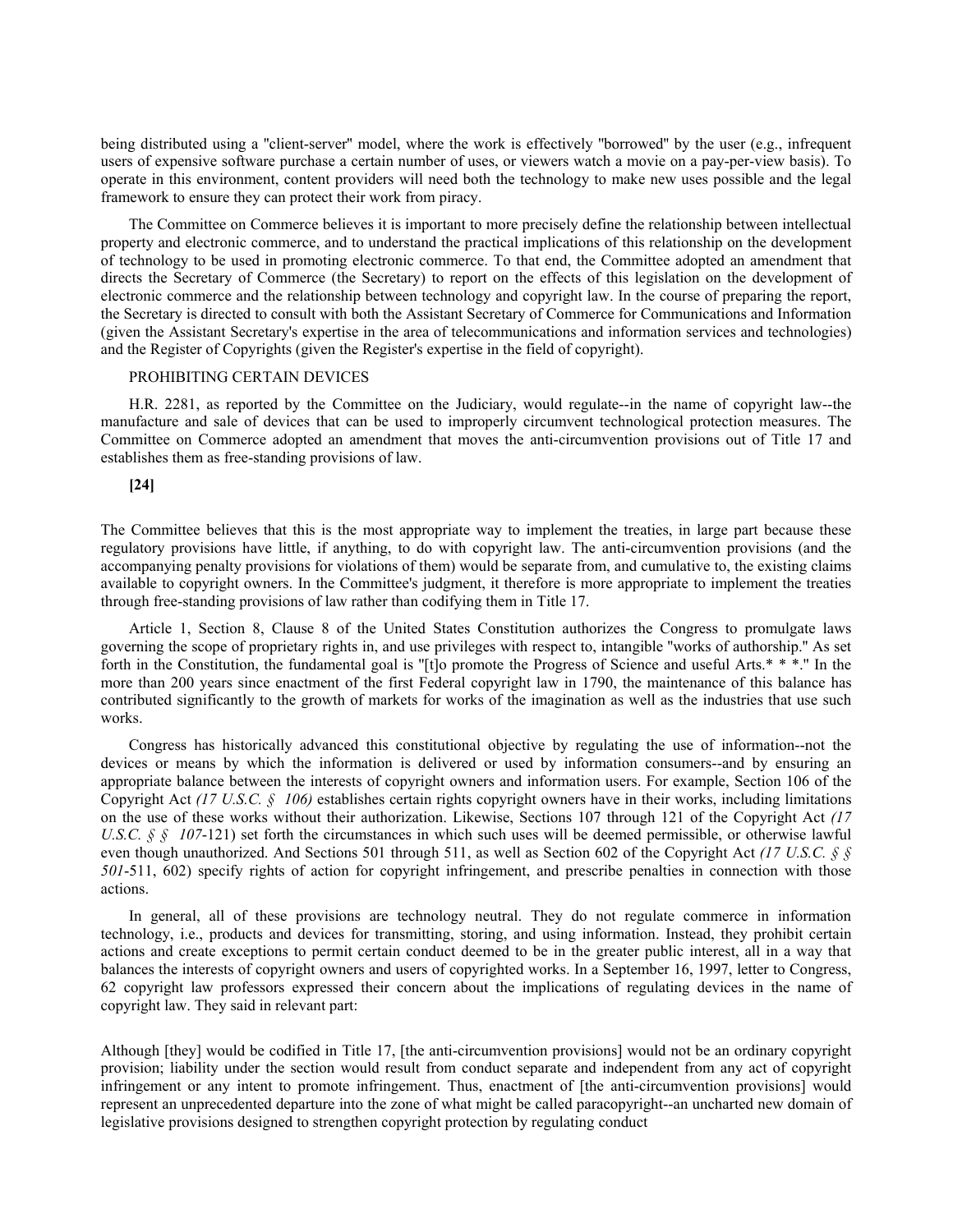being distributed using a ''client-server'' model, where the work is effectively ''borrowed'' by the user (e.g., infrequent users of expensive software purchase a certain number of uses, or viewers watch a movie on a pay-per-view basis). To operate in this environment, content providers will need both the technology to make new uses possible and the legal framework to ensure they can protect their work from piracy.

The Committee on Commerce believes it is important to more precisely define the relationship between intellectual property and electronic commerce, and to understand the practical implications of this relationship on the development of technology to be used in promoting electronic commerce. To that end, the Committee adopted an amendment that directs the Secretary of Commerce (the Secretary) to report on the effects of this legislation on the development of electronic commerce and the relationship between technology and copyright law. In the course of preparing the report, the Secretary is directed to consult with both the Assistant Secretary of Commerce for Communications and Information (given the Assistant Secretary's expertise in the area of telecommunications and information services and technologies) and the Register of Copyrights (given the Register's expertise in the field of copyright).

# PROHIBITING CERTAIN DEVICES

H.R. 2281, as reported by the Committee on the Judiciary, would regulate--in the name of copyright law--the manufacture and sale of devices that can be used to improperly circumvent technological protection measures. The Committee on Commerce adopted an amendment that moves the anti-circumvention provisions out of Title 17 and establishes them as free-standing provisions of law.

# **[24]**

The Committee believes that this is the most appropriate way to implement the treaties, in large part because these regulatory provisions have little, if anything, to do with copyright law. The anti-circumvention provisions (and the accompanying penalty provisions for violations of them) would be separate from, and cumulative to, the existing claims available to copyright owners. In the Committee's judgment, it therefore is more appropriate to implement the treaties through free-standing provisions of law rather than codifying them in Title 17.

Article 1, Section 8, Clause 8 of the United States Constitution authorizes the Congress to promulgate laws governing the scope of proprietary rights in, and use privileges with respect to, intangible ''works of authorship.'' As set forth in the Constitution, the fundamental goal is "[t]o promote the Progress of Science and useful Arts. $* * *$ ." In the more than 200 years since enactment of the first Federal copyright law in 1790, the maintenance of this balance has contributed significantly to the growth of markets for works of the imagination as well as the industries that use such works.

Congress has historically advanced this constitutional objective by regulating the use of information--not the devices or means by which the information is delivered or used by information consumers--and by ensuring an appropriate balance between the interests of copyright owners and information users. For example, Section 106 of the Copyright Act *(17 U.S.C. § 106)* establishes certain rights copyright owners have in their works, including limitations on the use of these works without their authorization. Likewise, Sections 107 through 121 of the Copyright Act *(17 U.S.C.* §  $\S$  107-121) set forth the circumstances in which such uses will be deemed permissible, or otherwise lawful even though unauthorized. And Sections 501 through 511, as well as Section 602 of the Copyright Act *(17 U.S.C. § § 501*-511, 602) specify rights of action for copyright infringement, and prescribe penalties in connection with those actions.

In general, all of these provisions are technology neutral. They do not regulate commerce in information technology, i.e., products and devices for transmitting, storing, and using information. Instead, they prohibit certain actions and create exceptions to permit certain conduct deemed to be in the greater public interest, all in a way that balances the interests of copyright owners and users of copyrighted works. In a September 16, 1997, letter to Congress, 62 copyright law professors expressed their concern about the implications of regulating devices in the name of copyright law. They said in relevant part:

Although [they] would be codified in Title 17, [the anti-circumvention provisions] would not be an ordinary copyright provision; liability under the section would result from conduct separate and independent from any act of copyright infringement or any intent to promote infringement. Thus, enactment of [the anti-circumvention provisions] would represent an unprecedented departure into the zone of what might be called paracopyright--an uncharted new domain of legislative provisions designed to strengthen copyright protection by regulating conduct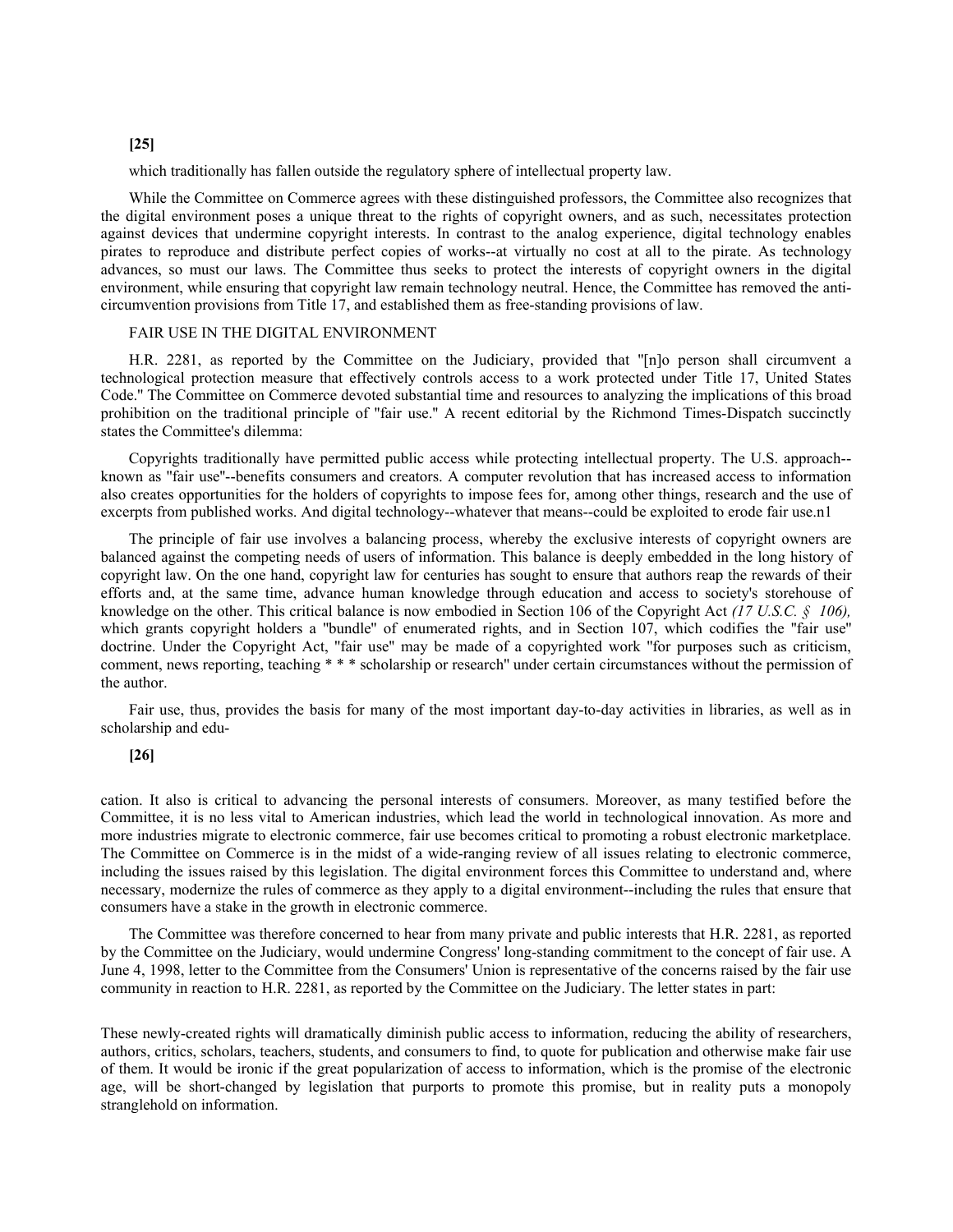# **[25]**

which traditionally has fallen outside the regulatory sphere of intellectual property law.

While the Committee on Commerce agrees with these distinguished professors, the Committee also recognizes that the digital environment poses a unique threat to the rights of copyright owners, and as such, necessitates protection against devices that undermine copyright interests. In contrast to the analog experience, digital technology enables pirates to reproduce and distribute perfect copies of works--at virtually no cost at all to the pirate. As technology advances, so must our laws. The Committee thus seeks to protect the interests of copyright owners in the digital environment, while ensuring that copyright law remain technology neutral. Hence, the Committee has removed the anticircumvention provisions from Title 17, and established them as free-standing provisions of law.

### FAIR USE IN THE DIGITAL ENVIRONMENT

H.R. 2281, as reported by the Committee on the Judiciary, provided that ''[n]o person shall circumvent a technological protection measure that effectively controls access to a work protected under Title 17, United States Code.'' The Committee on Commerce devoted substantial time and resources to analyzing the implications of this broad prohibition on the traditional principle of ''fair use.'' A recent editorial by the Richmond Times-Dispatch succinctly states the Committee's dilemma:

Copyrights traditionally have permitted public access while protecting intellectual property. The U.S. approach- known as ''fair use''--benefits consumers and creators. A computer revolution that has increased access to information also creates opportunities for the holders of copyrights to impose fees for, among other things, research and the use of excerpts from published works. And digital technology--whatever that means--could be exploited to erode fair use.n1

The principle of fair use involves a balancing process, whereby the exclusive interests of copyright owners are balanced against the competing needs of users of information. This balance is deeply embedded in the long history of copyright law. On the one hand, copyright law for centuries has sought to ensure that authors reap the rewards of their efforts and, at the same time, advance human knowledge through education and access to society's storehouse of knowledge on the other. This critical balance is now embodied in Section 106 of the Copyright Act *(17 U.S.C. § 106),* which grants copyright holders a "bundle" of enumerated rights, and in Section 107, which codifies the "fair use" doctrine. Under the Copyright Act, ''fair use'' may be made of a copyrighted work ''for purposes such as criticism, comment, news reporting, teaching \* \* \* scholarship or research" under certain circumstances without the permission of the author.

Fair use, thus, provides the basis for many of the most important day-to-day activities in libraries, as well as in scholarship and edu-

# **[26]**

cation. It also is critical to advancing the personal interests of consumers. Moreover, as many testified before the Committee, it is no less vital to American industries, which lead the world in technological innovation. As more and more industries migrate to electronic commerce, fair use becomes critical to promoting a robust electronic marketplace. The Committee on Commerce is in the midst of a wide-ranging review of all issues relating to electronic commerce, including the issues raised by this legislation. The digital environment forces this Committee to understand and, where necessary, modernize the rules of commerce as they apply to a digital environment--including the rules that ensure that consumers have a stake in the growth in electronic commerce.

The Committee was therefore concerned to hear from many private and public interests that H.R. 2281, as reported by the Committee on the Judiciary, would undermine Congress' long-standing commitment to the concept of fair use. A June 4, 1998, letter to the Committee from the Consumers' Union is representative of the concerns raised by the fair use community in reaction to H.R. 2281, as reported by the Committee on the Judiciary. The letter states in part:

These newly-created rights will dramatically diminish public access to information, reducing the ability of researchers, authors, critics, scholars, teachers, students, and consumers to find, to quote for publication and otherwise make fair use of them. It would be ironic if the great popularization of access to information, which is the promise of the electronic age, will be short-changed by legislation that purports to promote this promise, but in reality puts a monopoly stranglehold on information.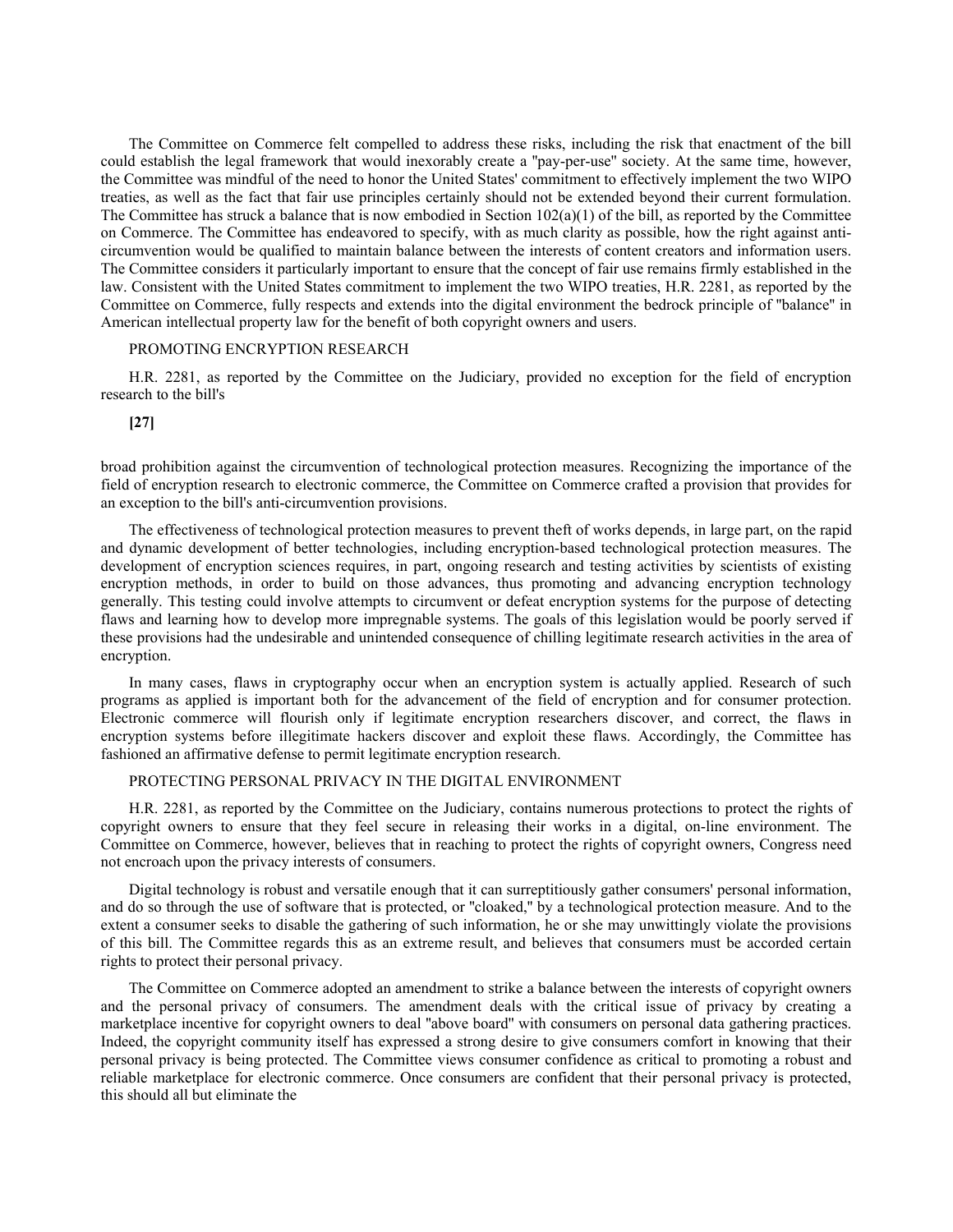The Committee on Commerce felt compelled to address these risks, including the risk that enactment of the bill could establish the legal framework that would inexorably create a ''pay-per-use'' society. At the same time, however, the Committee was mindful of the need to honor the United States' commitment to effectively implement the two WIPO treaties, as well as the fact that fair use principles certainly should not be extended beyond their current formulation. The Committee has struck a balance that is now embodied in Section  $102(a)(1)$  of the bill, as reported by the Committee on Commerce. The Committee has endeavored to specify, with as much clarity as possible, how the right against anticircumvention would be qualified to maintain balance between the interests of content creators and information users. The Committee considers it particularly important to ensure that the concept of fair use remains firmly established in the law. Consistent with the United States commitment to implement the two WIPO treaties, H.R. 2281, as reported by the Committee on Commerce, fully respects and extends into the digital environment the bedrock principle of ''balance'' in American intellectual property law for the benefit of both copyright owners and users.

#### PROMOTING ENCRYPTION RESEARCH

H.R. 2281, as reported by the Committee on the Judiciary, provided no exception for the field of encryption research to the bill's

**[27]**

broad prohibition against the circumvention of technological protection measures. Recognizing the importance of the field of encryption research to electronic commerce, the Committee on Commerce crafted a provision that provides for an exception to the bill's anti-circumvention provisions.

The effectiveness of technological protection measures to prevent theft of works depends, in large part, on the rapid and dynamic development of better technologies, including encryption-based technological protection measures. The development of encryption sciences requires, in part, ongoing research and testing activities by scientists of existing encryption methods, in order to build on those advances, thus promoting and advancing encryption technology generally. This testing could involve attempts to circumvent or defeat encryption systems for the purpose of detecting flaws and learning how to develop more impregnable systems. The goals of this legislation would be poorly served if these provisions had the undesirable and unintended consequence of chilling legitimate research activities in the area of encryption.

In many cases, flaws in cryptography occur when an encryption system is actually applied. Research of such programs as applied is important both for the advancement of the field of encryption and for consumer protection. Electronic commerce will flourish only if legitimate encryption researchers discover, and correct, the flaws in encryption systems before illegitimate hackers discover and exploit these flaws. Accordingly, the Committee has fashioned an affirmative defense to permit legitimate encryption research.

### PROTECTING PERSONAL PRIVACY IN THE DIGITAL ENVIRONMENT

H.R. 2281, as reported by the Committee on the Judiciary, contains numerous protections to protect the rights of copyright owners to ensure that they feel secure in releasing their works in a digital, on-line environment. The Committee on Commerce, however, believes that in reaching to protect the rights of copyright owners, Congress need not encroach upon the privacy interests of consumers.

Digital technology is robust and versatile enough that it can surreptitiously gather consumers' personal information, and do so through the use of software that is protected, or ''cloaked,'' by a technological protection measure. And to the extent a consumer seeks to disable the gathering of such information, he or she may unwittingly violate the provisions of this bill. The Committee regards this as an extreme result, and believes that consumers must be accorded certain rights to protect their personal privacy.

The Committee on Commerce adopted an amendment to strike a balance between the interests of copyright owners and the personal privacy of consumers. The amendment deals with the critical issue of privacy by creating a marketplace incentive for copyright owners to deal ''above board'' with consumers on personal data gathering practices. Indeed, the copyright community itself has expressed a strong desire to give consumers comfort in knowing that their personal privacy is being protected. The Committee views consumer confidence as critical to promoting a robust and reliable marketplace for electronic commerce. Once consumers are confident that their personal privacy is protected, this should all but eliminate the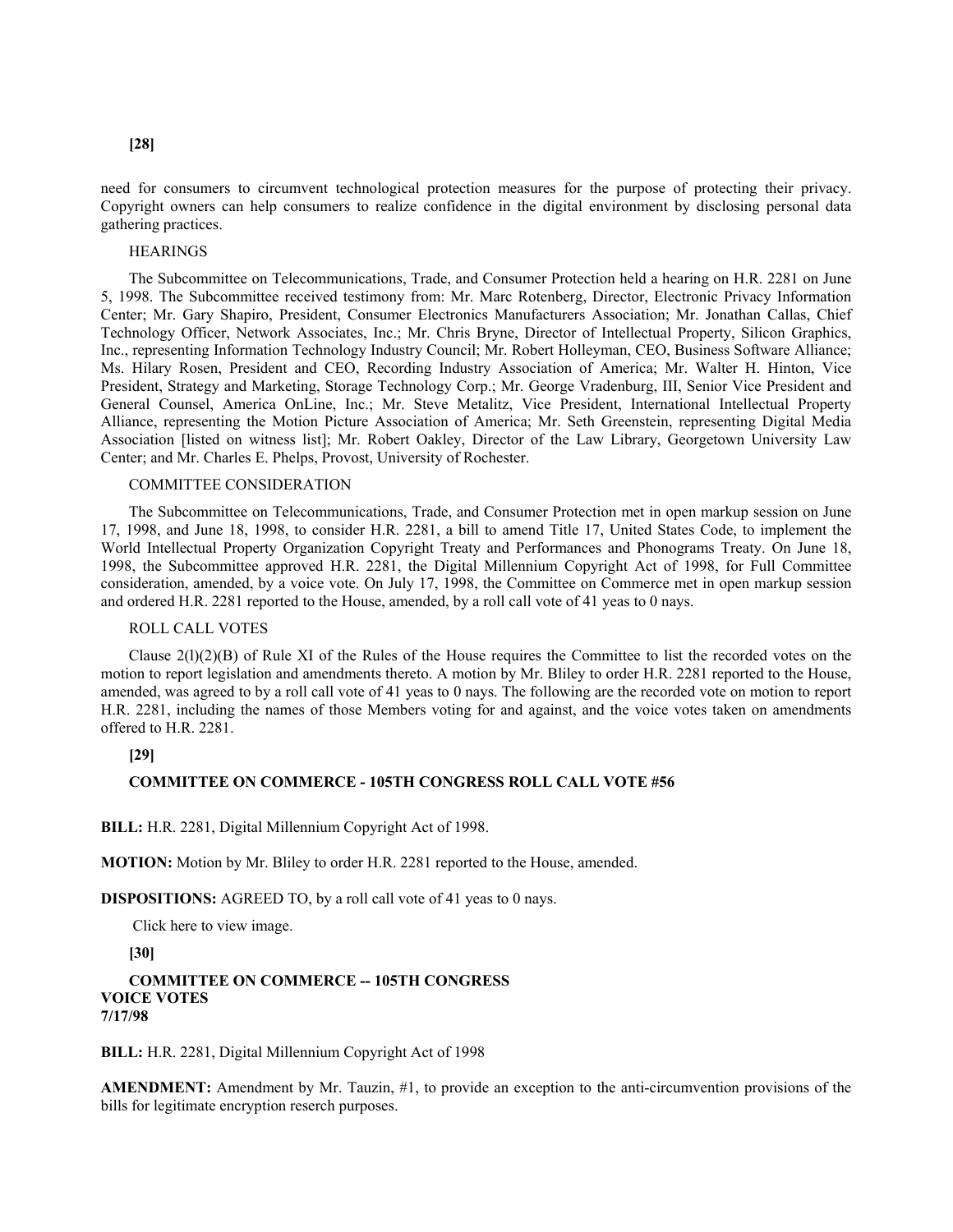# HEARINGS

gathering practices.

The Subcommittee on Telecommunications, Trade, and Consumer Protection held a hearing on H.R. 2281 on June 5, 1998. The Subcommittee received testimony from: Mr. Marc Rotenberg, Director, Electronic Privacy Information Center; Mr. Gary Shapiro, President, Consumer Electronics Manufacturers Association; Mr. Jonathan Callas, Chief Technology Officer, Network Associates, Inc.; Mr. Chris Bryne, Director of Intellectual Property, Silicon Graphics, Inc., representing Information Technology Industry Council; Mr. Robert Holleyman, CEO, Business Software Alliance; Ms. Hilary Rosen, President and CEO, Recording Industry Association of America; Mr. Walter H. Hinton, Vice President, Strategy and Marketing, Storage Technology Corp.; Mr. George Vradenburg, III, Senior Vice President and General Counsel, America OnLine, Inc.; Mr. Steve Metalitz, Vice President, International Intellectual Property Alliance, representing the Motion Picture Association of America; Mr. Seth Greenstein, representing Digital Media Association [listed on witness list]; Mr. Robert Oakley, Director of the Law Library, Georgetown University Law Center; and Mr. Charles E. Phelps, Provost, University of Rochester.

need for consumers to circumvent technological protection measures for the purpose of protecting their privacy. Copyright owners can help consumers to realize confidence in the digital environment by disclosing personal data

#### COMMITTEE CONSIDERATION

The Subcommittee on Telecommunications, Trade, and Consumer Protection met in open markup session on June 17, 1998, and June 18, 1998, to consider H.R. 2281, a bill to amend Title 17, United States Code, to implement the World Intellectual Property Organization Copyright Treaty and Performances and Phonograms Treaty. On June 18, 1998, the Subcommittee approved H.R. 2281, the Digital Millennium Copyright Act of 1998, for Full Committee consideration, amended, by a voice vote. On July 17, 1998, the Committee on Commerce met in open markup session and ordered H.R. 2281 reported to the House, amended, by a roll call vote of 41 yeas to 0 nays.

### ROLL CALL VOTES

Clause  $2(1)(2)(B)$  of Rule XI of the Rules of the House requires the Committee to list the recorded votes on the motion to report legislation and amendments thereto. A motion by Mr. Bliley to order H.R. 2281 reported to the House, amended, was agreed to by a roll call vote of 41 yeas to 0 nays. The following are the recorded vote on motion to report H.R. 2281, including the names of those Members voting for and against, and the voice votes taken on amendments offered to H.R. 2281.

### **[29]**

# **COMMITTEE ON COMMERCE - 105TH CONGRESS ROLL CALL VOTE #56**

**BILL:** H.R. 2281, Digital Millennium Copyright Act of 1998.

**MOTION:** Motion by Mr. Bliley to order H.R. 2281 reported to the House, amended.

**DISPOSITIONS:** AGREED TO, by a roll call vote of 41 yeas to 0 nays.

Click here to view image.

**[30]**

**COMMITTEE ON COMMERCE -- 105TH CONGRESS VOICE VOTES 7/17/98** 

**BILL:** H.R. 2281, Digital Millennium Copyright Act of 1998

**AMENDMENT:** Amendment by Mr. Tauzin, #1, to provide an exception to the anti-circumvention provisions of the bills for legitimate encryption reserch purposes.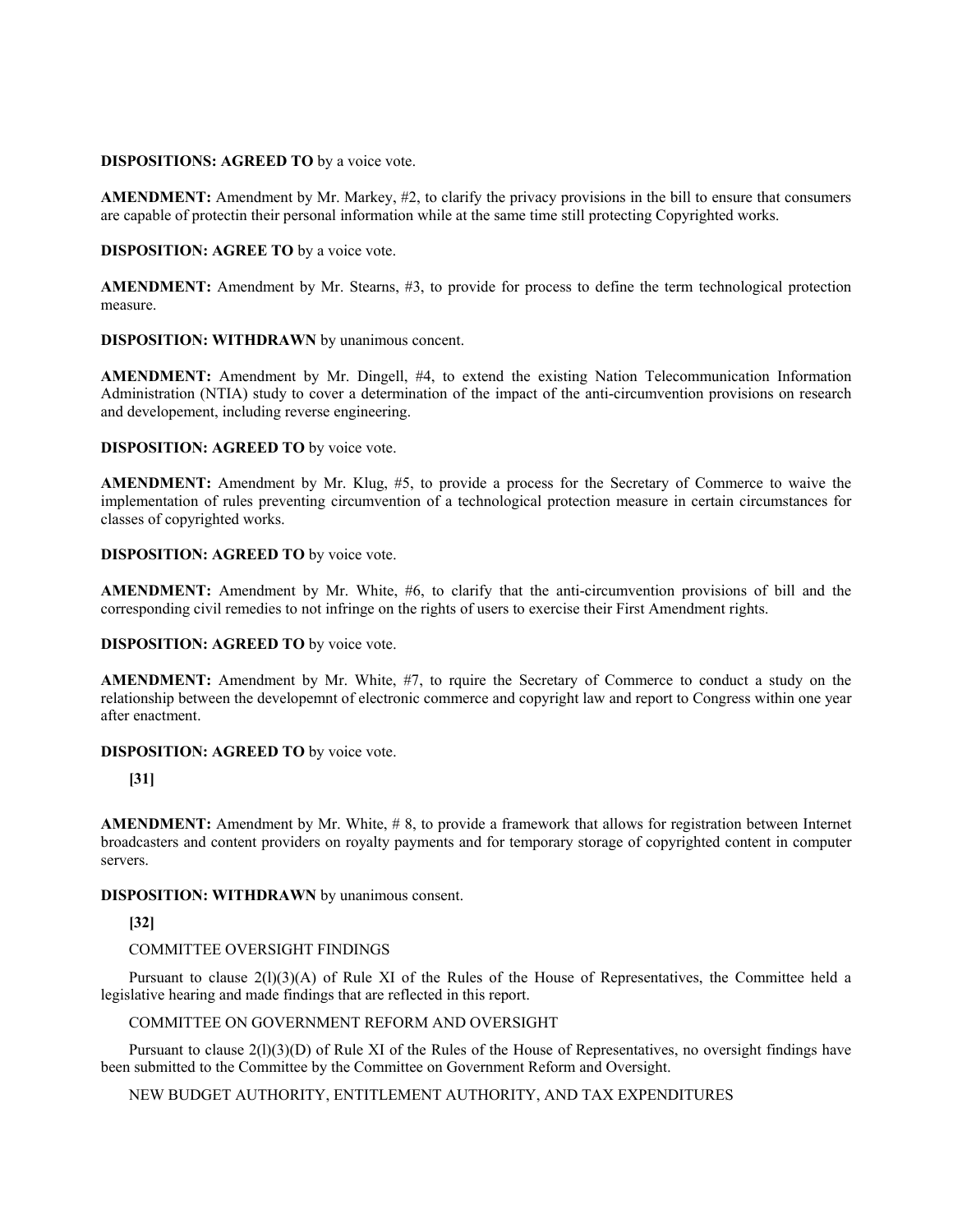# **DISPOSITIONS: AGREED TO** by a voice vote.

**AMENDMENT:** Amendment by Mr. Markey, #2, to clarify the privacy provisions in the bill to ensure that consumers are capable of protectin their personal information while at the same time still protecting Copyrighted works.

# **DISPOSITION: AGREE TO** by a voice vote.

**AMENDMENT:** Amendment by Mr. Stearns, #3, to provide for process to define the term technological protection measure.

**DISPOSITION: WITHDRAWN** by unanimous concent.

**AMENDMENT:** Amendment by Mr. Dingell, #4, to extend the existing Nation Telecommunication Information Administration (NTIA) study to cover a determination of the impact of the anti-circumvention provisions on research and developement, including reverse engineering.

**DISPOSITION: AGREED TO** by voice vote.

**AMENDMENT:** Amendment by Mr. Klug, #5, to provide a process for the Secretary of Commerce to waive the implementation of rules preventing circumvention of a technological protection measure in certain circumstances for classes of copyrighted works.

# **DISPOSITION: AGREED TO** by voice vote.

**AMENDMENT:** Amendment by Mr. White, #6, to clarify that the anti-circumvention provisions of bill and the corresponding civil remedies to not infringe on the rights of users to exercise their First Amendment rights.

**DISPOSITION: AGREED TO** by voice vote.

AMENDMENT: Amendment by Mr. White, #7, to rquire the Secretary of Commerce to conduct a study on the relationship between the developemnt of electronic commerce and copyright law and report to Congress within one year after enactment.

# **DISPOSITION: AGREED TO** by voice vote.

**[31]**

**AMENDMENT:** Amendment by Mr. White, # 8, to provide a framework that allows for registration between Internet broadcasters and content providers on royalty payments and for temporary storage of copyrighted content in computer servers.

**DISPOSITION: WITHDRAWN** by unanimous consent.

**[32]**

# COMMITTEE OVERSIGHT FINDINGS

Pursuant to clause 2(l)(3)(A) of Rule XI of the Rules of the House of Representatives, the Committee held a legislative hearing and made findings that are reflected in this report.

COMMITTEE ON GOVERNMENT REFORM AND OVERSIGHT

Pursuant to clause 2(l)(3)(D) of Rule XI of the Rules of the House of Representatives, no oversight findings have been submitted to the Committee by the Committee on Government Reform and Oversight.

NEW BUDGET AUTHORITY, ENTITLEMENT AUTHORITY, AND TAX EXPENDITURES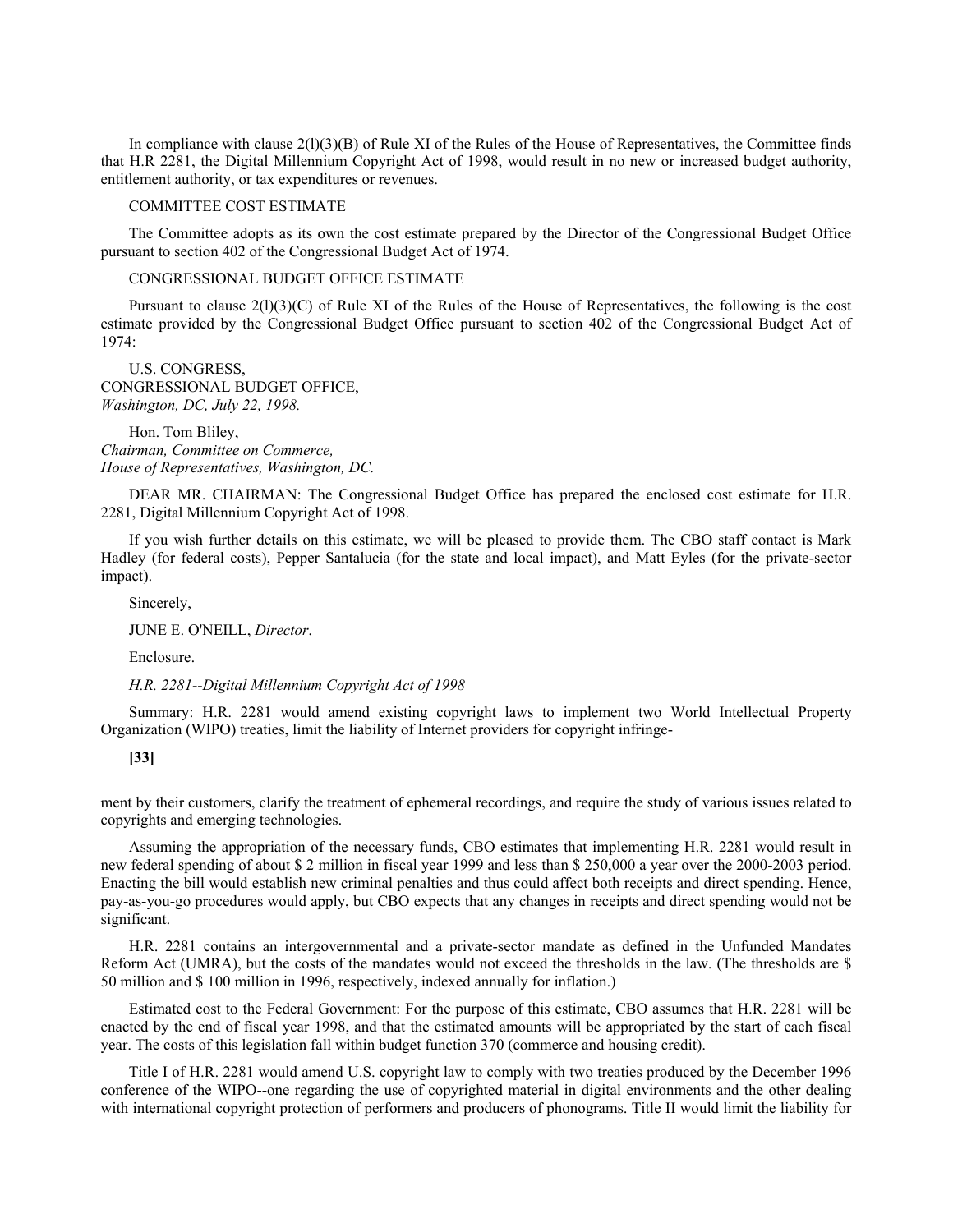In compliance with clause  $2(1)(3)(B)$  of Rule XI of the Rules of the House of Representatives, the Committee finds that H.R 2281, the Digital Millennium Copyright Act of 1998, would result in no new or increased budget authority, entitlement authority, or tax expenditures or revenues.

### COMMITTEE COST ESTIMATE

The Committee adopts as its own the cost estimate prepared by the Director of the Congressional Budget Office pursuant to section 402 of the Congressional Budget Act of 1974.

#### CONGRESSIONAL BUDGET OFFICE ESTIMATE

Pursuant to clause 2(l)(3)(C) of Rule XI of the Rules of the House of Representatives, the following is the cost estimate provided by the Congressional Budget Office pursuant to section 402 of the Congressional Budget Act of 1974:

U.S. CONGRESS, CONGRESSIONAL BUDGET OFFICE, *Washington, DC, July 22, 1998.*

Hon. Tom Bliley, *Chairman, Committee on Commerce, House of Representatives, Washington, DC.*

DEAR MR. CHAIRMAN: The Congressional Budget Office has prepared the enclosed cost estimate for H.R. 2281, Digital Millennium Copyright Act of 1998.

If you wish further details on this estimate, we will be pleased to provide them. The CBO staff contact is Mark Hadley (for federal costs), Pepper Santalucia (for the state and local impact), and Matt Eyles (for the private-sector impact).

Sincerely,

JUNE E. O'NEILL, *Director*.

Enclosure.

*H.R. 2281--Digital Millennium Copyright Act of 1998*

Summary: H.R. 2281 would amend existing copyright laws to implement two World Intellectual Property Organization (WIPO) treaties, limit the liability of Internet providers for copyright infringe-

### **[33]**

ment by their customers, clarify the treatment of ephemeral recordings, and require the study of various issues related to copyrights and emerging technologies.

Assuming the appropriation of the necessary funds, CBO estimates that implementing H.R. 2281 would result in new federal spending of about \$ 2 million in fiscal year 1999 and less than \$ 250,000 a year over the 2000-2003 period. Enacting the bill would establish new criminal penalties and thus could affect both receipts and direct spending. Hence, pay-as-you-go procedures would apply, but CBO expects that any changes in receipts and direct spending would not be significant.

H.R. 2281 contains an intergovernmental and a private-sector mandate as defined in the Unfunded Mandates Reform Act (UMRA), but the costs of the mandates would not exceed the thresholds in the law. (The thresholds are \$ 50 million and \$ 100 million in 1996, respectively, indexed annually for inflation.)

Estimated cost to the Federal Government: For the purpose of this estimate, CBO assumes that H.R. 2281 will be enacted by the end of fiscal year 1998, and that the estimated amounts will be appropriated by the start of each fiscal year. The costs of this legislation fall within budget function 370 (commerce and housing credit).

Title I of H.R. 2281 would amend U.S. copyright law to comply with two treaties produced by the December 1996 conference of the WIPO--one regarding the use of copyrighted material in digital environments and the other dealing with international copyright protection of performers and producers of phonograms. Title II would limit the liability for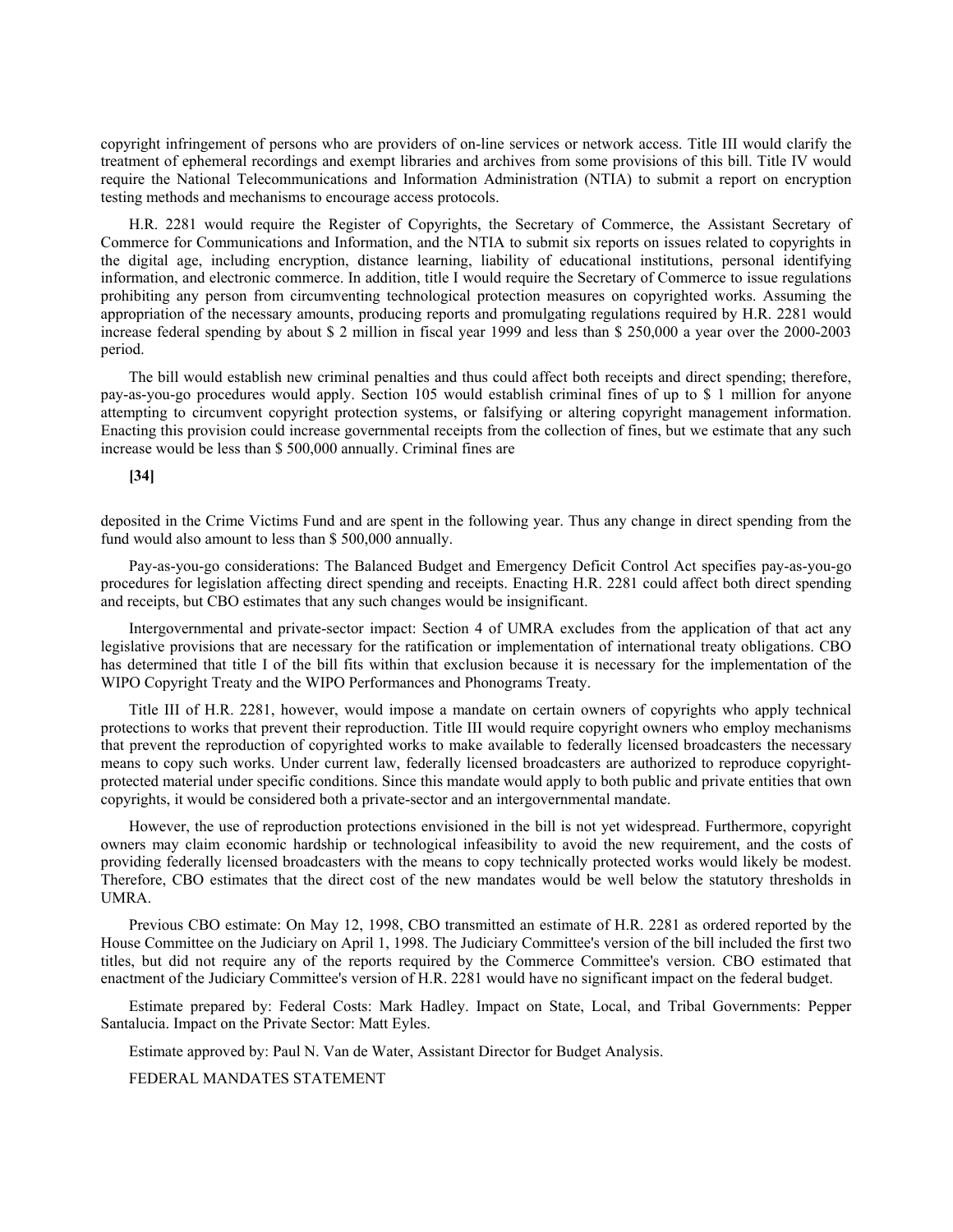copyright infringement of persons who are providers of on-line services or network access. Title III would clarify the treatment of ephemeral recordings and exempt libraries and archives from some provisions of this bill. Title IV would require the National Telecommunications and Information Administration (NTIA) to submit a report on encryption testing methods and mechanisms to encourage access protocols.

H.R. 2281 would require the Register of Copyrights, the Secretary of Commerce, the Assistant Secretary of Commerce for Communications and Information, and the NTIA to submit six reports on issues related to copyrights in the digital age, including encryption, distance learning, liability of educational institutions, personal identifying information, and electronic commerce. In addition, title I would require the Secretary of Commerce to issue regulations prohibiting any person from circumventing technological protection measures on copyrighted works. Assuming the appropriation of the necessary amounts, producing reports and promulgating regulations required by H.R. 2281 would increase federal spending by about \$ 2 million in fiscal year 1999 and less than \$ 250,000 a year over the 2000-2003 period.

The bill would establish new criminal penalties and thus could affect both receipts and direct spending; therefore, pay-as-you-go procedures would apply. Section 105 would establish criminal fines of up to \$ 1 million for anyone attempting to circumvent copyright protection systems, or falsifying or altering copyright management information. Enacting this provision could increase governmental receipts from the collection of fines, but we estimate that any such increase would be less than \$ 500,000 annually. Criminal fines are

**[34]**

deposited in the Crime Victims Fund and are spent in the following year. Thus any change in direct spending from the fund would also amount to less than \$ 500,000 annually.

Pay-as-you-go considerations: The Balanced Budget and Emergency Deficit Control Act specifies pay-as-you-go procedures for legislation affecting direct spending and receipts. Enacting H.R. 2281 could affect both direct spending and receipts, but CBO estimates that any such changes would be insignificant.

Intergovernmental and private-sector impact: Section 4 of UMRA excludes from the application of that act any legislative provisions that are necessary for the ratification or implementation of international treaty obligations. CBO has determined that title I of the bill fits within that exclusion because it is necessary for the implementation of the WIPO Copyright Treaty and the WIPO Performances and Phonograms Treaty.

Title III of H.R. 2281, however, would impose a mandate on certain owners of copyrights who apply technical protections to works that prevent their reproduction. Title III would require copyright owners who employ mechanisms that prevent the reproduction of copyrighted works to make available to federally licensed broadcasters the necessary means to copy such works. Under current law, federally licensed broadcasters are authorized to reproduce copyrightprotected material under specific conditions. Since this mandate would apply to both public and private entities that own copyrights, it would be considered both a private-sector and an intergovernmental mandate.

However, the use of reproduction protections envisioned in the bill is not yet widespread. Furthermore, copyright owners may claim economic hardship or technological infeasibility to avoid the new requirement, and the costs of providing federally licensed broadcasters with the means to copy technically protected works would likely be modest. Therefore, CBO estimates that the direct cost of the new mandates would be well below the statutory thresholds in UMRA.

Previous CBO estimate: On May 12, 1998, CBO transmitted an estimate of H.R. 2281 as ordered reported by the House Committee on the Judiciary on April 1, 1998. The Judiciary Committee's version of the bill included the first two titles, but did not require any of the reports required by the Commerce Committee's version. CBO estimated that enactment of the Judiciary Committee's version of H.R. 2281 would have no significant impact on the federal budget.

Estimate prepared by: Federal Costs: Mark Hadley. Impact on State, Local, and Tribal Governments: Pepper Santalucia. Impact on the Private Sector: Matt Eyles.

Estimate approved by: Paul N. Van de Water, Assistant Director for Budget Analysis.

FEDERAL MANDATES STATEMENT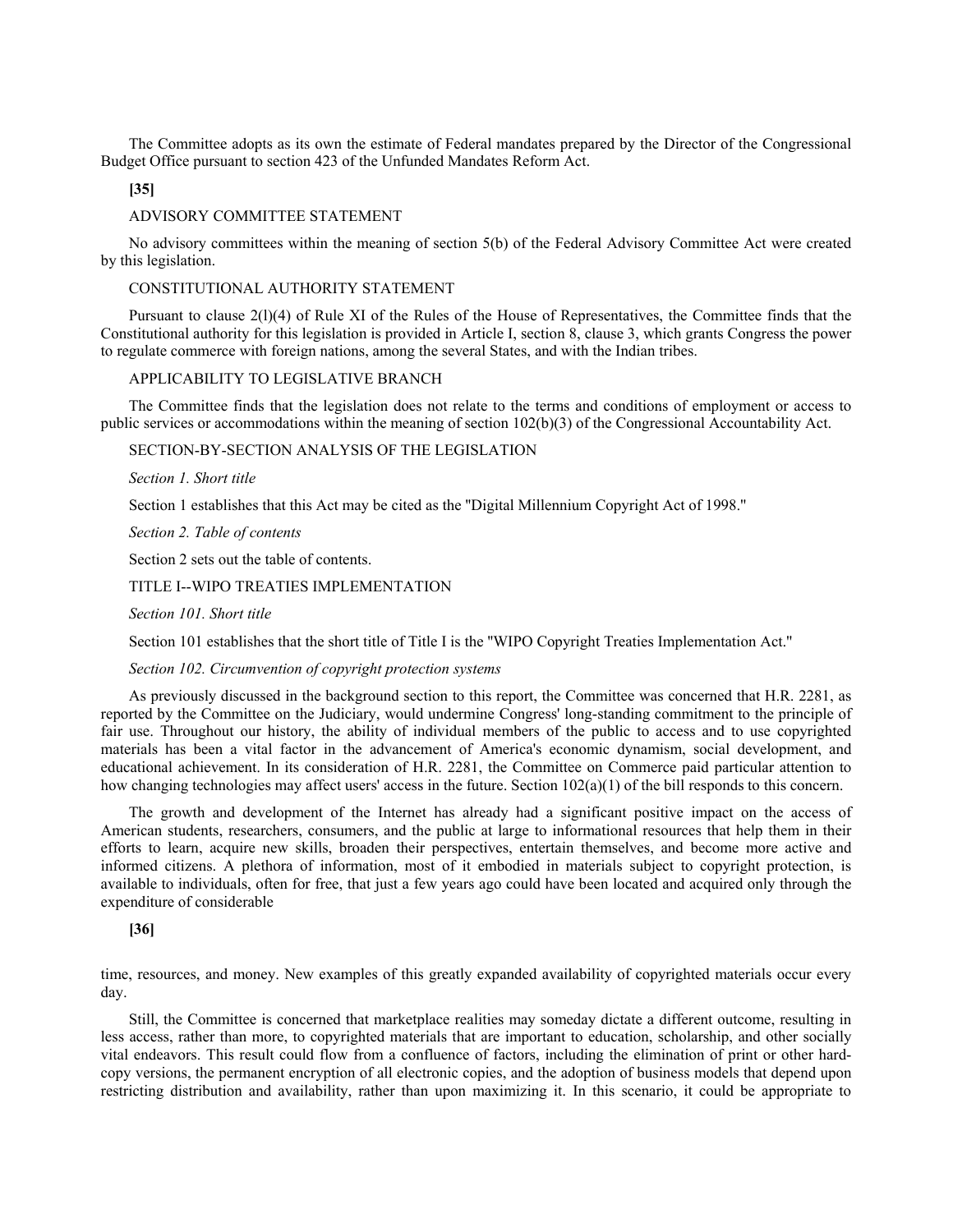The Committee adopts as its own the estimate of Federal mandates prepared by the Director of the Congressional Budget Office pursuant to section 423 of the Unfunded Mandates Reform Act.

**[35]**

### ADVISORY COMMITTEE STATEMENT

No advisory committees within the meaning of section 5(b) of the Federal Advisory Committee Act were created by this legislation.

#### CONSTITUTIONAL AUTHORITY STATEMENT

Pursuant to clause 2(l)(4) of Rule XI of the Rules of the House of Representatives, the Committee finds that the Constitutional authority for this legislation is provided in Article I, section 8, clause 3, which grants Congress the power to regulate commerce with foreign nations, among the several States, and with the Indian tribes.

### APPLICABILITY TO LEGISLATIVE BRANCH

The Committee finds that the legislation does not relate to the terms and conditions of employment or access to public services or accommodations within the meaning of section 102(b)(3) of the Congressional Accountability Act.

SECTION-BY-SECTION ANALYSIS OF THE LEGISLATION

*Section 1. Short title*

Section 1 establishes that this Act may be cited as the ''Digital Millennium Copyright Act of 1998.''

*Section 2. Table of contents*

Section 2 sets out the table of contents.

TITLE I--WIPO TREATIES IMPLEMENTATION

*Section 101. Short title*

Section 101 establishes that the short title of Title I is the ''WIPO Copyright Treaties Implementation Act.''

*Section 102. Circumvention of copyright protection systems*

As previously discussed in the background section to this report, the Committee was concerned that H.R. 2281, as reported by the Committee on the Judiciary, would undermine Congress' long-standing commitment to the principle of fair use. Throughout our history, the ability of individual members of the public to access and to use copyrighted materials has been a vital factor in the advancement of America's economic dynamism, social development, and educational achievement. In its consideration of H.R. 2281, the Committee on Commerce paid particular attention to how changing technologies may affect users' access in the future. Section  $102(a)(1)$  of the bill responds to this concern.

The growth and development of the Internet has already had a significant positive impact on the access of American students, researchers, consumers, and the public at large to informational resources that help them in their efforts to learn, acquire new skills, broaden their perspectives, entertain themselves, and become more active and informed citizens. A plethora of information, most of it embodied in materials subject to copyright protection, is available to individuals, often for free, that just a few years ago could have been located and acquired only through the expenditure of considerable

# **[36]**

time, resources, and money. New examples of this greatly expanded availability of copyrighted materials occur every day.

Still, the Committee is concerned that marketplace realities may someday dictate a different outcome, resulting in less access, rather than more, to copyrighted materials that are important to education, scholarship, and other socially vital endeavors. This result could flow from a confluence of factors, including the elimination of print or other hardcopy versions, the permanent encryption of all electronic copies, and the adoption of business models that depend upon restricting distribution and availability, rather than upon maximizing it. In this scenario, it could be appropriate to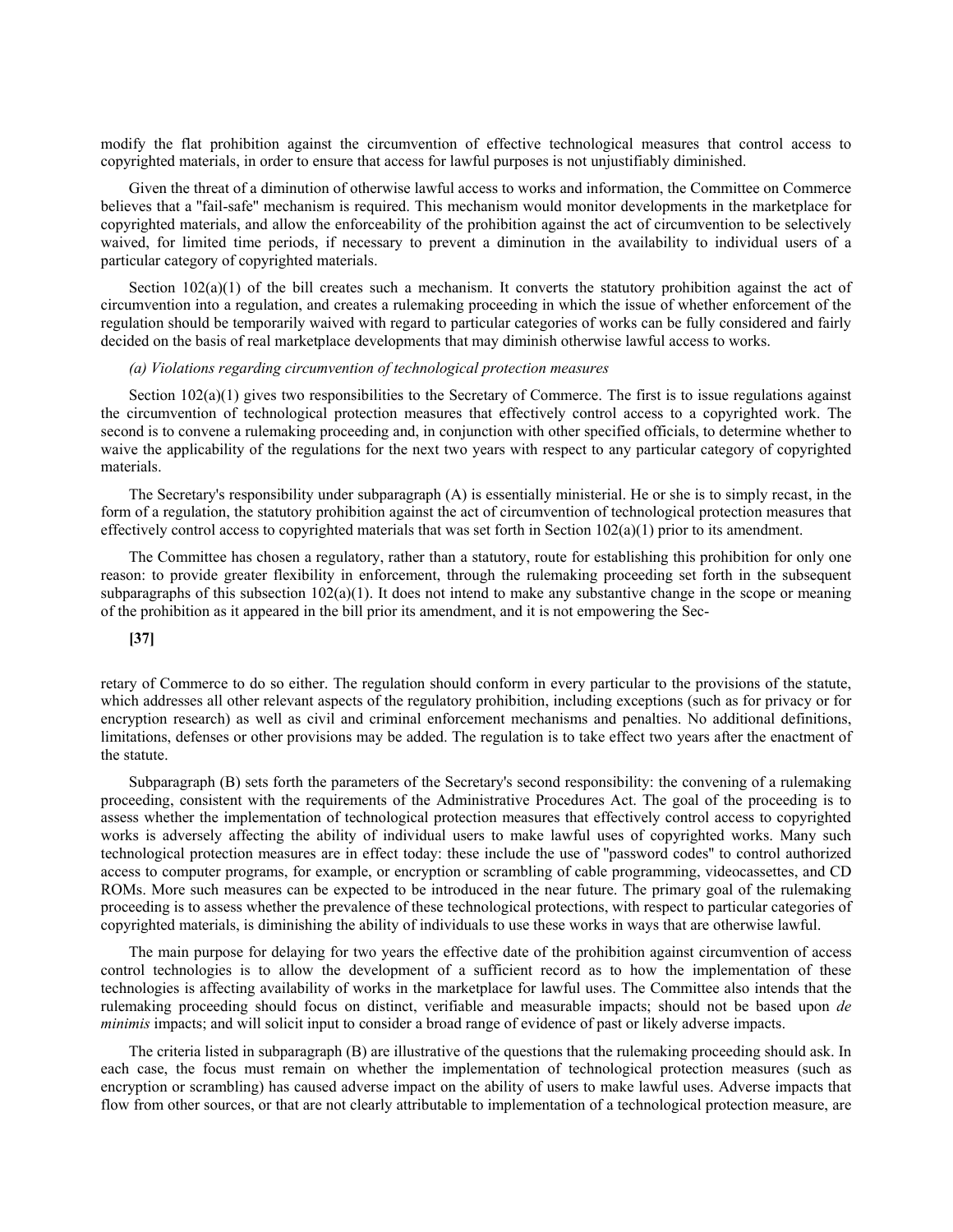modify the flat prohibition against the circumvention of effective technological measures that control access to copyrighted materials, in order to ensure that access for lawful purposes is not unjustifiably diminished.

Given the threat of a diminution of otherwise lawful access to works and information, the Committee on Commerce believes that a ''fail-safe'' mechanism is required. This mechanism would monitor developments in the marketplace for copyrighted materials, and allow the enforceability of the prohibition against the act of circumvention to be selectively waived, for limited time periods, if necessary to prevent a diminution in the availability to individual users of a particular category of copyrighted materials.

Section  $102(a)(1)$  of the bill creates such a mechanism. It converts the statutory prohibition against the act of circumvention into a regulation, and creates a rulemaking proceeding in which the issue of whether enforcement of the regulation should be temporarily waived with regard to particular categories of works can be fully considered and fairly decided on the basis of real marketplace developments that may diminish otherwise lawful access to works.

#### *(a) Violations regarding circumvention of technological protection measures*

Section 102(a)(1) gives two responsibilities to the Secretary of Commerce. The first is to issue regulations against the circumvention of technological protection measures that effectively control access to a copyrighted work. The second is to convene a rulemaking proceeding and, in conjunction with other specified officials, to determine whether to waive the applicability of the regulations for the next two years with respect to any particular category of copyrighted materials.

The Secretary's responsibility under subparagraph (A) is essentially ministerial. He or she is to simply recast, in the form of a regulation, the statutory prohibition against the act of circumvention of technological protection measures that effectively control access to copyrighted materials that was set forth in Section  $102(a)(1)$  prior to its amendment.

The Committee has chosen a regulatory, rather than a statutory, route for establishing this prohibition for only one reason: to provide greater flexibility in enforcement, through the rulemaking proceeding set forth in the subsequent subparagraphs of this subsection  $102(a)(1)$ . It does not intend to make any substantive change in the scope or meaning of the prohibition as it appeared in the bill prior its amendment, and it is not empowering the Sec-

### **[37]**

retary of Commerce to do so either. The regulation should conform in every particular to the provisions of the statute, which addresses all other relevant aspects of the regulatory prohibition, including exceptions (such as for privacy or for encryption research) as well as civil and criminal enforcement mechanisms and penalties. No additional definitions, limitations, defenses or other provisions may be added. The regulation is to take effect two years after the enactment of the statute.

Subparagraph (B) sets forth the parameters of the Secretary's second responsibility: the convening of a rulemaking proceeding, consistent with the requirements of the Administrative Procedures Act. The goal of the proceeding is to assess whether the implementation of technological protection measures that effectively control access to copyrighted works is adversely affecting the ability of individual users to make lawful uses of copyrighted works. Many such technological protection measures are in effect today: these include the use of ''password codes'' to control authorized access to computer programs, for example, or encryption or scrambling of cable programming, videocassettes, and CD ROMs. More such measures can be expected to be introduced in the near future. The primary goal of the rulemaking proceeding is to assess whether the prevalence of these technological protections, with respect to particular categories of copyrighted materials, is diminishing the ability of individuals to use these works in ways that are otherwise lawful.

The main purpose for delaying for two years the effective date of the prohibition against circumvention of access control technologies is to allow the development of a sufficient record as to how the implementation of these technologies is affecting availability of works in the marketplace for lawful uses. The Committee also intends that the rulemaking proceeding should focus on distinct, verifiable and measurable impacts; should not be based upon *de minimis* impacts; and will solicit input to consider a broad range of evidence of past or likely adverse impacts.

The criteria listed in subparagraph (B) are illustrative of the questions that the rulemaking proceeding should ask. In each case, the focus must remain on whether the implementation of technological protection measures (such as encryption or scrambling) has caused adverse impact on the ability of users to make lawful uses. Adverse impacts that flow from other sources, or that are not clearly attributable to implementation of a technological protection measure, are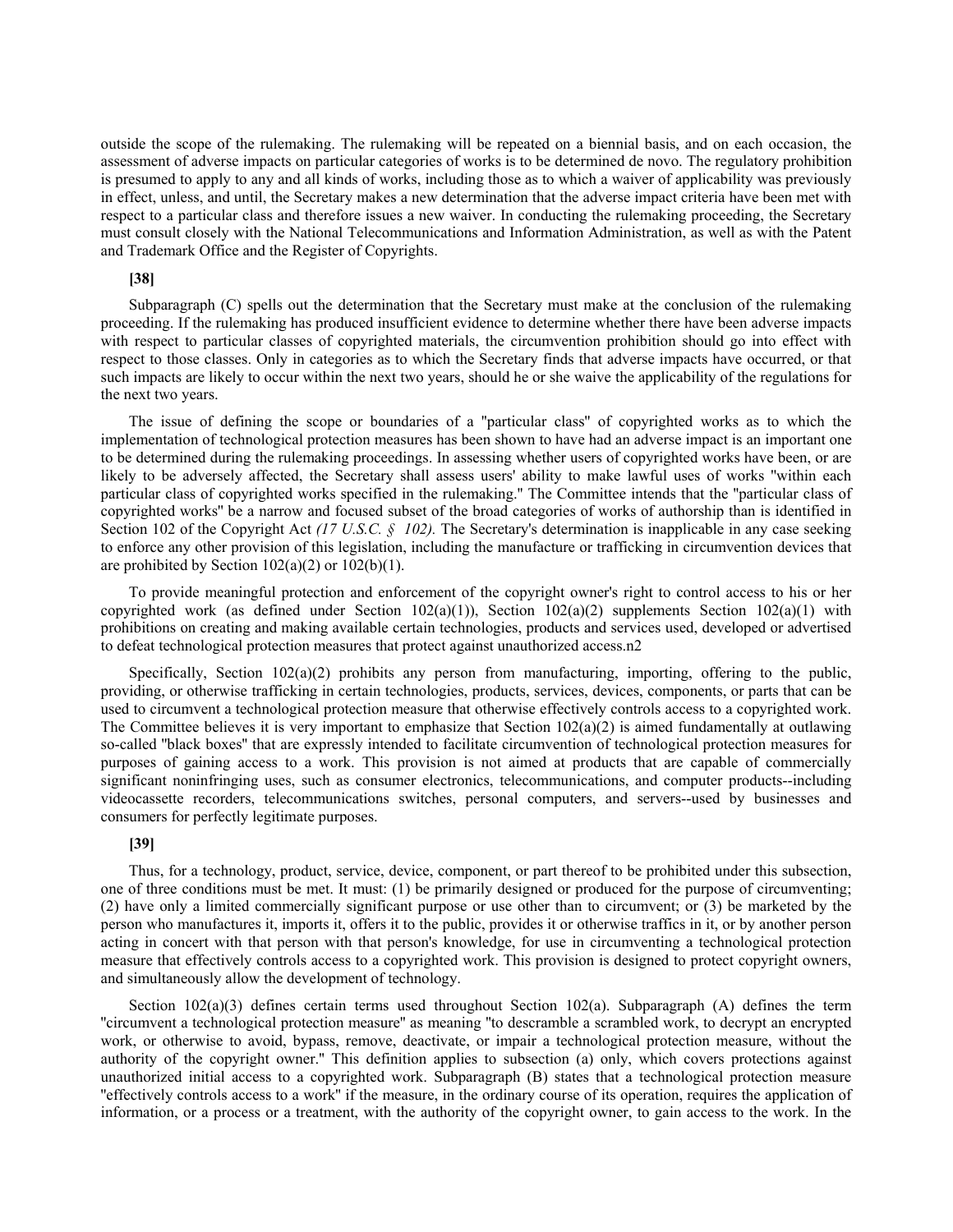outside the scope of the rulemaking. The rulemaking will be repeated on a biennial basis, and on each occasion, the assessment of adverse impacts on particular categories of works is to be determined de novo. The regulatory prohibition is presumed to apply to any and all kinds of works, including those as to which a waiver of applicability was previously in effect, unless, and until, the Secretary makes a new determination that the adverse impact criteria have been met with respect to a particular class and therefore issues a new waiver. In conducting the rulemaking proceeding, the Secretary must consult closely with the National Telecommunications and Information Administration, as well as with the Patent and Trademark Office and the Register of Copyrights.

## **[38]**

Subparagraph (C) spells out the determination that the Secretary must make at the conclusion of the rulemaking proceeding. If the rulemaking has produced insufficient evidence to determine whether there have been adverse impacts with respect to particular classes of copyrighted materials, the circumvention prohibition should go into effect with respect to those classes. Only in categories as to which the Secretary finds that adverse impacts have occurred, or that such impacts are likely to occur within the next two years, should he or she waive the applicability of the regulations for the next two years.

The issue of defining the scope or boundaries of a ''particular class'' of copyrighted works as to which the implementation of technological protection measures has been shown to have had an adverse impact is an important one to be determined during the rulemaking proceedings. In assessing whether users of copyrighted works have been, or are likely to be adversely affected, the Secretary shall assess users' ability to make lawful uses of works ''within each particular class of copyrighted works specified in the rulemaking.'' The Committee intends that the ''particular class of copyrighted works'' be a narrow and focused subset of the broad categories of works of authorship than is identified in Section 102 of the Copyright Act  $(17 \text{ U.S. C. } \S 102)$ . The Secretary's determination is inapplicable in any case seeking to enforce any other provision of this legislation, including the manufacture or trafficking in circumvention devices that are prohibited by Section  $102(a)(2)$  or  $102(b)(1)$ .

To provide meaningful protection and enforcement of the copyright owner's right to control access to his or her copyrighted work (as defined under Section 102(a)(1)), Section 102(a)(2) supplements Section 102(a)(1) with prohibitions on creating and making available certain technologies, products and services used, developed or advertised to defeat technological protection measures that protect against unauthorized access.n2

Specifically, Section  $102(a)(2)$  prohibits any person from manufacturing, importing, offering to the public, providing, or otherwise trafficking in certain technologies, products, services, devices, components, or parts that can be used to circumvent a technological protection measure that otherwise effectively controls access to a copyrighted work. The Committee believes it is very important to emphasize that Section  $102(a)(2)$  is aimed fundamentally at outlawing so-called ''black boxes'' that are expressly intended to facilitate circumvention of technological protection measures for purposes of gaining access to a work. This provision is not aimed at products that are capable of commercially significant noninfringing uses, such as consumer electronics, telecommunications, and computer products--including videocassette recorders, telecommunications switches, personal computers, and servers--used by businesses and consumers for perfectly legitimate purposes.

# **[39]**

Thus, for a technology, product, service, device, component, or part thereof to be prohibited under this subsection, one of three conditions must be met. It must: (1) be primarily designed or produced for the purpose of circumventing; (2) have only a limited commercially significant purpose or use other than to circumvent; or (3) be marketed by the person who manufactures it, imports it, offers it to the public, provides it or otherwise traffics in it, or by another person acting in concert with that person with that person's knowledge, for use in circumventing a technological protection measure that effectively controls access to a copyrighted work. This provision is designed to protect copyright owners, and simultaneously allow the development of technology.

Section 102(a)(3) defines certain terms used throughout Section 102(a). Subparagraph (A) defines the term ''circumvent a technological protection measure'' as meaning ''to descramble a scrambled work, to decrypt an encrypted work, or otherwise to avoid, bypass, remove, deactivate, or impair a technological protection measure, without the authority of the copyright owner.'' This definition applies to subsection (a) only, which covers protections against unauthorized initial access to a copyrighted work. Subparagraph (B) states that a technological protection measure "effectively controls access to a work" if the measure, in the ordinary course of its operation, requires the application of information, or a process or a treatment, with the authority of the copyright owner, to gain access to the work. In the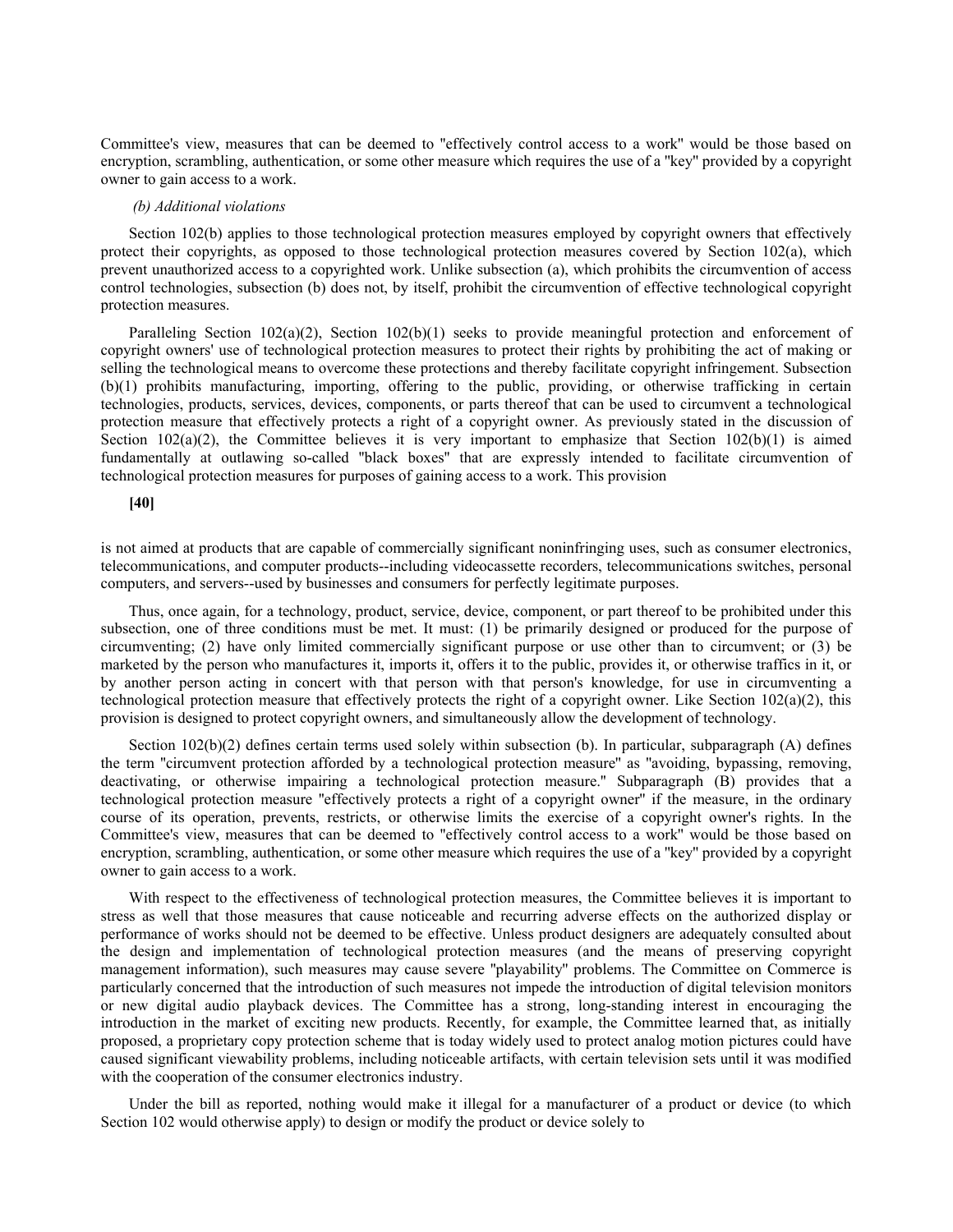Committee's view, measures that can be deemed to ''effectively control access to a work'' would be those based on encryption, scrambling, authentication, or some other measure which requires the use of a ''key'' provided by a copyright owner to gain access to a work.

# *(b) Additional violations*

Section 102(b) applies to those technological protection measures employed by copyright owners that effectively protect their copyrights, as opposed to those technological protection measures covered by Section 102(a), which prevent unauthorized access to a copyrighted work. Unlike subsection (a), which prohibits the circumvention of access control technologies, subsection (b) does not, by itself, prohibit the circumvention of effective technological copyright protection measures.

Paralleling Section 102(a)(2), Section 102(b)(1) seeks to provide meaningful protection and enforcement of copyright owners' use of technological protection measures to protect their rights by prohibiting the act of making or selling the technological means to overcome these protections and thereby facilitate copyright infringement. Subsection (b)(1) prohibits manufacturing, importing, offering to the public, providing, or otherwise trafficking in certain technologies, products, services, devices, components, or parts thereof that can be used to circumvent a technological protection measure that effectively protects a right of a copyright owner. As previously stated in the discussion of Section  $102(a)(2)$ , the Committee believes it is very important to emphasize that Section  $102(b)(1)$  is aimed fundamentally at outlawing so-called ''black boxes'' that are expressly intended to facilitate circumvention of technological protection measures for purposes of gaining access to a work. This provision

# **[40]**

is not aimed at products that are capable of commercially significant noninfringing uses, such as consumer electronics, telecommunications, and computer products--including videocassette recorders, telecommunications switches, personal computers, and servers--used by businesses and consumers for perfectly legitimate purposes.

Thus, once again, for a technology, product, service, device, component, or part thereof to be prohibited under this subsection, one of three conditions must be met. It must: (1) be primarily designed or produced for the purpose of circumventing; (2) have only limited commercially significant purpose or use other than to circumvent; or (3) be marketed by the person who manufactures it, imports it, offers it to the public, provides it, or otherwise traffics in it, or by another person acting in concert with that person with that person's knowledge, for use in circumventing a technological protection measure that effectively protects the right of a copyright owner. Like Section 102(a)(2), this provision is designed to protect copyright owners, and simultaneously allow the development of technology.

Section 102(b)(2) defines certain terms used solely within subsection (b). In particular, subparagraph (A) defines the term ''circumvent protection afforded by a technological protection measure'' as ''avoiding, bypassing, removing, deactivating, or otherwise impairing a technological protection measure.'' Subparagraph (B) provides that a technological protection measure ''effectively protects a right of a copyright owner'' if the measure, in the ordinary course of its operation, prevents, restricts, or otherwise limits the exercise of a copyright owner's rights. In the Committee's view, measures that can be deemed to ''effectively control access to a work'' would be those based on encryption, scrambling, authentication, or some other measure which requires the use of a ''key'' provided by a copyright owner to gain access to a work.

With respect to the effectiveness of technological protection measures, the Committee believes it is important to stress as well that those measures that cause noticeable and recurring adverse effects on the authorized display or performance of works should not be deemed to be effective. Unless product designers are adequately consulted about the design and implementation of technological protection measures (and the means of preserving copyright management information), such measures may cause severe ''playability'' problems. The Committee on Commerce is particularly concerned that the introduction of such measures not impede the introduction of digital television monitors or new digital audio playback devices. The Committee has a strong, long-standing interest in encouraging the introduction in the market of exciting new products. Recently, for example, the Committee learned that, as initially proposed, a proprietary copy protection scheme that is today widely used to protect analog motion pictures could have caused significant viewability problems, including noticeable artifacts, with certain television sets until it was modified with the cooperation of the consumer electronics industry.

Under the bill as reported, nothing would make it illegal for a manufacturer of a product or device (to which Section 102 would otherwise apply) to design or modify the product or device solely to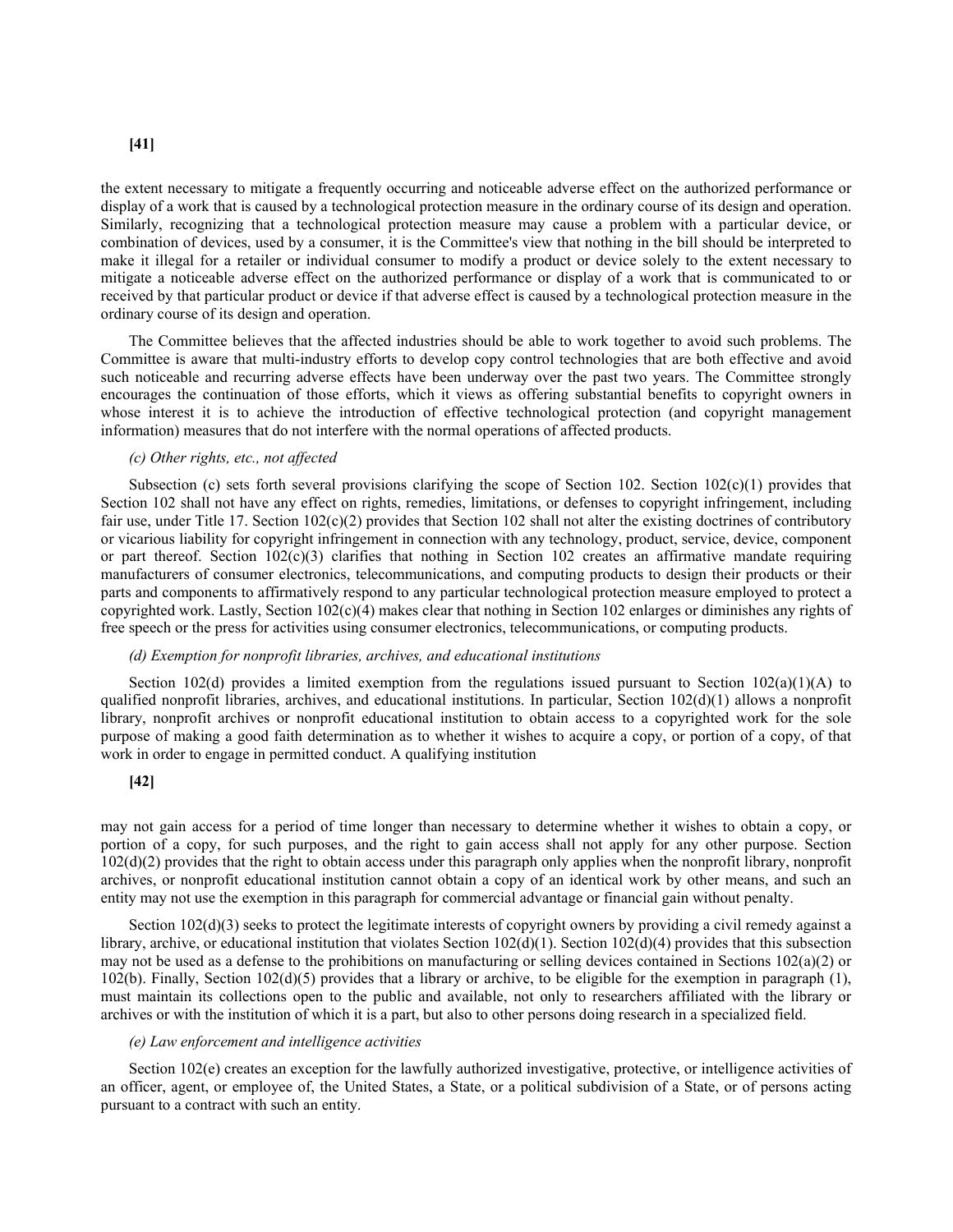# the extent necessary to mitigate a frequently occurring and noticeable adverse effect on the authorized performance or

display of a work that is caused by a technological protection measure in the ordinary course of its design and operation. Similarly, recognizing that a technological protection measure may cause a problem with a particular device, or combination of devices, used by a consumer, it is the Committee's view that nothing in the bill should be interpreted to make it illegal for a retailer or individual consumer to modify a product or device solely to the extent necessary to mitigate a noticeable adverse effect on the authorized performance or display of a work that is communicated to or received by that particular product or device if that adverse effect is caused by a technological protection measure in the ordinary course of its design and operation.

The Committee believes that the affected industries should be able to work together to avoid such problems. The Committee is aware that multi-industry efforts to develop copy control technologies that are both effective and avoid such noticeable and recurring adverse effects have been underway over the past two years. The Committee strongly encourages the continuation of those efforts, which it views as offering substantial benefits to copyright owners in whose interest it is to achieve the introduction of effective technological protection (and copyright management information) measures that do not interfere with the normal operations of affected products.

# *(c) Other rights, etc., not affected*

Subsection (c) sets forth several provisions clarifying the scope of Section 102. Section  $102(c)(1)$  provides that Section 102 shall not have any effect on rights, remedies, limitations, or defenses to copyright infringement, including fair use, under Title 17. Section  $102(c)(2)$  provides that Section 102 shall not alter the existing doctrines of contributory or vicarious liability for copyright infringement in connection with any technology, product, service, device, component or part thereof. Section  $102(c)(3)$  clarifies that nothing in Section 102 creates an affirmative mandate requiring manufacturers of consumer electronics, telecommunications, and computing products to design their products or their parts and components to affirmatively respond to any particular technological protection measure employed to protect a copyrighted work. Lastly, Section  $102(c)(4)$  makes clear that nothing in Section 102 enlarges or diminishes any rights of free speech or the press for activities using consumer electronics, telecommunications, or computing products.

## *(d) Exemption for nonprofit libraries, archives, and educational institutions*

Section 102(d) provides a limited exemption from the regulations issued pursuant to Section 102(a)(1)(A) to qualified nonprofit libraries, archives, and educational institutions. In particular, Section 102(d)(1) allows a nonprofit library, nonprofit archives or nonprofit educational institution to obtain access to a copyrighted work for the sole purpose of making a good faith determination as to whether it wishes to acquire a copy, or portion of a copy, of that work in order to engage in permitted conduct. A qualifying institution

# **[42]**

may not gain access for a period of time longer than necessary to determine whether it wishes to obtain a copy, or portion of a copy, for such purposes, and the right to gain access shall not apply for any other purpose. Section  $102(d)(2)$  provides that the right to obtain access under this paragraph only applies when the nonprofit library, nonprofit archives, or nonprofit educational institution cannot obtain a copy of an identical work by other means, and such an entity may not use the exemption in this paragraph for commercial advantage or financial gain without penalty.

Section 102(d)(3) seeks to protect the legitimate interests of copyright owners by providing a civil remedy against a library, archive, or educational institution that violates Section  $102(d)(1)$ . Section  $102(d)(4)$  provides that this subsection may not be used as a defense to the prohibitions on manufacturing or selling devices contained in Sections  $102(a)(2)$  or  $102(b)$ . Finally, Section  $102(d)(5)$  provides that a library or archive, to be eligible for the exemption in paragraph (1), must maintain its collections open to the public and available, not only to researchers affiliated with the library or archives or with the institution of which it is a part, but also to other persons doing research in a specialized field.

## *(e) Law enforcement and intelligence activities*

Section 102(e) creates an exception for the lawfully authorized investigative, protective, or intelligence activities of an officer, agent, or employee of, the United States, a State, or a political subdivision of a State, or of persons acting pursuant to a contract with such an entity.

# **[41]**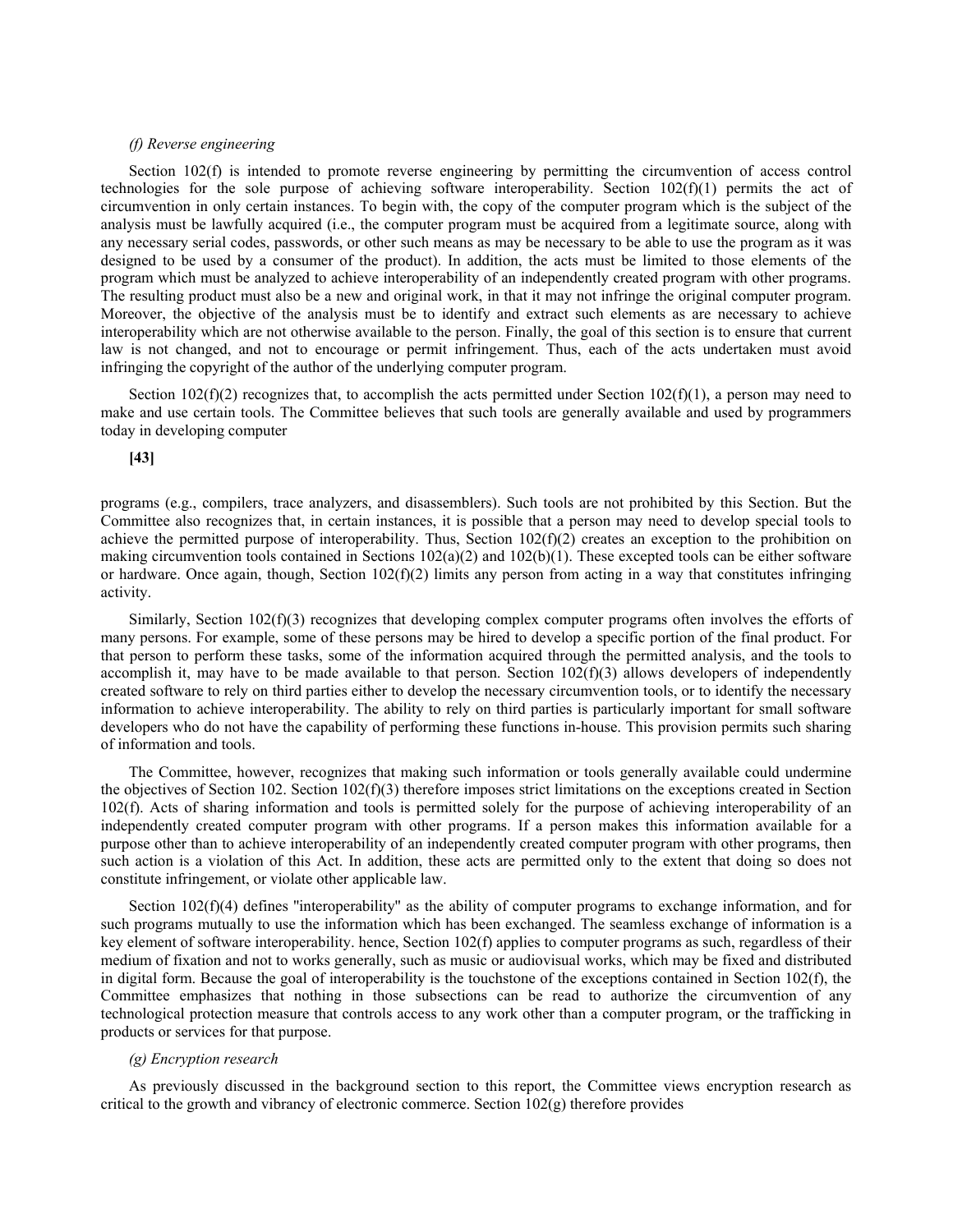## *(f) Reverse engineering*

Section 102(f) is intended to promote reverse engineering by permitting the circumvention of access control technologies for the sole purpose of achieving software interoperability. Section  $102(f)(1)$  permits the act of circumvention in only certain instances. To begin with, the copy of the computer program which is the subject of the analysis must be lawfully acquired (i.e., the computer program must be acquired from a legitimate source, along with any necessary serial codes, passwords, or other such means as may be necessary to be able to use the program as it was designed to be used by a consumer of the product). In addition, the acts must be limited to those elements of the program which must be analyzed to achieve interoperability of an independently created program with other programs. The resulting product must also be a new and original work, in that it may not infringe the original computer program. Moreover, the objective of the analysis must be to identify and extract such elements as are necessary to achieve interoperability which are not otherwise available to the person. Finally, the goal of this section is to ensure that current law is not changed, and not to encourage or permit infringement. Thus, each of the acts undertaken must avoid infringing the copyright of the author of the underlying computer program.

Section  $102(f)(2)$  recognizes that, to accomplish the acts permitted under Section  $102(f)(1)$ , a person may need to make and use certain tools. The Committee believes that such tools are generally available and used by programmers today in developing computer

**[43]**

programs (e.g., compilers, trace analyzers, and disassemblers). Such tools are not prohibited by this Section. But the Committee also recognizes that, in certain instances, it is possible that a person may need to develop special tools to achieve the permitted purpose of interoperability. Thus, Section  $102(f)(2)$  creates an exception to the prohibition on making circumvention tools contained in Sections  $102(a)(2)$  and  $102(b)(1)$ . These excepted tools can be either software or hardware. Once again, though, Section  $102(f)(2)$  limits any person from acting in a way that constitutes infringing activity.

Similarly, Section 102(f)(3) recognizes that developing complex computer programs often involves the efforts of many persons. For example, some of these persons may be hired to develop a specific portion of the final product. For that person to perform these tasks, some of the information acquired through the permitted analysis, and the tools to accomplish it, may have to be made available to that person. Section  $102(f)(3)$  allows developers of independently created software to rely on third parties either to develop the necessary circumvention tools, or to identify the necessary information to achieve interoperability. The ability to rely on third parties is particularly important for small software developers who do not have the capability of performing these functions in-house. This provision permits such sharing of information and tools.

The Committee, however, recognizes that making such information or tools generally available could undermine the objectives of Section 102. Section 102(f)(3) therefore imposes strict limitations on the exceptions created in Section 102(f). Acts of sharing information and tools is permitted solely for the purpose of achieving interoperability of an independently created computer program with other programs. If a person makes this information available for a purpose other than to achieve interoperability of an independently created computer program with other programs, then such action is a violation of this Act. In addition, these acts are permitted only to the extent that doing so does not constitute infringement, or violate other applicable law.

Section 102(f)(4) defines "interoperability" as the ability of computer programs to exchange information, and for such programs mutually to use the information which has been exchanged. The seamless exchange of information is a key element of software interoperability. hence, Section 102(f) applies to computer programs as such, regardless of their medium of fixation and not to works generally, such as music or audiovisual works, which may be fixed and distributed in digital form. Because the goal of interoperability is the touchstone of the exceptions contained in Section 102(f), the Committee emphasizes that nothing in those subsections can be read to authorize the circumvention of any technological protection measure that controls access to any work other than a computer program, or the trafficking in products or services for that purpose.

# *(g) Encryption research*

As previously discussed in the background section to this report, the Committee views encryption research as critical to the growth and vibrancy of electronic commerce. Section  $102(g)$  therefore provides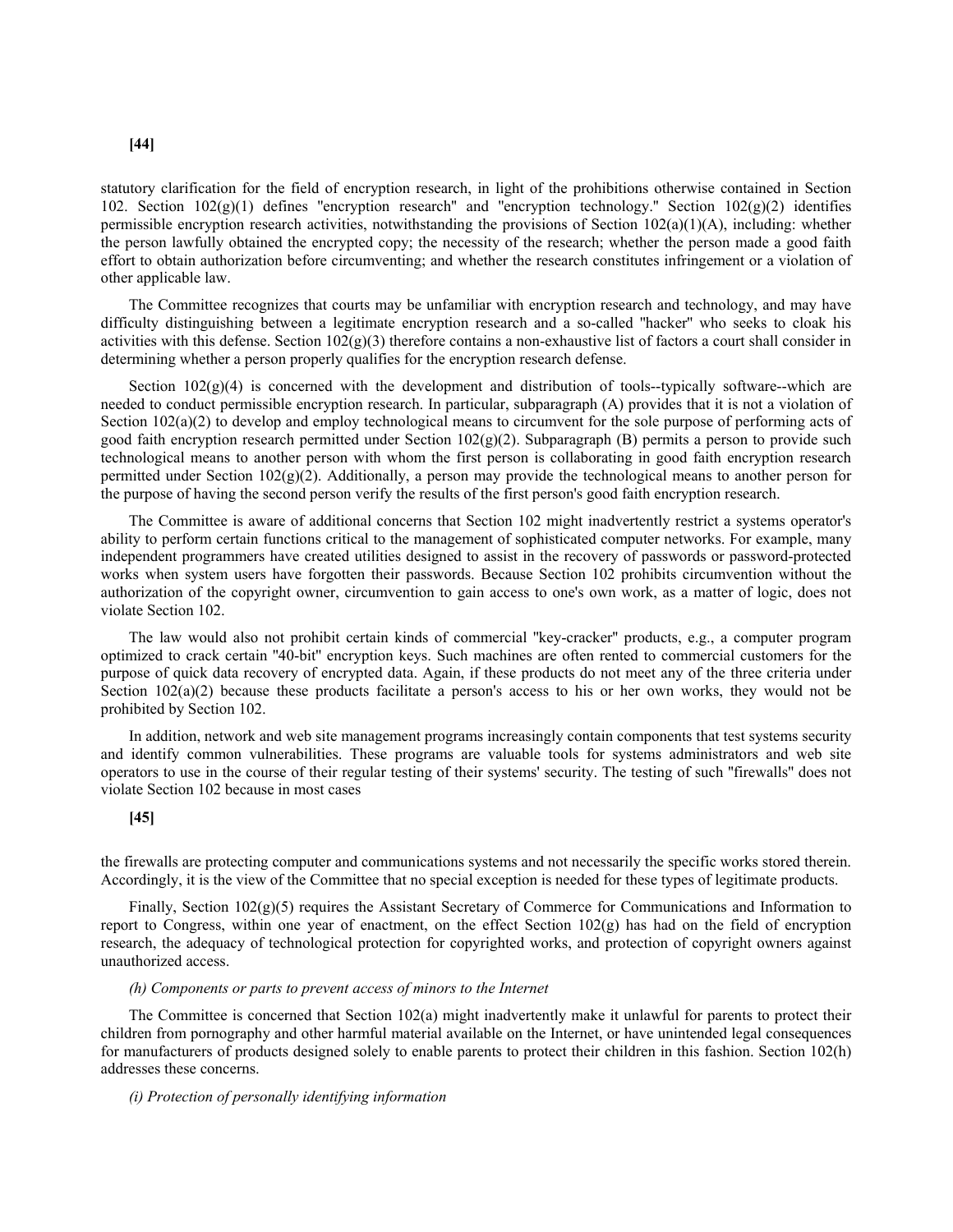# **[44]**

statutory clarification for the field of encryption research, in light of the prohibitions otherwise contained in Section 102. Section  $102(g)(1)$  defines "encryption research" and "encryption technology." Section  $102(g)(2)$  identifies permissible encryption research activities, notwithstanding the provisions of Section  $102(a)(1)(A)$ , including: whether the person lawfully obtained the encrypted copy; the necessity of the research; whether the person made a good faith effort to obtain authorization before circumventing; and whether the research constitutes infringement or a violation of other applicable law.

The Committee recognizes that courts may be unfamiliar with encryption research and technology, and may have difficulty distinguishing between a legitimate encryption research and a so-called ''hacker'' who seeks to cloak his activities with this defense. Section  $102(g)(3)$  therefore contains a non-exhaustive list of factors a court shall consider in determining whether a person properly qualifies for the encryption research defense.

Section  $102(g)(4)$  is concerned with the development and distribution of tools--typically software--which are needed to conduct permissible encryption research. In particular, subparagraph (A) provides that it is not a violation of Section 102(a)(2) to develop and employ technological means to circumvent for the sole purpose of performing acts of good faith encryption research permitted under Section  $102(g)(2)$ . Subparagraph (B) permits a person to provide such technological means to another person with whom the first person is collaborating in good faith encryption research permitted under Section 102(g)(2). Additionally, a person may provide the technological means to another person for the purpose of having the second person verify the results of the first person's good faith encryption research.

The Committee is aware of additional concerns that Section 102 might inadvertently restrict a systems operator's ability to perform certain functions critical to the management of sophisticated computer networks. For example, many independent programmers have created utilities designed to assist in the recovery of passwords or password-protected works when system users have forgotten their passwords. Because Section 102 prohibits circumvention without the authorization of the copyright owner, circumvention to gain access to one's own work, as a matter of logic, does not violate Section 102.

The law would also not prohibit certain kinds of commercial ''key-cracker'' products, e.g., a computer program optimized to crack certain ''40-bit'' encryption keys. Such machines are often rented to commercial customers for the purpose of quick data recovery of encrypted data. Again, if these products do not meet any of the three criteria under Section 102(a)(2) because these products facilitate a person's access to his or her own works, they would not be prohibited by Section 102.

In addition, network and web site management programs increasingly contain components that test systems security and identify common vulnerabilities. These programs are valuable tools for systems administrators and web site operators to use in the course of their regular testing of their systems' security. The testing of such ''firewalls'' does not violate Section 102 because in most cases

#### **[45]**

the firewalls are protecting computer and communications systems and not necessarily the specific works stored therein. Accordingly, it is the view of the Committee that no special exception is needed for these types of legitimate products.

Finally, Section  $102(g)(5)$  requires the Assistant Secretary of Commerce for Communications and Information to report to Congress, within one year of enactment, on the effect Section  $102(g)$  has had on the field of encryption research, the adequacy of technological protection for copyrighted works, and protection of copyright owners against unauthorized access.

#### *(h) Components or parts to prevent access of minors to the Internet*

The Committee is concerned that Section 102(a) might inadvertently make it unlawful for parents to protect their children from pornography and other harmful material available on the Internet, or have unintended legal consequences for manufacturers of products designed solely to enable parents to protect their children in this fashion. Section 102(h) addresses these concerns.

#### *(i) Protection of personally identifying information*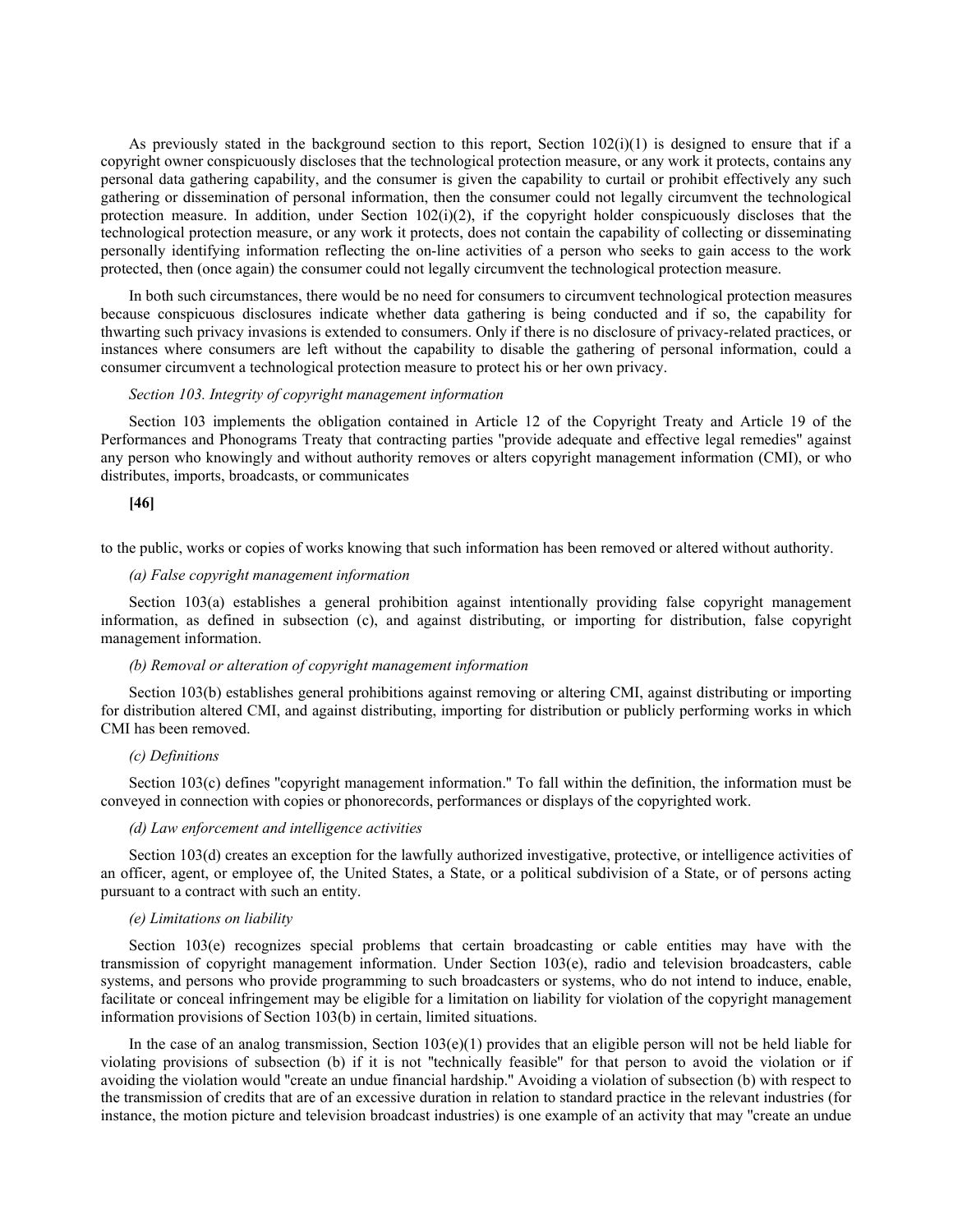As previously stated in the background section to this report, Section  $102(i)(1)$  is designed to ensure that if a copyright owner conspicuously discloses that the technological protection measure, or any work it protects, contains any personal data gathering capability, and the consumer is given the capability to curtail or prohibit effectively any such gathering or dissemination of personal information, then the consumer could not legally circumvent the technological protection measure. In addition, under Section  $102(i)(2)$ , if the copyright holder conspicuously discloses that the technological protection measure, or any work it protects, does not contain the capability of collecting or disseminating personally identifying information reflecting the on-line activities of a person who seeks to gain access to the work protected, then (once again) the consumer could not legally circumvent the technological protection measure.

In both such circumstances, there would be no need for consumers to circumvent technological protection measures because conspicuous disclosures indicate whether data gathering is being conducted and if so, the capability for thwarting such privacy invasions is extended to consumers. Only if there is no disclosure of privacy-related practices, or instances where consumers are left without the capability to disable the gathering of personal information, could a consumer circumvent a technological protection measure to protect his or her own privacy.

# *Section 103. Integrity of copyright management information*

Section 103 implements the obligation contained in Article 12 of the Copyright Treaty and Article 19 of the Performances and Phonograms Treaty that contracting parties ''provide adequate and effective legal remedies'' against any person who knowingly and without authority removes or alters copyright management information (CMI), or who distributes, imports, broadcasts, or communicates

# **[46]**

to the public, works or copies of works knowing that such information has been removed or altered without authority.

#### *(a) False copyright management information*

Section 103(a) establishes a general prohibition against intentionally providing false copyright management information, as defined in subsection (c), and against distributing, or importing for distribution, false copyright management information.

# *(b) Removal or alteration of copyright management information*

Section 103(b) establishes general prohibitions against removing or altering CMI, against distributing or importing for distribution altered CMI, and against distributing, importing for distribution or publicly performing works in which CMI has been removed.

#### *(c) Definitions*

Section 103(c) defines "copyright management information." To fall within the definition, the information must be conveyed in connection with copies or phonorecords, performances or displays of the copyrighted work.

#### *(d) Law enforcement and intelligence activities*

Section 103(d) creates an exception for the lawfully authorized investigative, protective, or intelligence activities of an officer, agent, or employee of, the United States, a State, or a political subdivision of a State, or of persons acting pursuant to a contract with such an entity.

#### *(e) Limitations on liability*

Section 103(e) recognizes special problems that certain broadcasting or cable entities may have with the transmission of copyright management information. Under Section 103(e), radio and television broadcasters, cable systems, and persons who provide programming to such broadcasters or systems, who do not intend to induce, enable, facilitate or conceal infringement may be eligible for a limitation on liability for violation of the copyright management information provisions of Section 103(b) in certain, limited situations.

In the case of an analog transmission, Section  $103(e)(1)$  provides that an eligible person will not be held liable for violating provisions of subsection (b) if it is not ''technically feasible'' for that person to avoid the violation or if avoiding the violation would ''create an undue financial hardship.'' Avoiding a violation of subsection (b) with respect to the transmission of credits that are of an excessive duration in relation to standard practice in the relevant industries (for instance, the motion picture and television broadcast industries) is one example of an activity that may ''create an undue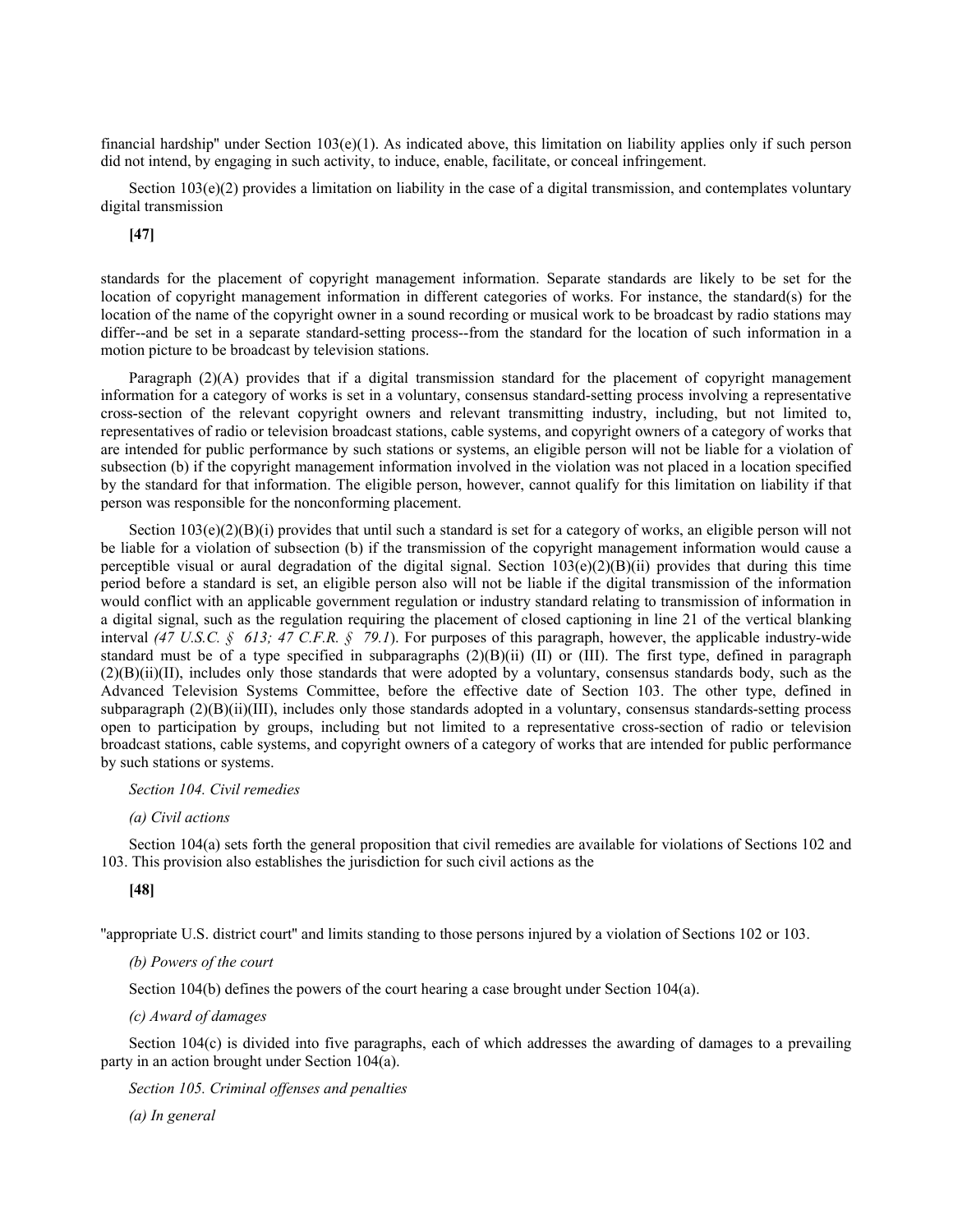financial hardship" under Section  $103(e)(1)$ . As indicated above, this limitation on liability applies only if such person did not intend, by engaging in such activity, to induce, enable, facilitate, or conceal infringement.

Section 103(e)(2) provides a limitation on liability in the case of a digital transmission, and contemplates voluntary digital transmission

**[47]**

standards for the placement of copyright management information. Separate standards are likely to be set for the location of copyright management information in different categories of works. For instance, the standard(s) for the location of the name of the copyright owner in a sound recording or musical work to be broadcast by radio stations may differ--and be set in a separate standard-setting process--from the standard for the location of such information in a motion picture to be broadcast by television stations.

Paragraph (2)(A) provides that if a digital transmission standard for the placement of copyright management information for a category of works is set in a voluntary, consensus standard-setting process involving a representative cross-section of the relevant copyright owners and relevant transmitting industry, including, but not limited to, representatives of radio or television broadcast stations, cable systems, and copyright owners of a category of works that are intended for public performance by such stations or systems, an eligible person will not be liable for a violation of subsection (b) if the copyright management information involved in the violation was not placed in a location specified by the standard for that information. The eligible person, however, cannot qualify for this limitation on liability if that person was responsible for the nonconforming placement.

Section  $103(e)(2)(B)(i)$  provides that until such a standard is set for a category of works, an eligible person will not be liable for a violation of subsection (b) if the transmission of the copyright management information would cause a perceptible visual or aural degradation of the digital signal. Section  $103(e)(2)(B)(ii)$  provides that during this time period before a standard is set, an eligible person also will not be liable if the digital transmission of the information would conflict with an applicable government regulation or industry standard relating to transmission of information in a digital signal, such as the regulation requiring the placement of closed captioning in line 21 of the vertical blanking interval *(47 U.S.C. § 613; 47 C.F.R. § 79.1*). For purposes of this paragraph, however, the applicable industry-wide standard must be of a type specified in subparagraphs  $(2)(B)(ii)$  (II) or (III). The first type, defined in paragraph (2)(B)(ii)(II), includes only those standards that were adopted by a voluntary, consensus standards body, such as the Advanced Television Systems Committee, before the effective date of Section 103. The other type, defined in subparagraph (2)(B)(ii)(III), includes only those standards adopted in a voluntary, consensus standards-setting process open to participation by groups, including but not limited to a representative cross-section of radio or television broadcast stations, cable systems, and copyright owners of a category of works that are intended for public performance by such stations or systems.

# *Section 104. Civil remedies*

## *(a) Civil actions*

Section 104(a) sets forth the general proposition that civil remedies are available for violations of Sections 102 and 103. This provision also establishes the jurisdiction for such civil actions as the

# **[48]**

''appropriate U.S. district court'' and limits standing to those persons injured by a violation of Sections 102 or 103.

#### *(b) Powers of the court*

Section 104(b) defines the powers of the court hearing a case brought under Section 104(a).

*(c) Award of damages*

Section 104(c) is divided into five paragraphs, each of which addresses the awarding of damages to a prevailing party in an action brought under Section 104(a).

*Section 105. Criminal offenses and penalties*

*(a) In general*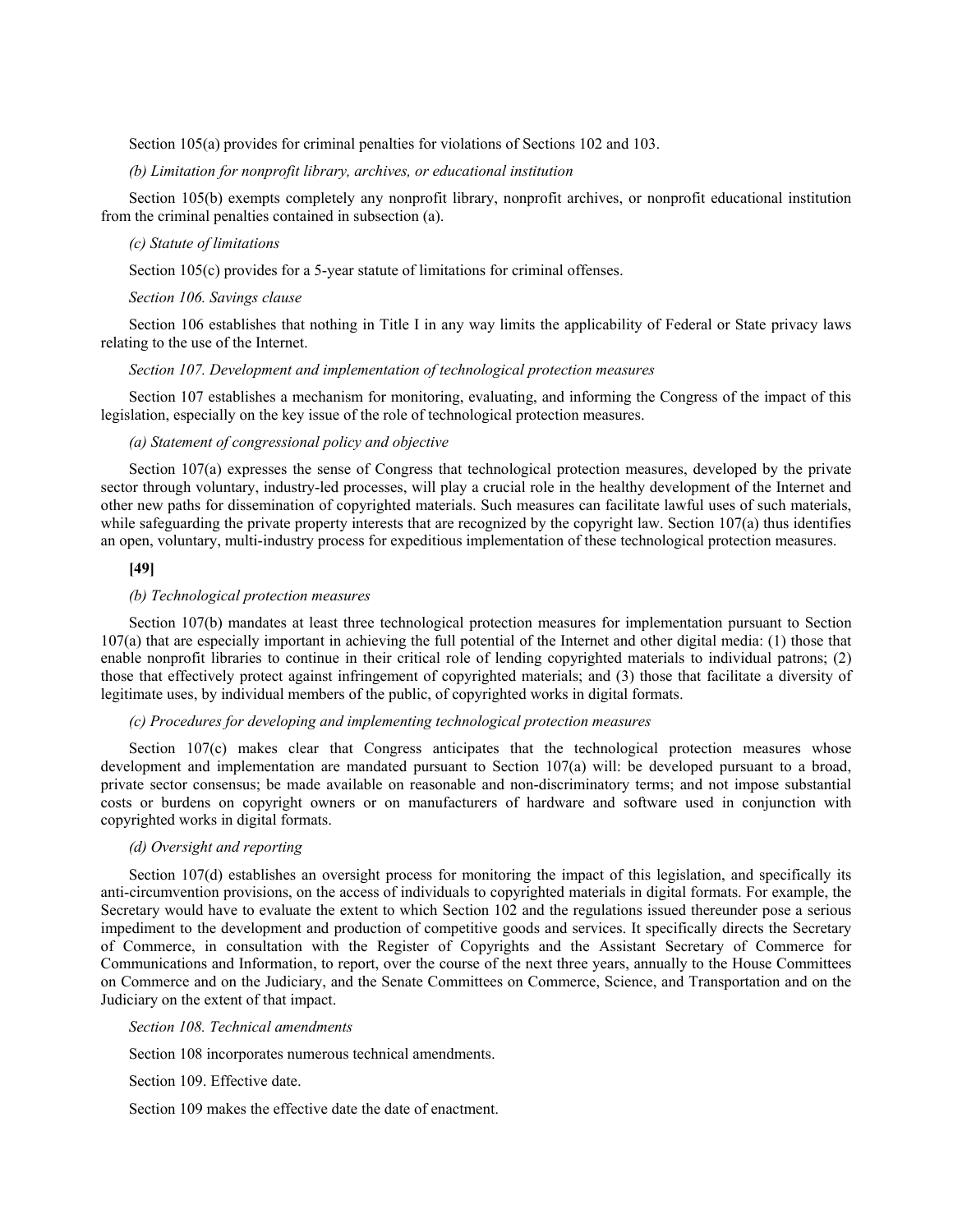Section 105(a) provides for criminal penalties for violations of Sections 102 and 103.

## *(b) Limitation for nonprofit library, archives, or educational institution*

Section 105(b) exempts completely any nonprofit library, nonprofit archives, or nonprofit educational institution from the criminal penalties contained in subsection (a).

## *(c) Statute of limitations*

Section 105(c) provides for a 5-year statute of limitations for criminal offenses.

#### *Section 106. Savings clause*

Section 106 establishes that nothing in Title I in any way limits the applicability of Federal or State privacy laws relating to the use of the Internet.

## *Section 107. Development and implementation of technological protection measures*

Section 107 establishes a mechanism for monitoring, evaluating, and informing the Congress of the impact of this legislation, especially on the key issue of the role of technological protection measures.

## *(a) Statement of congressional policy and objective*

Section 107(a) expresses the sense of Congress that technological protection measures, developed by the private sector through voluntary, industry-led processes, will play a crucial role in the healthy development of the Internet and other new paths for dissemination of copyrighted materials. Such measures can facilitate lawful uses of such materials, while safeguarding the private property interests that are recognized by the copyright law. Section 107(a) thus identifies an open, voluntary, multi-industry process for expeditious implementation of these technological protection measures.

# **[49]**

## *(b) Technological protection measures*

Section 107(b) mandates at least three technological protection measures for implementation pursuant to Section 107(a) that are especially important in achieving the full potential of the Internet and other digital media: (1) those that enable nonprofit libraries to continue in their critical role of lending copyrighted materials to individual patrons; (2) those that effectively protect against infringement of copyrighted materials; and (3) those that facilitate a diversity of legitimate uses, by individual members of the public, of copyrighted works in digital formats.

## *(c) Procedures for developing and implementing technological protection measures*

Section 107(c) makes clear that Congress anticipates that the technological protection measures whose development and implementation are mandated pursuant to Section 107(a) will: be developed pursuant to a broad, private sector consensus; be made available on reasonable and non-discriminatory terms; and not impose substantial costs or burdens on copyright owners or on manufacturers of hardware and software used in conjunction with copyrighted works in digital formats.

# *(d) Oversight and reporting*

Section 107(d) establishes an oversight process for monitoring the impact of this legislation, and specifically its anti-circumvention provisions, on the access of individuals to copyrighted materials in digital formats. For example, the Secretary would have to evaluate the extent to which Section 102 and the regulations issued thereunder pose a serious impediment to the development and production of competitive goods and services. It specifically directs the Secretary of Commerce, in consultation with the Register of Copyrights and the Assistant Secretary of Commerce for Communications and Information, to report, over the course of the next three years, annually to the House Committees on Commerce and on the Judiciary, and the Senate Committees on Commerce, Science, and Transportation and on the Judiciary on the extent of that impact.

# *Section 108. Technical amendments*

Section 108 incorporates numerous technical amendments.

## Section 109. Effective date.

Section 109 makes the effective date the date of enactment.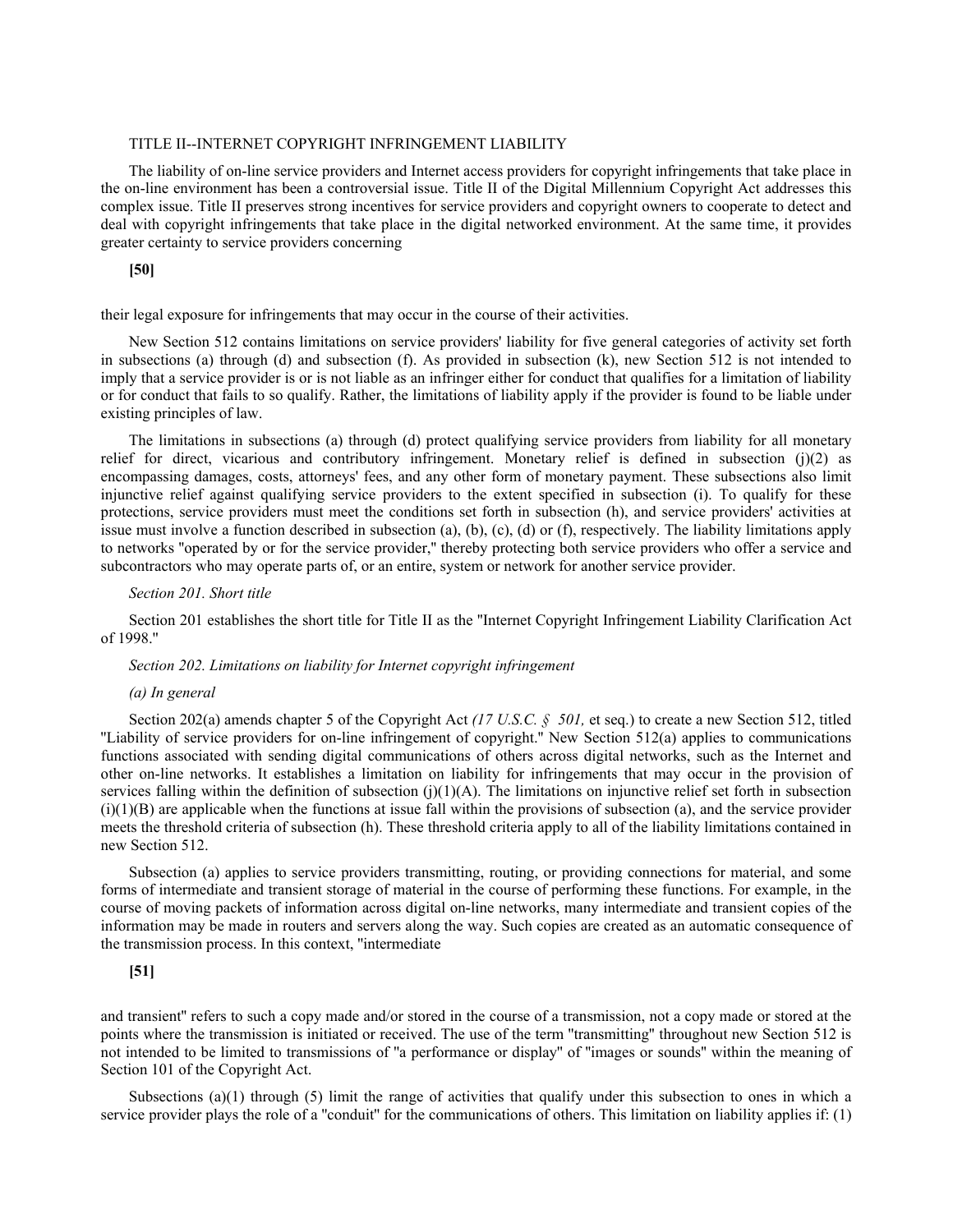#### TITLE II--INTERNET COPYRIGHT INFRINGEMENT LIABILITY

The liability of on-line service providers and Internet access providers for copyright infringements that take place in the on-line environment has been a controversial issue. Title II of the Digital Millennium Copyright Act addresses this complex issue. Title II preserves strong incentives for service providers and copyright owners to cooperate to detect and deal with copyright infringements that take place in the digital networked environment. At the same time, it provides greater certainty to service providers concerning

## **[50]**

their legal exposure for infringements that may occur in the course of their activities.

New Section 512 contains limitations on service providers' liability for five general categories of activity set forth in subsections (a) through (d) and subsection (f). As provided in subsection (k), new Section 512 is not intended to imply that a service provider is or is not liable as an infringer either for conduct that qualifies for a limitation of liability or for conduct that fails to so qualify. Rather, the limitations of liability apply if the provider is found to be liable under existing principles of law.

The limitations in subsections (a) through (d) protect qualifying service providers from liability for all monetary relief for direct, vicarious and contributory infringement. Monetary relief is defined in subsection (j)(2) as encompassing damages, costs, attorneys' fees, and any other form of monetary payment. These subsections also limit injunctive relief against qualifying service providers to the extent specified in subsection (i). To qualify for these protections, service providers must meet the conditions set forth in subsection (h), and service providers' activities at issue must involve a function described in subsection (a), (b), (c), (d) or (f), respectively. The liability limitations apply to networks ''operated by or for the service provider,'' thereby protecting both service providers who offer a service and subcontractors who may operate parts of, or an entire, system or network for another service provider.

#### *Section 201. Short title*

Section 201 establishes the short title for Title II as the ''Internet Copyright Infringement Liability Clarification Act of 1998.''

# *Section 202. Limitations on liability for Internet copyright infringement*

## *(a) In general*

Section 202(a) amends chapter 5 of the Copyright Act *(17 U.S.C. § 501,* et seq.) to create a new Section 512, titled ''Liability of service providers for on-line infringement of copyright.'' New Section 512(a) applies to communications functions associated with sending digital communications of others across digital networks, such as the Internet and other on-line networks. It establishes a limitation on liability for infringements that may occur in the provision of services falling within the definition of subsection  $(j)(1)(A)$ . The limitations on injunctive relief set forth in subsection  $(i)(1)(B)$  are applicable when the functions at issue fall within the provisions of subsection (a), and the service provider meets the threshold criteria of subsection (h). These threshold criteria apply to all of the liability limitations contained in new Section 512.

Subsection (a) applies to service providers transmitting, routing, or providing connections for material, and some forms of intermediate and transient storage of material in the course of performing these functions. For example, in the course of moving packets of information across digital on-line networks, many intermediate and transient copies of the information may be made in routers and servers along the way. Such copies are created as an automatic consequence of the transmission process. In this context, ''intermediate

# **[51]**

and transient'' refers to such a copy made and/or stored in the course of a transmission, not a copy made or stored at the points where the transmission is initiated or received. The use of the term ''transmitting'' throughout new Section 512 is not intended to be limited to transmissions of ''a performance or display'' of ''images or sounds'' within the meaning of Section 101 of the Copyright Act.

Subsections (a)(1) through (5) limit the range of activities that qualify under this subsection to ones in which a service provider plays the role of a ''conduit'' for the communications of others. This limitation on liability applies if: (1)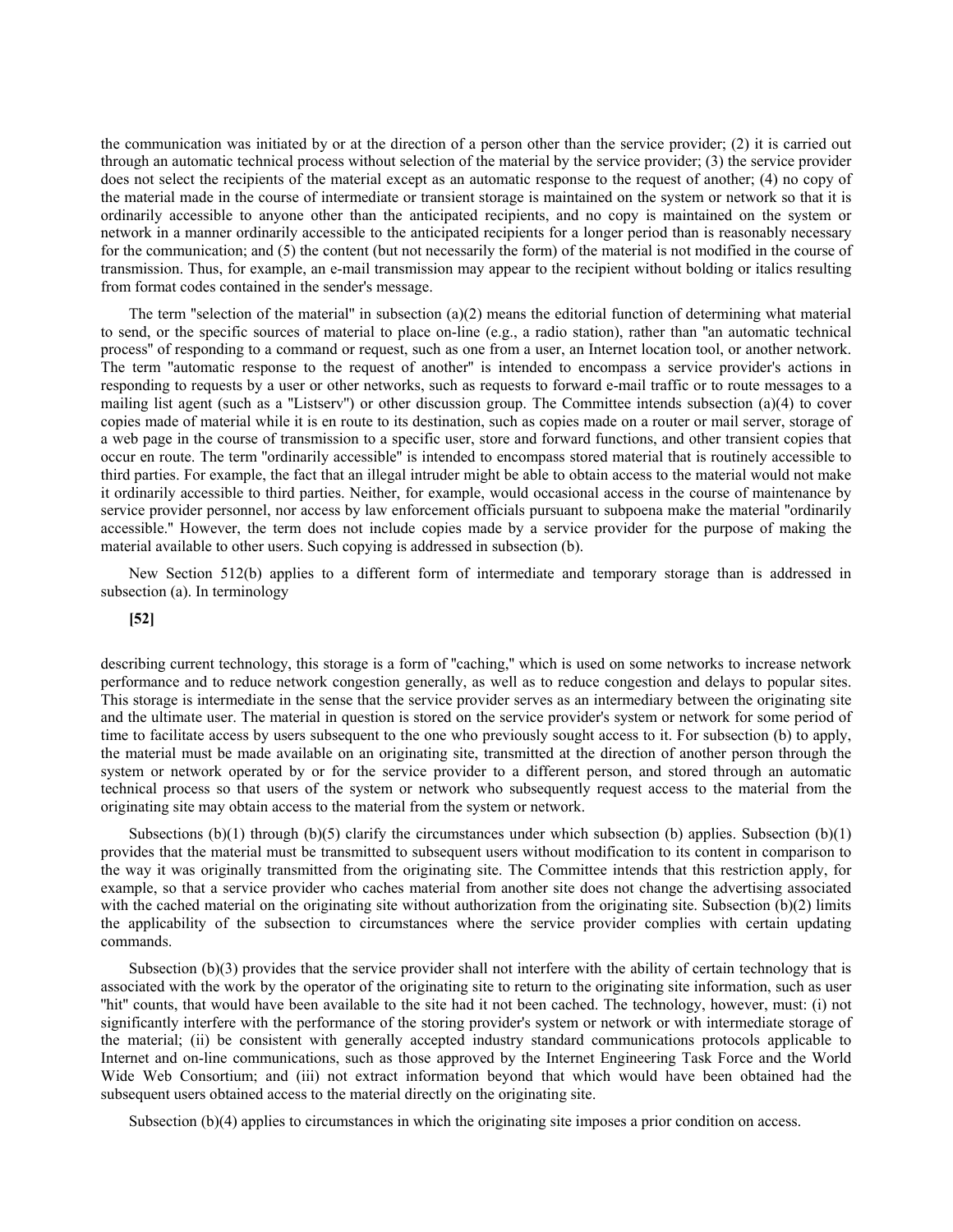the communication was initiated by or at the direction of a person other than the service provider; (2) it is carried out through an automatic technical process without selection of the material by the service provider; (3) the service provider does not select the recipients of the material except as an automatic response to the request of another; (4) no copy of the material made in the course of intermediate or transient storage is maintained on the system or network so that it is ordinarily accessible to anyone other than the anticipated recipients, and no copy is maintained on the system or network in a manner ordinarily accessible to the anticipated recipients for a longer period than is reasonably necessary for the communication; and (5) the content (but not necessarily the form) of the material is not modified in the course of transmission. Thus, for example, an e-mail transmission may appear to the recipient without bolding or italics resulting from format codes contained in the sender's message.

The term "selection of the material" in subsection  $(a)(2)$  means the editorial function of determining what material to send, or the specific sources of material to place on-line (e.g., a radio station), rather than ''an automatic technical process'' of responding to a command or request, such as one from a user, an Internet location tool, or another network. The term "automatic response to the request of another" is intended to encompass a service provider's actions in responding to requests by a user or other networks, such as requests to forward e-mail traffic or to route messages to a mailing list agent (such as a "Listserv") or other discussion group. The Committee intends subsection (a)(4) to cover copies made of material while it is en route to its destination, such as copies made on a router or mail server, storage of a web page in the course of transmission to a specific user, store and forward functions, and other transient copies that occur en route. The term ''ordinarily accessible'' is intended to encompass stored material that is routinely accessible to third parties. For example, the fact that an illegal intruder might be able to obtain access to the material would not make it ordinarily accessible to third parties. Neither, for example, would occasional access in the course of maintenance by service provider personnel, nor access by law enforcement officials pursuant to subpoena make the material ''ordinarily accessible.'' However, the term does not include copies made by a service provider for the purpose of making the material available to other users. Such copying is addressed in subsection (b).

New Section 512(b) applies to a different form of intermediate and temporary storage than is addressed in subsection (a). In terminology

#### **[52]**

describing current technology, this storage is a form of ''caching,'' which is used on some networks to increase network performance and to reduce network congestion generally, as well as to reduce congestion and delays to popular sites. This storage is intermediate in the sense that the service provider serves as an intermediary between the originating site and the ultimate user. The material in question is stored on the service provider's system or network for some period of time to facilitate access by users subsequent to the one who previously sought access to it. For subsection (b) to apply, the material must be made available on an originating site, transmitted at the direction of another person through the system or network operated by or for the service provider to a different person, and stored through an automatic technical process so that users of the system or network who subsequently request access to the material from the originating site may obtain access to the material from the system or network.

Subsections (b)(1) through (b)(5) clarify the circumstances under which subsection (b) applies. Subsection (b)(1) provides that the material must be transmitted to subsequent users without modification to its content in comparison to the way it was originally transmitted from the originating site. The Committee intends that this restriction apply, for example, so that a service provider who caches material from another site does not change the advertising associated with the cached material on the originating site without authorization from the originating site. Subsection (b)(2) limits the applicability of the subsection to circumstances where the service provider complies with certain updating commands.

Subsection (b)(3) provides that the service provider shall not interfere with the ability of certain technology that is associated with the work by the operator of the originating site to return to the originating site information, such as user "hit" counts, that would have been available to the site had it not been cached. The technology, however, must: (i) not significantly interfere with the performance of the storing provider's system or network or with intermediate storage of the material; (ii) be consistent with generally accepted industry standard communications protocols applicable to Internet and on-line communications, such as those approved by the Internet Engineering Task Force and the World Wide Web Consortium; and (iii) not extract information beyond that which would have been obtained had the subsequent users obtained access to the material directly on the originating site.

Subsection (b)(4) applies to circumstances in which the originating site imposes a prior condition on access.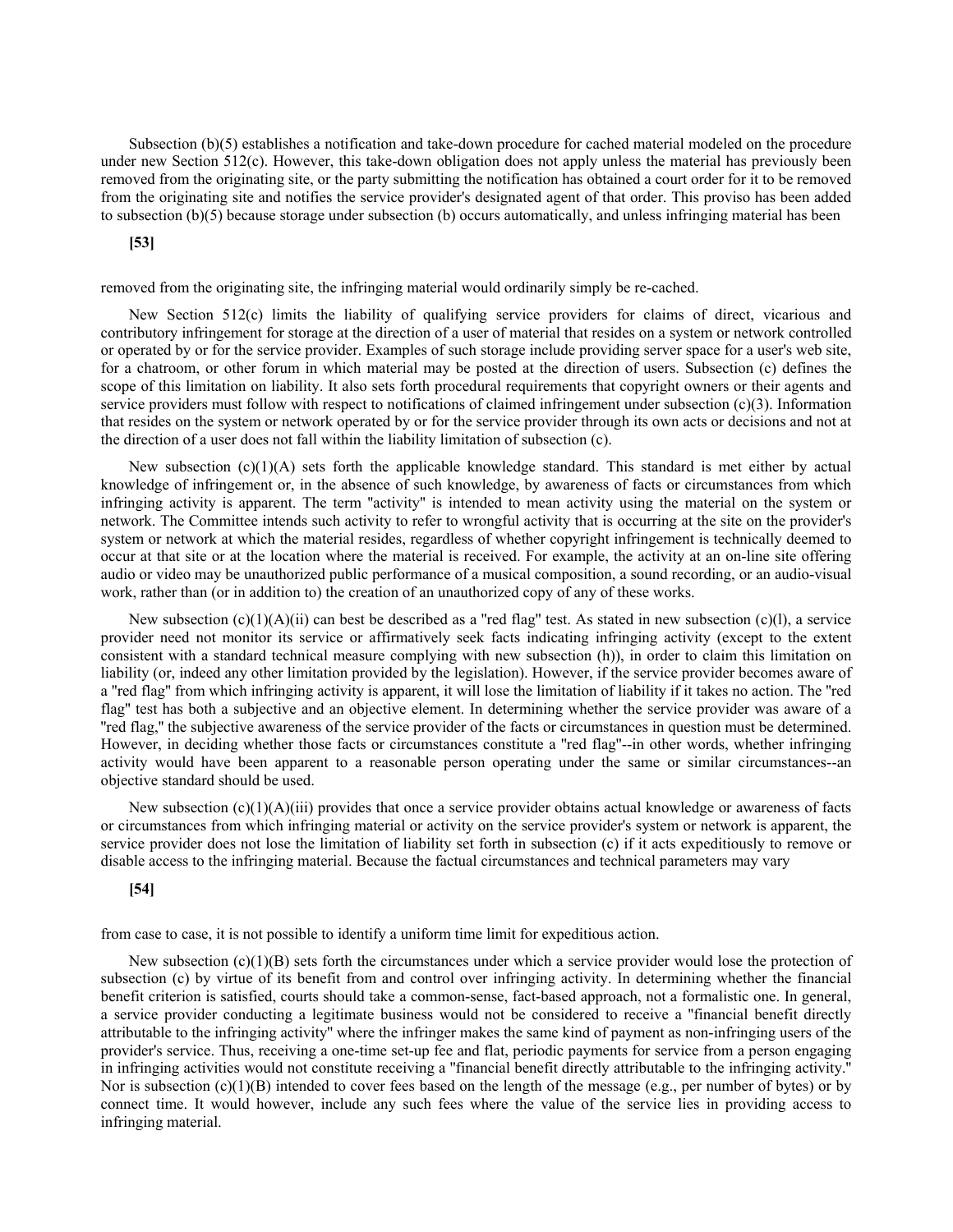Subsection (b)(5) establishes a notification and take-down procedure for cached material modeled on the procedure under new Section 512(c). However, this take-down obligation does not apply unless the material has previously been removed from the originating site, or the party submitting the notification has obtained a court order for it to be removed from the originating site and notifies the service provider's designated agent of that order. This proviso has been added to subsection (b)(5) because storage under subsection (b) occurs automatically, and unless infringing material has been

## **[53]**

removed from the originating site, the infringing material would ordinarily simply be re-cached.

New Section 512(c) limits the liability of qualifying service providers for claims of direct, vicarious and contributory infringement for storage at the direction of a user of material that resides on a system or network controlled or operated by or for the service provider. Examples of such storage include providing server space for a user's web site, for a chatroom, or other forum in which material may be posted at the direction of users. Subsection (c) defines the scope of this limitation on liability. It also sets forth procedural requirements that copyright owners or their agents and service providers must follow with respect to notifications of claimed infringement under subsection (c)(3). Information that resides on the system or network operated by or for the service provider through its own acts or decisions and not at the direction of a user does not fall within the liability limitation of subsection (c).

New subsection  $(c)(1)(A)$  sets forth the applicable knowledge standard. This standard is met either by actual knowledge of infringement or, in the absence of such knowledge, by awareness of facts or circumstances from which infringing activity is apparent. The term ''activity'' is intended to mean activity using the material on the system or network. The Committee intends such activity to refer to wrongful activity that is occurring at the site on the provider's system or network at which the material resides, regardless of whether copyright infringement is technically deemed to occur at that site or at the location where the material is received. For example, the activity at an on-line site offering audio or video may be unauthorized public performance of a musical composition, a sound recording, or an audio-visual work, rather than (or in addition to) the creation of an unauthorized copy of any of these works.

New subsection  $(c)(1)(A)(ii)$  can best be described as a "red flag" test. As stated in new subsection  $(c)(1)$ , a service provider need not monitor its service or affirmatively seek facts indicating infringing activity (except to the extent consistent with a standard technical measure complying with new subsection (h)), in order to claim this limitation on liability (or, indeed any other limitation provided by the legislation). However, if the service provider becomes aware of a ''red flag'' from which infringing activity is apparent, it will lose the limitation of liability if it takes no action. The ''red flag'' test has both a subjective and an objective element. In determining whether the service provider was aware of a ''red flag,'' the subjective awareness of the service provider of the facts or circumstances in question must be determined. However, in deciding whether those facts or circumstances constitute a ''red flag''--in other words, whether infringing activity would have been apparent to a reasonable person operating under the same or similar circumstances--an objective standard should be used.

New subsection  $(c)(1)(A)(iii)$  provides that once a service provider obtains actual knowledge or awareness of facts or circumstances from which infringing material or activity on the service provider's system or network is apparent, the service provider does not lose the limitation of liability set forth in subsection (c) if it acts expeditiously to remove or disable access to the infringing material. Because the factual circumstances and technical parameters may vary

# **[54]**

from case to case, it is not possible to identify a uniform time limit for expeditious action.

New subsection  $(c)(1)(B)$  sets forth the circumstances under which a service provider would lose the protection of subsection (c) by virtue of its benefit from and control over infringing activity. In determining whether the financial benefit criterion is satisfied, courts should take a common-sense, fact-based approach, not a formalistic one. In general, a service provider conducting a legitimate business would not be considered to receive a ''financial benefit directly attributable to the infringing activity'' where the infringer makes the same kind of payment as non-infringing users of the provider's service. Thus, receiving a one-time set-up fee and flat, periodic payments for service from a person engaging in infringing activities would not constitute receiving a ''financial benefit directly attributable to the infringing activity.'' Nor is subsection  $(c)(1)(B)$  intended to cover fees based on the length of the message (e.g., per number of bytes) or by connect time. It would however, include any such fees where the value of the service lies in providing access to infringing material.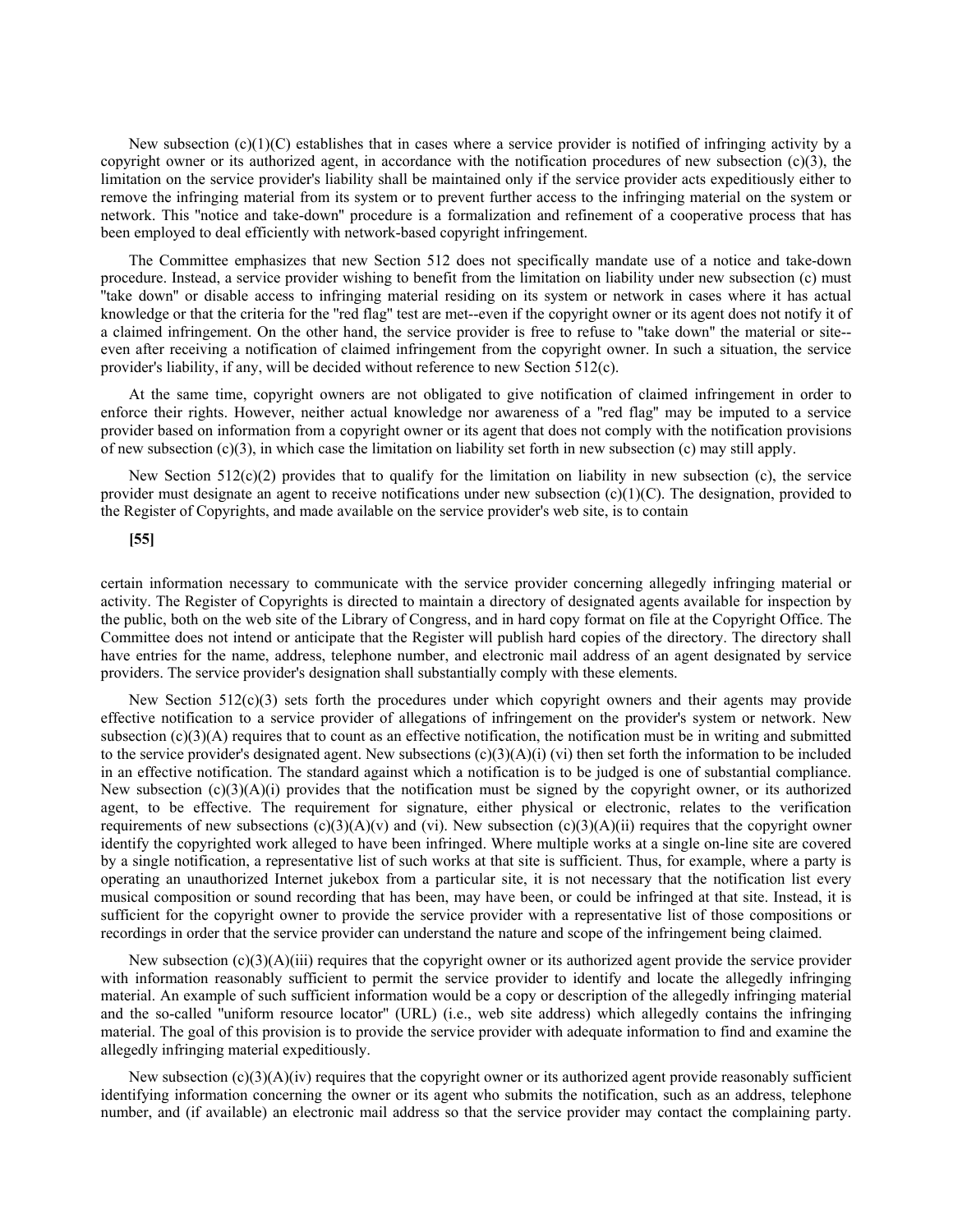New subsection  $(c)(1)(C)$  establishes that in cases where a service provider is notified of infringing activity by a copyright owner or its authorized agent, in accordance with the notification procedures of new subsection  $(c)(3)$ , the limitation on the service provider's liability shall be maintained only if the service provider acts expeditiously either to remove the infringing material from its system or to prevent further access to the infringing material on the system or network. This ''notice and take-down'' procedure is a formalization and refinement of a cooperative process that has been employed to deal efficiently with network-based copyright infringement.

The Committee emphasizes that new Section 512 does not specifically mandate use of a notice and take-down procedure. Instead, a service provider wishing to benefit from the limitation on liability under new subsection (c) must ''take down'' or disable access to infringing material residing on its system or network in cases where it has actual knowledge or that the criteria for the ''red flag'' test are met--even if the copyright owner or its agent does not notify it of a claimed infringement. On the other hand, the service provider is free to refuse to ''take down'' the material or site- even after receiving a notification of claimed infringement from the copyright owner. In such a situation, the service provider's liability, if any, will be decided without reference to new Section 512(c).

At the same time, copyright owners are not obligated to give notification of claimed infringement in order to enforce their rights. However, neither actual knowledge nor awareness of a ''red flag'' may be imputed to a service provider based on information from a copyright owner or its agent that does not comply with the notification provisions of new subsection  $(c)(3)$ , in which case the limitation on liability set forth in new subsection  $(c)$  may still apply.

New Section  $512(c)(2)$  provides that to qualify for the limitation on liability in new subsection (c), the service provider must designate an agent to receive notifications under new subsection  $(c)(1)(C)$ . The designation, provided to the Register of Copyrights, and made available on the service provider's web site, is to contain

# **[55]**

certain information necessary to communicate with the service provider concerning allegedly infringing material or activity. The Register of Copyrights is directed to maintain a directory of designated agents available for inspection by the public, both on the web site of the Library of Congress, and in hard copy format on file at the Copyright Office. The Committee does not intend or anticipate that the Register will publish hard copies of the directory. The directory shall have entries for the name, address, telephone number, and electronic mail address of an agent designated by service providers. The service provider's designation shall substantially comply with these elements.

New Section  $512(c)(3)$  sets forth the procedures under which copyright owners and their agents may provide effective notification to a service provider of allegations of infringement on the provider's system or network. New subsection  $(c)(3)(A)$  requires that to count as an effective notification, the notification must be in writing and submitted to the service provider's designated agent. New subsections  $(c)(3)(A)(i)$  (vi) then set forth the information to be included in an effective notification. The standard against which a notification is to be judged is one of substantial compliance. New subsection  $(c)(3)(A)(i)$  provides that the notification must be signed by the copyright owner, or its authorized agent, to be effective. The requirement for signature, either physical or electronic, relates to the verification requirements of new subsections  $(c)(3)(A)(v)$  and (vi). New subsection  $(c)(3)(A)(ii)$  requires that the copyright owner identify the copyrighted work alleged to have been infringed. Where multiple works at a single on-line site are covered by a single notification, a representative list of such works at that site is sufficient. Thus, for example, where a party is operating an unauthorized Internet jukebox from a particular site, it is not necessary that the notification list every musical composition or sound recording that has been, may have been, or could be infringed at that site. Instead, it is sufficient for the copyright owner to provide the service provider with a representative list of those compositions or recordings in order that the service provider can understand the nature and scope of the infringement being claimed.

New subsection  $(c)(3)(A)(iii)$  requires that the copyright owner or its authorized agent provide the service provider with information reasonably sufficient to permit the service provider to identify and locate the allegedly infringing material. An example of such sufficient information would be a copy or description of the allegedly infringing material and the so-called ''uniform resource locator'' (URL) (i.e., web site address) which allegedly contains the infringing material. The goal of this provision is to provide the service provider with adequate information to find and examine the allegedly infringing material expeditiously.

New subsection  $(c)(3)(A)(iv)$  requires that the copyright owner or its authorized agent provide reasonably sufficient identifying information concerning the owner or its agent who submits the notification, such as an address, telephone number, and (if available) an electronic mail address so that the service provider may contact the complaining party.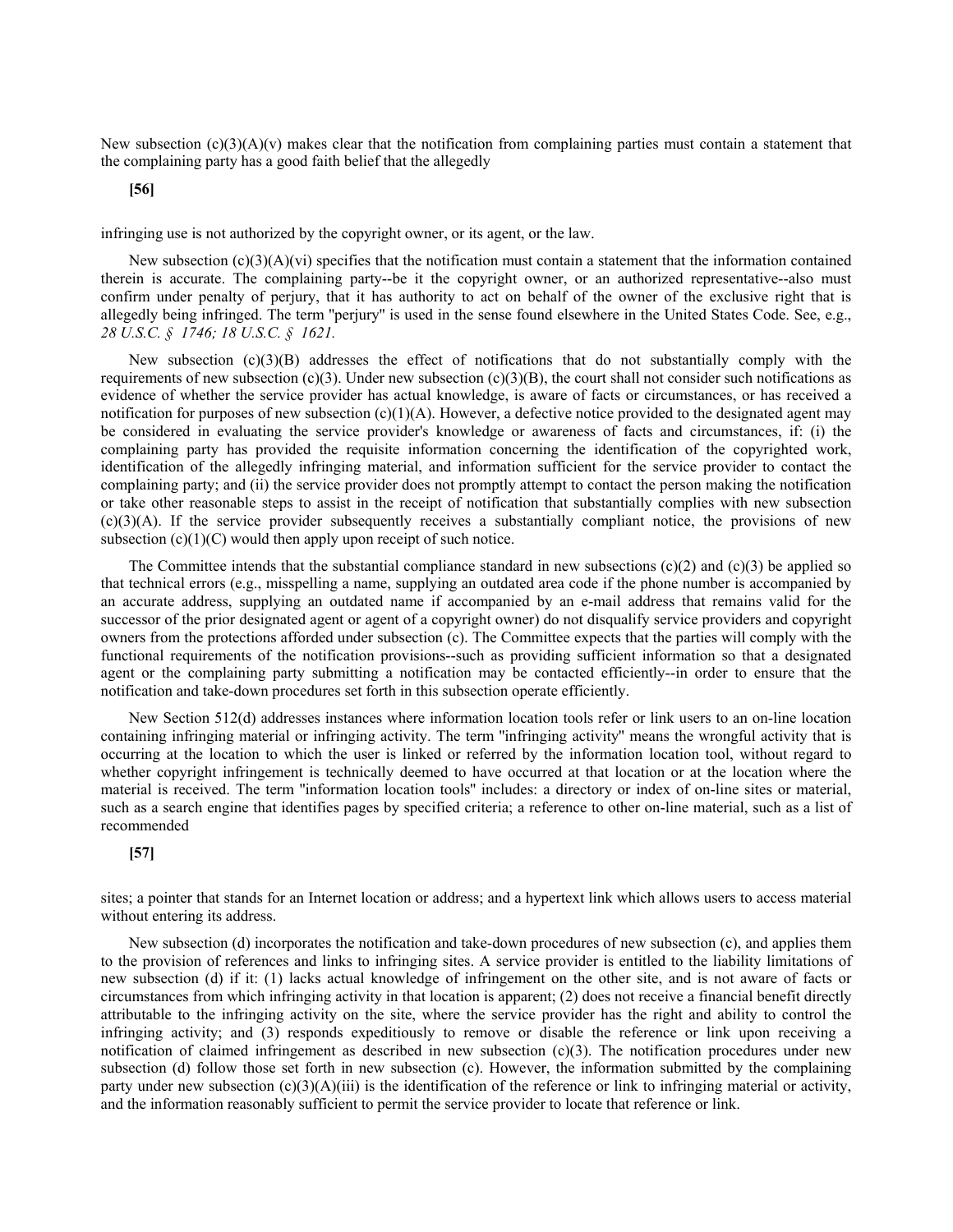New subsection  $(c)(3)(A)(v)$  makes clear that the notification from complaining parties must contain a statement that the complaining party has a good faith belief that the allegedly

**[56]**

infringing use is not authorized by the copyright owner, or its agent, or the law.

New subsection  $(c)(3)(A)(vi)$  specifies that the notification must contain a statement that the information contained therein is accurate. The complaining party--be it the copyright owner, or an authorized representative--also must confirm under penalty of perjury, that it has authority to act on behalf of the owner of the exclusive right that is allegedly being infringed. The term ''perjury'' is used in the sense found elsewhere in the United States Code. See, e.g., *28 U.S.C. § 1746; 18 U.S.C. § 1621.*

New subsection (c)(3)(B) addresses the effect of notifications that do not substantially comply with the requirements of new subsection  $(c)(3)$ . Under new subsection  $(c)(3)(B)$ , the court shall not consider such notifications as evidence of whether the service provider has actual knowledge, is aware of facts or circumstances, or has received a notification for purposes of new subsection  $(c)(1)(A)$ . However, a defective notice provided to the designated agent may be considered in evaluating the service provider's knowledge or awareness of facts and circumstances, if: (i) the complaining party has provided the requisite information concerning the identification of the copyrighted work, identification of the allegedly infringing material, and information sufficient for the service provider to contact the complaining party; and (ii) the service provider does not promptly attempt to contact the person making the notification or take other reasonable steps to assist in the receipt of notification that substantially complies with new subsection  $(c)(3)(A)$ . If the service provider subsequently receives a substantially compliant notice, the provisions of new subsection  $(c)(1)(C)$  would then apply upon receipt of such notice.

The Committee intends that the substantial compliance standard in new subsections  $(c)(2)$  and  $(c)(3)$  be applied so that technical errors (e.g., misspelling a name, supplying an outdated area code if the phone number is accompanied by an accurate address, supplying an outdated name if accompanied by an e-mail address that remains valid for the successor of the prior designated agent or agent of a copyright owner) do not disqualify service providers and copyright owners from the protections afforded under subsection (c). The Committee expects that the parties will comply with the functional requirements of the notification provisions--such as providing sufficient information so that a designated agent or the complaining party submitting a notification may be contacted efficiently--in order to ensure that the notification and take-down procedures set forth in this subsection operate efficiently.

New Section 512(d) addresses instances where information location tools refer or link users to an on-line location containing infringing material or infringing activity. The term ''infringing activity'' means the wrongful activity that is occurring at the location to which the user is linked or referred by the information location tool, without regard to whether copyright infringement is technically deemed to have occurred at that location or at the location where the material is received. The term ''information location tools'' includes: a directory or index of on-line sites or material, such as a search engine that identifies pages by specified criteria; a reference to other on-line material, such as a list of recommended

# **[57]**

sites; a pointer that stands for an Internet location or address; and a hypertext link which allows users to access material without entering its address.

New subsection (d) incorporates the notification and take-down procedures of new subsection (c), and applies them to the provision of references and links to infringing sites. A service provider is entitled to the liability limitations of new subsection (d) if it: (1) lacks actual knowledge of infringement on the other site, and is not aware of facts or circumstances from which infringing activity in that location is apparent; (2) does not receive a financial benefit directly attributable to the infringing activity on the site, where the service provider has the right and ability to control the infringing activity; and (3) responds expeditiously to remove or disable the reference or link upon receiving a notification of claimed infringement as described in new subsection (c)(3). The notification procedures under new subsection (d) follow those set forth in new subsection (c). However, the information submitted by the complaining party under new subsection  $(c)(3)(A)(iii)$  is the identification of the reference or link to infringing material or activity, and the information reasonably sufficient to permit the service provider to locate that reference or link.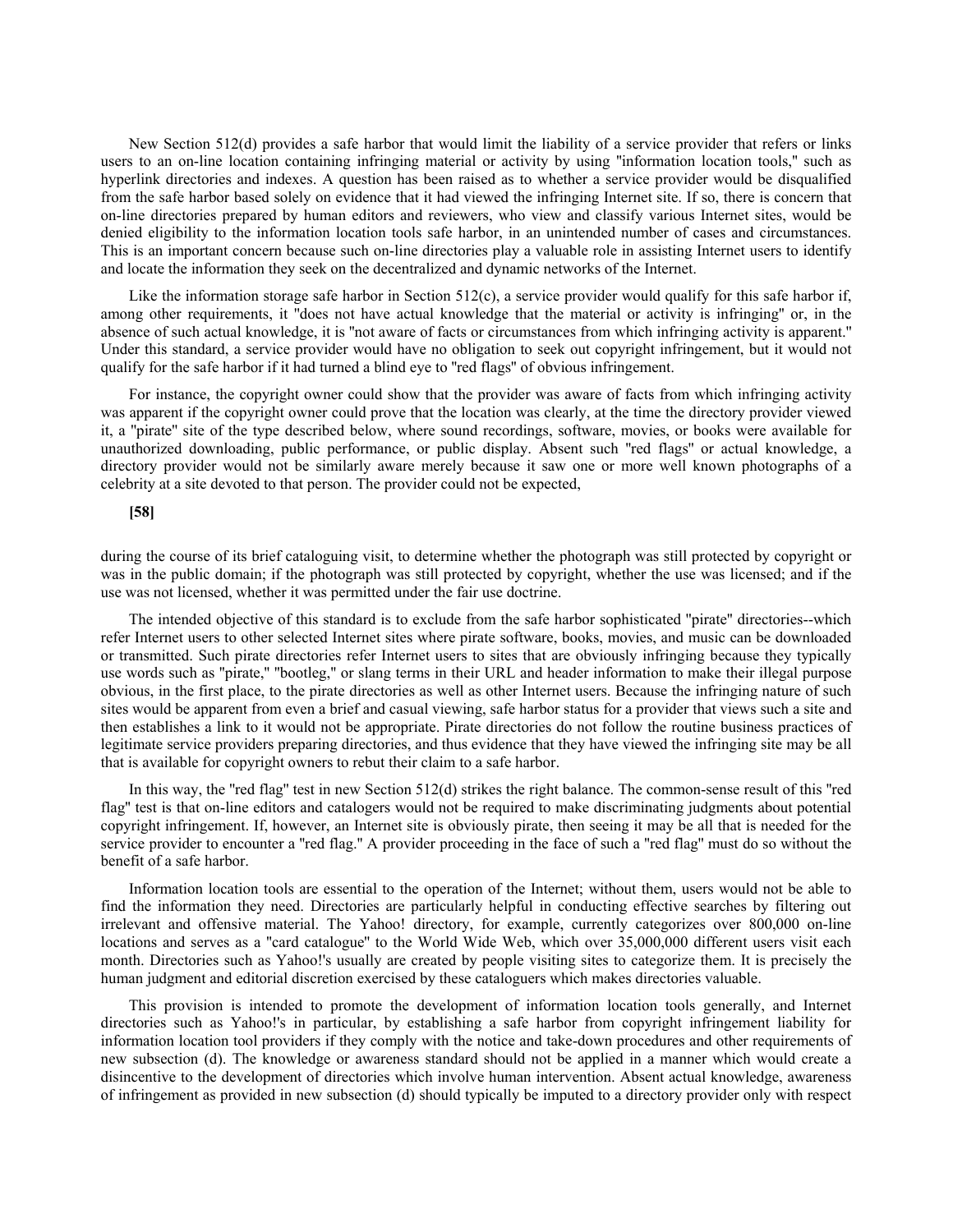New Section 512(d) provides a safe harbor that would limit the liability of a service provider that refers or links users to an on-line location containing infringing material or activity by using "information location tools," such as hyperlink directories and indexes. A question has been raised as to whether a service provider would be disqualified from the safe harbor based solely on evidence that it had viewed the infringing Internet site. If so, there is concern that on-line directories prepared by human editors and reviewers, who view and classify various Internet sites, would be denied eligibility to the information location tools safe harbor, in an unintended number of cases and circumstances. This is an important concern because such on-line directories play a valuable role in assisting Internet users to identify and locate the information they seek on the decentralized and dynamic networks of the Internet.

Like the information storage safe harbor in Section 512(c), a service provider would qualify for this safe harbor if, among other requirements, it ''does not have actual knowledge that the material or activity is infringing'' or, in the absence of such actual knowledge, it is ''not aware of facts or circumstances from which infringing activity is apparent.'' Under this standard, a service provider would have no obligation to seek out copyright infringement, but it would not qualify for the safe harbor if it had turned a blind eye to ''red flags'' of obvious infringement.

For instance, the copyright owner could show that the provider was aware of facts from which infringing activity was apparent if the copyright owner could prove that the location was clearly, at the time the directory provider viewed it, a ''pirate'' site of the type described below, where sound recordings, software, movies, or books were available for unauthorized downloading, public performance, or public display. Absent such ''red flags'' or actual knowledge, a directory provider would not be similarly aware merely because it saw one or more well known photographs of a celebrity at a site devoted to that person. The provider could not be expected,

# **[58]**

during the course of its brief cataloguing visit, to determine whether the photograph was still protected by copyright or was in the public domain; if the photograph was still protected by copyright, whether the use was licensed; and if the use was not licensed, whether it was permitted under the fair use doctrine.

The intended objective of this standard is to exclude from the safe harbor sophisticated ''pirate'' directories--which refer Internet users to other selected Internet sites where pirate software, books, movies, and music can be downloaded or transmitted. Such pirate directories refer Internet users to sites that are obviously infringing because they typically use words such as ''pirate,'' ''bootleg,'' or slang terms in their URL and header information to make their illegal purpose obvious, in the first place, to the pirate directories as well as other Internet users. Because the infringing nature of such sites would be apparent from even a brief and casual viewing, safe harbor status for a provider that views such a site and then establishes a link to it would not be appropriate. Pirate directories do not follow the routine business practices of legitimate service providers preparing directories, and thus evidence that they have viewed the infringing site may be all that is available for copyright owners to rebut their claim to a safe harbor.

In this way, the ''red flag'' test in new Section 512(d) strikes the right balance. The common-sense result of this ''red flag'' test is that on-line editors and catalogers would not be required to make discriminating judgments about potential copyright infringement. If, however, an Internet site is obviously pirate, then seeing it may be all that is needed for the service provider to encounter a ''red flag.'' A provider proceeding in the face of such a ''red flag'' must do so without the benefit of a safe harbor.

Information location tools are essential to the operation of the Internet; without them, users would not be able to find the information they need. Directories are particularly helpful in conducting effective searches by filtering out irrelevant and offensive material. The Yahoo! directory, for example, currently categorizes over 800,000 on-line locations and serves as a ''card catalogue'' to the World Wide Web, which over 35,000,000 different users visit each month. Directories such as Yahoo!'s usually are created by people visiting sites to categorize them. It is precisely the human judgment and editorial discretion exercised by these cataloguers which makes directories valuable.

This provision is intended to promote the development of information location tools generally, and Internet directories such as Yahoo!'s in particular, by establishing a safe harbor from copyright infringement liability for information location tool providers if they comply with the notice and take-down procedures and other requirements of new subsection (d). The knowledge or awareness standard should not be applied in a manner which would create a disincentive to the development of directories which involve human intervention. Absent actual knowledge, awareness of infringement as provided in new subsection (d) should typically be imputed to a directory provider only with respect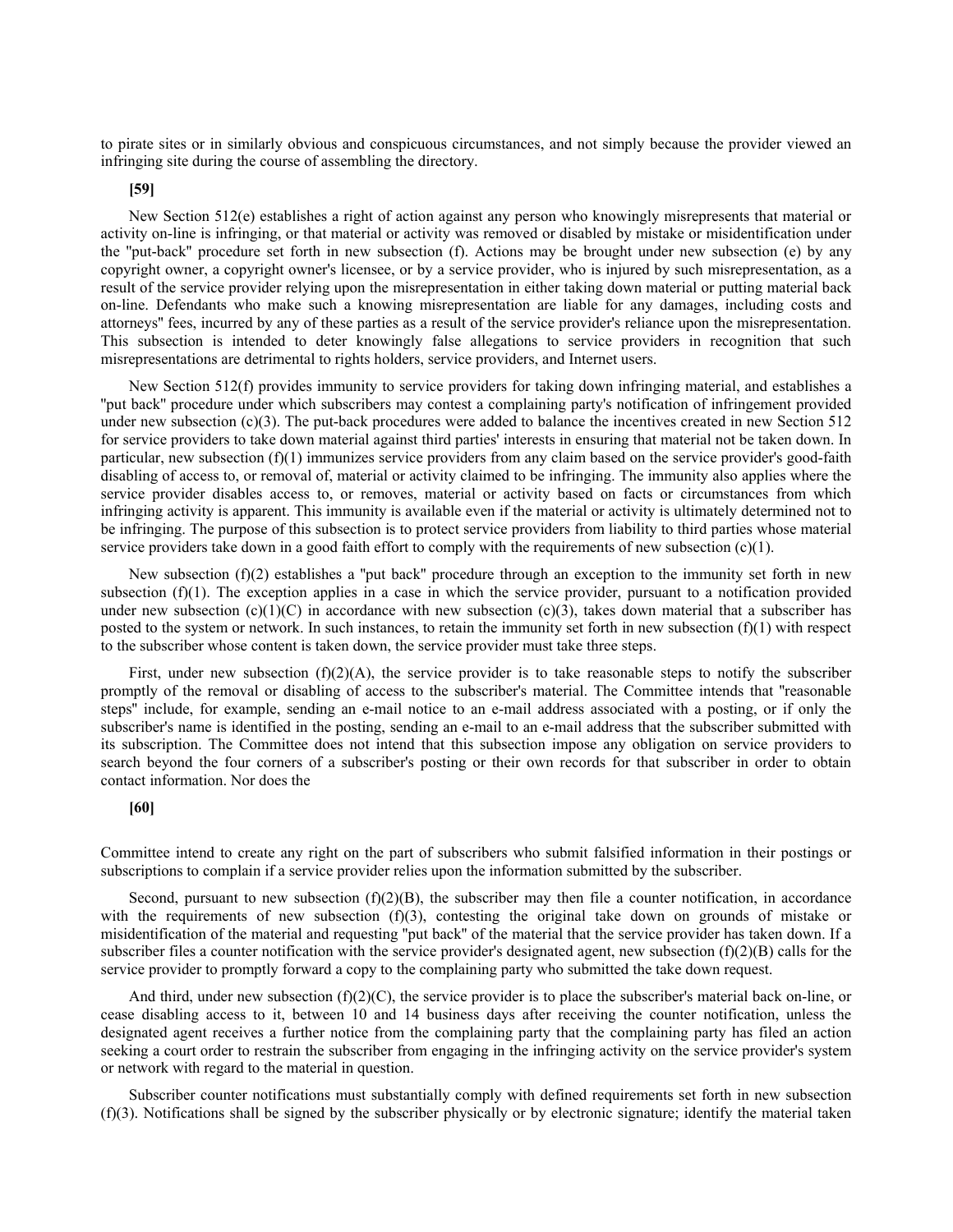to pirate sites or in similarly obvious and conspicuous circumstances, and not simply because the provider viewed an infringing site during the course of assembling the directory.

# **[59]**

New Section 512(e) establishes a right of action against any person who knowingly misrepresents that material or activity on-line is infringing, or that material or activity was removed or disabled by mistake or misidentification under the ''put-back'' procedure set forth in new subsection (f). Actions may be brought under new subsection (e) by any copyright owner, a copyright owner's licensee, or by a service provider, who is injured by such misrepresentation, as a result of the service provider relying upon the misrepresentation in either taking down material or putting material back on-line. Defendants who make such a knowing misrepresentation are liable for any damages, including costs and attorneys'' fees, incurred by any of these parties as a result of the service provider's reliance upon the misrepresentation. This subsection is intended to deter knowingly false allegations to service providers in recognition that such misrepresentations are detrimental to rights holders, service providers, and Internet users.

New Section 512(f) provides immunity to service providers for taking down infringing material, and establishes a ''put back'' procedure under which subscribers may contest a complaining party's notification of infringement provided under new subsection  $(c)(3)$ . The put-back procedures were added to balance the incentives created in new Section 512 for service providers to take down material against third parties' interests in ensuring that material not be taken down. In particular, new subsection (f)(1) immunizes service providers from any claim based on the service provider's good-faith disabling of access to, or removal of, material or activity claimed to be infringing. The immunity also applies where the service provider disables access to, or removes, material or activity based on facts or circumstances from which infringing activity is apparent. This immunity is available even if the material or activity is ultimately determined not to be infringing. The purpose of this subsection is to protect service providers from liability to third parties whose material service providers take down in a good faith effort to comply with the requirements of new subsection  $(c)(1)$ .

New subsection  $(f)(2)$  establishes a "put back" procedure through an exception to the immunity set forth in new subsection  $(f)(1)$ . The exception applies in a case in which the service provider, pursuant to a notification provided under new subsection  $(c)(1)(C)$  in accordance with new subsection  $(c)(3)$ , takes down material that a subscriber has posted to the system or network. In such instances, to retain the immunity set forth in new subsection  $(f)(1)$  with respect to the subscriber whose content is taken down, the service provider must take three steps.

First, under new subsection  $(f)(2)(A)$ , the service provider is to take reasonable steps to notify the subscriber promptly of the removal or disabling of access to the subscriber's material. The Committee intends that ''reasonable steps'' include, for example, sending an e-mail notice to an e-mail address associated with a posting, or if only the subscriber's name is identified in the posting, sending an e-mail to an e-mail address that the subscriber submitted with its subscription. The Committee does not intend that this subsection impose any obligation on service providers to search beyond the four corners of a subscriber's posting or their own records for that subscriber in order to obtain contact information. Nor does the

#### **[60]**

Committee intend to create any right on the part of subscribers who submit falsified information in their postings or subscriptions to complain if a service provider relies upon the information submitted by the subscriber.

Second, pursuant to new subsection  $(f)(2)(B)$ , the subscriber may then file a counter notification, in accordance with the requirements of new subsection  $(f)(3)$ , contesting the original take down on grounds of mistake or misidentification of the material and requesting ''put back'' of the material that the service provider has taken down. If a subscriber files a counter notification with the service provider's designated agent, new subsection  $(f)(2)(B)$  calls for the service provider to promptly forward a copy to the complaining party who submitted the take down request.

And third, under new subsection  $(f)(2)(C)$ , the service provider is to place the subscriber's material back on-line, or cease disabling access to it, between 10 and 14 business days after receiving the counter notification, unless the designated agent receives a further notice from the complaining party that the complaining party has filed an action seeking a court order to restrain the subscriber from engaging in the infringing activity on the service provider's system or network with regard to the material in question.

Subscriber counter notifications must substantially comply with defined requirements set forth in new subsection  $(f)(3)$ . Notifications shall be signed by the subscriber physically or by electronic signature; identify the material taken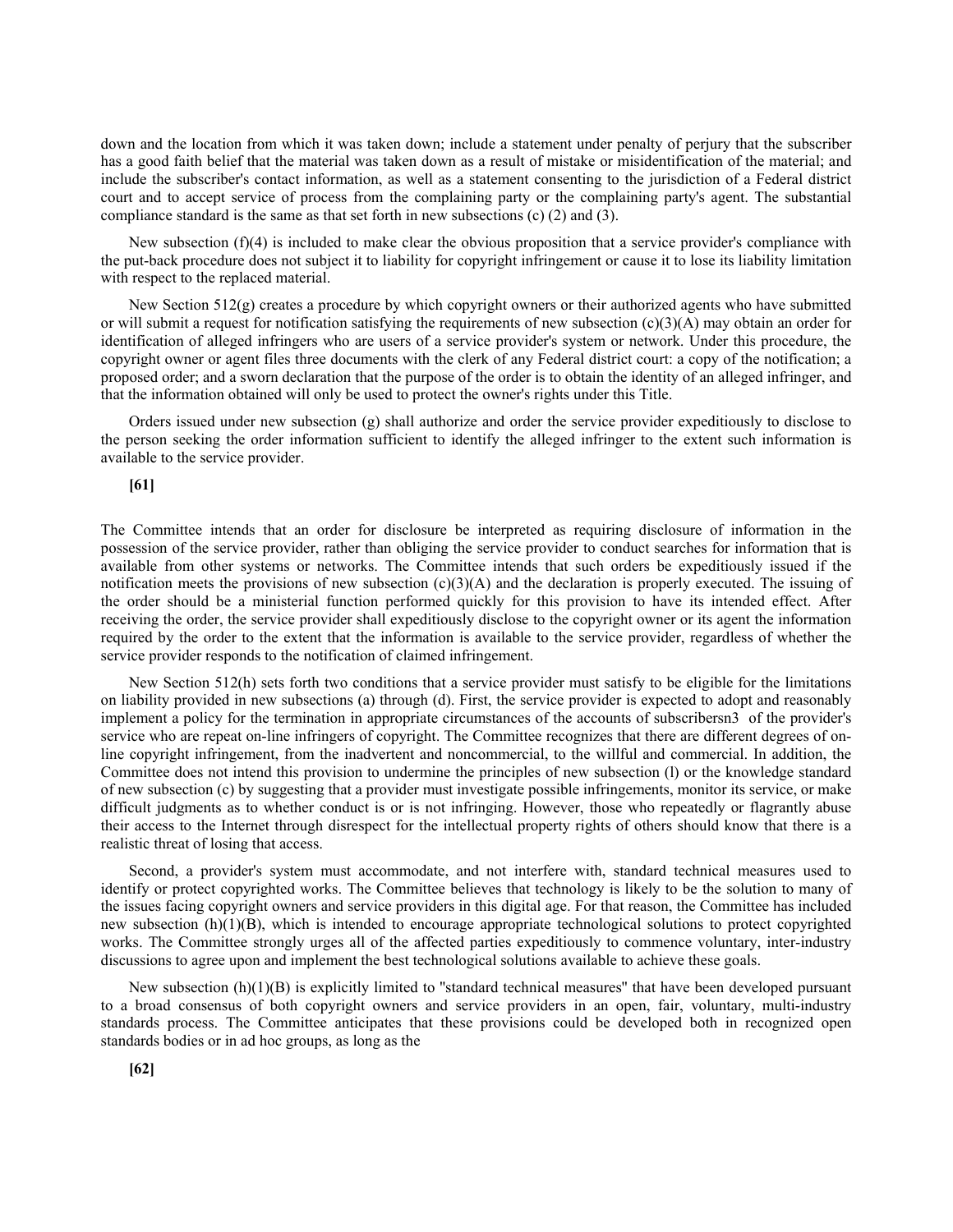down and the location from which it was taken down; include a statement under penalty of perjury that the subscriber has a good faith belief that the material was taken down as a result of mistake or misidentification of the material; and include the subscriber's contact information, as well as a statement consenting to the jurisdiction of a Federal district court and to accept service of process from the complaining party or the complaining party's agent. The substantial compliance standard is the same as that set forth in new subsections (c) (2) and (3).

New subsection  $(f)(4)$  is included to make clear the obvious proposition that a service provider's compliance with the put-back procedure does not subject it to liability for copyright infringement or cause it to lose its liability limitation with respect to the replaced material.

New Section 512(g) creates a procedure by which copyright owners or their authorized agents who have submitted or will submit a request for notification satisfying the requirements of new subsection  $(c)(3)(A)$  may obtain an order for identification of alleged infringers who are users of a service provider's system or network. Under this procedure, the copyright owner or agent files three documents with the clerk of any Federal district court: a copy of the notification; a proposed order; and a sworn declaration that the purpose of the order is to obtain the identity of an alleged infringer, and that the information obtained will only be used to protect the owner's rights under this Title.

Orders issued under new subsection (g) shall authorize and order the service provider expeditiously to disclose to the person seeking the order information sufficient to identify the alleged infringer to the extent such information is available to the service provider.

# **[61]**

The Committee intends that an order for disclosure be interpreted as requiring disclosure of information in the possession of the service provider, rather than obliging the service provider to conduct searches for information that is available from other systems or networks. The Committee intends that such orders be expeditiously issued if the notification meets the provisions of new subsection  $(c)(3)(A)$  and the declaration is properly executed. The issuing of the order should be a ministerial function performed quickly for this provision to have its intended effect. After receiving the order, the service provider shall expeditiously disclose to the copyright owner or its agent the information required by the order to the extent that the information is available to the service provider, regardless of whether the service provider responds to the notification of claimed infringement.

New Section 512(h) sets forth two conditions that a service provider must satisfy to be eligible for the limitations on liability provided in new subsections (a) through (d). First, the service provider is expected to adopt and reasonably implement a policy for the termination in appropriate circumstances of the accounts of subscribersn3 of the provider's service who are repeat on-line infringers of copyright. The Committee recognizes that there are different degrees of online copyright infringement, from the inadvertent and noncommercial, to the willful and commercial. In addition, the Committee does not intend this provision to undermine the principles of new subsection (l) or the knowledge standard of new subsection (c) by suggesting that a provider must investigate possible infringements, monitor its service, or make difficult judgments as to whether conduct is or is not infringing. However, those who repeatedly or flagrantly abuse their access to the Internet through disrespect for the intellectual property rights of others should know that there is a realistic threat of losing that access.

Second, a provider's system must accommodate, and not interfere with, standard technical measures used to identify or protect copyrighted works. The Committee believes that technology is likely to be the solution to many of the issues facing copyright owners and service providers in this digital age. For that reason, the Committee has included new subsection  $(h)(1)(B)$ , which is intended to encourage appropriate technological solutions to protect copyrighted works. The Committee strongly urges all of the affected parties expeditiously to commence voluntary, inter-industry discussions to agree upon and implement the best technological solutions available to achieve these goals.

New subsection  $(h)(1)(B)$  is explicitly limited to "standard technical measures" that have been developed pursuant to a broad consensus of both copyright owners and service providers in an open, fair, voluntary, multi-industry standards process. The Committee anticipates that these provisions could be developed both in recognized open standards bodies or in ad hoc groups, as long as the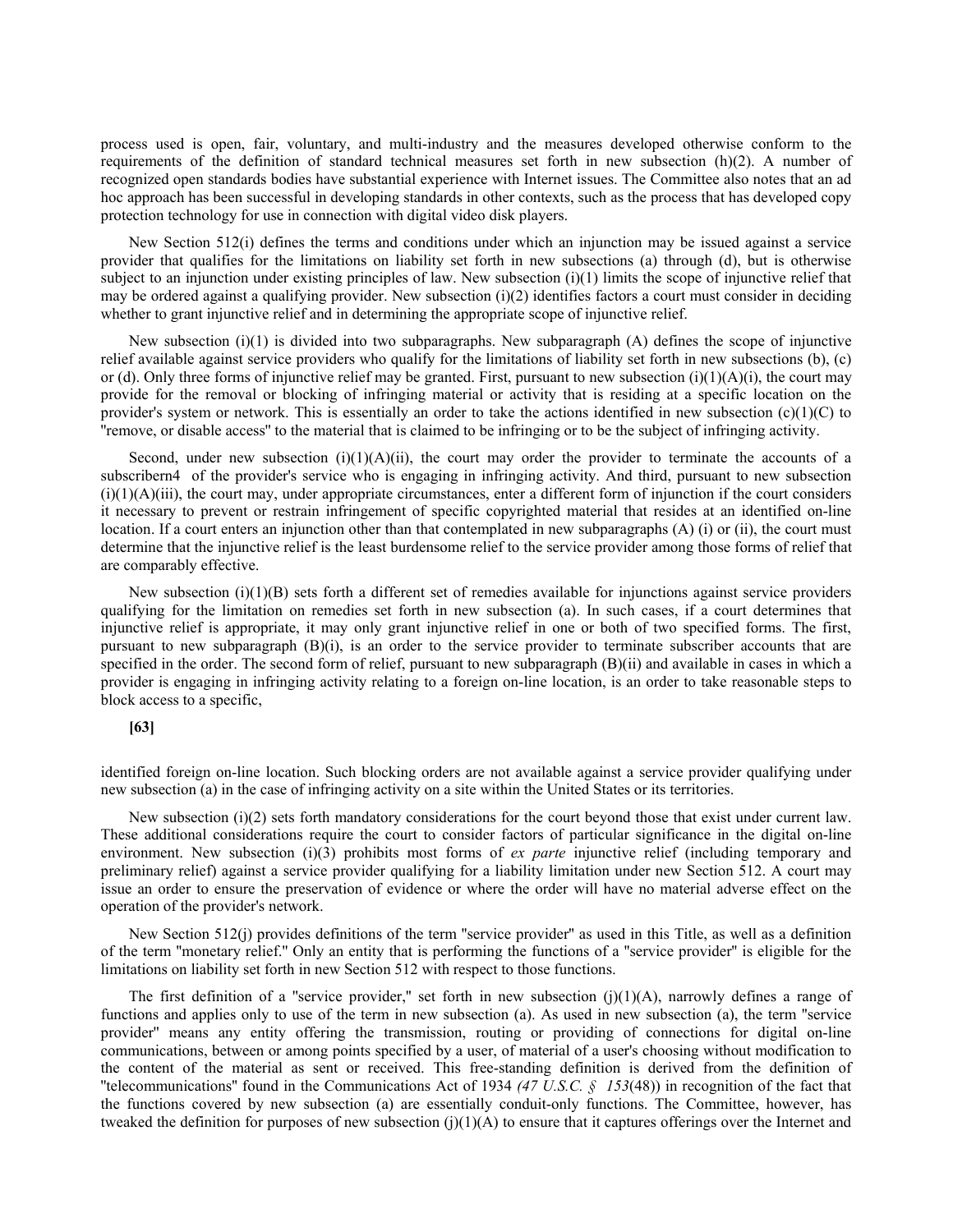process used is open, fair, voluntary, and multi-industry and the measures developed otherwise conform to the requirements of the definition of standard technical measures set forth in new subsection (h)(2). A number of recognized open standards bodies have substantial experience with Internet issues. The Committee also notes that an ad hoc approach has been successful in developing standards in other contexts, such as the process that has developed copy protection technology for use in connection with digital video disk players.

New Section 512(i) defines the terms and conditions under which an injunction may be issued against a service provider that qualifies for the limitations on liability set forth in new subsections (a) through (d), but is otherwise subject to an injunction under existing principles of law. New subsection  $(i)(1)$  limits the scope of injunctive relief that may be ordered against a qualifying provider. New subsection  $(i)(2)$  identifies factors a court must consider in deciding whether to grant injunctive relief and in determining the appropriate scope of injunctive relief.

New subsection  $(i)(1)$  is divided into two subparagraphs. New subparagraph (A) defines the scope of injunctive relief available against service providers who qualify for the limitations of liability set forth in new subsections (b), (c) or (d). Only three forms of injunctive relief may be granted. First, pursuant to new subsection  $(i)(1)(A)(i)$ , the court may provide for the removal or blocking of infringing material or activity that is residing at a specific location on the provider's system or network. This is essentially an order to take the actions identified in new subsection  $(c)(1)(C)$  to ''remove, or disable access'' to the material that is claimed to be infringing or to be the subject of infringing activity.

Second, under new subsection  $(i)(1)(A)(ii)$ , the court may order the provider to terminate the accounts of a subscribern4 of the provider's service who is engaging in infringing activity. And third, pursuant to new subsection  $(i)(1)(A)(iii)$ , the court may, under appropriate circumstances, enter a different form of injunction if the court considers it necessary to prevent or restrain infringement of specific copyrighted material that resides at an identified on-line location. If a court enters an injunction other than that contemplated in new subparagraphs (A) (i) or (ii), the court must determine that the injunctive relief is the least burdensome relief to the service provider among those forms of relief that are comparably effective.

New subsection  $(i)(1)(B)$  sets forth a different set of remedies available for injunctions against service providers qualifying for the limitation on remedies set forth in new subsection (a). In such cases, if a court determines that injunctive relief is appropriate, it may only grant injunctive relief in one or both of two specified forms. The first, pursuant to new subparagraph (B)(i), is an order to the service provider to terminate subscriber accounts that are specified in the order. The second form of relief, pursuant to new subparagraph (B)(ii) and available in cases in which a provider is engaging in infringing activity relating to a foreign on-line location, is an order to take reasonable steps to block access to a specific,

# **[63]**

identified foreign on-line location. Such blocking orders are not available against a service provider qualifying under new subsection (a) in the case of infringing activity on a site within the United States or its territories.

New subsection  $(i)(2)$  sets forth mandatory considerations for the court beyond those that exist under current law. These additional considerations require the court to consider factors of particular significance in the digital on-line environment. New subsection (i)(3) prohibits most forms of *ex parte* injunctive relief (including temporary and preliminary relief) against a service provider qualifying for a liability limitation under new Section 512. A court may issue an order to ensure the preservation of evidence or where the order will have no material adverse effect on the operation of the provider's network.

New Section 512(j) provides definitions of the term ''service provider'' as used in this Title, as well as a definition of the term ''monetary relief.'' Only an entity that is performing the functions of a ''service provider'' is eligible for the limitations on liability set forth in new Section 512 with respect to those functions.

The first definition of a "service provider," set forth in new subsection  $(j)(1)(A)$ , narrowly defines a range of functions and applies only to use of the term in new subsection (a). As used in new subsection (a), the term ''service provider'' means any entity offering the transmission, routing or providing of connections for digital on-line communications, between or among points specified by a user, of material of a user's choosing without modification to the content of the material as sent or received. This free-standing definition is derived from the definition of ''telecommunications'' found in the Communications Act of 1934 *(47 U.S.C. § 153*(48)) in recognition of the fact that the functions covered by new subsection (a) are essentially conduit-only functions. The Committee, however, has tweaked the definition for purposes of new subsection  $(j)(1)(A)$  to ensure that it captures offerings over the Internet and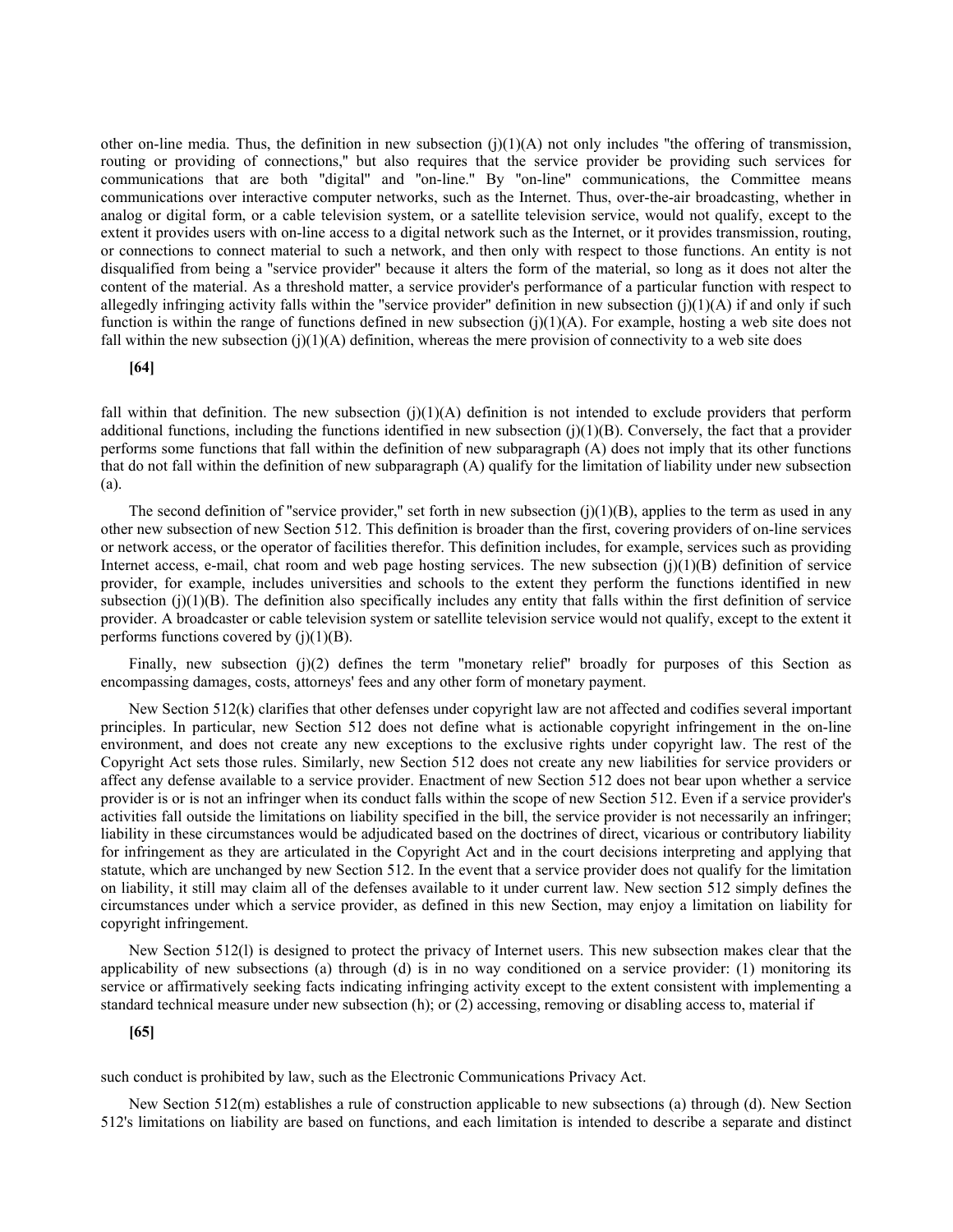other on-line media. Thus, the definition in new subsection  $(i)(1)(A)$  not only includes "the offering of transmission, routing or providing of connections,'' but also requires that the service provider be providing such services for communications that are both ''digital'' and ''on-line.'' By ''on-line'' communications, the Committee means communications over interactive computer networks, such as the Internet. Thus, over-the-air broadcasting, whether in analog or digital form, or a cable television system, or a satellite television service, would not qualify, except to the extent it provides users with on-line access to a digital network such as the Internet, or it provides transmission, routing, or connections to connect material to such a network, and then only with respect to those functions. An entity is not disqualified from being a ''service provider'' because it alters the form of the material, so long as it does not alter the content of the material. As a threshold matter, a service provider's performance of a particular function with respect to allegedly infringing activity falls within the "service provider" definition in new subsection  $(j)(1)(A)$  if and only if such function is within the range of functions defined in new subsection  $(j)(1)(A)$ . For example, hosting a web site does not fall within the new subsection  $(j)(1)(A)$  definition, whereas the mere provision of connectivity to a web site does

# **[64]**

fall within that definition. The new subsection  $(i)(1)(A)$  definition is not intended to exclude providers that perform additional functions, including the functions identified in new subsection  $(i)(1)(B)$ . Conversely, the fact that a provider performs some functions that fall within the definition of new subparagraph (A) does not imply that its other functions that do not fall within the definition of new subparagraph (A) qualify for the limitation of liability under new subsection (a).

The second definition of "service provider," set forth in new subsection  $(j)(1)(B)$ , applies to the term as used in any other new subsection of new Section 512. This definition is broader than the first, covering providers of on-line services or network access, or the operator of facilities therefor. This definition includes, for example, services such as providing Internet access, e-mail, chat room and web page hosting services. The new subsection (j)(1)(B) definition of service provider, for example, includes universities and schools to the extent they perform the functions identified in new subsection  $(i)(1)(B)$ . The definition also specifically includes any entity that falls within the first definition of service provider. A broadcaster or cable television system or satellite television service would not qualify, except to the extent it performs functions covered by  $(i)(1)(B)$ .

Finally, new subsection (j)(2) defines the term "monetary relief" broadly for purposes of this Section as encompassing damages, costs, attorneys' fees and any other form of monetary payment.

New Section 512(k) clarifies that other defenses under copyright law are not affected and codifies several important principles. In particular, new Section 512 does not define what is actionable copyright infringement in the on-line environment, and does not create any new exceptions to the exclusive rights under copyright law. The rest of the Copyright Act sets those rules. Similarly, new Section 512 does not create any new liabilities for service providers or affect any defense available to a service provider. Enactment of new Section 512 does not bear upon whether a service provider is or is not an infringer when its conduct falls within the scope of new Section 512. Even if a service provider's activities fall outside the limitations on liability specified in the bill, the service provider is not necessarily an infringer; liability in these circumstances would be adjudicated based on the doctrines of direct, vicarious or contributory liability for infringement as they are articulated in the Copyright Act and in the court decisions interpreting and applying that statute, which are unchanged by new Section 512. In the event that a service provider does not qualify for the limitation on liability, it still may claim all of the defenses available to it under current law. New section 512 simply defines the circumstances under which a service provider, as defined in this new Section, may enjoy a limitation on liability for copyright infringement.

New Section 512(l) is designed to protect the privacy of Internet users. This new subsection makes clear that the applicability of new subsections (a) through (d) is in no way conditioned on a service provider: (1) monitoring its service or affirmatively seeking facts indicating infringing activity except to the extent consistent with implementing a standard technical measure under new subsection (h); or (2) accessing, removing or disabling access to, material if

# **[65]**

such conduct is prohibited by law, such as the Electronic Communications Privacy Act.

New Section 512(m) establishes a rule of construction applicable to new subsections (a) through (d). New Section 512's limitations on liability are based on functions, and each limitation is intended to describe a separate and distinct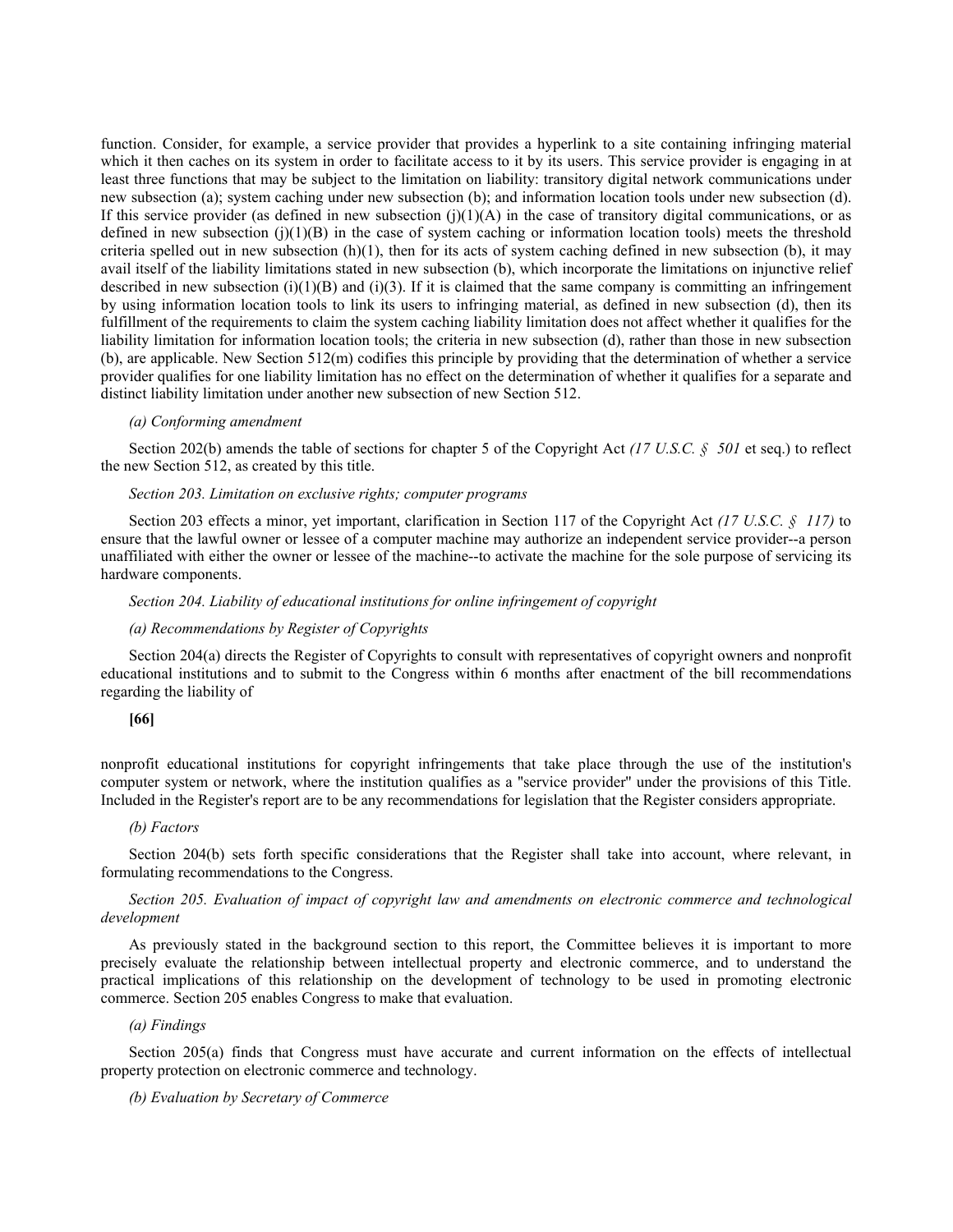function. Consider, for example, a service provider that provides a hyperlink to a site containing infringing material which it then caches on its system in order to facilitate access to it by its users. This service provider is engaging in at least three functions that may be subject to the limitation on liability: transitory digital network communications under new subsection (a); system caching under new subsection (b); and information location tools under new subsection (d). If this service provider (as defined in new subsection  $(j)(1)(A)$  in the case of transitory digital communications, or as defined in new subsection  $(j)(1)(B)$  in the case of system caching or information location tools) meets the threshold criteria spelled out in new subsection  $(h)(1)$ , then for its acts of system caching defined in new subsection  $(h)$ , it may avail itself of the liability limitations stated in new subsection (b), which incorporate the limitations on injunctive relief described in new subsection  $(i)(1)(B)$  and  $(i)(3)$ . If it is claimed that the same company is committing an infringement by using information location tools to link its users to infringing material, as defined in new subsection (d), then its fulfillment of the requirements to claim the system caching liability limitation does not affect whether it qualifies for the liability limitation for information location tools; the criteria in new subsection (d), rather than those in new subsection (b), are applicable. New Section 512(m) codifies this principle by providing that the determination of whether a service provider qualifies for one liability limitation has no effect on the determination of whether it qualifies for a separate and distinct liability limitation under another new subsection of new Section 512.

#### *(a) Conforming amendment*

Section 202(b) amends the table of sections for chapter 5 of the Copyright Act *(17 U.S.C. § 501* et seq.) to reflect the new Section 512, as created by this title.

#### *Section 203. Limitation on exclusive rights; computer programs*

Section 203 effects a minor, yet important, clarification in Section 117 of the Copyright Act *(17 U.S.C. § 117)* to ensure that the lawful owner or lessee of a computer machine may authorize an independent service provider--a person unaffiliated with either the owner or lessee of the machine--to activate the machine for the sole purpose of servicing its hardware components.

#### *Section 204. Liability of educational institutions for online infringement of copyright*

## *(a) Recommendations by Register of Copyrights*

Section 204(a) directs the Register of Copyrights to consult with representatives of copyright owners and nonprofit educational institutions and to submit to the Congress within 6 months after enactment of the bill recommendations regarding the liability of

# **[66]**

nonprofit educational institutions for copyright infringements that take place through the use of the institution's computer system or network, where the institution qualifies as a ''service provider'' under the provisions of this Title. Included in the Register's report are to be any recommendations for legislation that the Register considers appropriate.

#### *(b) Factors*

Section 204(b) sets forth specific considerations that the Register shall take into account, where relevant, in formulating recommendations to the Congress.

# *Section 205. Evaluation of impact of copyright law and amendments on electronic commerce and technological development*

As previously stated in the background section to this report, the Committee believes it is important to more precisely evaluate the relationship between intellectual property and electronic commerce, and to understand the practical implications of this relationship on the development of technology to be used in promoting electronic commerce. Section 205 enables Congress to make that evaluation.

# *(a) Findings*

Section 205(a) finds that Congress must have accurate and current information on the effects of intellectual property protection on electronic commerce and technology.

## *(b) Evaluation by Secretary of Commerce*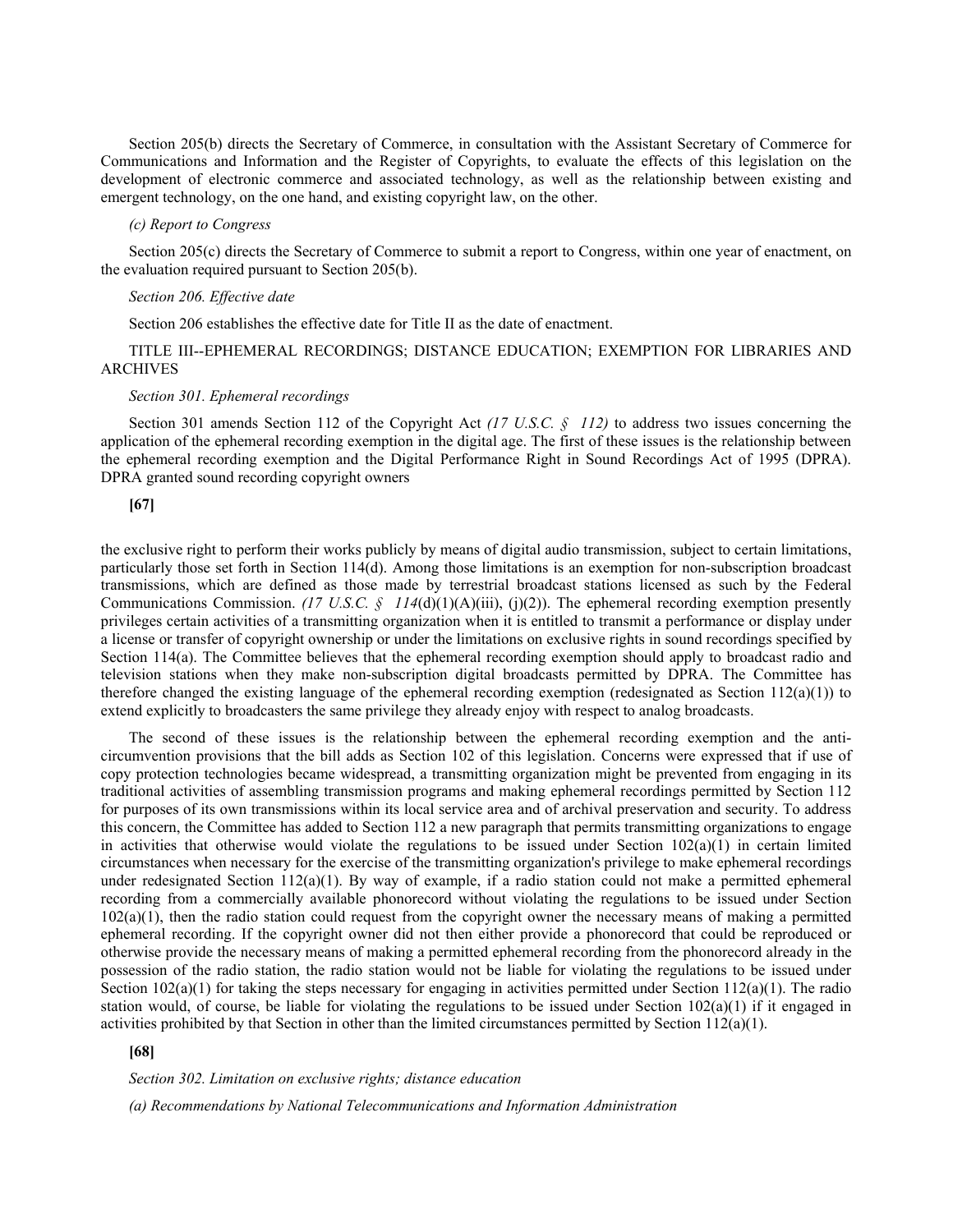Section 205(b) directs the Secretary of Commerce, in consultation with the Assistant Secretary of Commerce for Communications and Information and the Register of Copyrights, to evaluate the effects of this legislation on the development of electronic commerce and associated technology, as well as the relationship between existing and emergent technology, on the one hand, and existing copyright law, on the other.

# *(c) Report to Congress*

Section 205(c) directs the Secretary of Commerce to submit a report to Congress, within one year of enactment, on the evaluation required pursuant to Section 205(b).

#### *Section 206. Effective date*

Section 206 establishes the effective date for Title II as the date of enactment.

# TITLE III--EPHEMERAL RECORDINGS; DISTANCE EDUCATION; EXEMPTION FOR LIBRARIES AND ARCHIVES

#### *Section 301. Ephemeral recordings*

Section 301 amends Section 112 of the Copyright Act *(17 U.S.C. § 112)* to address two issues concerning the application of the ephemeral recording exemption in the digital age. The first of these issues is the relationship between the ephemeral recording exemption and the Digital Performance Right in Sound Recordings Act of 1995 (DPRA). DPRA granted sound recording copyright owners

## **[67]**

the exclusive right to perform their works publicly by means of digital audio transmission, subject to certain limitations, particularly those set forth in Section 114(d). Among those limitations is an exemption for non-subscription broadcast transmissions, which are defined as those made by terrestrial broadcast stations licensed as such by the Federal Communications Commission. *(17 U.S.C. § 114*(d)(1)(A)(iii), (j)(2)). The ephemeral recording exemption presently privileges certain activities of a transmitting organization when it is entitled to transmit a performance or display under a license or transfer of copyright ownership or under the limitations on exclusive rights in sound recordings specified by Section 114(a). The Committee believes that the ephemeral recording exemption should apply to broadcast radio and television stations when they make non-subscription digital broadcasts permitted by DPRA. The Committee has therefore changed the existing language of the ephemeral recording exemption (redesignated as Section 112(a)(1)) to extend explicitly to broadcasters the same privilege they already enjoy with respect to analog broadcasts.

The second of these issues is the relationship between the ephemeral recording exemption and the anticircumvention provisions that the bill adds as Section 102 of this legislation. Concerns were expressed that if use of copy protection technologies became widespread, a transmitting organization might be prevented from engaging in its traditional activities of assembling transmission programs and making ephemeral recordings permitted by Section 112 for purposes of its own transmissions within its local service area and of archival preservation and security. To address this concern, the Committee has added to Section 112 a new paragraph that permits transmitting organizations to engage in activities that otherwise would violate the regulations to be issued under Section  $102(a)(1)$  in certain limited circumstances when necessary for the exercise of the transmitting organization's privilege to make ephemeral recordings under redesignated Section  $112(a)(1)$ . By way of example, if a radio station could not make a permitted ephemeral recording from a commercially available phonorecord without violating the regulations to be issued under Section  $102(a)(1)$ , then the radio station could request from the copyright owner the necessary means of making a permitted ephemeral recording. If the copyright owner did not then either provide a phonorecord that could be reproduced or otherwise provide the necessary means of making a permitted ephemeral recording from the phonorecord already in the possession of the radio station, the radio station would not be liable for violating the regulations to be issued under Section  $102(a)(1)$  for taking the steps necessary for engaging in activities permitted under Section  $112(a)(1)$ . The radio station would, of course, be liable for violating the regulations to be issued under Section  $102(a)(1)$  if it engaged in activities prohibited by that Section in other than the limited circumstances permitted by Section  $112(a)(1)$ .

# **[68]**

*Section 302. Limitation on exclusive rights; distance education*

*(a) Recommendations by National Telecommunications and Information Administration*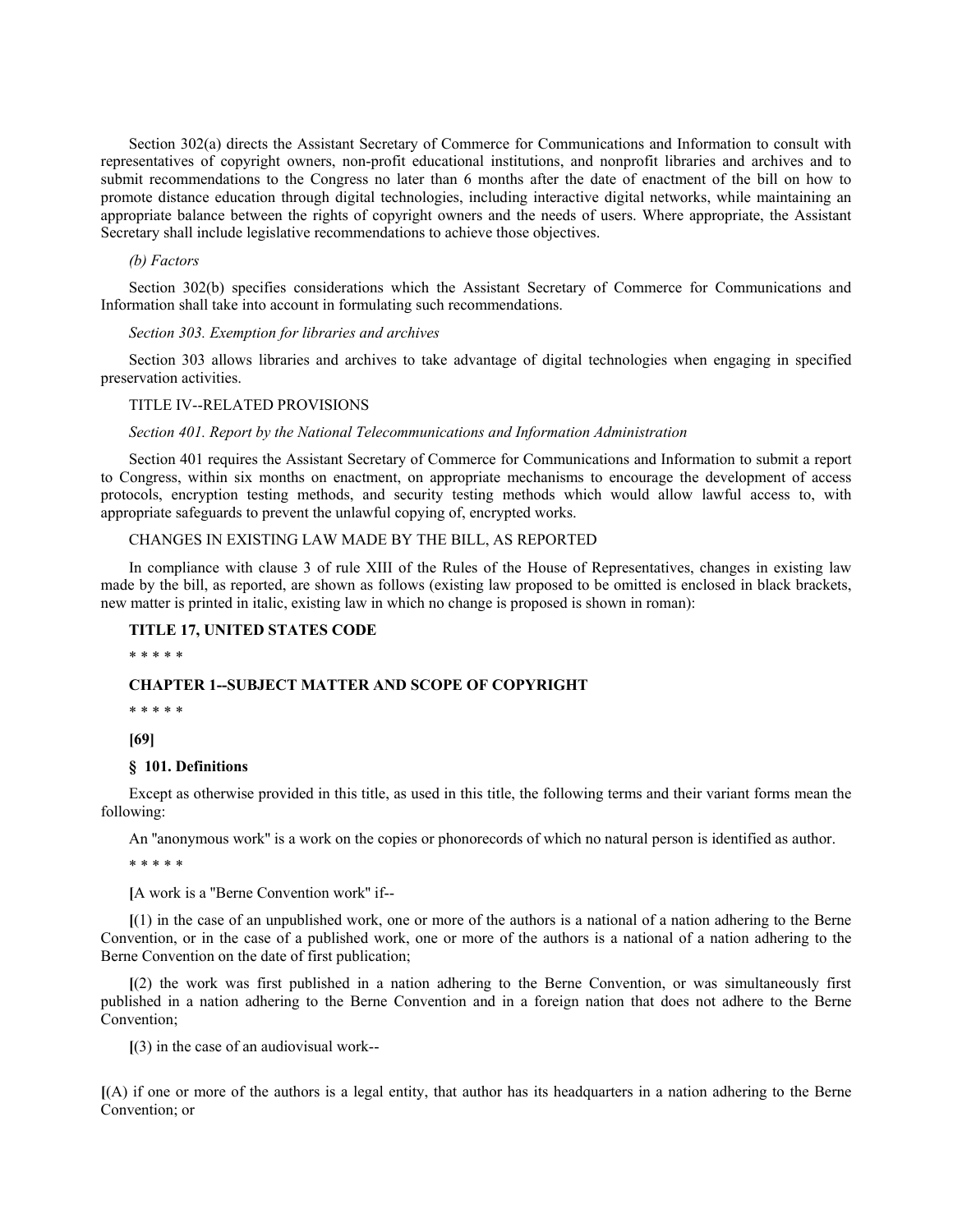Section 302(a) directs the Assistant Secretary of Commerce for Communications and Information to consult with representatives of copyright owners, non-profit educational institutions, and nonprofit libraries and archives and to submit recommendations to the Congress no later than 6 months after the date of enactment of the bill on how to promote distance education through digital technologies, including interactive digital networks, while maintaining an appropriate balance between the rights of copyright owners and the needs of users. Where appropriate, the Assistant Secretary shall include legislative recommendations to achieve those objectives.

#### *(b) Factors*

Section 302(b) specifies considerations which the Assistant Secretary of Commerce for Communications and Information shall take into account in formulating such recommendations.

*Section 303. Exemption for libraries and archives*

Section 303 allows libraries and archives to take advantage of digital technologies when engaging in specified preservation activities.

#### TITLE IV--RELATED PROVISIONS

#### *Section 401. Report by the National Telecommunications and Information Administration*

Section 401 requires the Assistant Secretary of Commerce for Communications and Information to submit a report to Congress, within six months on enactment, on appropriate mechanisms to encourage the development of access protocols, encryption testing methods, and security testing methods which would allow lawful access to, with appropriate safeguards to prevent the unlawful copying of, encrypted works.

# CHANGES IN EXISTING LAW MADE BY THE BILL, AS REPORTED

In compliance with clause 3 of rule XIII of the Rules of the House of Representatives, changes in existing law made by the bill, as reported, are shown as follows (existing law proposed to be omitted is enclosed in black brackets, new matter is printed in italic, existing law in which no change is proposed is shown in roman):

#### **TITLE 17, UNITED STATES CODE**

\* \* \* \* \*

# **CHAPTER 1--SUBJECT MATTER AND SCOPE OF COPYRIGHT**

\* \* \* \* \*

**[69]**

#### **§ 101. Definitions**

Except as otherwise provided in this title, as used in this title, the following terms and their variant forms mean the following:

An ''anonymous work'' is a work on the copies or phonorecords of which no natural person is identified as author.

\* \* \* \* \*

**[**A work is a ''Berne Convention work'' if--

**[**(1) in the case of an unpublished work, one or more of the authors is a national of a nation adhering to the Berne Convention, or in the case of a published work, one or more of the authors is a national of a nation adhering to the Berne Convention on the date of first publication;

**[**(2) the work was first published in a nation adhering to the Berne Convention, or was simultaneously first published in a nation adhering to the Berne Convention and in a foreign nation that does not adhere to the Berne Convention;

**[**(3) in the case of an audiovisual work--

**[**(A) if one or more of the authors is a legal entity, that author has its headquarters in a nation adhering to the Berne Convention; or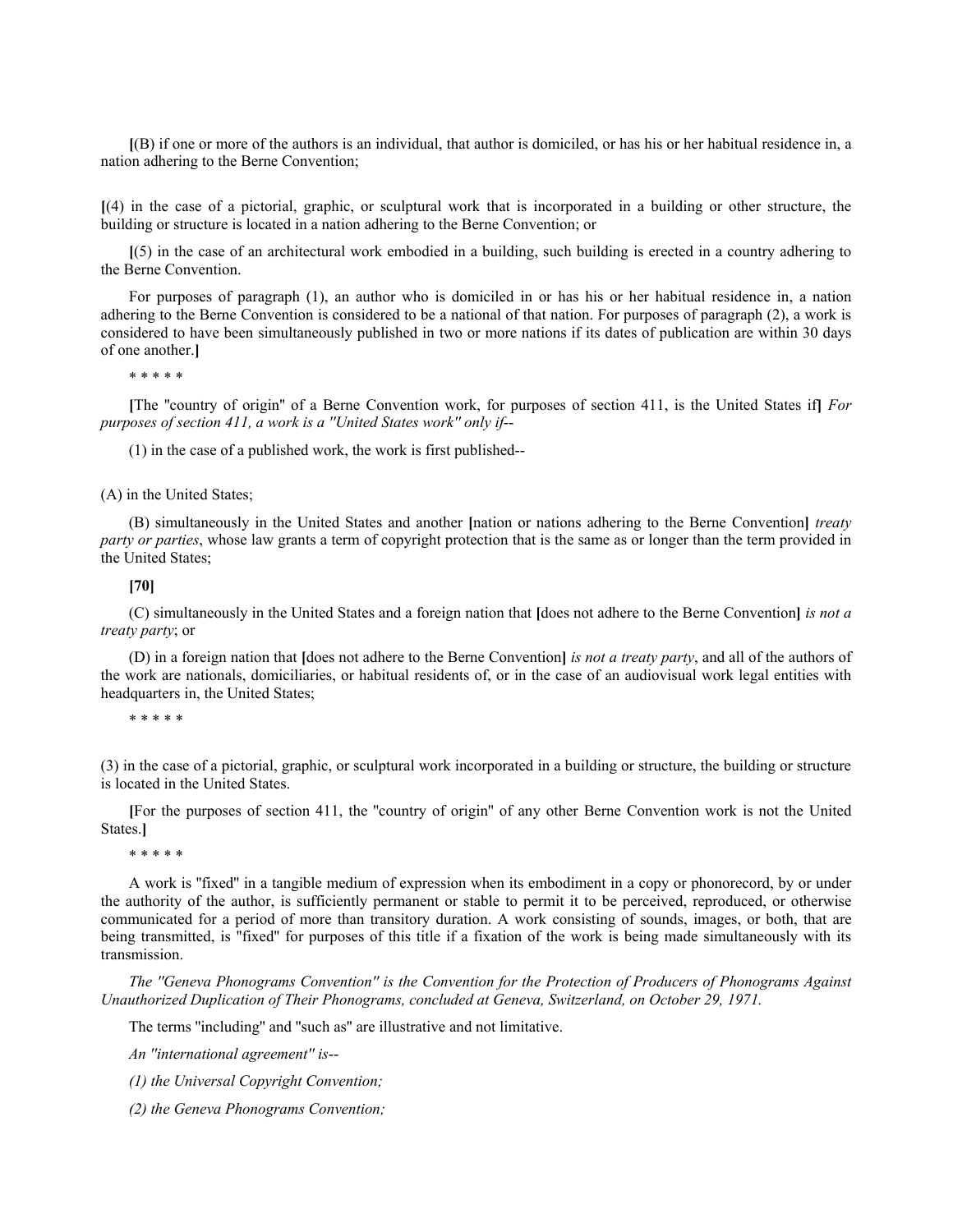**[**(B) if one or more of the authors is an individual, that author is domiciled, or has his or her habitual residence in, a nation adhering to the Berne Convention;

**[**(4) in the case of a pictorial, graphic, or sculptural work that is incorporated in a building or other structure, the building or structure is located in a nation adhering to the Berne Convention; or

**[**(5) in the case of an architectural work embodied in a building, such building is erected in a country adhering to the Berne Convention.

For purposes of paragraph (1), an author who is domiciled in or has his or her habitual residence in, a nation adhering to the Berne Convention is considered to be a national of that nation. For purposes of paragraph (2), a work is considered to have been simultaneously published in two or more nations if its dates of publication are within 30 days of one another.**]**

\* \* \* \* \*

**[**The ''country of origin'' of a Berne Convention work, for purposes of section 411, is the United States if**]** *For purposes of section 411, a work is a ''United States work'' only if*--

(1) in the case of a published work, the work is first published--

(A) in the United States;

(B) simultaneously in the United States and another **[**nation or nations adhering to the Berne Convention**]** *treaty party or parties*, whose law grants a term of copyright protection that is the same as or longer than the term provided in the United States;

**[70]**

(C) simultaneously in the United States and a foreign nation that **[**does not adhere to the Berne Convention**]** *is not a treaty party*; or

(D) in a foreign nation that **[**does not adhere to the Berne Convention**]** *is not a treaty party*, and all of the authors of the work are nationals, domiciliaries, or habitual residents of, or in the case of an audiovisual work legal entities with headquarters in, the United States;

\* \* \* \* \*

(3) in the case of a pictorial, graphic, or sculptural work incorporated in a building or structure, the building or structure is located in the United States.

**[**For the purposes of section 411, the ''country of origin'' of any other Berne Convention work is not the United States.**]**

\* \* \* \* \*

A work is ''fixed'' in a tangible medium of expression when its embodiment in a copy or phonorecord, by or under the authority of the author, is sufficiently permanent or stable to permit it to be perceived, reproduced, or otherwise communicated for a period of more than transitory duration. A work consisting of sounds, images, or both, that are being transmitted, is ''fixed'' for purposes of this title if a fixation of the work is being made simultaneously with its transmission.

*The ''Geneva Phonograms Convention'' is the Convention for the Protection of Producers of Phonograms Against Unauthorized Duplication of Their Phonograms, concluded at Geneva, Switzerland, on October 29, 1971.*

The terms ''including'' and ''such as'' are illustrative and not limitative.

*An ''international agreement'' is*--

*(1) the Universal Copyright Convention;*

*(2) the Geneva Phonograms Convention;*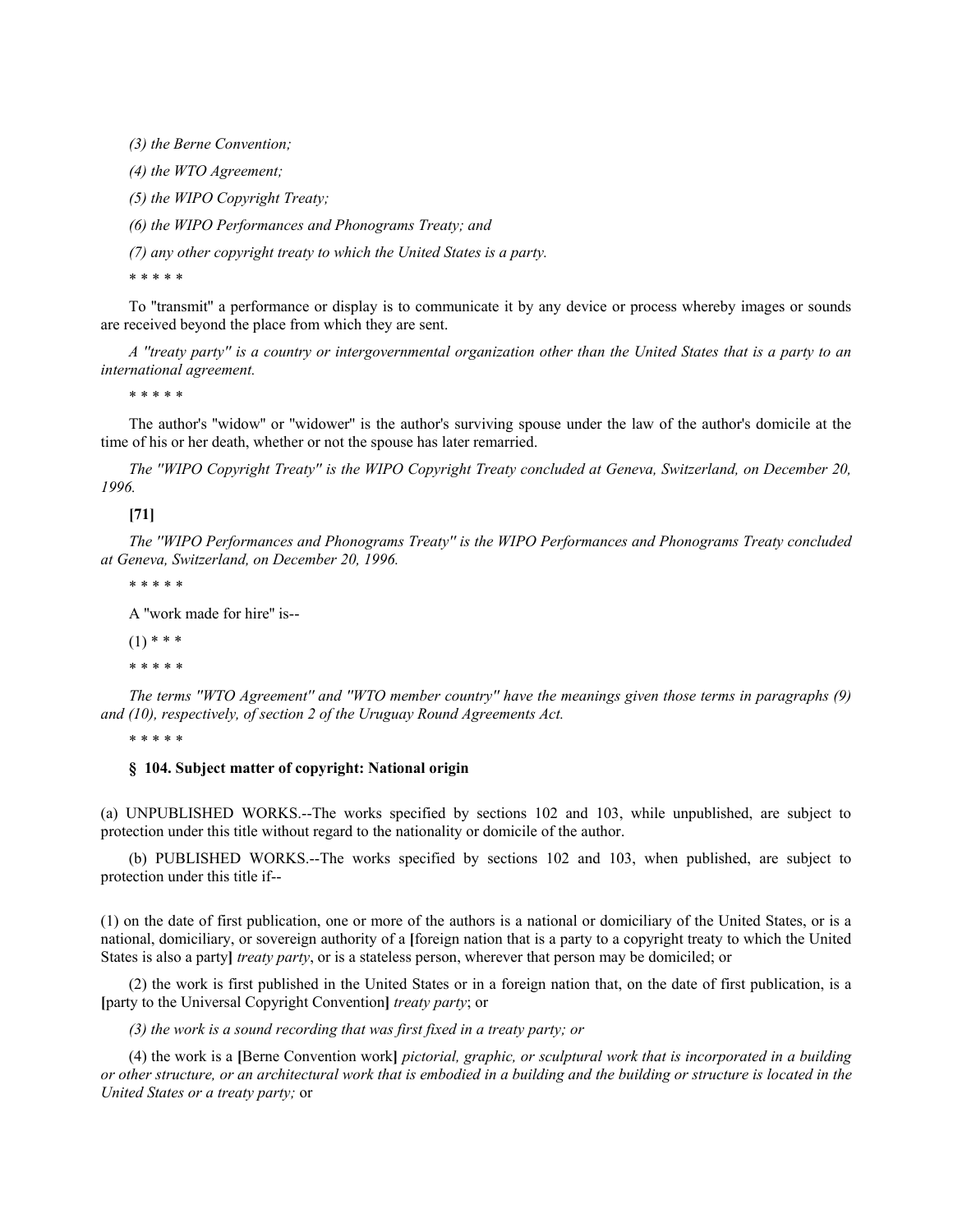*(3) the Berne Convention;*

*(4) the WTO Agreement;*

*(5) the WIPO Copyright Treaty;*

*(6) the WIPO Performances and Phonograms Treaty; and*

*(7) any other copyright treaty to which the United States is a party.*

\* \* \* \* \*

To ''transmit'' a performance or display is to communicate it by any device or process whereby images or sounds are received beyond the place from which they are sent.

*A ''treaty party'' is a country or intergovernmental organization other than the United States that is a party to an international agreement.*

\* \* \* \* \*

The author's "widow" or "widower" is the author's surviving spouse under the law of the author's domicile at the time of his or her death, whether or not the spouse has later remarried.

*The ''WIPO Copyright Treaty'' is the WIPO Copyright Treaty concluded at Geneva, Switzerland, on December 20, 1996.*

# **[71]**

*The ''WIPO Performances and Phonograms Treaty'' is the WIPO Performances and Phonograms Treaty concluded at Geneva, Switzerland, on December 20, 1996.*

\* \* \* \* \*

A ''work made for hire'' is--

 $(1)$  \* \* \*

\* \* \* \* \*

*The terms ''WTO Agreement'' and ''WTO member country'' have the meanings given those terms in paragraphs (9) and (10), respectively, of section 2 of the Uruguay Round Agreements Act.*

\* \* \* \* \*

# **§ 104. Subject matter of copyright: National origin**

(a) UNPUBLISHED WORKS.--The works specified by sections 102 and 103, while unpublished, are subject to protection under this title without regard to the nationality or domicile of the author.

(b) PUBLISHED WORKS.--The works specified by sections 102 and 103, when published, are subject to protection under this title if--

(1) on the date of first publication, one or more of the authors is a national or domiciliary of the United States, or is a national, domiciliary, or sovereign authority of a **[**foreign nation that is a party to a copyright treaty to which the United States is also a party**]** *treaty party*, or is a stateless person, wherever that person may be domiciled; or

(2) the work is first published in the United States or in a foreign nation that, on the date of first publication, is a **[**party to the Universal Copyright Convention**]** *treaty party*; or

*(3) the work is a sound recording that was first fixed in a treaty party; or*

(4) the work is a **[**Berne Convention work**]** *pictorial, graphic, or sculptural work that is incorporated in a building or other structure, or an architectural work that is embodied in a building and the building or structure is located in the United States or a treaty party;* or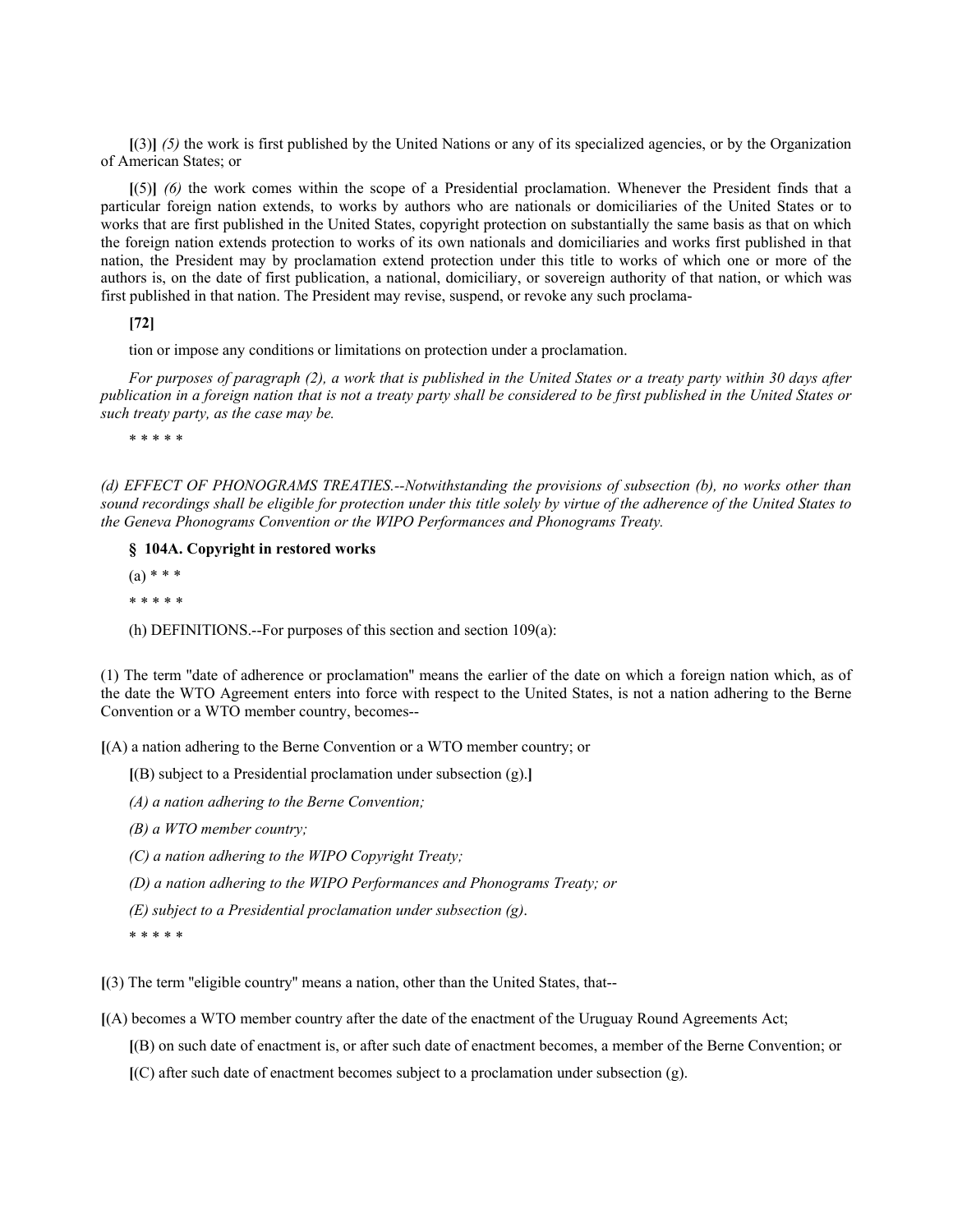**[**(3)**]** *(5)* the work is first published by the United Nations or any of its specialized agencies, or by the Organization of American States; or

**[**(5)**]** *(6)* the work comes within the scope of a Presidential proclamation. Whenever the President finds that a particular foreign nation extends, to works by authors who are nationals or domiciliaries of the United States or to works that are first published in the United States, copyright protection on substantially the same basis as that on which the foreign nation extends protection to works of its own nationals and domiciliaries and works first published in that nation, the President may by proclamation extend protection under this title to works of which one or more of the authors is, on the date of first publication, a national, domiciliary, or sovereign authority of that nation, or which was first published in that nation. The President may revise, suspend, or revoke any such proclama-

**[72]**

tion or impose any conditions or limitations on protection under a proclamation.

*For purposes of paragraph (2), a work that is published in the United States or a treaty party within 30 days after publication in a foreign nation that is not a treaty party shall be considered to be first published in the United States or such treaty party, as the case may be.*

\* \* \* \* \*

*(d) EFFECT OF PHONOGRAMS TREATIES.--Notwithstanding the provisions of subsection (b), no works other than sound recordings shall be eligible for protection under this title solely by virtue of the adherence of the United States to the Geneva Phonograms Convention or the WIPO Performances and Phonograms Treaty.*

**§ 104A. Copyright in restored works**

 $(a) * * *$ 

\* \* \* \* \*

(h) DEFINITIONS.--For purposes of this section and section 109(a):

(1) The term ''date of adherence or proclamation'' means the earlier of the date on which a foreign nation which, as of the date the WTO Agreement enters into force with respect to the United States, is not a nation adhering to the Berne Convention or a WTO member country, becomes--

**[**(A) a nation adhering to the Berne Convention or a WTO member country; or

**[**(B) subject to a Presidential proclamation under subsection (g).**]**

- *(A) a nation adhering to the Berne Convention;*
- *(B) a WTO member country;*
- *(C) a nation adhering to the WIPO Copyright Treaty;*
- *(D) a nation adhering to the WIPO Performances and Phonograms Treaty; or*
- *(E) subject to a Presidential proclamation under subsection (g)*.
- \* \* \* \* \*

**[**(3) The term ''eligible country'' means a nation, other than the United States, that--

**[**(A) becomes a WTO member country after the date of the enactment of the Uruguay Round Agreements Act;

**[**(B) on such date of enactment is, or after such date of enactment becomes, a member of the Berne Convention; or

**[**(C) after such date of enactment becomes subject to a proclamation under subsection (g).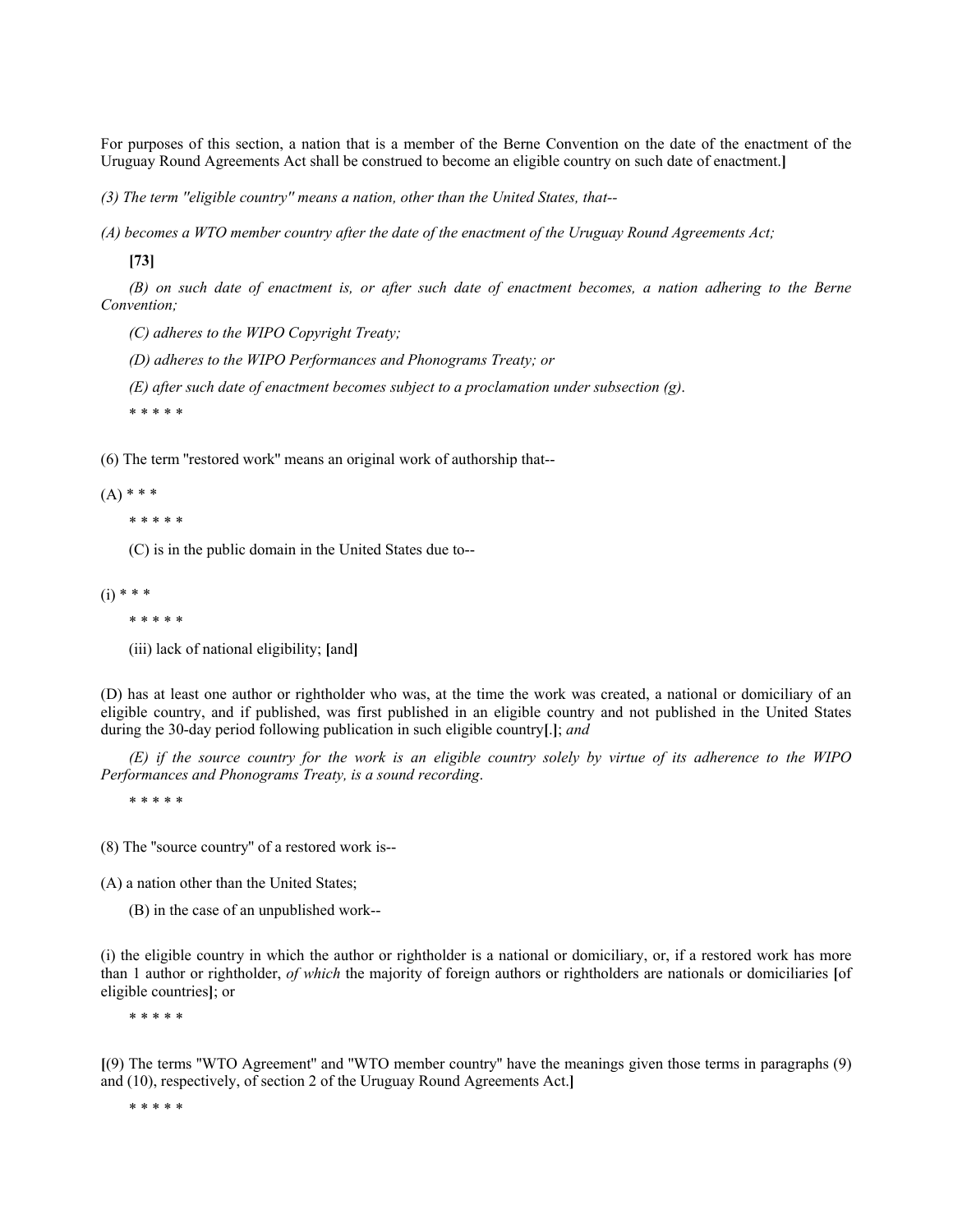For purposes of this section, a nation that is a member of the Berne Convention on the date of the enactment of the Uruguay Round Agreements Act shall be construed to become an eligible country on such date of enactment.**]**

*(3) The term ''eligible country'' means a nation, other than the United States, that--*

*(A) becomes a WTO member country after the date of the enactment of the Uruguay Round Agreements Act;*

**[73]**

*(B) on such date of enactment is, or after such date of enactment becomes, a nation adhering to the Berne Convention;*

*(C) adheres to the WIPO Copyright Treaty;*

*(D) adheres to the WIPO Performances and Phonograms Treaty; or*

*(E) after such date of enactment becomes subject to a proclamation under subsection (g)*.

\* \* \* \* \*

(6) The term ''restored work'' means an original work of authorship that--

 $(A)$  \* \* \*

\* \* \* \* \*

(C) is in the public domain in the United States due to--

 $(i) * * *$ 

\* \* \* \* \*

(iii) lack of national eligibility; **[**and**]**

(D) has at least one author or rightholder who was, at the time the work was created, a national or domiciliary of an eligible country, and if published, was first published in an eligible country and not published in the United States during the 30-day period following publication in such eligible country**[**.**]**; *and*

*(E) if the source country for the work is an eligible country solely by virtue of its adherence to the WIPO Performances and Phonograms Treaty, is a sound recording*.

\* \* \* \* \*

(8) The ''source country'' of a restored work is--

(A) a nation other than the United States;

(B) in the case of an unpublished work--

(i) the eligible country in which the author or rightholder is a national or domiciliary, or, if a restored work has more than 1 author or rightholder, *of which* the majority of foreign authors or rightholders are nationals or domiciliaries **[**of eligible countries**]**; or

\* \* \* \* \*

**[**(9) The terms ''WTO Agreement'' and ''WTO member country'' have the meanings given those terms in paragraphs (9) and (10), respectively, of section 2 of the Uruguay Round Agreements Act.**]**

\* \* \* \* \*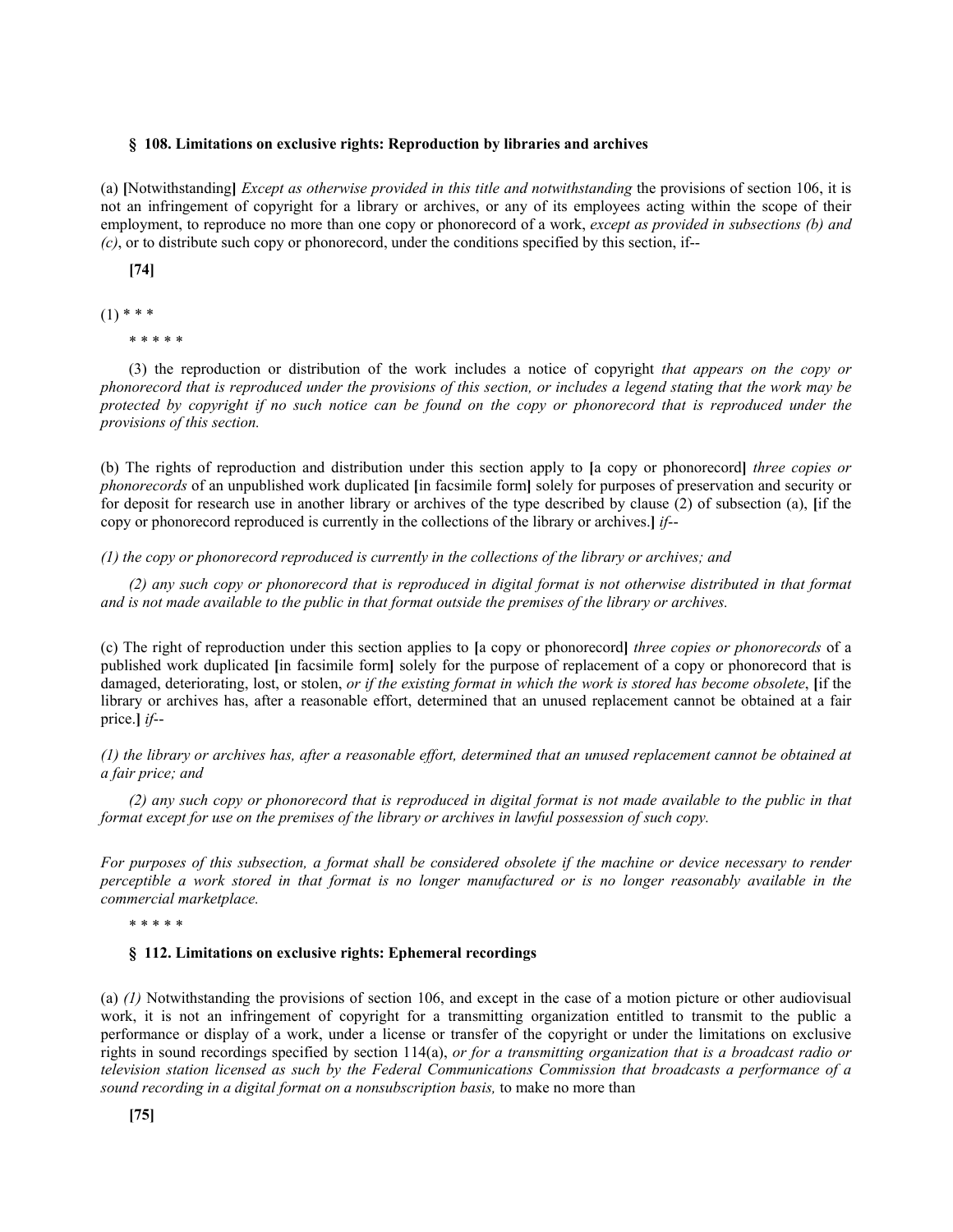## **§ 108. Limitations on exclusive rights: Reproduction by libraries and archives**

(a) **[**Notwithstanding**]** *Except as otherwise provided in this title and notwithstanding* the provisions of section 106, it is not an infringement of copyright for a library or archives, or any of its employees acting within the scope of their employment, to reproduce no more than one copy or phonorecord of a work, *except as provided in subsections (b) and (c)*, or to distribute such copy or phonorecord, under the conditions specified by this section, if--

**[74]**

- $(1)$  \* \* \*
	- \* \* \* \* \*

(3) the reproduction or distribution of the work includes a notice of copyright *that appears on the copy or phonorecord that is reproduced under the provisions of this section, or includes a legend stating that the work may be protected by copyright if no such notice can be found on the copy or phonorecord that is reproduced under the provisions of this section.*

(b) The rights of reproduction and distribution under this section apply to **[**a copy or phonorecord**]** *three copies or phonorecords* of an unpublished work duplicated **[**in facsimile form**]** solely for purposes of preservation and security or for deposit for research use in another library or archives of the type described by clause (2) of subsection (a), **[**if the copy or phonorecord reproduced is currently in the collections of the library or archives.**]** *if*--

*(1) the copy or phonorecord reproduced is currently in the collections of the library or archives; and*

*(2) any such copy or phonorecord that is reproduced in digital format is not otherwise distributed in that format and is not made available to the public in that format outside the premises of the library or archives.*

(c) The right of reproduction under this section applies to **[**a copy or phonorecord**]** *three copies or phonorecords* of a published work duplicated **[**in facsimile form**]** solely for the purpose of replacement of a copy or phonorecord that is damaged, deteriorating, lost, or stolen, *or if the existing format in which the work is stored has become obsolete*, **[**if the library or archives has, after a reasonable effort, determined that an unused replacement cannot be obtained at a fair price.**]** *if*--

*(1) the library or archives has, after a reasonable effort, determined that an unused replacement cannot be obtained at a fair price; and*

*(2) any such copy or phonorecord that is reproduced in digital format is not made available to the public in that format except for use on the premises of the library or archives in lawful possession of such copy.*

For purposes of this subsection, a format shall be considered obsolete if the machine or device necessary to render *perceptible a work stored in that format is no longer manufactured or is no longer reasonably available in the commercial marketplace.*

\* \* \* \* \*

## **§ 112. Limitations on exclusive rights: Ephemeral recordings**

(a) *(1)* Notwithstanding the provisions of section 106, and except in the case of a motion picture or other audiovisual work, it is not an infringement of copyright for a transmitting organization entitled to transmit to the public a performance or display of a work, under a license or transfer of the copyright or under the limitations on exclusive rights in sound recordings specified by section 114(a), *or for a transmitting organization that is a broadcast radio or television station licensed as such by the Federal Communications Commission that broadcasts a performance of a sound recording in a digital format on a nonsubscription basis,* to make no more than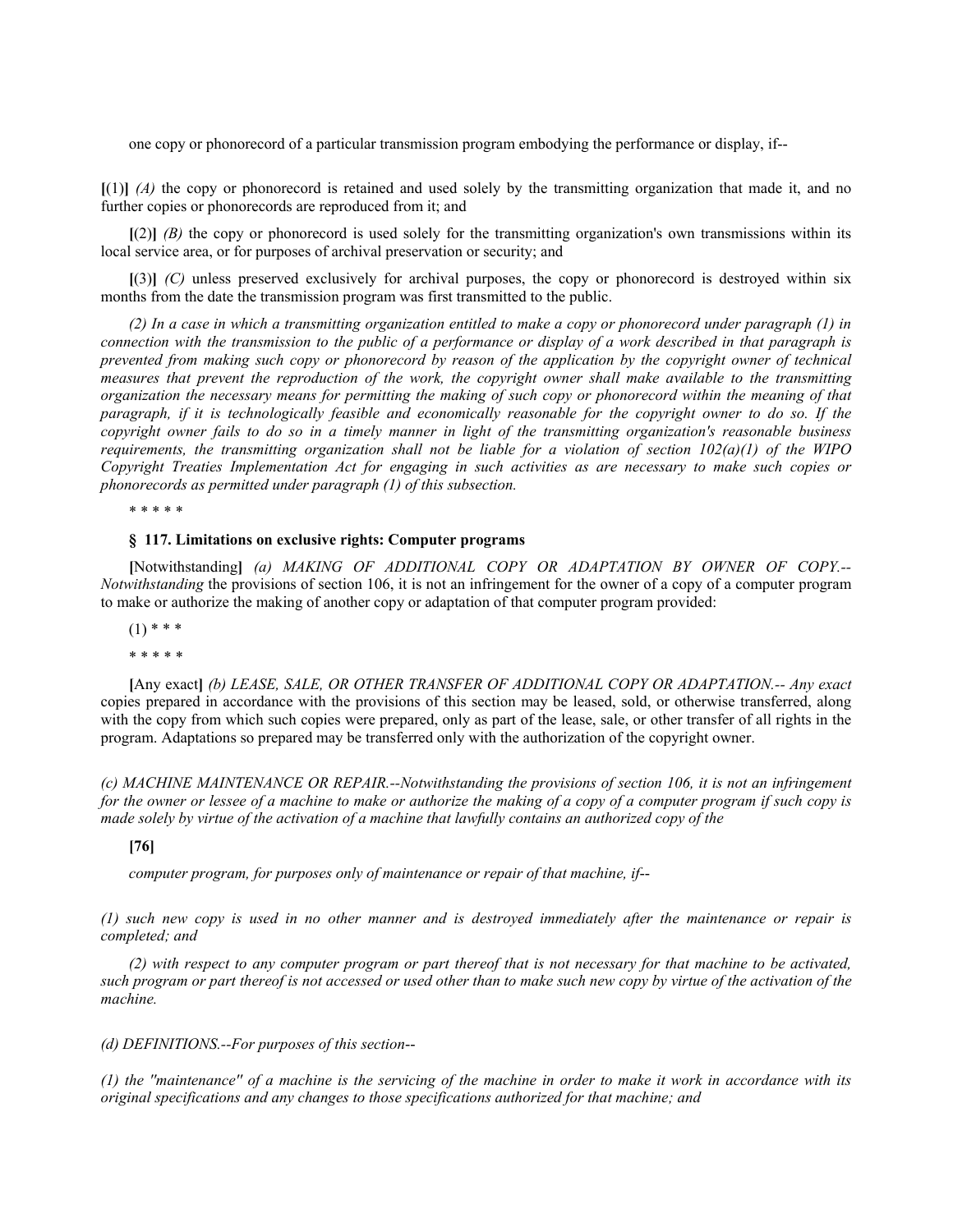one copy or phonorecord of a particular transmission program embodying the performance or display, if--

**[**(1)**]** *(A)* the copy or phonorecord is retained and used solely by the transmitting organization that made it, and no further copies or phonorecords are reproduced from it; and

**[**(2)**]** *(B)* the copy or phonorecord is used solely for the transmitting organization's own transmissions within its local service area, or for purposes of archival preservation or security; and

**[**(3)**]** *(C)* unless preserved exclusively for archival purposes, the copy or phonorecord is destroyed within six months from the date the transmission program was first transmitted to the public.

*(2) In a case in which a transmitting organization entitled to make a copy or phonorecord under paragraph (1) in connection with the transmission to the public of a performance or display of a work described in that paragraph is prevented from making such copy or phonorecord by reason of the application by the copyright owner of technical measures that prevent the reproduction of the work, the copyright owner shall make available to the transmitting organization the necessary means for permitting the making of such copy or phonorecord within the meaning of that paragraph, if it is technologically feasible and economically reasonable for the copyright owner to do so. If the copyright owner fails to do so in a timely manner in light of the transmitting organization's reasonable business requirements, the transmitting organization shall not be liable for a violation of section 102(a)(1) of the WIPO Copyright Treaties Implementation Act for engaging in such activities as are necessary to make such copies or phonorecords as permitted under paragraph (1) of this subsection.*

\* \* \* \* \*

# **§ 117. Limitations on exclusive rights: Computer programs**

**[**Notwithstanding**]** *(a) MAKING OF ADDITIONAL COPY OR ADAPTATION BY OWNER OF COPY.-- Notwithstanding* the provisions of section 106, it is not an infringement for the owner of a copy of a computer program to make or authorize the making of another copy or adaptation of that computer program provided:

 $(1)$  \* \* \*

\* \* \* \* \*

**[**Any exact**]** *(b) LEASE, SALE, OR OTHER TRANSFER OF ADDITIONAL COPY OR ADAPTATION.-- Any exact* copies prepared in accordance with the provisions of this section may be leased, sold, or otherwise transferred, along with the copy from which such copies were prepared, only as part of the lease, sale, or other transfer of all rights in the program. Adaptations so prepared may be transferred only with the authorization of the copyright owner.

*(c) MACHINE MAINTENANCE OR REPAIR.--Notwithstanding the provisions of section 106, it is not an infringement for the owner or lessee of a machine to make or authorize the making of a copy of a computer program if such copy is made solely by virtue of the activation of a machine that lawfully contains an authorized copy of the*

# **[76]**

*computer program, for purposes only of maintenance or repair of that machine, if*--

*(1) such new copy is used in no other manner and is destroyed immediately after the maintenance or repair is completed; and*

*(2) with respect to any computer program or part thereof that is not necessary for that machine to be activated, such program or part thereof is not accessed or used other than to make such new copy by virtue of the activation of the machine.*

# *(d) DEFINITIONS.--For purposes of this section*--

*(1) the ''maintenance'' of a machine is the servicing of the machine in order to make it work in accordance with its original specifications and any changes to those specifications authorized for that machine; and*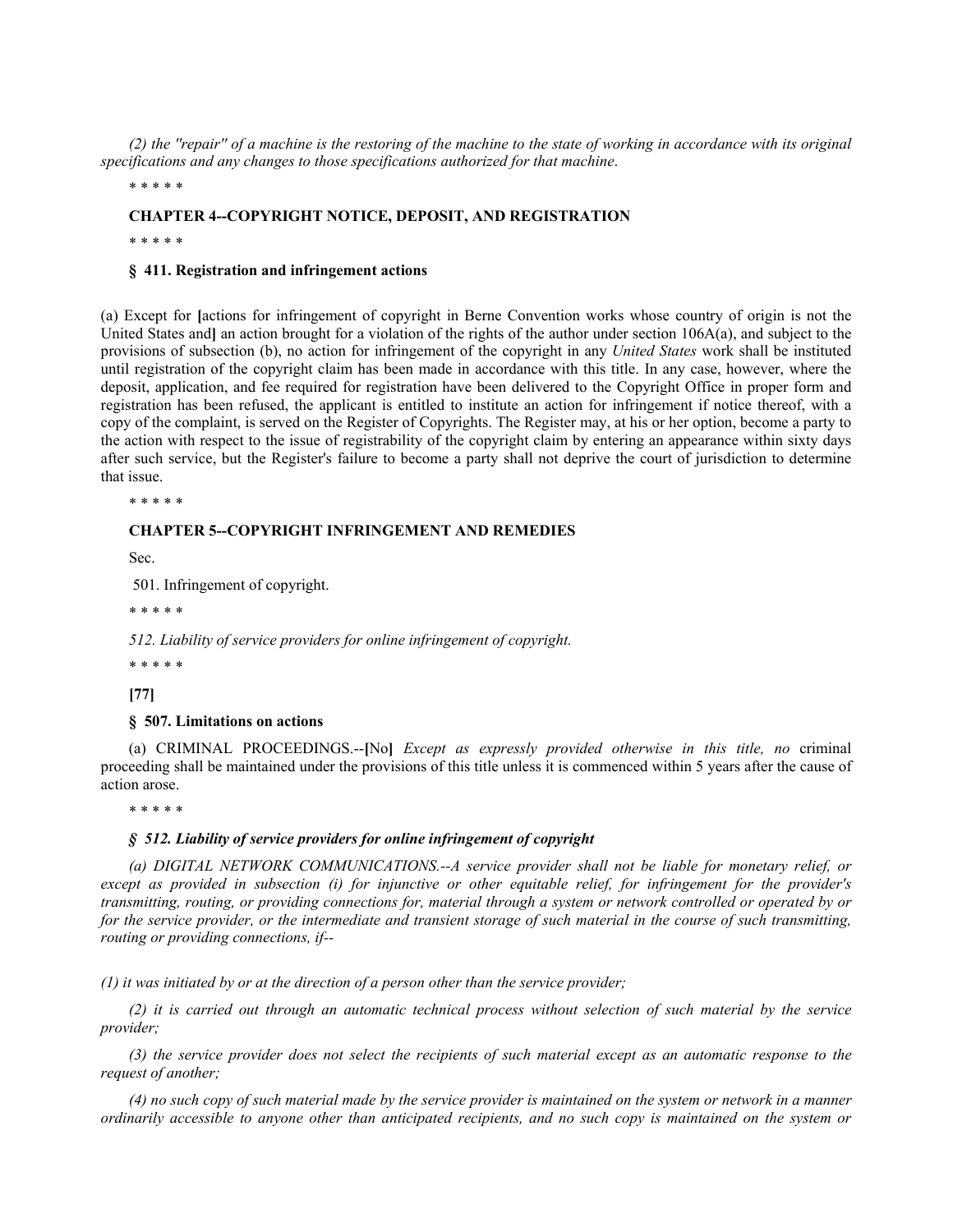*(2) the ''repair'' of a machine is the restoring of the machine to the state of working in accordance with its original specifications and any changes to those specifications authorized for that machine*.

\* \* \* \* \*

#### **CHAPTER 4--COPYRIGHT NOTICE, DEPOSIT, AND REGISTRATION**

\* \* \* \* \*

#### **§ 411. Registration and infringement actions**

(a) Except for **[**actions for infringement of copyright in Berne Convention works whose country of origin is not the United States and an action brought for a violation of the rights of the author under section 106A(a), and subject to the provisions of subsection (b), no action for infringement of the copyright in any *United States* work shall be instituted until registration of the copyright claim has been made in accordance with this title. In any case, however, where the deposit, application, and fee required for registration have been delivered to the Copyright Office in proper form and registration has been refused, the applicant is entitled to institute an action for infringement if notice thereof, with a copy of the complaint, is served on the Register of Copyrights. The Register may, at his or her option, become a party to the action with respect to the issue of registrability of the copyright claim by entering an appearance within sixty days after such service, but the Register's failure to become a party shall not deprive the court of jurisdiction to determine that issue.

\* \* \* \* \*

# **CHAPTER 5--COPYRIGHT INFRINGEMENT AND REMEDIES**

Sec.

501. Infringement of copyright.

\* \* \* \* \*

*512. Liability of service providers for online infringement of copyright.*

\* \* \* \* \*

**[77]**

## **§ 507. Limitations on actions**

(a) CRIMINAL PROCEEDINGS.--**[**No**]** *Except as expressly provided otherwise in this title, no* criminal proceeding shall be maintained under the provisions of this title unless it is commenced within 5 years after the cause of action arose.

\* \* \* \* \*

## *§ 512. Liability of service providers for online infringement of copyright*

*(a) DIGITAL NETWORK COMMUNICATIONS.--A service provider shall not be liable for monetary relief, or except as provided in subsection (i) for injunctive or other equitable relief, for infringement for the provider's transmitting, routing, or providing connections for, material through a system or network controlled or operated by or for the service provider, or the intermediate and transient storage of such material in the course of such transmitting, routing or providing connections, if--*

*(1) it was initiated by or at the direction of a person other than the service provider;*

*(2) it is carried out through an automatic technical process without selection of such material by the service provider;*

*(3) the service provider does not select the recipients of such material except as an automatic response to the request of another;*

*(4) no such copy of such material made by the service provider is maintained on the system or network in a manner ordinarily accessible to anyone other than anticipated recipients, and no such copy is maintained on the system or*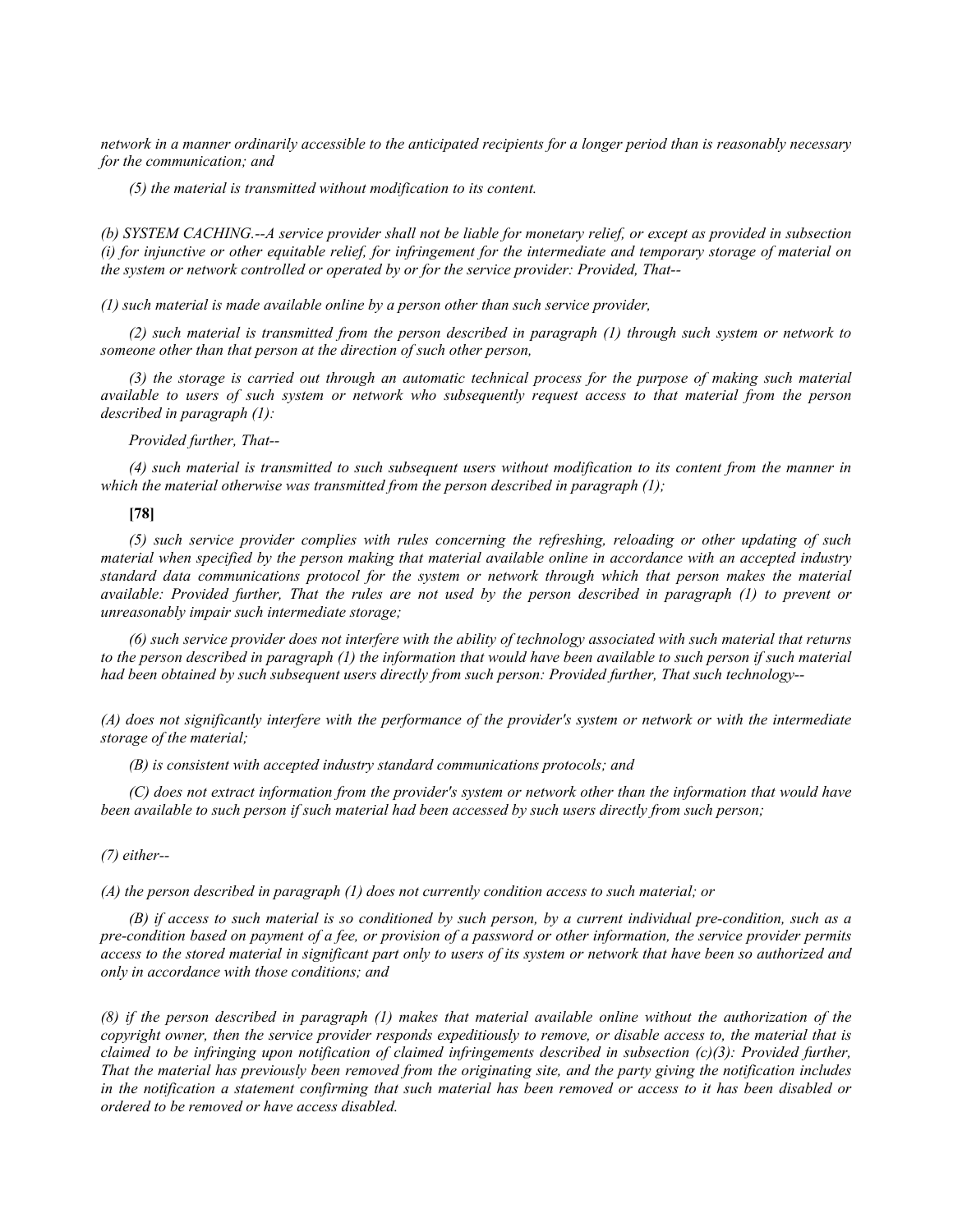*network in a manner ordinarily accessible to the anticipated recipients for a longer period than is reasonably necessary for the communication; and*

*(5) the material is transmitted without modification to its content.*

*(b) SYSTEM CACHING.--A service provider shall not be liable for monetary relief, or except as provided in subsection (i) for injunctive or other equitable relief, for infringement for the intermediate and temporary storage of material on the system or network controlled or operated by or for the service provider: Provided, That--*

*(1) such material is made available online by a person other than such service provider,*

*(2) such material is transmitted from the person described in paragraph (1) through such system or network to someone other than that person at the direction of such other person,*

*(3) the storage is carried out through an automatic technical process for the purpose of making such material available to users of such system or network who subsequently request access to that material from the person described in paragraph (1):*

*Provided further, That--*

*(4) such material is transmitted to such subsequent users without modification to its content from the manner in which the material otherwise was transmitted from the person described in paragraph (1);*

# **[78]**

*(5) such service provider complies with rules concerning the refreshing, reloading or other updating of such material when specified by the person making that material available online in accordance with an accepted industry standard data communications protocol for the system or network through which that person makes the material available: Provided further, That the rules are not used by the person described in paragraph (1) to prevent or unreasonably impair such intermediate storage;*

*(6) such service provider does not interfere with the ability of technology associated with such material that returns to the person described in paragraph (1) the information that would have been available to such person if such material had been obtained by such subsequent users directly from such person: Provided further, That such technology--*

*(A) does not significantly interfere with the performance of the provider's system or network or with the intermediate storage of the material;*

*(B) is consistent with accepted industry standard communications protocols; and*

*(C) does not extract information from the provider's system or network other than the information that would have been available to such person if such material had been accessed by such users directly from such person;*

#### *(7) either--*

*(A) the person described in paragraph (1) does not currently condition access to such material; or*

*(B) if access to such material is so conditioned by such person, by a current individual pre-condition, such as a pre-condition based on payment of a fee, or provision of a password or other information, the service provider permits access to the stored material in significant part only to users of its system or network that have been so authorized and only in accordance with those conditions; and*

*(8) if the person described in paragraph (1) makes that material available online without the authorization of the copyright owner, then the service provider responds expeditiously to remove, or disable access to, the material that is claimed to be infringing upon notification of claimed infringements described in subsection (c)(3): Provided further, That the material has previously been removed from the originating site, and the party giving the notification includes in the notification a statement confirming that such material has been removed or access to it has been disabled or ordered to be removed or have access disabled.*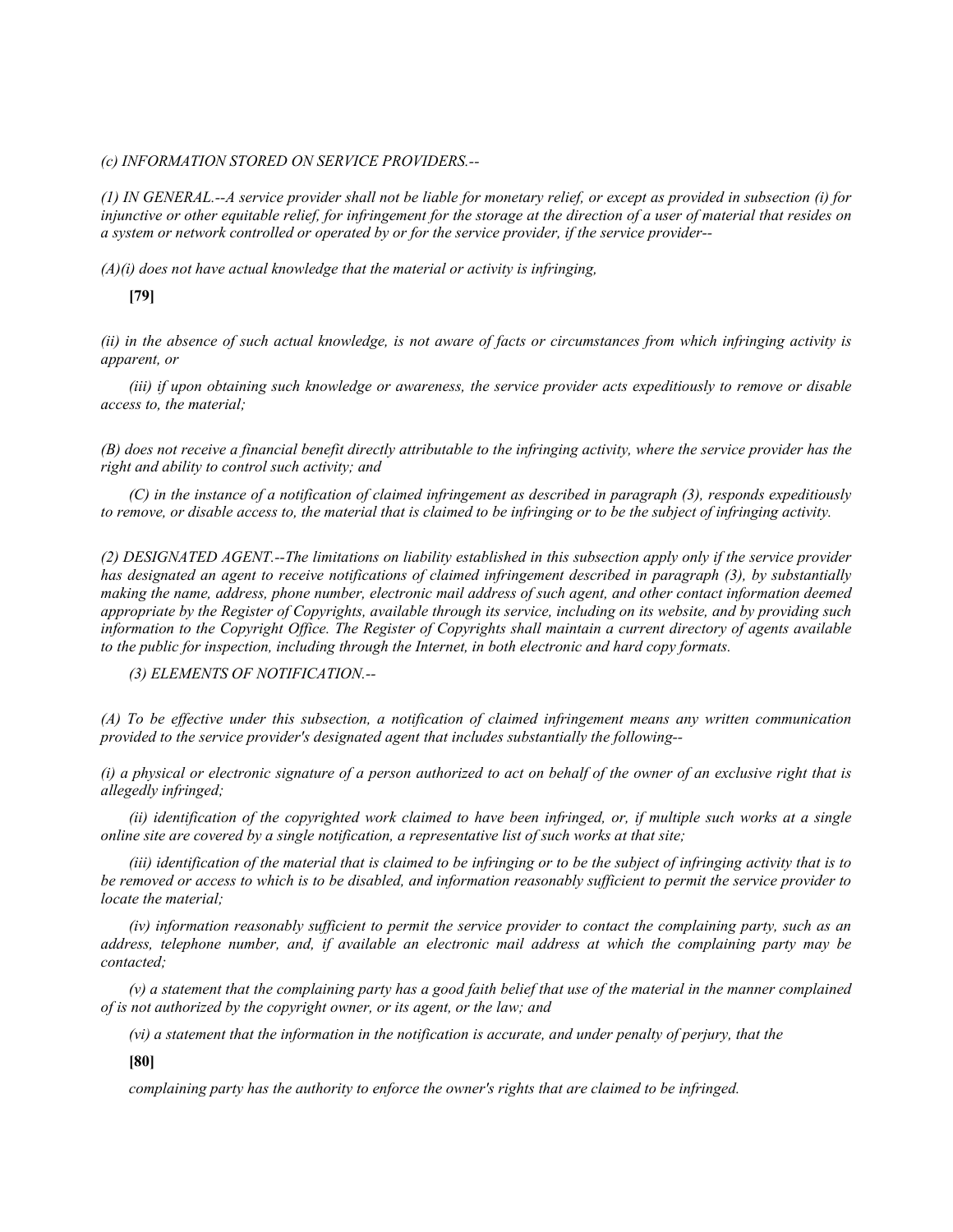# *(c) INFORMATION STORED ON SERVICE PROVIDERS.--*

*(1) IN GENERAL.--A service provider shall not be liable for monetary relief, or except as provided in subsection (i) for injunctive or other equitable relief, for infringement for the storage at the direction of a user of material that resides on a system or network controlled or operated by or for the service provider, if the service provider--*

*(A)(i) does not have actual knowledge that the material or activity is infringing,*

**[79]**

*(ii) in the absence of such actual knowledge, is not aware of facts or circumstances from which infringing activity is apparent, or*

*(iii) if upon obtaining such knowledge or awareness, the service provider acts expeditiously to remove or disable access to, the material;*

*(B) does not receive a financial benefit directly attributable to the infringing activity, where the service provider has the right and ability to control such activity; and*

*(C) in the instance of a notification of claimed infringement as described in paragraph (3), responds expeditiously to remove, or disable access to, the material that is claimed to be infringing or to be the subject of infringing activity.*

*(2) DESIGNATED AGENT.--The limitations on liability established in this subsection apply only if the service provider has designated an agent to receive notifications of claimed infringement described in paragraph (3), by substantially making the name, address, phone number, electronic mail address of such agent, and other contact information deemed appropriate by the Register of Copyrights, available through its service, including on its website, and by providing such information to the Copyright Office. The Register of Copyrights shall maintain a current directory of agents available to the public for inspection, including through the Internet, in both electronic and hard copy formats.*

*(3) ELEMENTS OF NOTIFICATION.--*

*(A) To be effective under this subsection, a notification of claimed infringement means any written communication provided to the service provider's designated agent that includes substantially the following--*

*(i) a physical or electronic signature of a person authorized to act on behalf of the owner of an exclusive right that is allegedly infringed;*

*(ii) identification of the copyrighted work claimed to have been infringed, or, if multiple such works at a single online site are covered by a single notification, a representative list of such works at that site;*

*(iii) identification of the material that is claimed to be infringing or to be the subject of infringing activity that is to*  be removed or access to which is to be disabled, and information reasonably sufficient to permit the service provider to *locate the material;*

*(iv) information reasonably sufficient to permit the service provider to contact the complaining party, such as an address, telephone number, and, if available an electronic mail address at which the complaining party may be contacted;*

*(v) a statement that the complaining party has a good faith belief that use of the material in the manner complained of is not authorized by the copyright owner, or its agent, or the law; and*

*(vi) a statement that the information in the notification is accurate, and under penalty of perjury, that the*

**[80]**

*complaining party has the authority to enforce the owner's rights that are claimed to be infringed.*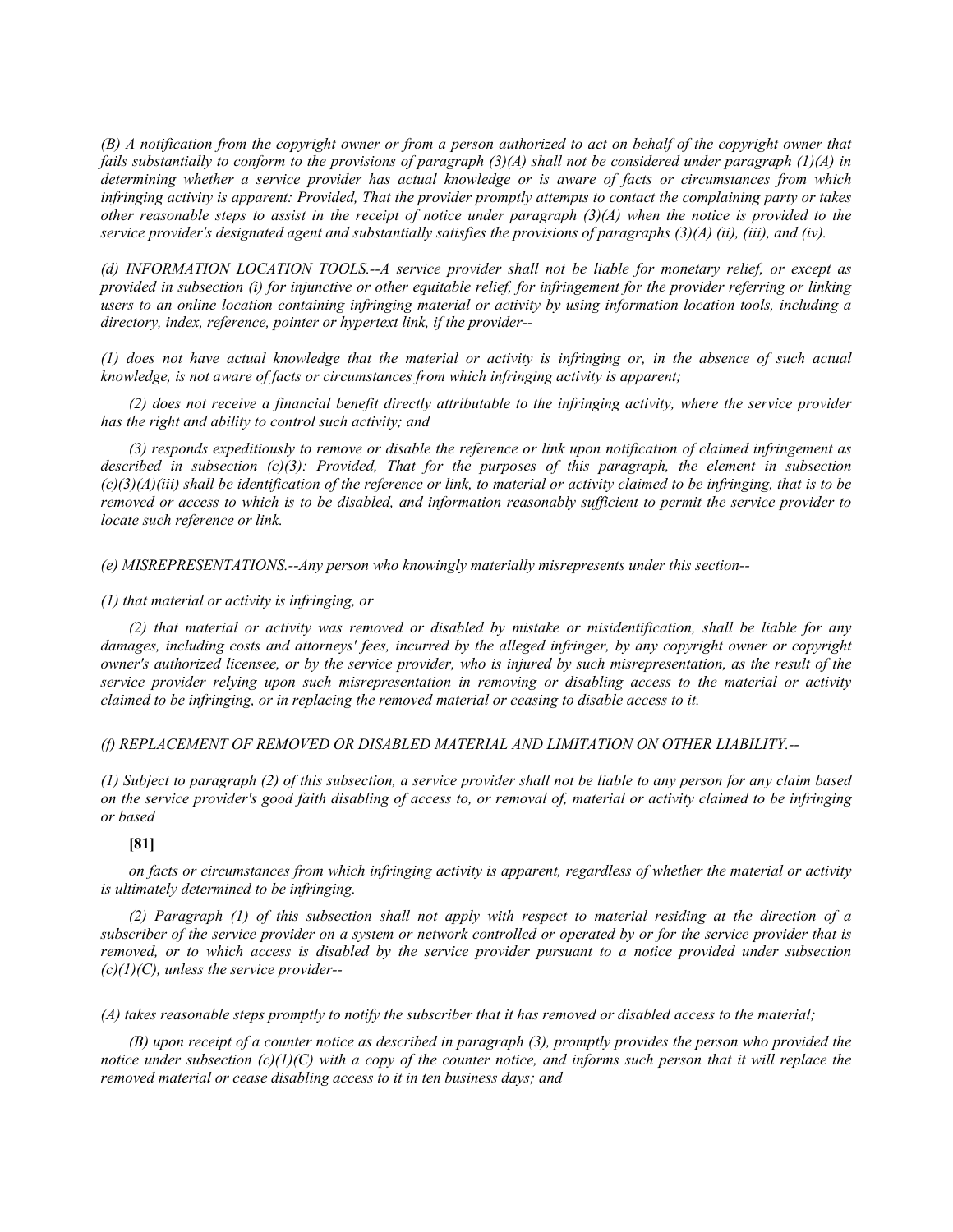*(B) A notification from the copyright owner or from a person authorized to act on behalf of the copyright owner that fails substantially to conform to the provisions of paragraph (3)(A) shall not be considered under paragraph (1)(A) in determining whether a service provider has actual knowledge or is aware of facts or circumstances from which infringing activity is apparent: Provided, That the provider promptly attempts to contact the complaining party or takes other reasonable steps to assist in the receipt of notice under paragraph (3)(A) when the notice is provided to the service provider's designated agent and substantially satisfies the provisions of paragraphs (3)(A) (ii), (iii), and (iv).*

*(d) INFORMATION LOCATION TOOLS.--A service provider shall not be liable for monetary relief, or except as provided in subsection (i) for injunctive or other equitable relief, for infringement for the provider referring or linking users to an online location containing infringing material or activity by using information location tools, including a directory, index, reference, pointer or hypertext link, if the provider--*

*(1) does not have actual knowledge that the material or activity is infringing or, in the absence of such actual knowledge, is not aware of facts or circumstances from which infringing activity is apparent;*

*(2) does not receive a financial benefit directly attributable to the infringing activity, where the service provider has the right and ability to control such activity; and*

*(3) responds expeditiously to remove or disable the reference or link upon notification of claimed infringement as described in subsection (c)(3): Provided, That for the purposes of this paragraph, the element in subsection (c)(3)(A)(iii) shall be identification of the reference or link, to material or activity claimed to be infringing, that is to be removed or access to which is to be disabled, and information reasonably sufficient to permit the service provider to locate such reference or link.* 

*(e) MISREPRESENTATIONS.--Any person who knowingly materially misrepresents under this section--*

## *(1) that material or activity is infringing, or*

*(2) that material or activity was removed or disabled by mistake or misidentification, shall be liable for any damages, including costs and attorneys' fees, incurred by the alleged infringer, by any copyright owner or copyright owner's authorized licensee, or by the service provider, who is injured by such misrepresentation, as the result of the service provider relying upon such misrepresentation in removing or disabling access to the material or activity claimed to be infringing, or in replacing the removed material or ceasing to disable access to it.*

# *(f) REPLACEMENT OF REMOVED OR DISABLED MATERIAL AND LIMITATION ON OTHER LIABILITY.--*

*(1) Subject to paragraph (2) of this subsection, a service provider shall not be liable to any person for any claim based on the service provider's good faith disabling of access to, or removal of, material or activity claimed to be infringing or based*

# **[81]**

*on facts or circumstances from which infringing activity is apparent, regardless of whether the material or activity is ultimately determined to be infringing.*

*(2) Paragraph (1) of this subsection shall not apply with respect to material residing at the direction of a subscriber of the service provider on a system or network controlled or operated by or for the service provider that is removed, or to which access is disabled by the service provider pursuant to a notice provided under subsection (c)(1)(C), unless the service provider--*

*(A) takes reasonable steps promptly to notify the subscriber that it has removed or disabled access to the material;* 

*(B) upon receipt of a counter notice as described in paragraph (3), promptly provides the person who provided the notice under subsection (c)(1)(C) with a copy of the counter notice, and informs such person that it will replace the removed material or cease disabling access to it in ten business days; and*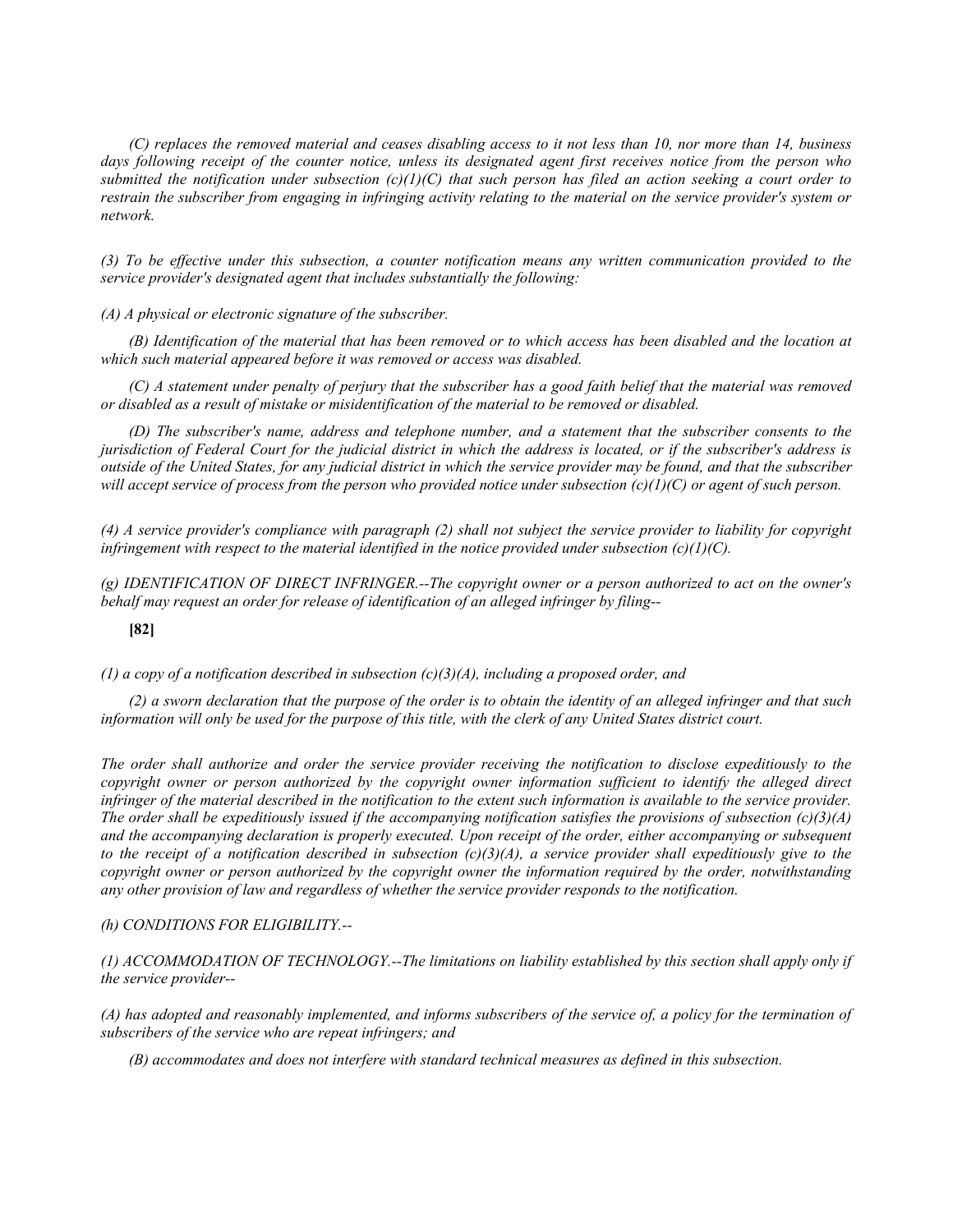*(C) replaces the removed material and ceases disabling access to it not less than 10, nor more than 14, business days following receipt of the counter notice, unless its designated agent first receives notice from the person who submitted the notification under subsection (c)(1)(C) that such person has filed an action seeking a court order to restrain the subscriber from engaging in infringing activity relating to the material on the service provider's system or network.*

*(3) To be effective under this subsection, a counter notification means any written communication provided to the service provider's designated agent that includes substantially the following:*

*(A) A physical or electronic signature of the subscriber.*

*(B) Identification of the material that has been removed or to which access has been disabled and the location at which such material appeared before it was removed or access was disabled.*

*(C) A statement under penalty of perjury that the subscriber has a good faith belief that the material was removed or disabled as a result of mistake or misidentification of the material to be removed or disabled.*

*(D) The subscriber's name, address and telephone number, and a statement that the subscriber consents to the jurisdiction of Federal Court for the judicial district in which the address is located, or if the subscriber's address is outside of the United States, for any judicial district in which the service provider may be found, and that the subscriber will accept service of process from the person who provided notice under subsection (c)(1)(C) or agent of such person.*

*(4) A service provider's compliance with paragraph (2) shall not subject the service provider to liability for copyright infringement with respect to the material identified in the notice provided under subsection (c)(1)(C).*

*(g) IDENTIFICATION OF DIRECT INFRINGER.--The copyright owner or a person authorized to act on the owner's behalf may request an order for release of identification of an alleged infringer by filing--*

**[82]**

*(1) a copy of a notification described in subsection (c)(3)(A), including a proposed order, and*

*(2) a sworn declaration that the purpose of the order is to obtain the identity of an alleged infringer and that such information will only be used for the purpose of this title, with the clerk of any United States district court.*

*The order shall authorize and order the service provider receiving the notification to disclose expeditiously to the copyright owner or person authorized by the copyright owner information sufficient to identify the alleged direct infringer of the material described in the notification to the extent such information is available to the service provider. The order shall be expeditiously issued if the accompanying notification satisfies the provisions of subsection (c)(3)(A)*  and the accompanying declaration is properly executed. Upon receipt of the order, either accompanying or subsequent *to the receipt of a notification described in subsection (c)(3)(A), a service provider shall expeditiously give to the copyright owner or person authorized by the copyright owner the information required by the order, notwithstanding any other provision of law and regardless of whether the service provider responds to the notification.*

*(h) CONDITIONS FOR ELIGIBILITY.--*

*(1) ACCOMMODATION OF TECHNOLOGY.--The limitations on liability established by this section shall apply only if the service provider--*

*(A) has adopted and reasonably implemented, and informs subscribers of the service of, a policy for the termination of subscribers of the service who are repeat infringers; and*

*(B) accommodates and does not interfere with standard technical measures as defined in this subsection.*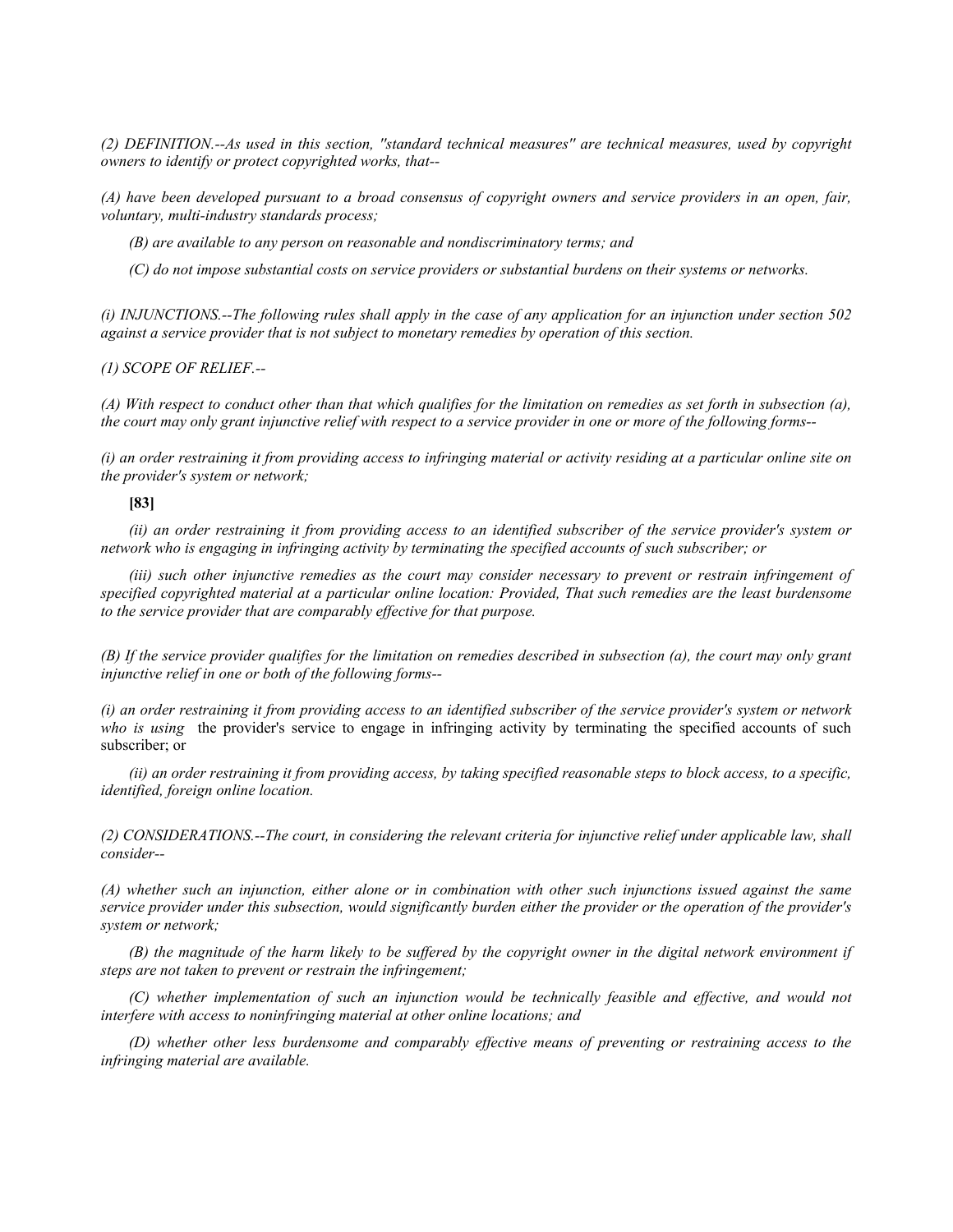*(2) DEFINITION.--As used in this section, ''standard technical measures'' are technical measures, used by copyright owners to identify or protect copyrighted works, that--*

*(A) have been developed pursuant to a broad consensus of copyright owners and service providers in an open, fair, voluntary, multi-industry standards process;*

*(B) are available to any person on reasonable and nondiscriminatory terms; and*

*(C) do not impose substantial costs on service providers or substantial burdens on their systems or networks.*

*(i) INJUNCTIONS.--The following rules shall apply in the case of any application for an injunction under section 502 against a service provider that is not subject to monetary remedies by operation of this section.*

*(1) SCOPE OF RELIEF.--*

*(A) With respect to conduct other than that which qualifies for the limitation on remedies as set forth in subsection (a), the court may only grant injunctive relief with respect to a service provider in one or more of the following forms--*

*(i) an order restraining it from providing access to infringing material or activity residing at a particular online site on the provider's system or network;*

**[83]**

*(ii) an order restraining it from providing access to an identified subscriber of the service provider's system or network who is engaging in infringing activity by terminating the specified accounts of such subscriber; or*

*(iii) such other injunctive remedies as the court may consider necessary to prevent or restrain infringement of specified copyrighted material at a particular online location: Provided, That such remedies are the least burdensome to the service provider that are comparably effective for that purpose.*

*(B) If the service provider qualifies for the limitation on remedies described in subsection (a), the court may only grant injunctive relief in one or both of the following forms--*

*(i) an order restraining it from providing access to an identified subscriber of the service provider's system or network who is using* the provider's service to engage in infringing activity by terminating the specified accounts of such subscriber; or

*(ii) an order restraining it from providing access, by taking specified reasonable steps to block access, to a specific, identified, foreign online location.*

*(2) CONSIDERATIONS.--The court, in considering the relevant criteria for injunctive relief under applicable law, shall consider--*

*(A) whether such an injunction, either alone or in combination with other such injunctions issued against the same service provider under this subsection, would significantly burden either the provider or the operation of the provider's system or network;*

*(B) the magnitude of the harm likely to be suffered by the copyright owner in the digital network environment if steps are not taken to prevent or restrain the infringement;*

*(C) whether implementation of such an injunction would be technically feasible and effective, and would not interfere with access to noninfringing material at other online locations; and*

*(D) whether other less burdensome and comparably effective means of preventing or restraining access to the infringing material are available.*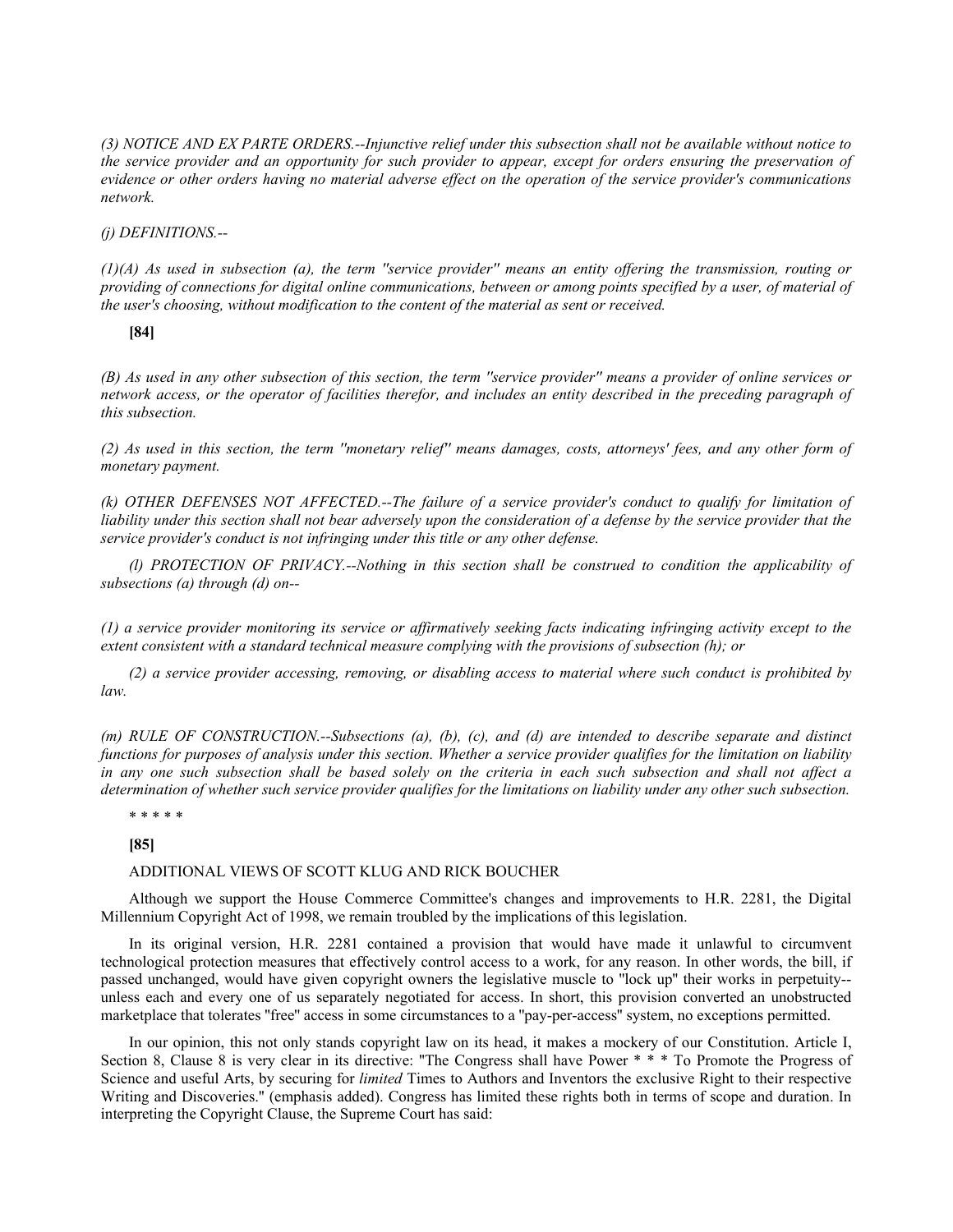*(3) NOTICE AND EX PARTE ORDERS.--Injunctive relief under this subsection shall not be available without notice to the service provider and an opportunity for such provider to appear, except for orders ensuring the preservation of evidence or other orders having no material adverse effect on the operation of the service provider's communications network.*

*(j) DEFINITIONS.--*

*(1)(A) As used in subsection (a), the term ''service provider'' means an entity offering the transmission, routing or providing of connections for digital online communications, between or among points specified by a user, of material of the user's choosing, without modification to the content of the material as sent or received.*

**[84]**

*(B) As used in any other subsection of this section, the term ''service provider'' means a provider of online services or network access, or the operator of facilities therefor, and includes an entity described in the preceding paragraph of this subsection.*

*(2) As used in this section, the term ''monetary relief'' means damages, costs, attorneys' fees, and any other form of monetary payment.*

*(k) OTHER DEFENSES NOT AFFECTED.--The failure of a service provider's conduct to qualify for limitation of*  liability under this section shall not bear adversely upon the consideration of a defense by the service provider that the *service provider's conduct is not infringing under this title or any other defense.*

*(l) PROTECTION OF PRIVACY.--Nothing in this section shall be construed to condition the applicability of subsections (a) through (d) on--*

*(1) a service provider monitoring its service or affirmatively seeking facts indicating infringing activity except to the extent consistent with a standard technical measure complying with the provisions of subsection (h); or*

*(2) a service provider accessing, removing, or disabling access to material where such conduct is prohibited by law.*

*(m) RULE OF CONSTRUCTION.--Subsections (a), (b), (c), and (d) are intended to describe separate and distinct functions for purposes of analysis under this section. Whether a service provider qualifies for the limitation on liability in any one such subsection shall be based solely on the criteria in each such subsection and shall not affect a determination of whether such service provider qualifies for the limitations on liability under any other such subsection.*

# \* \* \* \* \*

# **[85]**

## ADDITIONAL VIEWS OF SCOTT KLUG AND RICK BOUCHER

Although we support the House Commerce Committee's changes and improvements to H.R. 2281, the Digital Millennium Copyright Act of 1998, we remain troubled by the implications of this legislation.

In its original version, H.R. 2281 contained a provision that would have made it unlawful to circumvent technological protection measures that effectively control access to a work, for any reason. In other words, the bill, if passed unchanged, would have given copyright owners the legislative muscle to ''lock up'' their works in perpetuity- unless each and every one of us separately negotiated for access. In short, this provision converted an unobstructed marketplace that tolerates "free" access in some circumstances to a "pay-per-access" system, no exceptions permitted.

In our opinion, this not only stands copyright law on its head, it makes a mockery of our Constitution. Article I, Section 8, Clause 8 is very clear in its directive: ''The Congress shall have Power \* \* \* To Promote the Progress of Science and useful Arts, by securing for *limited* Times to Authors and Inventors the exclusive Right to their respective Writing and Discoveries.'' (emphasis added). Congress has limited these rights both in terms of scope and duration. In interpreting the Copyright Clause, the Supreme Court has said: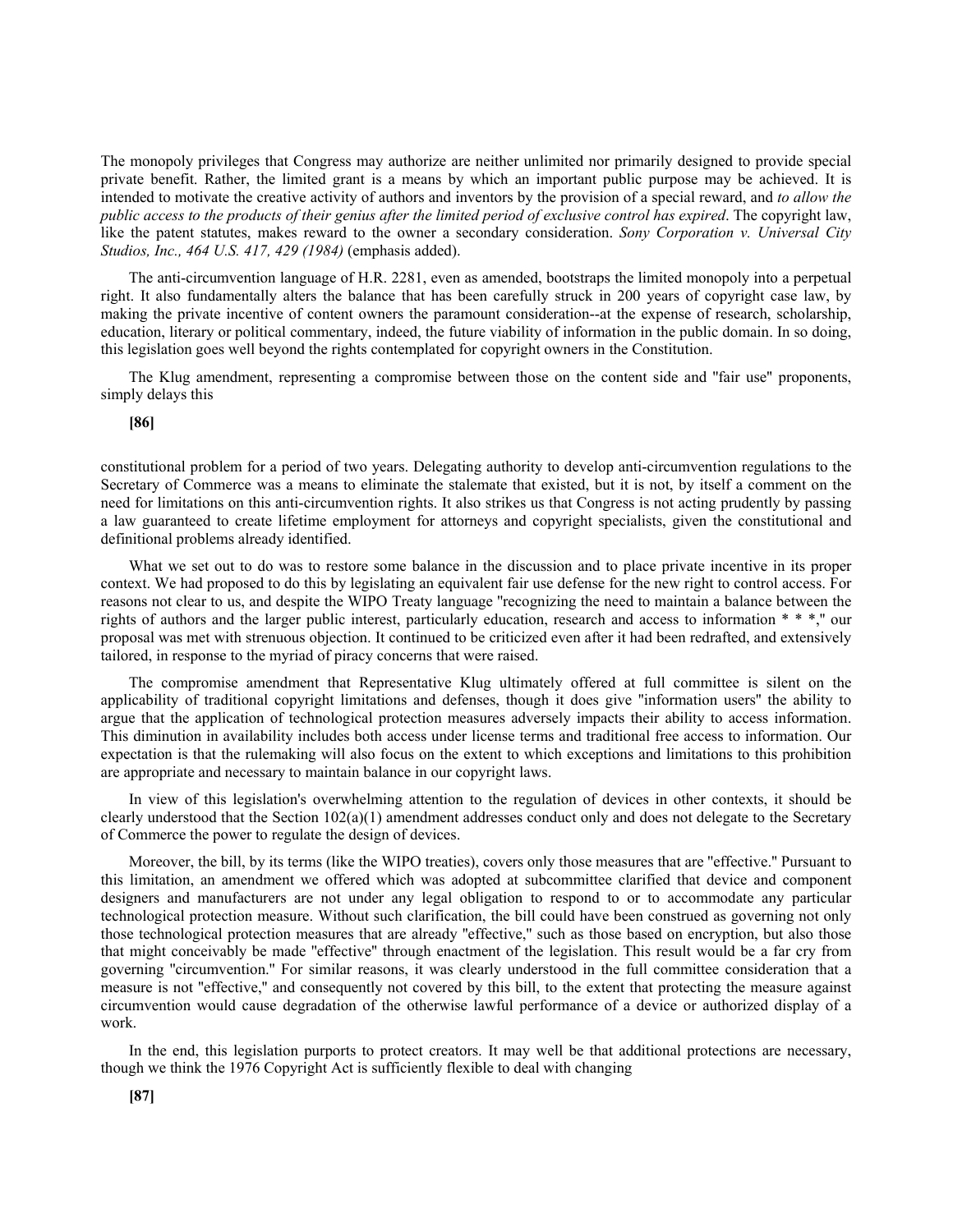The monopoly privileges that Congress may authorize are neither unlimited nor primarily designed to provide special private benefit. Rather, the limited grant is a means by which an important public purpose may be achieved. It is intended to motivate the creative activity of authors and inventors by the provision of a special reward, and *to allow the public access to the products of their genius after the limited period of exclusive control has expired*. The copyright law, like the patent statutes, makes reward to the owner a secondary consideration. *Sony Corporation v. Universal City Studios, Inc., 464 U.S. 417, 429 (1984)* (emphasis added).

The anti-circumvention language of H.R. 2281, even as amended, bootstraps the limited monopoly into a perpetual right. It also fundamentally alters the balance that has been carefully struck in 200 years of copyright case law, by making the private incentive of content owners the paramount consideration--at the expense of research, scholarship, education, literary or political commentary, indeed, the future viability of information in the public domain. In so doing, this legislation goes well beyond the rights contemplated for copyright owners in the Constitution.

The Klug amendment, representing a compromise between those on the content side and ''fair use'' proponents, simply delays this

**[86]**

constitutional problem for a period of two years. Delegating authority to develop anti-circumvention regulations to the Secretary of Commerce was a means to eliminate the stalemate that existed, but it is not, by itself a comment on the need for limitations on this anti-circumvention rights. It also strikes us that Congress is not acting prudently by passing a law guaranteed to create lifetime employment for attorneys and copyright specialists, given the constitutional and definitional problems already identified.

What we set out to do was to restore some balance in the discussion and to place private incentive in its proper context. We had proposed to do this by legislating an equivalent fair use defense for the new right to control access. For reasons not clear to us, and despite the WIPO Treaty language ''recognizing the need to maintain a balance between the rights of authors and the larger public interest, particularly education, research and access to information \* \* \*,'' our proposal was met with strenuous objection. It continued to be criticized even after it had been redrafted, and extensively tailored, in response to the myriad of piracy concerns that were raised.

The compromise amendment that Representative Klug ultimately offered at full committee is silent on the applicability of traditional copyright limitations and defenses, though it does give ''information users'' the ability to argue that the application of technological protection measures adversely impacts their ability to access information. This diminution in availability includes both access under license terms and traditional free access to information. Our expectation is that the rulemaking will also focus on the extent to which exceptions and limitations to this prohibition are appropriate and necessary to maintain balance in our copyright laws.

In view of this legislation's overwhelming attention to the regulation of devices in other contexts, it should be clearly understood that the Section  $102(a)(1)$  amendment addresses conduct only and does not delegate to the Secretary of Commerce the power to regulate the design of devices.

Moreover, the bill, by its terms (like the WIPO treaties), covers only those measures that are ''effective.'' Pursuant to this limitation, an amendment we offered which was adopted at subcommittee clarified that device and component designers and manufacturers are not under any legal obligation to respond to or to accommodate any particular technological protection measure. Without such clarification, the bill could have been construed as governing not only those technological protection measures that are already ''effective,'' such as those based on encryption, but also those that might conceivably be made ''effective'' through enactment of the legislation. This result would be a far cry from governing ''circumvention.'' For similar reasons, it was clearly understood in the full committee consideration that a measure is not ''effective,'' and consequently not covered by this bill, to the extent that protecting the measure against circumvention would cause degradation of the otherwise lawful performance of a device or authorized display of a work.

In the end, this legislation purports to protect creators. It may well be that additional protections are necessary, though we think the 1976 Copyright Act is sufficiently flexible to deal with changing